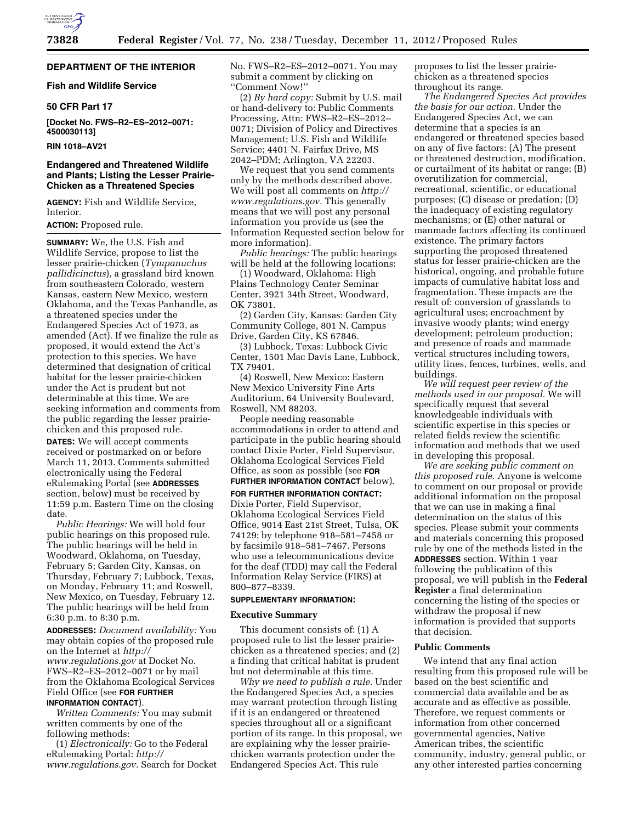

## **DEPARTMENT OF THE INTERIOR**

## **Fish and Wildlife Service**

## **50 CFR Part 17**

**[Docket No. FWS–R2–ES–2012–0071: 4500030113]** 

## **RIN 1018–AV21**

## **Endangered and Threatened Wildlife and Plants; Listing the Lesser Prairie-Chicken as a Threatened Species**

**AGENCY:** Fish and Wildlife Service, Interior.

#### **ACTION:** Proposed rule.

**SUMMARY:** We, the U.S. Fish and Wildlife Service, propose to list the lesser prairie-chicken (*Tympanuchus pallidicinctus*), a grassland bird known from southeastern Colorado, western Kansas, eastern New Mexico, western Oklahoma, and the Texas Panhandle, as a threatened species under the Endangered Species Act of 1973, as amended (Act). If we finalize the rule as proposed, it would extend the Act's protection to this species. We have determined that designation of critical habitat for the lesser prairie-chicken under the Act is prudent but not determinable at this time. We are seeking information and comments from the public regarding the lesser prairiechicken and this proposed rule.

**DATES:** We will accept comments received or postmarked on or before March 11, 2013. Comments submitted electronically using the Federal eRulemaking Portal (see **ADDRESSES** section, below) must be received by 11:59 p.m. Eastern Time on the closing date.

*Public Hearings:* We will hold four public hearings on this proposed rule. The public hearings will be held in Woodward, Oklahoma, on Tuesday, February 5; Garden City, Kansas, on Thursday, February 7; Lubbock, Texas, on Monday, February 11; and Roswell, New Mexico, on Tuesday, February 12. The public hearings will be held from 6:30 p.m. to 8:30 p.m.

**ADDRESSES:** *Document availability:* You may obtain copies of the proposed rule on the Internet at *[http://](http://www.regulations.gov)  [www.regulations.gov](http://www.regulations.gov)* at Docket No. FWS–R2–ES–2012–0071 or by mail from the Oklahoma Ecological Services Field Office (see **FOR FURTHER INFORMATION CONTACT**).

*Written Comments:* You may submit written comments by one of the following methods:

(1) *Electronically:* Go to the Federal eRulemaking Portal: *[http://](http://www.regulations.gov) [www.regulations.gov.](http://www.regulations.gov)* Search for Docket No. FWS–R2–ES–2012–0071. You may submit a comment by clicking on ''Comment Now!''

(2) *By hard copy:* Submit by U.S. mail or hand-delivery to: Public Comments Processing, Attn: FWS–R2–ES–2012– 0071; Division of Policy and Directives Management; U.S. Fish and Wildlife Service; 4401 N. Fairfax Drive, MS 2042–PDM; Arlington, VA 22203.

We request that you send comments only by the methods described above. We will post all comments on *[http://](http://www.regulations.gov) [www.regulations.gov.](http://www.regulations.gov)* This generally means that we will post any personal information you provide us (see the Information Requested section below for more information).

*Public hearings:* The public hearings will be held at the following locations:

(1) Woodward, Oklahoma: High Plains Technology Center Seminar Center, 3921 34th Street, Woodward, OK 73801.

(2) Garden City, Kansas: Garden City Community College, 801 N. Campus Drive, Garden City, KS 67846.

(3) Lubbock, Texas: Lubbock Civic Center, 1501 Mac Davis Lane, Lubbock, TX 79401.

(4) Roswell, New Mexico: Eastern New Mexico University Fine Arts Auditorium, 64 University Boulevard, Roswell, NM 88203.

People needing reasonable accommodations in order to attend and participate in the public hearing should contact Dixie Porter, Field Supervisor, Oklahoma Ecological Services Field Office, as soon as possible (see **FOR FURTHER INFORMATION CONTACT** below). **FOR FURTHER INFORMATION CONTACT:** 

Dixie Porter, Field Supervisor, Oklahoma Ecological Services Field Office, 9014 East 21st Street, Tulsa, OK 74129; by telephone 918–581–7458 or by facsimile 918–581–7467. Persons who use a telecommunications device for the deaf (TDD) may call the Federal Information Relay Service (FIRS) at 800–877–8339.

#### **SUPPLEMENTARY INFORMATION:**

#### **Executive Summary**

This document consists of: (1) A proposed rule to list the lesser prairiechicken as a threatened species; and (2) a finding that critical habitat is prudent but not determinable at this time.

*Why we need to publish a rule.* Under the Endangered Species Act, a species may warrant protection through listing if it is an endangered or threatened species throughout all or a significant portion of its range. In this proposal, we are explaining why the lesser prairiechicken warrants protection under the Endangered Species Act. This rule

proposes to list the lesser prairiechicken as a threatened species throughout its range.

*The Endangered Species Act provides the basis for our action.* Under the Endangered Species Act, we can determine that a species is an endangered or threatened species based on any of five factors: (A) The present or threatened destruction, modification, or curtailment of its habitat or range; (B) overutilization for commercial, recreational, scientific, or educational purposes; (C) disease or predation; (D) the inadequacy of existing regulatory mechanisms; or (E) other natural or manmade factors affecting its continued existence. The primary factors supporting the proposed threatened status for lesser prairie-chicken are the historical, ongoing, and probable future impacts of cumulative habitat loss and fragmentation. These impacts are the result of: conversion of grasslands to agricultural uses; encroachment by invasive woody plants; wind energy development; petroleum production; and presence of roads and manmade vertical structures including towers, utility lines, fences, turbines, wells, and buildings.

*We will request peer review of the methods used in our proposal.* We will specifically request that several knowledgeable individuals with scientific expertise in this species or related fields review the scientific information and methods that we used in developing this proposal.

*We are seeking public comment on this proposed rule.* Anyone is welcome to comment on our proposal or provide additional information on the proposal that we can use in making a final determination on the status of this species. Please submit your comments and materials concerning this proposed rule by one of the methods listed in the **ADDRESSES** section. Within 1 year following the publication of this proposal, we will publish in the **Federal Register** a final determination concerning the listing of the species or withdraw the proposal if new information is provided that supports that decision.

### **Public Comments**

We intend that any final action resulting from this proposed rule will be based on the best scientific and commercial data available and be as accurate and as effective as possible. Therefore, we request comments or information from other concerned governmental agencies, Native American tribes, the scientific community, industry, general public, or any other interested parties concerning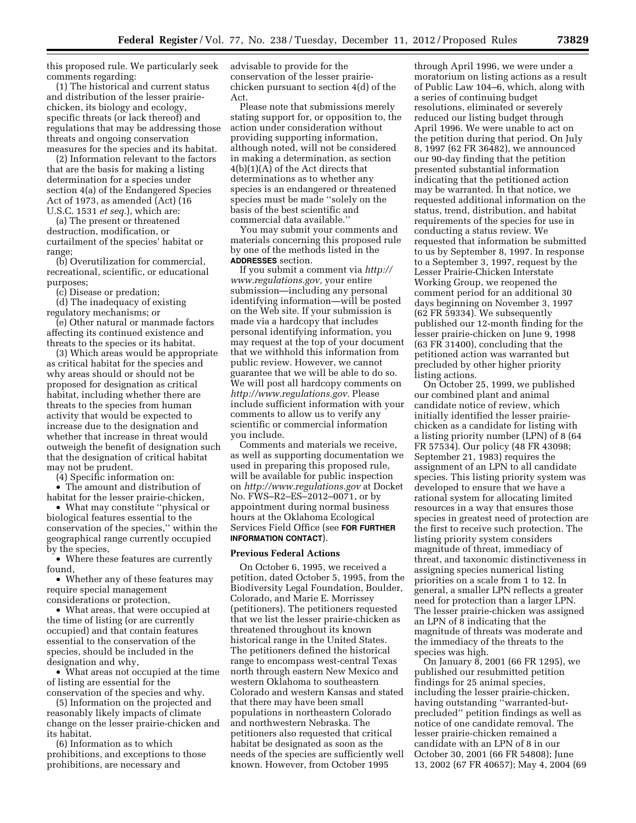this proposed rule. We particularly seek comments regarding:

(1) The historical and current status and distribution of the lesser prairiechicken, its biology and ecology, specific threats (or lack thereof) and regulations that may be addressing those threats and ongoing conservation measures for the species and its habitat.

(2) Information relevant to the factors that are the basis for making a listing determination for a species under section 4(a) of the Endangered Species Act of 1973, as amended (Act) (16 U.S.C. 1531 *et seq.*), which are:

(a) The present or threatened destruction, modification, or curtailment of the species' habitat or range;

(b) Overutilization for commercial, recreational, scientific, or educational purposes;

(c) Disease or predation;

(d) The inadequacy of existing regulatory mechanisms; or

(e) Other natural or manmade factors affecting its continued existence and threats to the species or its habitat.

(3) Which areas would be appropriate as critical habitat for the species and why areas should or should not be proposed for designation as critical habitat, including whether there are threats to the species from human activity that would be expected to increase due to the designation and whether that increase in threat would outweigh the benefit of designation such that the designation of critical habitat may not be prudent.

(4) Specific information on:

• The amount and distribution of habitat for the lesser prairie-chicken,

• What may constitute ''physical or biological features essential to the conservation of the species,'' within the geographical range currently occupied by the species,

• Where these features are currently found,

• Whether any of these features may require special management considerations or protection,

• What areas, that were occupied at the time of listing (or are currently occupied) and that contain features essential to the conservation of the species, should be included in the designation and why,

• What areas not occupied at the time of listing are essential for the conservation of the species and why.

(5) Information on the projected and reasonably likely impacts of climate change on the lesser prairie-chicken and its habitat.

(6) Information as to which prohibitions, and exceptions to those prohibitions, are necessary and

advisable to provide for the conservation of the lesser prairiechicken pursuant to section 4(d) of the Act.

Please note that submissions merely stating support for, or opposition to, the action under consideration without providing supporting information, although noted, will not be considered in making a determination, as section 4(b)(1)(A) of the Act directs that determinations as to whether any species is an endangered or threatened species must be made ''solely on the basis of the best scientific and commercial data available.''

You may submit your comments and materials concerning this proposed rule by one of the methods listed in the **ADDRESSES** section.

If you submit a comment via *[http://](http://www.regulations.gov)  [www.regulations.gov,](http://www.regulations.gov)* your entire submission—including any personal identifying information—will be posted on the Web site. If your submission is made via a hardcopy that includes personal identifying information, you may request at the top of your document that we withhold this information from public review. However, we cannot guarantee that we will be able to do so. We will post all hardcopy comments on *[http://www.regulations.gov.](http://www.regulations.gov)* Please include sufficient information with your comments to allow us to verify any scientific or commercial information you include.

Comments and materials we receive, as well as supporting documentation we used in preparing this proposed rule, will be available for public inspection on *<http://www.regulations.gov>* at Docket No. FWS–R2–ES–2012–0071, or by appointment during normal business hours at the Oklahoma Ecological Services Field Office (see **FOR FURTHER INFORMATION CONTACT**).

#### **Previous Federal Actions**

On October 6, 1995, we received a petition, dated October 5, 1995, from the Biodiversity Legal Foundation, Boulder, Colorado, and Marie E. Morrissey (petitioners). The petitioners requested that we list the lesser prairie-chicken as threatened throughout its known historical range in the United States. The petitioners defined the historical range to encompass west-central Texas north through eastern New Mexico and western Oklahoma to southeastern Colorado and western Kansas and stated that there may have been small populations in northeastern Colorado and northwestern Nebraska. The petitioners also requested that critical habitat be designated as soon as the needs of the species are sufficiently well known. However, from October 1995

through April 1996, we were under a moratorium on listing actions as a result of Public Law 104–6, which, along with a series of continuing budget resolutions, eliminated or severely reduced our listing budget through April 1996. We were unable to act on the petition during that period. On July 8, 1997 (62 FR 36482), we announced our 90-day finding that the petition presented substantial information indicating that the petitioned action may be warranted. In that notice, we requested additional information on the status, trend, distribution, and habitat requirements of the species for use in conducting a status review. We requested that information be submitted to us by September 8, 1997. In response to a September 3, 1997, request by the Lesser Prairie-Chicken Interstate Working Group, we reopened the comment period for an additional 30 days beginning on November 3, 1997 (62 FR 59334). We subsequently published our 12-month finding for the lesser prairie-chicken on June 9, 1998 (63 FR 31400), concluding that the petitioned action was warranted but precluded by other higher priority listing actions.

On October 25, 1999, we published our combined plant and animal candidate notice of review, which initially identified the lesser prairiechicken as a candidate for listing with a listing priority number (LPN) of 8 (64 FR 57534). Our policy (48 FR 43098; September 21, 1983) requires the assignment of an LPN to all candidate species. This listing priority system was developed to ensure that we have a rational system for allocating limited resources in a way that ensures those species in greatest need of protection are the first to receive such protection. The listing priority system considers magnitude of threat, immediacy of threat, and taxonomic distinctiveness in assigning species numerical listing priorities on a scale from 1 to 12. In general, a smaller LPN reflects a greater need for protection than a larger LPN. The lesser prairie-chicken was assigned an LPN of 8 indicating that the magnitude of threats was moderate and the immediacy of the threats to the species was high.

On January 8, 2001 (66 FR 1295), we published our resubmitted petition findings for 25 animal species, including the lesser prairie-chicken, having outstanding ''warranted-butprecluded'' petition findings as well as notice of one candidate removal. The lesser prairie-chicken remained a candidate with an LPN of 8 in our October 30, 2001 (66 FR 54808); June 13, 2002 (67 FR 40657); May 4, 2004 (69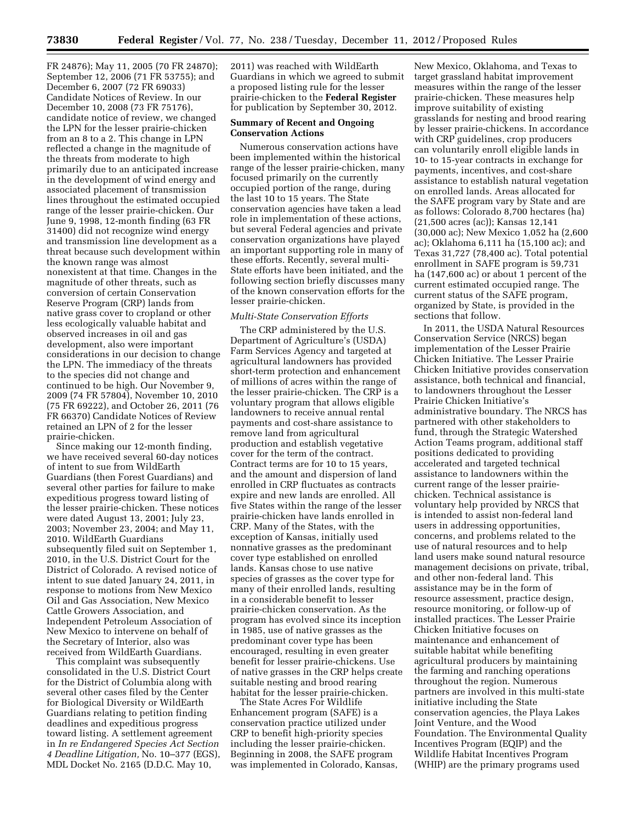FR 24876); May 11, 2005 (70 FR 24870); September 12, 2006 (71 FR 53755); and December 6, 2007 (72 FR 69033) Candidate Notices of Review. In our December 10, 2008 (73 FR 75176), candidate notice of review, we changed the LPN for the lesser prairie-chicken from an 8 to a 2. This change in LPN reflected a change in the magnitude of the threats from moderate to high primarily due to an anticipated increase in the development of wind energy and associated placement of transmission lines throughout the estimated occupied range of the lesser prairie-chicken. Our June 9, 1998, 12-month finding (63 FR 31400) did not recognize wind energy and transmission line development as a threat because such development within the known range was almost nonexistent at that time. Changes in the magnitude of other threats, such as conversion of certain Conservation Reserve Program (CRP) lands from native grass cover to cropland or other less ecologically valuable habitat and observed increases in oil and gas development, also were important considerations in our decision to change the LPN. The immediacy of the threats to the species did not change and continued to be high. Our November 9, 2009 (74 FR 57804), November 10, 2010 (75 FR 69222), and October 26, 2011 (76 FR 66370) Candidate Notices of Review retained an LPN of 2 for the lesser prairie-chicken.

Since making our 12-month finding, we have received several 60-day notices of intent to sue from WildEarth Guardians (then Forest Guardians) and several other parties for failure to make expeditious progress toward listing of the lesser prairie-chicken. These notices were dated August 13, 2001; July 23, 2003; November 23, 2004; and May 11, 2010. WildEarth Guardians subsequently filed suit on September 1, 2010, in the U.S. District Court for the District of Colorado. A revised notice of intent to sue dated January 24, 2011, in response to motions from New Mexico Oil and Gas Association, New Mexico Cattle Growers Association, and Independent Petroleum Association of New Mexico to intervene on behalf of the Secretary of Interior, also was received from WildEarth Guardians.

This complaint was subsequently consolidated in the U.S. District Court for the District of Columbia along with several other cases filed by the Center for Biological Diversity or WildEarth Guardians relating to petition finding deadlines and expeditious progress toward listing. A settlement agreement in *In re Endangered Species Act Section 4 Deadline Litigation,* No. 10–377 (EGS), MDL Docket No. 2165 (D.D.C. May 10,

2011) was reached with WildEarth Guardians in which we agreed to submit a proposed listing rule for the lesser prairie-chicken to the **Federal Register**  for publication by September 30, 2012.

### **Summary of Recent and Ongoing Conservation Actions**

Numerous conservation actions have been implemented within the historical range of the lesser prairie-chicken, many focused primarily on the currently occupied portion of the range, during the last 10 to 15 years. The State conservation agencies have taken a lead role in implementation of these actions, but several Federal agencies and private conservation organizations have played an important supporting role in many of these efforts. Recently, several multi-State efforts have been initiated, and the following section briefly discusses many of the known conservation efforts for the lesser prairie-chicken.

#### *Multi-State Conservation Efforts*

The CRP administered by the U.S. Department of Agriculture's (USDA) Farm Services Agency and targeted at agricultural landowners has provided short-term protection and enhancement of millions of acres within the range of the lesser prairie-chicken. The CRP is a voluntary program that allows eligible landowners to receive annual rental payments and cost-share assistance to remove land from agricultural production and establish vegetative cover for the term of the contract. Contract terms are for 10 to 15 years, and the amount and dispersion of land enrolled in CRP fluctuates as contracts expire and new lands are enrolled. All five States within the range of the lesser prairie-chicken have lands enrolled in CRP. Many of the States, with the exception of Kansas, initially used nonnative grasses as the predominant cover type established on enrolled lands. Kansas chose to use native species of grasses as the cover type for many of their enrolled lands, resulting in a considerable benefit to lesser prairie-chicken conservation. As the program has evolved since its inception in 1985, use of native grasses as the predominant cover type has been encouraged, resulting in even greater benefit for lesser prairie-chickens. Use of native grasses in the CRP helps create suitable nesting and brood rearing habitat for the lesser prairie-chicken.

The State Acres For Wildlife Enhancement program (SAFE) is a conservation practice utilized under CRP to benefit high-priority species including the lesser prairie-chicken. Beginning in 2008, the SAFE program was implemented in Colorado, Kansas, New Mexico, Oklahoma, and Texas to target grassland habitat improvement measures within the range of the lesser prairie-chicken. These measures help improve suitability of existing grasslands for nesting and brood rearing by lesser prairie-chickens. In accordance with CRP guidelines, crop producers can voluntarily enroll eligible lands in 10- to 15-year contracts in exchange for payments, incentives, and cost-share assistance to establish natural vegetation on enrolled lands. Areas allocated for the SAFE program vary by State and are as follows: Colorado 8,700 hectares (ha) (21,500 acres (ac)); Kansas 12,141 (30,000 ac); New Mexico 1,052 ha (2,600 ac); Oklahoma 6,111 ha (15,100 ac); and Texas 31,727 (78,400 ac). Total potential enrollment in SAFE program is 59,731 ha (147,600 ac) or about 1 percent of the current estimated occupied range. The current status of the SAFE program, organized by State, is provided in the sections that follow.

In 2011, the USDA Natural Resources Conservation Service (NRCS) began implementation of the Lesser Prairie Chicken Initiative. The Lesser Prairie Chicken Initiative provides conservation assistance, both technical and financial, to landowners throughout the Lesser Prairie Chicken Initiative's administrative boundary. The NRCS has partnered with other stakeholders to fund, through the Strategic Watershed Action Teams program, additional staff positions dedicated to providing accelerated and targeted technical assistance to landowners within the current range of the lesser prairiechicken. Technical assistance is voluntary help provided by NRCS that is intended to assist non-federal land users in addressing opportunities, concerns, and problems related to the use of natural resources and to help land users make sound natural resource management decisions on private, tribal, and other non-federal land. This assistance may be in the form of resource assessment, practice design, resource monitoring, or follow-up of installed practices. The Lesser Prairie Chicken Initiative focuses on maintenance and enhancement of suitable habitat while benefiting agricultural producers by maintaining the farming and ranching operations throughout the region. Numerous partners are involved in this multi-state initiative including the State conservation agencies, the Playa Lakes Joint Venture, and the Wood Foundation. The Environmental Quality Incentives Program (EQIP) and the Wildlife Habitat Incentives Program (WHIP) are the primary programs used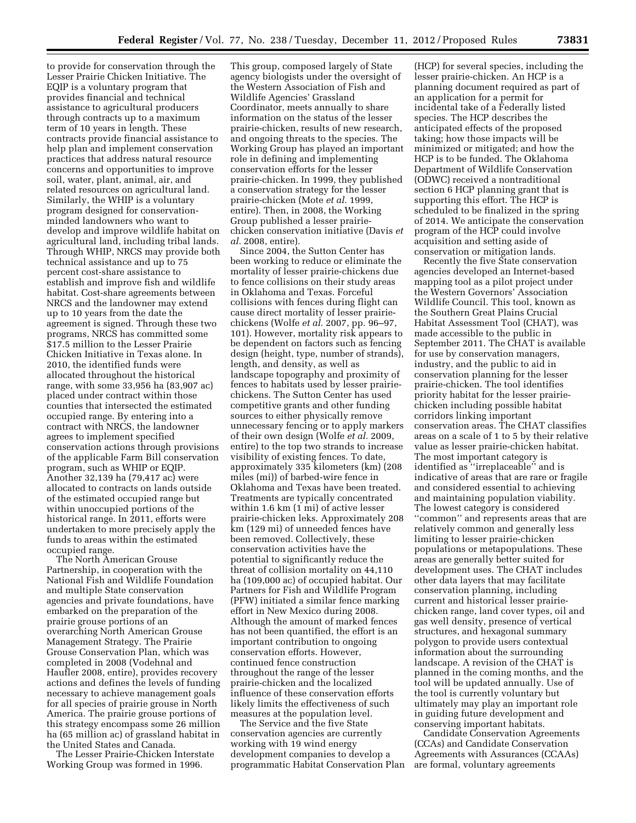to provide for conservation through the Lesser Prairie Chicken Initiative. The EQIP is a voluntary program that provides financial and technical assistance to agricultural producers through contracts up to a maximum term of 10 years in length. These contracts provide financial assistance to help plan and implement conservation practices that address natural resource concerns and opportunities to improve soil, water, plant, animal, air, and related resources on agricultural land. Similarly, the WHIP is a voluntary program designed for conservationminded landowners who want to develop and improve wildlife habitat on agricultural land, including tribal lands. Through WHIP, NRCS may provide both technical assistance and up to 75 percent cost-share assistance to establish and improve fish and wildlife habitat. Cost-share agreements between NRCS and the landowner may extend up to 10 years from the date the agreement is signed. Through these two programs, NRCS has committed some \$17.5 million to the Lesser Prairie Chicken Initiative in Texas alone. In 2010, the identified funds were allocated throughout the historical range, with some 33,956 ha (83,907 ac) placed under contract within those counties that intersected the estimated occupied range. By entering into a contract with NRCS, the landowner agrees to implement specified conservation actions through provisions of the applicable Farm Bill conservation program, such as WHIP or EQIP. Another 32,139 ha (79,417 ac) were allocated to contracts on lands outside of the estimated occupied range but within unoccupied portions of the historical range. In 2011, efforts were undertaken to more precisely apply the funds to areas within the estimated occupied range.

The North American Grouse Partnership, in cooperation with the National Fish and Wildlife Foundation and multiple State conservation agencies and private foundations, have embarked on the preparation of the prairie grouse portions of an overarching North American Grouse Management Strategy. The Prairie Grouse Conservation Plan, which was completed in 2008 (Vodehnal and Haufler 2008, entire), provides recovery actions and defines the levels of funding necessary to achieve management goals for all species of prairie grouse in North America. The prairie grouse portions of this strategy encompass some 26 million ha (65 million ac) of grassland habitat in the United States and Canada.

The Lesser Prairie-Chicken Interstate Working Group was formed in 1996.

This group, composed largely of State agency biologists under the oversight of the Western Association of Fish and Wildlife Agencies' Grassland Coordinator, meets annually to share information on the status of the lesser prairie-chicken, results of new research, and ongoing threats to the species. The Working Group has played an important role in defining and implementing conservation efforts for the lesser prairie-chicken. In 1999, they published a conservation strategy for the lesser prairie-chicken (Mote *et al.* 1999, entire). Then, in 2008, the Working Group published a lesser prairiechicken conservation initiative (Davis *et al.* 2008, entire).

Since 2004, the Sutton Center has been working to reduce or eliminate the mortality of lesser prairie-chickens due to fence collisions on their study areas in Oklahoma and Texas. Forceful collisions with fences during flight can cause direct mortality of lesser prairiechickens (Wolfe *et al.* 2007, pp. 96–97, 101). However, mortality risk appears to be dependent on factors such as fencing design (height, type, number of strands), length, and density, as well as landscape topography and proximity of fences to habitats used by lesser prairiechickens. The Sutton Center has used competitive grants and other funding sources to either physically remove unnecessary fencing or to apply markers of their own design (Wolfe *et al.* 2009, entire) to the top two strands to increase visibility of existing fences. To date, approximately 335 kilometers (km) (208 miles (mi)) of barbed-wire fence in Oklahoma and Texas have been treated. Treatments are typically concentrated within 1.6 km (1 mi) of active lesser prairie-chicken leks. Approximately 208 km (129 mi) of unneeded fences have been removed. Collectively, these conservation activities have the potential to significantly reduce the threat of collision mortality on 44,110 ha (109,000 ac) of occupied habitat. Our Partners for Fish and Wildlife Program (PFW) initiated a similar fence marking effort in New Mexico during 2008. Although the amount of marked fences has not been quantified, the effort is an important contribution to ongoing conservation efforts. However, continued fence construction throughout the range of the lesser prairie-chicken and the localized influence of these conservation efforts likely limits the effectiveness of such measures at the population level.

The Service and the five State conservation agencies are currently working with 19 wind energy development companies to develop a programmatic Habitat Conservation Plan

(HCP) for several species, including the lesser prairie-chicken. An HCP is a planning document required as part of an application for a permit for incidental take of a Federally listed species. The HCP describes the anticipated effects of the proposed taking; how those impacts will be minimized or mitigated; and how the HCP is to be funded. The Oklahoma Department of Wildlife Conservation (ODWC) received a nontraditional section 6 HCP planning grant that is supporting this effort. The HCP is scheduled to be finalized in the spring of 2014. We anticipate the conservation program of the HCP could involve acquisition and setting aside of conservation or mitigation lands.

Recently the five State conservation agencies developed an Internet-based mapping tool as a pilot project under the Western Governors' Association Wildlife Council. This tool, known as the Southern Great Plains Crucial Habitat Assessment Tool (CHAT), was made accessible to the public in September 2011. The CHAT is available for use by conservation managers, industry, and the public to aid in conservation planning for the lesser prairie-chicken. The tool identifies priority habitat for the lesser prairiechicken including possible habitat corridors linking important conservation areas. The CHAT classifies areas on a scale of 1 to 5 by their relative value as lesser prairie-chicken habitat. The most important category is identified as ''irreplaceable'' and is indicative of areas that are rare or fragile and considered essential to achieving and maintaining population viability. The lowest category is considered ''common'' and represents areas that are relatively common and generally less limiting to lesser prairie-chicken populations or metapopulations. These areas are generally better suited for development uses. The CHAT includes other data layers that may facilitate conservation planning, including current and historical lesser prairiechicken range, land cover types, oil and gas well density, presence of vertical structures, and hexagonal summary polygon to provide users contextual information about the surrounding landscape. A revision of the CHAT is planned in the coming months, and the tool will be updated annually. Use of the tool is currently voluntary but ultimately may play an important role in guiding future development and conserving important habitats.

Candidate Conservation Agreements (CCAs) and Candidate Conservation Agreements with Assurances (CCAAs) are formal, voluntary agreements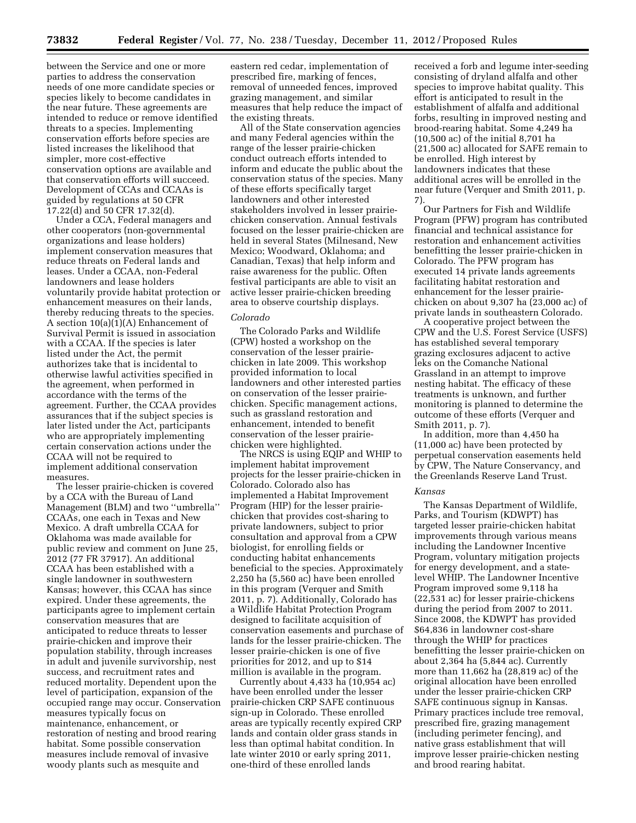between the Service and one or more parties to address the conservation needs of one more candidate species or species likely to become candidates in the near future. These agreements are intended to reduce or remove identified threats to a species. Implementing conservation efforts before species are listed increases the likelihood that simpler, more cost-effective conservation options are available and that conservation efforts will succeed. Development of CCAs and CCAAs is guided by regulations at 50 CFR 17.22(d) and 50 CFR 17.32(d).

Under a CCA, Federal managers and other cooperators (non-governmental organizations and lease holders) implement conservation measures that reduce threats on Federal lands and leases. Under a CCAA, non-Federal landowners and lease holders voluntarily provide habitat protection or enhancement measures on their lands, thereby reducing threats to the species. A section 10(a)(1)(A) Enhancement of Survival Permit is issued in association with a CCAA. If the species is later listed under the Act, the permit authorizes take that is incidental to otherwise lawful activities specified in the agreement, when performed in accordance with the terms of the agreement. Further, the CCAA provides assurances that if the subject species is later listed under the Act, participants who are appropriately implementing certain conservation actions under the CCAA will not be required to implement additional conservation measures.

The lesser prairie-chicken is covered by a CCA with the Bureau of Land Management (BLM) and two ''umbrella'' CCAAs, one each in Texas and New Mexico. A draft umbrella CCAA for Oklahoma was made available for public review and comment on June 25, 2012 (77 FR 37917). An additional CCAA has been established with a single landowner in southwestern Kansas; however, this CCAA has since expired. Under these agreements, the participants agree to implement certain conservation measures that are anticipated to reduce threats to lesser prairie-chicken and improve their population stability, through increases in adult and juvenile survivorship, nest success, and recruitment rates and reduced mortality. Dependent upon the level of participation, expansion of the occupied range may occur. Conservation measures typically focus on maintenance, enhancement, or restoration of nesting and brood rearing habitat. Some possible conservation measures include removal of invasive woody plants such as mesquite and

eastern red cedar, implementation of prescribed fire, marking of fences, removal of unneeded fences, improved grazing management, and similar measures that help reduce the impact of the existing threats.

All of the State conservation agencies and many Federal agencies within the range of the lesser prairie-chicken conduct outreach efforts intended to inform and educate the public about the conservation status of the species. Many of these efforts specifically target landowners and other interested stakeholders involved in lesser prairiechicken conservation. Annual festivals focused on the lesser prairie-chicken are held in several States (Milnesand, New Mexico; Woodward, Oklahoma; and Canadian, Texas) that help inform and raise awareness for the public. Often festival participants are able to visit an active lesser prairie-chicken breeding area to observe courtship displays.

## *Colorado*

The Colorado Parks and Wildlife (CPW) hosted a workshop on the conservation of the lesser prairiechicken in late 2009. This workshop provided information to local landowners and other interested parties on conservation of the lesser prairiechicken. Specific management actions, such as grassland restoration and enhancement, intended to benefit conservation of the lesser prairiechicken were highlighted.

The NRCS is using EQIP and WHIP to implement habitat improvement projects for the lesser prairie-chicken in Colorado. Colorado also has implemented a Habitat Improvement Program (HIP) for the lesser prairiechicken that provides cost-sharing to private landowners, subject to prior consultation and approval from a CPW biologist, for enrolling fields or conducting habitat enhancements beneficial to the species. Approximately 2,250 ha (5,560 ac) have been enrolled in this program (Verquer and Smith 2011, p. 7). Additionally, Colorado has a Wildlife Habitat Protection Program designed to facilitate acquisition of conservation easements and purchase of lands for the lesser prairie-chicken. The lesser prairie-chicken is one of five priorities for 2012, and up to \$14 million is available in the program.

Currently about 4,433 ha (10,954 ac) have been enrolled under the lesser prairie-chicken CRP SAFE continuous sign-up in Colorado. These enrolled areas are typically recently expired CRP lands and contain older grass stands in less than optimal habitat condition. In late winter 2010 or early spring 2011, one-third of these enrolled lands

received a forb and legume inter-seeding consisting of dryland alfalfa and other species to improve habitat quality. This effort is anticipated to result in the establishment of alfalfa and additional forbs, resulting in improved nesting and brood-rearing habitat. Some 4,249 ha (10,500 ac) of the initial 8,701 ha (21,500 ac) allocated for SAFE remain to be enrolled. High interest by landowners indicates that these additional acres will be enrolled in the near future (Verquer and Smith 2011, p. 7).

Our Partners for Fish and Wildlife Program (PFW) program has contributed financial and technical assistance for restoration and enhancement activities benefitting the lesser prairie-chicken in Colorado. The PFW program has executed 14 private lands agreements facilitating habitat restoration and enhancement for the lesser prairiechicken on about 9,307 ha (23,000 ac) of private lands in southeastern Colorado.

A cooperative project between the CPW and the U.S. Forest Service (USFS) has established several temporary grazing exclosures adjacent to active leks on the Comanche National Grassland in an attempt to improve nesting habitat. The efficacy of these treatments is unknown, and further monitoring is planned to determine the outcome of these efforts (Verquer and Smith 2011, p. 7).

In addition, more than 4,450 ha (11,000 ac) have been protected by perpetual conservation easements held by CPW, The Nature Conservancy, and the Greenlands Reserve Land Trust.

### *Kansas*

The Kansas Department of Wildlife, Parks, and Tourism (KDWPT) has targeted lesser prairie-chicken habitat improvements through various means including the Landowner Incentive Program, voluntary mitigation projects for energy development, and a statelevel WHIP. The Landowner Incentive Program improved some 9,118 ha (22,531 ac) for lesser prairie-chickens during the period from 2007 to 2011. Since 2008, the KDWPT has provided \$64,836 in landowner cost-share through the WHIP for practices benefitting the lesser prairie-chicken on about 2,364 ha (5,844 ac). Currently more than 11,662 ha (28,819 ac) of the original allocation have been enrolled under the lesser prairie-chicken CRP SAFE continuous signup in Kansas. Primary practices include tree removal, prescribed fire, grazing management (including perimeter fencing), and native grass establishment that will improve lesser prairie-chicken nesting and brood rearing habitat.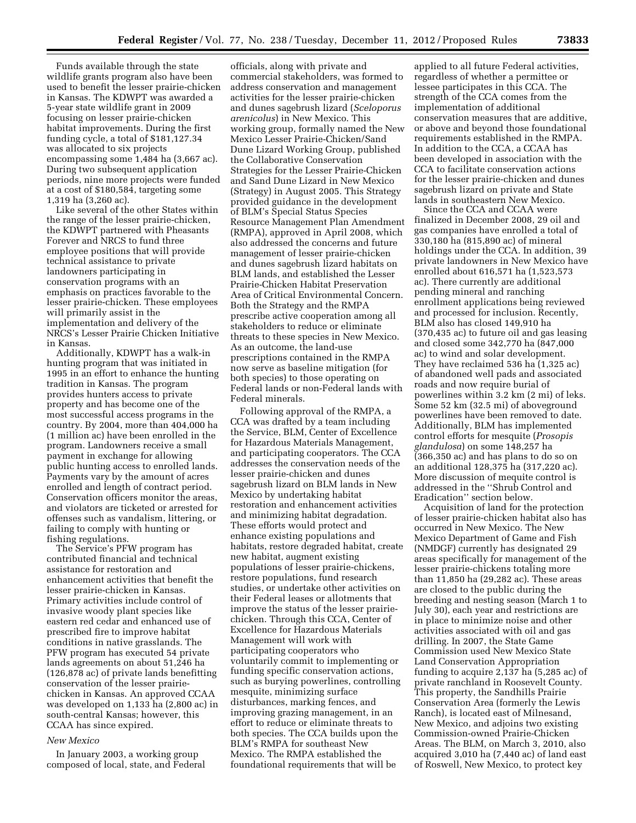Funds available through the state wildlife grants program also have been used to benefit the lesser prairie-chicken in Kansas. The KDWPT was awarded a 5-year state wildlife grant in 2009 focusing on lesser prairie-chicken habitat improvements. During the first funding cycle, a total of \$181,127.34 was allocated to six projects encompassing some 1,484 ha (3,667 ac). During two subsequent application periods, nine more projects were funded at a cost of \$180,584, targeting some 1,319 ha (3,260 ac).

Like several of the other States within the range of the lesser prairie-chicken, the KDWPT partnered with Pheasants Forever and NRCS to fund three employee positions that will provide technical assistance to private landowners participating in conservation programs with an emphasis on practices favorable to the lesser prairie-chicken. These employees will primarily assist in the implementation and delivery of the NRCS's Lesser Prairie Chicken Initiative in Kansas.

Additionally, KDWPT has a walk-in hunting program that was initiated in 1995 in an effort to enhance the hunting tradition in Kansas. The program provides hunters access to private property and has become one of the most successful access programs in the country. By 2004, more than 404,000 ha (1 million ac) have been enrolled in the program. Landowners receive a small payment in exchange for allowing public hunting access to enrolled lands. Payments vary by the amount of acres enrolled and length of contract period. Conservation officers monitor the areas, and violators are ticketed or arrested for offenses such as vandalism, littering, or failing to comply with hunting or fishing regulations.

The Service's PFW program has contributed financial and technical assistance for restoration and enhancement activities that benefit the lesser prairie-chicken in Kansas. Primary activities include control of invasive woody plant species like eastern red cedar and enhanced use of prescribed fire to improve habitat conditions in native grasslands. The PFW program has executed 54 private lands agreements on about 51,246 ha (126,878 ac) of private lands benefitting conservation of the lesser prairiechicken in Kansas. An approved CCAA was developed on 1,133 ha (2,800 ac) in south-central Kansas; however, this CCAA has since expired.

#### *New Mexico*

In January 2003, a working group composed of local, state, and Federal

officials, along with private and commercial stakeholders, was formed to address conservation and management activities for the lesser prairie-chicken and dunes sagebrush lizard (*Sceloporus arenicolus*) in New Mexico. This working group, formally named the New Mexico Lesser Prairie-Chicken/Sand Dune Lizard Working Group, published the Collaborative Conservation Strategies for the Lesser Prairie-Chicken and Sand Dune Lizard in New Mexico (Strategy) in August 2005. This Strategy provided guidance in the development of BLM's Special Status Species Resource Management Plan Amendment (RMPA), approved in April 2008, which also addressed the concerns and future management of lesser prairie-chicken and dunes sagebrush lizard habitats on BLM lands, and established the Lesser Prairie-Chicken Habitat Preservation Area of Critical Environmental Concern. Both the Strategy and the RMPA prescribe active cooperation among all stakeholders to reduce or eliminate threats to these species in New Mexico. As an outcome, the land-use prescriptions contained in the RMPA now serve as baseline mitigation (for both species) to those operating on Federal lands or non-Federal lands with Federal minerals.

Following approval of the RMPA, a CCA was drafted by a team including the Service, BLM, Center of Excellence for Hazardous Materials Management, and participating cooperators. The CCA addresses the conservation needs of the lesser prairie-chicken and dunes sagebrush lizard on BLM lands in New Mexico by undertaking habitat restoration and enhancement activities and minimizing habitat degradation. These efforts would protect and enhance existing populations and habitats, restore degraded habitat, create new habitat, augment existing populations of lesser prairie-chickens, restore populations, fund research studies, or undertake other activities on their Federal leases or allotments that improve the status of the lesser prairiechicken. Through this CCA, Center of Excellence for Hazardous Materials Management will work with participating cooperators who voluntarily commit to implementing or funding specific conservation actions, such as burying powerlines, controlling mesquite, minimizing surface disturbances, marking fences, and improving grazing management, in an effort to reduce or eliminate threats to both species. The CCA builds upon the BLM's RMPA for southeast New Mexico. The RMPA established the foundational requirements that will be

applied to all future Federal activities, regardless of whether a permittee or lessee participates in this CCA. The strength of the CCA comes from the implementation of additional conservation measures that are additive, or above and beyond those foundational requirements established in the RMPA. In addition to the CCA, a CCAA has been developed in association with the CCA to facilitate conservation actions for the lesser prairie-chicken and dunes sagebrush lizard on private and State lands in southeastern New Mexico.

Since the CCA and CCAA were finalized in December 2008, 29 oil and gas companies have enrolled a total of 330,180 ha (815,890 ac) of mineral holdings under the CCA. In addition, 39 private landowners in New Mexico have enrolled about 616,571 ha (1,523,573 ac). There currently are additional pending mineral and ranching enrollment applications being reviewed and processed for inclusion. Recently, BLM also has closed 149,910 ha (370,435 ac) to future oil and gas leasing and closed some 342,770 ha (847,000 ac) to wind and solar development. They have reclaimed 536 ha (1,325 ac) of abandoned well pads and associated roads and now require burial of powerlines within 3.2 km (2 mi) of leks. Some 52 km (32.5 mi) of aboveground powerlines have been removed to date. Additionally, BLM has implemented control efforts for mesquite (*Prosopis glandulosa*) on some 148,257 ha (366,350 ac) and has plans to do so on an additional 128,375 ha (317,220 ac). More discussion of mequite control is addressed in the ''Shrub Control and Eradication'' section below.

Acquisition of land for the protection of lesser prairie-chicken habitat also has occurred in New Mexico. The New Mexico Department of Game and Fish (NMDGF) currently has designated 29 areas specifically for management of the lesser prairie-chickens totaling more than 11,850 ha (29,282 ac). These areas are closed to the public during the breeding and nesting season (March 1 to July 30), each year and restrictions are in place to minimize noise and other activities associated with oil and gas drilling. In 2007, the State Game Commission used New Mexico State Land Conservation Appropriation funding to acquire 2,137 ha (5,285 ac) of private ranchland in Roosevelt County. This property, the Sandhills Prairie Conservation Area (formerly the Lewis Ranch), is located east of Milnesand, New Mexico, and adjoins two existing Commission-owned Prairie-Chicken Areas. The BLM, on March 3, 2010, also acquired 3,010 ha (7,440 ac) of land east of Roswell, New Mexico, to protect key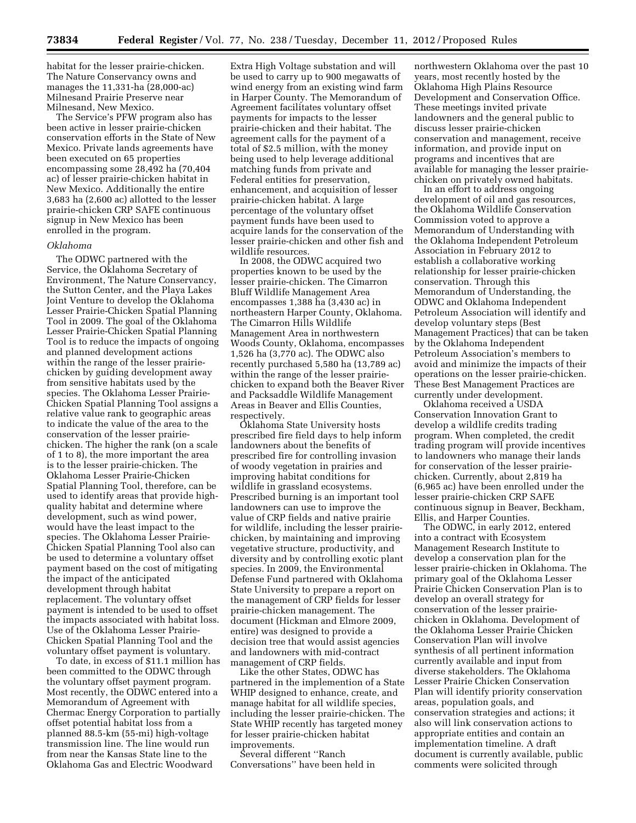habitat for the lesser prairie-chicken. The Nature Conservancy owns and manages the 11,331-ha (28,000-ac) Milnesand Prairie Preserve near Milnesand, New Mexico.

The Service's PFW program also has been active in lesser prairie-chicken conservation efforts in the State of New Mexico. Private lands agreements have been executed on 65 properties encompassing some 28,492 ha (70,404 ac) of lesser prairie-chicken habitat in New Mexico. Additionally the entire 3,683 ha (2,600 ac) allotted to the lesser prairie-chicken CRP SAFE continuous signup in New Mexico has been enrolled in the program.

### *Oklahoma*

The ODWC partnered with the Service, the Oklahoma Secretary of Environment, The Nature Conservancy, the Sutton Center, and the Playa Lakes Joint Venture to develop the Oklahoma Lesser Prairie-Chicken Spatial Planning Tool in 2009. The goal of the Oklahoma Lesser Prairie-Chicken Spatial Planning Tool is to reduce the impacts of ongoing and planned development actions within the range of the lesser prairiechicken by guiding development away from sensitive habitats used by the species. The Oklahoma Lesser Prairie-Chicken Spatial Planning Tool assigns a relative value rank to geographic areas to indicate the value of the area to the conservation of the lesser prairiechicken. The higher the rank (on a scale of 1 to 8), the more important the area is to the lesser prairie-chicken. The Oklahoma Lesser Prairie-Chicken Spatial Planning Tool, therefore, can be used to identify areas that provide highquality habitat and determine where development, such as wind power, would have the least impact to the species. The Oklahoma Lesser Prairie-Chicken Spatial Planning Tool also can be used to determine a voluntary offset payment based on the cost of mitigating the impact of the anticipated development through habitat replacement. The voluntary offset payment is intended to be used to offset the impacts associated with habitat loss. Use of the Oklahoma Lesser Prairie-Chicken Spatial Planning Tool and the voluntary offset payment is voluntary.

To date, in excess of \$11.1 million has been committed to the ODWC through the voluntary offset payment program. Most recently, the ODWC entered into a Memorandum of Agreement with Chermac Energy Corporation to partially offset potential habitat loss from a planned 88.5-km (55-mi) high-voltage transmission line. The line would run from near the Kansas State line to the Oklahoma Gas and Electric Woodward

Extra High Voltage substation and will be used to carry up to 900 megawatts of wind energy from an existing wind farm in Harper County. The Memorandum of Agreement facilitates voluntary offset payments for impacts to the lesser prairie-chicken and their habitat. The agreement calls for the payment of a total of \$2.5 million, with the money being used to help leverage additional matching funds from private and Federal entities for preservation, enhancement, and acquisition of lesser prairie-chicken habitat. A large percentage of the voluntary offset payment funds have been used to acquire lands for the conservation of the lesser prairie-chicken and other fish and wildlife resources.

In 2008, the ODWC acquired two properties known to be used by the lesser prairie-chicken. The Cimarron Bluff Wildlife Management Area encompasses 1,388 ha (3,430 ac) in northeastern Harper County, Oklahoma. The Cimarron Hills Wildlife Management Area in northwestern Woods County, Oklahoma, encompasses 1,526 ha (3,770 ac). The ODWC also recently purchased 5,580 ha (13,789 ac) within the range of the lesser prairiechicken to expand both the Beaver River and Packsaddle Wildlife Management Areas in Beaver and Ellis Counties, respectively.

Oklahoma State University hosts prescribed fire field days to help inform landowners about the benefits of prescribed fire for controlling invasion of woody vegetation in prairies and improving habitat conditions for wildlife in grassland ecosystems. Prescribed burning is an important tool landowners can use to improve the value of CRP fields and native prairie for wildlife, including the lesser prairiechicken, by maintaining and improving vegetative structure, productivity, and diversity and by controlling exotic plant species. In 2009, the Environmental Defense Fund partnered with Oklahoma State University to prepare a report on the management of CRP fields for lesser prairie-chicken management. The document (Hickman and Elmore 2009, entire) was designed to provide a decision tree that would assist agencies and landowners with mid-contract management of CRP fields.

Like the other States, ODWC has partnered in the implemention of a State WHIP designed to enhance, create, and manage habitat for all wildlife species, including the lesser prairie-chicken. The State WHIP recently has targeted money for lesser prairie-chicken habitat improvements.

Several different ''Ranch Conversations'' have been held in northwestern Oklahoma over the past 10 years, most recently hosted by the Oklahoma High Plains Resource Development and Conservation Office. These meetings invited private landowners and the general public to discuss lesser prairie-chicken conservation and management, receive information, and provide input on programs and incentives that are available for managing the lesser prairiechicken on privately owned habitats.

In an effort to address ongoing development of oil and gas resources, the Oklahoma Wildlife Conservation Commission voted to approve a Memorandum of Understanding with the Oklahoma Independent Petroleum Association in February 2012 to establish a collaborative working relationship for lesser prairie-chicken conservation. Through this Memorandum of Understanding, the ODWC and Oklahoma Independent Petroleum Association will identify and develop voluntary steps (Best Management Practices) that can be taken by the Oklahoma Independent Petroleum Association's members to avoid and minimize the impacts of their operations on the lesser prairie-chicken. These Best Management Practices are currently under development.

Oklahoma received a USDA Conservation Innovation Grant to develop a wildlife credits trading program. When completed, the credit trading program will provide incentives to landowners who manage their lands for conservation of the lesser prairiechicken. Currently, about 2,819 ha (6,965 ac) have been enrolled under the lesser prairie-chicken CRP SAFE continuous signup in Beaver, Beckham, Ellis, and Harper Counties.

The ODWC, in early 2012, entered into a contract with Ecosystem Management Research Institute to develop a conservation plan for the lesser prairie-chicken in Oklahoma. The primary goal of the Oklahoma Lesser Prairie Chicken Conservation Plan is to develop an overall strategy for conservation of the lesser prairiechicken in Oklahoma. Development of the Oklahoma Lesser Prairie Chicken Conservation Plan will involve synthesis of all pertinent information currently available and input from diverse stakeholders. The Oklahoma Lesser Prairie Chicken Conservation Plan will identify priority conservation areas, population goals, and conservation strategies and actions; it also will link conservation actions to appropriate entities and contain an implementation timeline. A draft document is currently available, public comments were solicited through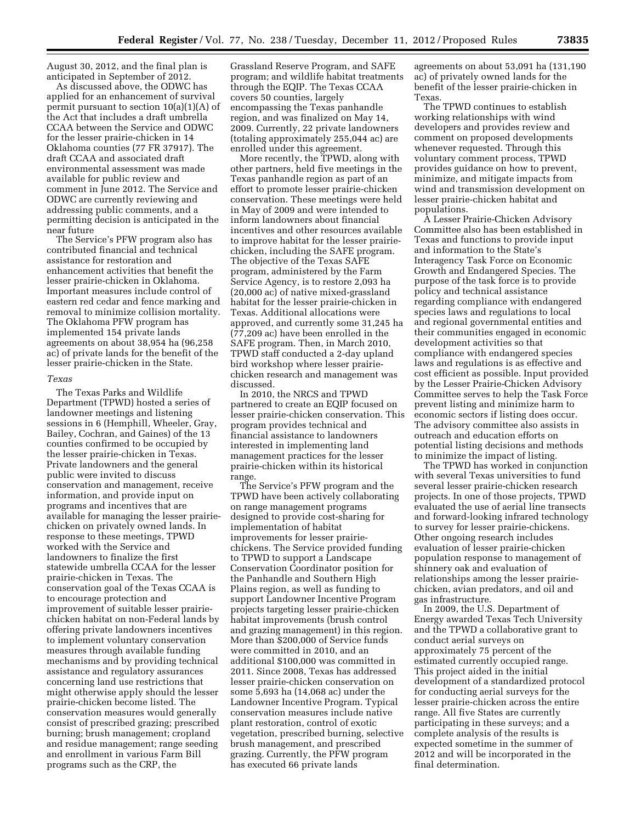August 30, 2012, and the final plan is anticipated in September of 2012.

As discussed above, the ODWC has applied for an enhancement of survival permit pursuant to section  $10(a)(1)(A)$  of the Act that includes a draft umbrella CCAA between the Service and ODWC for the lesser prairie-chicken in 14 Oklahoma counties (77 FR 37917). The draft CCAA and associated draft environmental assessment was made available for public review and comment in June 2012. The Service and ODWC are currently reviewing and addressing public comments, and a permitting decision is anticipated in the near future

The Service's PFW program also has contributed financial and technical assistance for restoration and enhancement activities that benefit the lesser prairie-chicken in Oklahoma. Important measures include control of eastern red cedar and fence marking and removal to minimize collision mortality. The Oklahoma PFW program has implemented 154 private lands agreements on about 38,954 ha (96,258 ac) of private lands for the benefit of the lesser prairie-chicken in the State.

## *Texas*

The Texas Parks and Wildlife Department (TPWD) hosted a series of landowner meetings and listening sessions in 6 (Hemphill, Wheeler, Gray, Bailey, Cochran, and Gaines) of the 13 counties confirmed to be occupied by the lesser prairie-chicken in Texas. Private landowners and the general public were invited to discuss conservation and management, receive information, and provide input on programs and incentives that are available for managing the lesser prairiechicken on privately owned lands. In response to these meetings, TPWD worked with the Service and landowners to finalize the first statewide umbrella CCAA for the lesser prairie-chicken in Texas. The conservation goal of the Texas CCAA is to encourage protection and improvement of suitable lesser prairiechicken habitat on non-Federal lands by offering private landowners incentives to implement voluntary conservation measures through available funding mechanisms and by providing technical assistance and regulatory assurances concerning land use restrictions that might otherwise apply should the lesser prairie-chicken become listed. The conservation measures would generally consist of prescribed grazing; prescribed burning; brush management; cropland and residue management; range seeding and enrollment in various Farm Bill programs such as the CRP, the

Grassland Reserve Program, and SAFE program; and wildlife habitat treatments through the EQIP. The Texas CCAA covers 50 counties, largely encompassing the Texas panhandle region, and was finalized on May 14, 2009. Currently, 22 private landowners (totaling approximately 255,044 ac) are enrolled under this agreement.

More recently, the TPWD, along with other partners, held five meetings in the Texas panhandle region as part of an effort to promote lesser prairie-chicken conservation. These meetings were held in May of 2009 and were intended to inform landowners about financial incentives and other resources available to improve habitat for the lesser prairiechicken, including the SAFE program. The objective of the Texas SAFE program, administered by the Farm Service Agency, is to restore 2,093 ha (20,000 ac) of native mixed-grassland habitat for the lesser prairie-chicken in Texas. Additional allocations were approved, and currently some 31,245 ha (77,209 ac) have been enrolled in the SAFE program. Then, in March 2010, TPWD staff conducted a 2-day upland bird workshop where lesser prairiechicken research and management was discussed.

In 2010, the NRCS and TPWD partnered to create an EQIP focused on lesser prairie-chicken conservation. This program provides technical and financial assistance to landowners interested in implementing land management practices for the lesser prairie-chicken within its historical range.

The Service's PFW program and the TPWD have been actively collaborating on range management programs designed to provide cost-sharing for implementation of habitat improvements for lesser prairiechickens. The Service provided funding to TPWD to support a Landscape Conservation Coordinator position for the Panhandle and Southern High Plains region, as well as funding to support Landowner Incentive Program projects targeting lesser prairie-chicken habitat improvements (brush control and grazing management) in this region. More than \$200,000 of Service funds were committed in 2010, and an additional \$100,000 was committed in 2011. Since 2008, Texas has addressed lesser prairie-chicken conservation on some 5,693 ha (14,068 ac) under the Landowner Incentive Program. Typical conservation measures include native plant restoration, control of exotic vegetation, prescribed burning, selective brush management, and prescribed grazing. Currently, the PFW program has executed 66 private lands

agreements on about 53,091 ha (131,190 ac) of privately owned lands for the benefit of the lesser prairie-chicken in Texas.

The TPWD continues to establish working relationships with wind developers and provides review and comment on proposed developments whenever requested. Through this voluntary comment process, TPWD provides guidance on how to prevent, minimize, and mitigate impacts from wind and transmission development on lesser prairie-chicken habitat and populations.

A Lesser Prairie-Chicken Advisory Committee also has been established in Texas and functions to provide input and information to the State's Interagency Task Force on Economic Growth and Endangered Species. The purpose of the task force is to provide policy and technical assistance regarding compliance with endangered species laws and regulations to local and regional governmental entities and their communities engaged in economic development activities so that compliance with endangered species laws and regulations is as effective and cost efficient as possible. Input provided by the Lesser Prairie-Chicken Advisory Committee serves to help the Task Force prevent listing and minimize harm to economic sectors if listing does occur. The advisory committee also assists in outreach and education efforts on potential listing decisions and methods to minimize the impact of listing.

The TPWD has worked in conjunction with several Texas universities to fund several lesser prairie-chicken research projects. In one of those projects, TPWD evaluated the use of aerial line transects and forward-looking infrared technology to survey for lesser prairie-chickens. Other ongoing research includes evaluation of lesser prairie-chicken population response to management of shinnery oak and evaluation of relationships among the lesser prairiechicken, avian predators, and oil and gas infrastructure.

In 2009, the U.S. Department of Energy awarded Texas Tech University and the TPWD a collaborative grant to conduct aerial surveys on approximately 75 percent of the estimated currently occupied range. This project aided in the initial development of a standardized protocol for conducting aerial surveys for the lesser prairie-chicken across the entire range. All five States are currently participating in these surveys; and a complete analysis of the results is expected sometime in the summer of 2012 and will be incorporated in the final determination.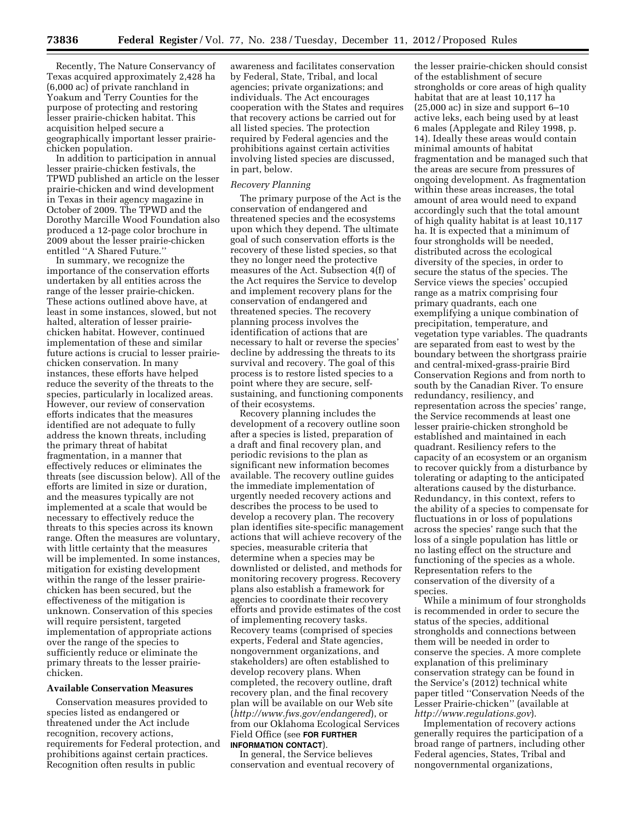Recently, The Nature Conservancy of Texas acquired approximately 2,428 ha (6,000 ac) of private ranchland in Yoakum and Terry Counties for the purpose of protecting and restoring lesser prairie-chicken habitat. This acquisition helped secure a geographically important lesser prairiechicken population.

In addition to participation in annual lesser prairie-chicken festivals, the TPWD published an article on the lesser prairie-chicken and wind development in Texas in their agency magazine in October of 2009. The TPWD and the Dorothy Marcille Wood Foundation also produced a 12-page color brochure in 2009 about the lesser prairie-chicken entitled ''A Shared Future.''

In summary, we recognize the importance of the conservation efforts undertaken by all entities across the range of the lesser prairie-chicken. These actions outlined above have, at least in some instances, slowed, but not halted, alteration of lesser prairiechicken habitat. However, continued implementation of these and similar future actions is crucial to lesser prairiechicken conservation. In many instances, these efforts have helped reduce the severity of the threats to the species, particularly in localized areas. However, our review of conservation efforts indicates that the measures identified are not adequate to fully address the known threats, including the primary threat of habitat fragmentation, in a manner that effectively reduces or eliminates the threats (see discussion below). All of the efforts are limited in size or duration, and the measures typically are not implemented at a scale that would be necessary to effectively reduce the threats to this species across its known range. Often the measures are voluntary, with little certainty that the measures will be implemented. In some instances, mitigation for existing development within the range of the lesser prairiechicken has been secured, but the effectiveness of the mitigation is unknown. Conservation of this species will require persistent, targeted implementation of appropriate actions over the range of the species to sufficiently reduce or eliminate the primary threats to the lesser prairiechicken.

#### **Available Conservation Measures**

Conservation measures provided to species listed as endangered or threatened under the Act include recognition, recovery actions, requirements for Federal protection, and prohibitions against certain practices. Recognition often results in public

awareness and facilitates conservation by Federal, State, Tribal, and local agencies; private organizations; and individuals. The Act encourages cooperation with the States and requires that recovery actions be carried out for all listed species. The protection required by Federal agencies and the prohibitions against certain activities involving listed species are discussed, in part, below.

#### *Recovery Planning*

The primary purpose of the Act is the conservation of endangered and threatened species and the ecosystems upon which they depend. The ultimate goal of such conservation efforts is the recovery of these listed species, so that they no longer need the protective measures of the Act. Subsection 4(f) of the Act requires the Service to develop and implement recovery plans for the conservation of endangered and threatened species. The recovery planning process involves the identification of actions that are necessary to halt or reverse the species' decline by addressing the threats to its survival and recovery. The goal of this process is to restore listed species to a point where they are secure, selfsustaining, and functioning components of their ecosystems.

Recovery planning includes the development of a recovery outline soon after a species is listed, preparation of a draft and final recovery plan, and periodic revisions to the plan as significant new information becomes available. The recovery outline guides the immediate implementation of urgently needed recovery actions and describes the process to be used to develop a recovery plan. The recovery plan identifies site-specific management actions that will achieve recovery of the species, measurable criteria that determine when a species may be downlisted or delisted, and methods for monitoring recovery progress. Recovery plans also establish a framework for agencies to coordinate their recovery efforts and provide estimates of the cost of implementing recovery tasks. Recovery teams (comprised of species experts, Federal and State agencies, nongovernment organizations, and stakeholders) are often established to develop recovery plans. When completed, the recovery outline, draft recovery plan, and the final recovery plan will be available on our Web site (*<http://www.fws.gov/endangered>*), or from our Oklahoma Ecological Services Field Office (see **FOR FURTHER**

## **INFORMATION CONTACT**).

In general, the Service believes conservation and eventual recovery of

the lesser prairie-chicken should consist of the establishment of secure strongholds or core areas of high quality habitat that are at least 10,117 ha (25,000 ac) in size and support 6–10 active leks, each being used by at least 6 males (Applegate and Riley 1998, p. 14). Ideally these areas would contain minimal amounts of habitat fragmentation and be managed such that the areas are secure from pressures of ongoing development. As fragmentation within these areas increases, the total amount of area would need to expand accordingly such that the total amount of high quality habitat is at least 10,117 ha. It is expected that a minimum of four strongholds will be needed, distributed across the ecological diversity of the species, in order to secure the status of the species. The Service views the species' occupied range as a matrix comprising four primary quadrants, each one exemplifying a unique combination of precipitation, temperature, and vegetation type variables. The quadrants are separated from east to west by the boundary between the shortgrass prairie and central-mixed-grass-prairie Bird Conservation Regions and from north to south by the Canadian River. To ensure redundancy, resiliency, and representation across the species' range, the Service recommends at least one lesser prairie-chicken stronghold be established and maintained in each quadrant. Resiliency refers to the capacity of an ecosystem or an organism to recover quickly from a disturbance by tolerating or adapting to the anticipated alterations caused by the disturbance. Redundancy, in this context, refers to the ability of a species to compensate for fluctuations in or loss of populations across the species' range such that the loss of a single population has little or no lasting effect on the structure and functioning of the species as a whole. Representation refers to the conservation of the diversity of a species.

While a minimum of four strongholds is recommended in order to secure the status of the species, additional strongholds and connections between them will be needed in order to conserve the species. A more complete explanation of this preliminary conservation strategy can be found in the Service's (2012) technical white paper titled ''Conservation Needs of the Lesser Prairie-chicken'' (available at *<http://www.regulations.gov>*).

Implementation of recovery actions generally requires the participation of a broad range of partners, including other Federal agencies, States, Tribal and nongovernmental organizations,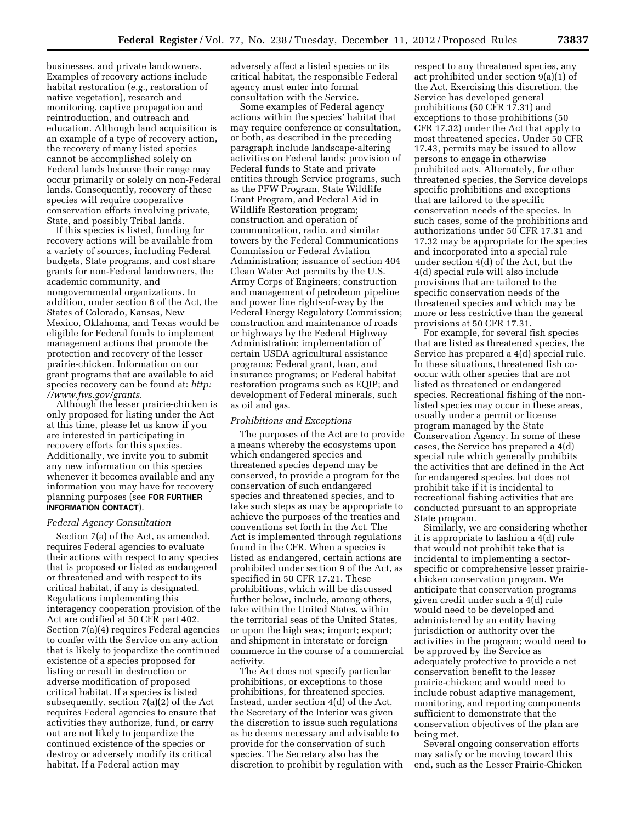businesses, and private landowners. Examples of recovery actions include habitat restoration (*e.g.,* restoration of native vegetation), research and monitoring, captive propagation and reintroduction, and outreach and education. Although land acquisition is an example of a type of recovery action, the recovery of many listed species cannot be accomplished solely on Federal lands because their range may occur primarily or solely on non-Federal lands. Consequently, recovery of these species will require cooperative conservation efforts involving private, State, and possibly Tribal lands.

If this species is listed, funding for recovery actions will be available from a variety of sources, including Federal budgets, State programs, and cost share grants for non-Federal landowners, the academic community, and nongovernmental organizations. In addition, under section 6 of the Act, the States of Colorado, Kansas, New Mexico, Oklahoma, and Texas would be eligible for Federal funds to implement management actions that promote the protection and recovery of the lesser prairie-chicken. Information on our grant programs that are available to aid species recovery can be found at: *[http:](http://www.fws.gov/grants)  [//www.fws.gov/grants.](http://www.fws.gov/grants)* 

Although the lesser prairie-chicken is only proposed for listing under the Act at this time, please let us know if you are interested in participating in recovery efforts for this species. Additionally, we invite you to submit any new information on this species whenever it becomes available and any information you may have for recovery planning purposes (see **FOR FURTHER INFORMATION CONTACT**).

#### *Federal Agency Consultation*

Section 7(a) of the Act, as amended, requires Federal agencies to evaluate their actions with respect to any species that is proposed or listed as endangered or threatened and with respect to its critical habitat, if any is designated. Regulations implementing this interagency cooperation provision of the Act are codified at 50 CFR part 402. Section 7(a)(4) requires Federal agencies to confer with the Service on any action that is likely to jeopardize the continued existence of a species proposed for listing or result in destruction or adverse modification of proposed critical habitat. If a species is listed subsequently, section 7(a)(2) of the Act requires Federal agencies to ensure that activities they authorize, fund, or carry out are not likely to jeopardize the continued existence of the species or destroy or adversely modify its critical habitat. If a Federal action may

adversely affect a listed species or its critical habitat, the responsible Federal agency must enter into formal consultation with the Service.

Some examples of Federal agency actions within the species' habitat that may require conference or consultation, or both, as described in the preceding paragraph include landscape-altering activities on Federal lands; provision of Federal funds to State and private entities through Service programs, such as the PFW Program, State Wildlife Grant Program, and Federal Aid in Wildlife Restoration program; construction and operation of communication, radio, and similar towers by the Federal Communications Commission or Federal Aviation Administration; issuance of section 404 Clean Water Act permits by the U.S. Army Corps of Engineers; construction and management of petroleum pipeline and power line rights-of-way by the Federal Energy Regulatory Commission; construction and maintenance of roads or highways by the Federal Highway Administration; implementation of certain USDA agricultural assistance programs; Federal grant, loan, and insurance programs; or Federal habitat restoration programs such as EQIP; and development of Federal minerals, such as oil and gas.

#### *Prohibitions and Exceptions*

The purposes of the Act are to provide a means whereby the ecosystems upon which endangered species and threatened species depend may be conserved, to provide a program for the conservation of such endangered species and threatened species, and to take such steps as may be appropriate to achieve the purposes of the treaties and conventions set forth in the Act. The Act is implemented through regulations found in the CFR. When a species is listed as endangered, certain actions are prohibited under section 9 of the Act, as specified in 50 CFR 17.21. These prohibitions, which will be discussed further below, include, among others, take within the United States, within the territorial seas of the United States, or upon the high seas; import; export; and shipment in interstate or foreign commerce in the course of a commercial activity.

The Act does not specify particular prohibitions, or exceptions to those prohibitions, for threatened species. Instead, under section 4(d) of the Act, the Secretary of the Interior was given the discretion to issue such regulations as he deems necessary and advisable to provide for the conservation of such species. The Secretary also has the discretion to prohibit by regulation with

respect to any threatened species, any act prohibited under section 9(a)(1) of the Act. Exercising this discretion, the Service has developed general prohibitions (50 CFR 17.31) and exceptions to those prohibitions (50 CFR 17.32) under the Act that apply to most threatened species. Under 50 CFR 17.43, permits may be issued to allow persons to engage in otherwise prohibited acts. Alternately, for other threatened species, the Service develops specific prohibitions and exceptions that are tailored to the specific conservation needs of the species. In such cases, some of the prohibitions and authorizations under 50 CFR 17.31 and 17.32 may be appropriate for the species and incorporated into a special rule under section 4(d) of the Act, but the 4(d) special rule will also include provisions that are tailored to the specific conservation needs of the threatened species and which may be more or less restrictive than the general provisions at 50 CFR 17.31.

For example, for several fish species that are listed as threatened species, the Service has prepared a 4(d) special rule. In these situations, threatened fish cooccur with other species that are not listed as threatened or endangered species. Recreational fishing of the nonlisted species may occur in these areas, usually under a permit or license program managed by the State Conservation Agency. In some of these cases, the Service has prepared a 4(d) special rule which generally prohibits the activities that are defined in the Act for endangered species, but does not prohibit take if it is incidental to recreational fishing activities that are conducted pursuant to an appropriate State program.

Similarly, we are considering whether it is appropriate to fashion a 4(d) rule that would not prohibit take that is incidental to implementing a sectorspecific or comprehensive lesser prairiechicken conservation program. We anticipate that conservation programs given credit under such a 4(d) rule would need to be developed and administered by an entity having jurisdiction or authority over the activities in the program; would need to be approved by the Service as adequately protective to provide a net conservation benefit to the lesser prairie-chicken; and would need to include robust adaptive management, monitoring, and reporting components sufficient to demonstrate that the conservation objectives of the plan are being met.

Several ongoing conservation efforts may satisfy or be moving toward this end, such as the Lesser Prairie-Chicken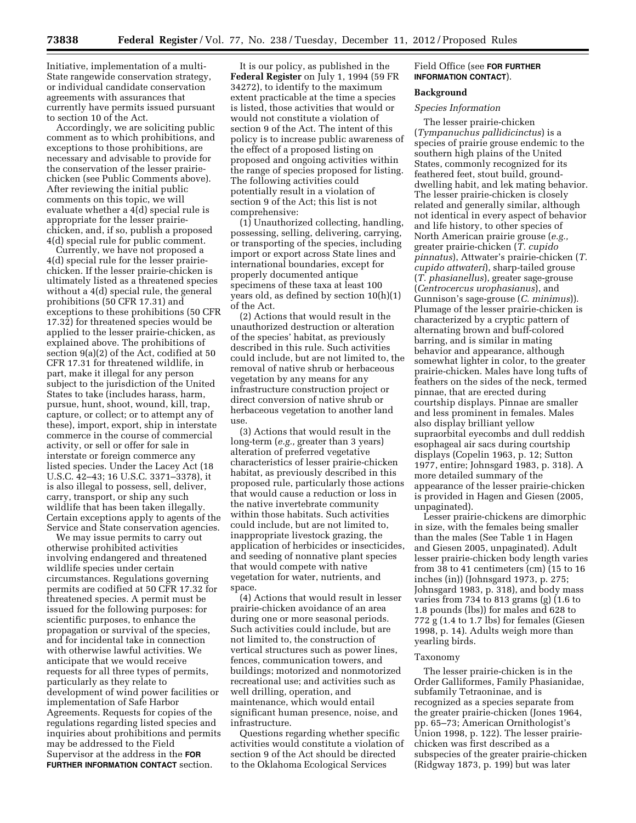Initiative, implementation of a multi-State rangewide conservation strategy, or individual candidate conservation agreements with assurances that currently have permits issued pursuant to section 10 of the Act.

Accordingly, we are soliciting public comment as to which prohibitions, and exceptions to those prohibitions, are necessary and advisable to provide for the conservation of the lesser prairiechicken (see Public Comments above). After reviewing the initial public comments on this topic, we will evaluate whether a 4(d) special rule is appropriate for the lesser prairiechicken, and, if so, publish a proposed 4(d) special rule for public comment.

Currently, we have not proposed a 4(d) special rule for the lesser prairiechicken. If the lesser prairie-chicken is ultimately listed as a threatened species without a 4(d) special rule, the general prohibitions (50 CFR 17.31) and exceptions to these prohibitions (50 CFR 17.32) for threatened species would be applied to the lesser prairie-chicken, as explained above. The prohibitions of section 9(a)(2) of the Act, codified at 50 CFR 17.31 for threatened wildlife, in part, make it illegal for any person subject to the jurisdiction of the United States to take (includes harass, harm, pursue, hunt, shoot, wound, kill, trap, capture, or collect; or to attempt any of these), import, export, ship in interstate commerce in the course of commercial activity, or sell or offer for sale in interstate or foreign commerce any listed species. Under the Lacey Act (18 U.S.C. 42–43; 16 U.S.C. 3371–3378), it is also illegal to possess, sell, deliver, carry, transport, or ship any such wildlife that has been taken illegally. Certain exceptions apply to agents of the Service and State conservation agencies.

We may issue permits to carry out otherwise prohibited activities involving endangered and threatened wildlife species under certain circumstances. Regulations governing permits are codified at 50 CFR 17.32 for threatened species. A permit must be issued for the following purposes: for scientific purposes, to enhance the propagation or survival of the species, and for incidental take in connection with otherwise lawful activities. We anticipate that we would receive requests for all three types of permits, particularly as they relate to development of wind power facilities or implementation of Safe Harbor Agreements. Requests for copies of the regulations regarding listed species and inquiries about prohibitions and permits may be addressed to the Field Supervisor at the address in the **FOR FURTHER INFORMATION CONTACT** section.

It is our policy, as published in the **Federal Register** on July 1, 1994 (59 FR 34272), to identify to the maximum extent practicable at the time a species is listed, those activities that would or would not constitute a violation of section 9 of the Act. The intent of this policy is to increase public awareness of the effect of a proposed listing on proposed and ongoing activities within the range of species proposed for listing. The following activities could potentially result in a violation of section 9 of the Act; this list is not comprehensive:

(1) Unauthorized collecting, handling, possessing, selling, delivering, carrying, or transporting of the species, including import or export across State lines and international boundaries, except for properly documented antique specimens of these taxa at least 100 years old, as defined by section 10(h)(1) of the Act.

(2) Actions that would result in the unauthorized destruction or alteration of the species' habitat, as previously described in this rule. Such activities could include, but are not limited to, the removal of native shrub or herbaceous vegetation by any means for any infrastructure construction project or direct conversion of native shrub or herbaceous vegetation to another land use.

(3) Actions that would result in the long-term (*e.g.,* greater than 3 years) alteration of preferred vegetative characteristics of lesser prairie-chicken habitat, as previously described in this proposed rule, particularly those actions that would cause a reduction or loss in the native invertebrate community within those habitats. Such activities could include, but are not limited to, inappropriate livestock grazing, the application of herbicides or insecticides, and seeding of nonnative plant species that would compete with native vegetation for water, nutrients, and space.

(4) Actions that would result in lesser prairie-chicken avoidance of an area during one or more seasonal periods. Such activities could include, but are not limited to, the construction of vertical structures such as power lines, fences, communication towers, and buildings; motorized and nonmotorized recreational use; and activities such as well drilling, operation, and maintenance, which would entail significant human presence, noise, and infrastructure.

Questions regarding whether specific activities would constitute a violation of section 9 of the Act should be directed to the Oklahoma Ecological Services

## Field Office (see **FOR FURTHER INFORMATION CONTACT**).

## **Background**

## *Species Information*

The lesser prairie-chicken (*Tympanuchus pallidicinctus*) is a species of prairie grouse endemic to the southern high plains of the United States, commonly recognized for its feathered feet, stout build, grounddwelling habit, and lek mating behavior. The lesser prairie-chicken is closely related and generally similar, although not identical in every aspect of behavior and life history, to other species of North American prairie grouse (*e.g.,*  greater prairie-chicken (*T. cupido pinnatus*), Attwater's prairie-chicken (*T. cupido attwateri*), sharp-tailed grouse (*T. phasianellus*), greater sage-grouse (*Centrocercus urophasianus*), and Gunnison's sage-grouse (*C. minimus*)). Plumage of the lesser prairie-chicken is characterized by a cryptic pattern of alternating brown and buff-colored barring, and is similar in mating behavior and appearance, although somewhat lighter in color, to the greater prairie-chicken. Males have long tufts of feathers on the sides of the neck, termed pinnae, that are erected during courtship displays. Pinnae are smaller and less prominent in females. Males also display brilliant yellow supraorbital eyecombs and dull reddish esophageal air sacs during courtship displays (Copelin 1963, p. 12; Sutton 1977, entire; Johnsgard 1983, p. 318). A more detailed summary of the appearance of the lesser prairie-chicken is provided in Hagen and Giesen (2005, unpaginated).

Lesser prairie-chickens are dimorphic in size, with the females being smaller than the males (See Table 1 in Hagen and Giesen 2005, unpaginated). Adult lesser prairie-chicken body length varies from 38 to 41 centimeters (cm) (15 to 16 inches (in)) (Johnsgard 1973, p. 275; Johnsgard 1983, p. 318), and body mass varies from 734 to 813 grams (g) (1.6 to 1.8 pounds (lbs)) for males and 628 to 772 g (1.4 to 1.7 lbs) for females (Giesen 1998, p. 14). Adults weigh more than yearling birds.

#### Taxonomy

The lesser prairie-chicken is in the Order Galliformes, Family Phasianidae, subfamily Tetraoninae, and is recognized as a species separate from the greater prairie-chicken (Jones 1964, pp. 65–73; American Ornithologist's Union 1998, p. 122). The lesser prairiechicken was first described as a subspecies of the greater prairie-chicken (Ridgway 1873, p. 199) but was later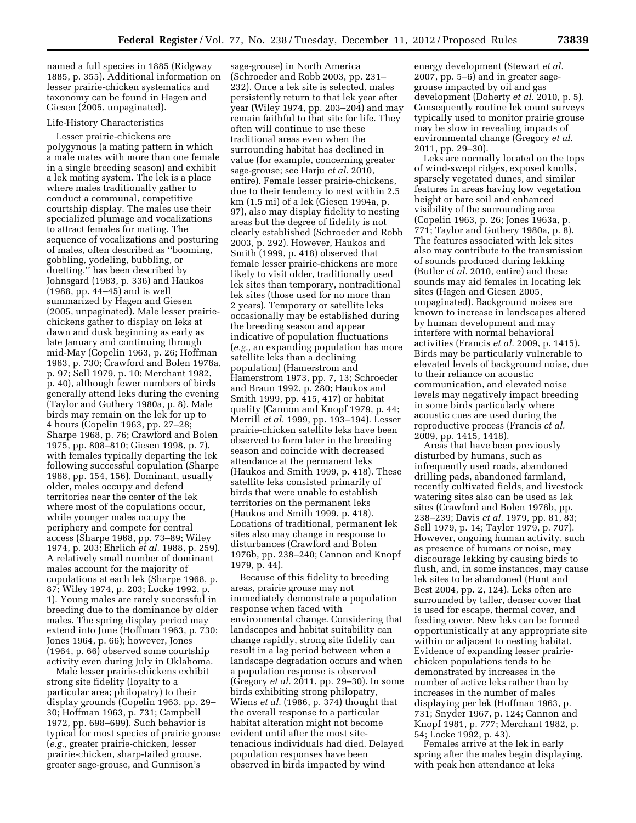named a full species in 1885 (Ridgway 1885, p. 355). Additional information on lesser prairie-chicken systematics and taxonomy can be found in Hagen and Giesen (2005, unpaginated).

## Life-History Characteristics

Lesser prairie-chickens are polygynous (a mating pattern in which a male mates with more than one female in a single breeding season) and exhibit a lek mating system. The lek is a place where males traditionally gather to conduct a communal, competitive courtship display. The males use their specialized plumage and vocalizations to attract females for mating. The sequence of vocalizations and posturing of males, often described as ''booming, gobbling, yodeling, bubbling, or duetting,'' has been described by Johnsgard (1983, p. 336) and Haukos (1988, pp. 44–45) and is well summarized by Hagen and Giesen (2005, unpaginated). Male lesser prairiechickens gather to display on leks at dawn and dusk beginning as early as late January and continuing through mid-May (Copelin 1963, p. 26; Hoffman 1963, p. 730; Crawford and Bolen 1976a, p. 97; Sell 1979, p. 10; Merchant 1982, p. 40), although fewer numbers of birds generally attend leks during the evening (Taylor and Guthery 1980a, p. 8). Male birds may remain on the lek for up to 4 hours (Copelin 1963, pp. 27–28; Sharpe 1968, p. 76; Crawford and Bolen 1975, pp. 808–810; Giesen 1998, p. 7), with females typically departing the lek following successful copulation (Sharpe 1968, pp. 154, 156). Dominant, usually older, males occupy and defend territories near the center of the lek where most of the copulations occur, while younger males occupy the periphery and compete for central access (Sharpe 1968, pp. 73–89; Wiley 1974, p. 203; Ehrlich *et al.* 1988, p. 259). A relatively small number of dominant males account for the majority of copulations at each lek (Sharpe 1968, p. 87; Wiley 1974, p. 203; Locke 1992, p. 1). Young males are rarely successful in breeding due to the dominance by older males. The spring display period may extend into June (Hoffman 1963, p. 730; Jones 1964, p. 66); however, Jones (1964, p. 66) observed some courtship activity even during July in Oklahoma.

Male lesser prairie-chickens exhibit strong site fidelity (loyalty to a particular area; philopatry) to their display grounds (Copelin 1963, pp. 29– 30; Hoffman 1963, p. 731; Campbell 1972, pp. 698–699). Such behavior is typical for most species of prairie grouse (*e.g.,* greater prairie-chicken, lesser prairie-chicken, sharp-tailed grouse, greater sage-grouse, and Gunnison's

sage-grouse) in North America (Schroeder and Robb 2003, pp. 231– 232). Once a lek site is selected, males persistently return to that lek year after year (Wiley 1974, pp. 203–204) and may remain faithful to that site for life. They often will continue to use these traditional areas even when the surrounding habitat has declined in value (for example, concerning greater sage-grouse; see Harju *et al.* 2010, entire). Female lesser prairie-chickens, due to their tendency to nest within 2.5 km (1.5 mi) of a lek (Giesen 1994a, p. 97), also may display fidelity to nesting areas but the degree of fidelity is not clearly established (Schroeder and Robb 2003, p. 292). However, Haukos and Smith (1999, p. 418) observed that female lesser prairie-chickens are more likely to visit older, traditionally used lek sites than temporary, nontraditional lek sites (those used for no more than 2 years). Temporary or satellite leks occasionally may be established during the breeding season and appear indicative of population fluctuations (*e.g.,* an expanding population has more satellite leks than a declining population) (Hamerstrom and Hamerstrom 1973, pp. 7, 13; Schroeder and Braun 1992, p. 280; Haukos and Smith 1999, pp. 415, 417) or habitat quality (Cannon and Knopf 1979, p. 44; Merrill *et al.* 1999, pp. 193–194). Lesser prairie-chicken satellite leks have been observed to form later in the breeding season and coincide with decreased attendance at the permanent leks (Haukos and Smith 1999, p. 418). These satellite leks consisted primarily of birds that were unable to establish territories on the permanent leks (Haukos and Smith 1999, p. 418). Locations of traditional, permanent lek sites also may change in response to disturbances (Crawford and Bolen 1976b, pp. 238–240; Cannon and Knopf 1979, p. 44).

Because of this fidelity to breeding areas, prairie grouse may not immediately demonstrate a population response when faced with environmental change. Considering that landscapes and habitat suitability can change rapidly, strong site fidelity can result in a lag period between when a landscape degradation occurs and when a population response is observed (Gregory *et al.* 2011, pp. 29–30). In some birds exhibiting strong philopatry, Wiens *et al.* (1986, p. 374) thought that the overall response to a particular habitat alteration might not become evident until after the most sitetenacious individuals had died. Delayed population responses have been observed in birds impacted by wind

energy development (Stewart *et al.*  2007, pp. 5–6) and in greater sagegrouse impacted by oil and gas development (Doherty *et al.* 2010, p. 5). Consequently routine lek count surveys typically used to monitor prairie grouse may be slow in revealing impacts of environmental change (Gregory *et al.*  2011, pp. 29–30).

Leks are normally located on the tops of wind-swept ridges, exposed knolls, sparsely vegetated dunes, and similar features in areas having low vegetation height or bare soil and enhanced visibility of the surrounding area (Copelin 1963, p. 26; Jones 1963a, p. 771; Taylor and Guthery 1980a, p. 8). The features associated with lek sites also may contribute to the transmission of sounds produced during lekking (Butler *et al.* 2010, entire) and these sounds may aid females in locating lek sites (Hagen and Giesen 2005, unpaginated). Background noises are known to increase in landscapes altered by human development and may interfere with normal behavioral activities (Francis *et al.* 2009, p. 1415). Birds may be particularly vulnerable to elevated levels of background noise, due to their reliance on acoustic communication, and elevated noise levels may negatively impact breeding in some birds particularly where acoustic cues are used during the reproductive process (Francis *et al.*  2009, pp. 1415, 1418).

Areas that have been previously disturbed by humans, such as infrequently used roads, abandoned drilling pads, abandoned farmland, recently cultivated fields, and livestock watering sites also can be used as lek sites (Crawford and Bolen 1976b, pp. 238–239; Davis *et al.* 1979, pp. 81, 83; Sell 1979, p. 14; Taylor 1979, p. 707). However, ongoing human activity, such as presence of humans or noise, may discourage lekking by causing birds to flush, and, in some instances, may cause lek sites to be abandoned (Hunt and Best 2004, pp. 2, 124). Leks often are surrounded by taller, denser cover that is used for escape, thermal cover, and feeding cover. New leks can be formed opportunistically at any appropriate site within or adjacent to nesting habitat. Evidence of expanding lesser prairiechicken populations tends to be demonstrated by increases in the number of active leks rather than by increases in the number of males displaying per lek (Hoffman 1963, p. 731; Snyder 1967, p. 124; Cannon and Knopf 1981, p. 777; Merchant 1982, p. 54; Locke 1992, p. 43).

Females arrive at the lek in early spring after the males begin displaying, with peak hen attendance at leks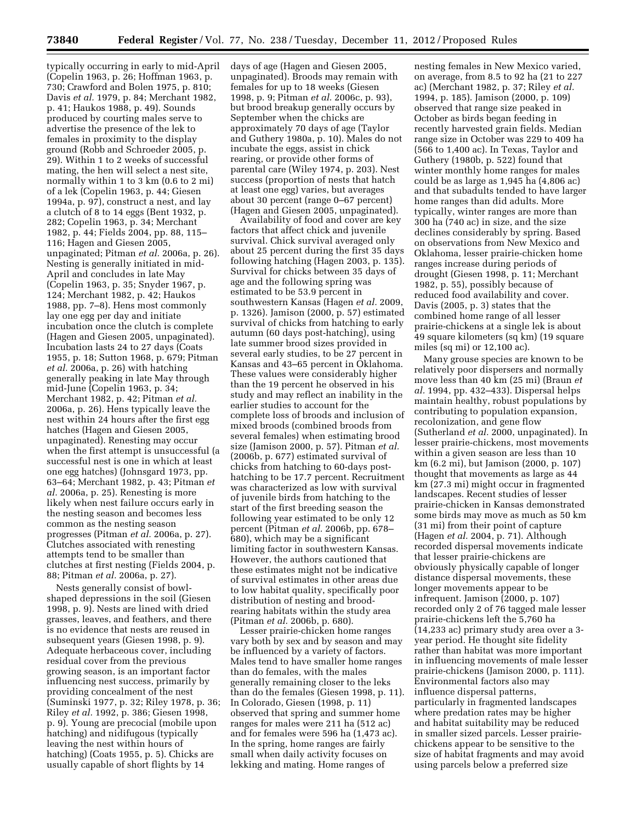typically occurring in early to mid-April (Copelin 1963, p. 26; Hoffman 1963, p. 730; Crawford and Bolen 1975, p. 810; Davis *et al.* 1979, p. 84; Merchant 1982, p. 41; Haukos 1988, p. 49). Sounds produced by courting males serve to advertise the presence of the lek to females in proximity to the display ground (Robb and Schroeder 2005, p. 29). Within 1 to 2 weeks of successful mating, the hen will select a nest site, normally within 1 to 3 km (0.6 to 2 mi) of a lek (Copelin 1963, p. 44; Giesen 1994a, p. 97), construct a nest, and lay a clutch of 8 to 14 eggs (Bent 1932, p. 282; Copelin 1963, p. 34; Merchant 1982, p. 44; Fields 2004, pp. 88, 115– 116; Hagen and Giesen 2005, unpaginated; Pitman *et al.* 2006a, p. 26). Nesting is generally initiated in mid-April and concludes in late May (Copelin 1963, p. 35; Snyder 1967, p. 124; Merchant 1982, p. 42; Haukos 1988, pp. 7–8). Hens most commonly lay one egg per day and initiate incubation once the clutch is complete (Hagen and Giesen 2005, unpaginated). Incubation lasts 24 to 27 days (Coats 1955, p. 18; Sutton 1968, p. 679; Pitman *et al.* 2006a, p. 26) with hatching generally peaking in late May through mid-June (Copelin 1963, p. 34; Merchant 1982, p. 42; Pitman *et al.*  2006a, p. 26). Hens typically leave the nest within 24 hours after the first egg hatches (Hagen and Giesen 2005, unpaginated). Renesting may occur when the first attempt is unsuccessful (a successful nest is one in which at least one egg hatches) (Johnsgard 1973, pp. 63–64; Merchant 1982, p. 43; Pitman *et al.* 2006a, p. 25). Renesting is more likely when nest failure occurs early in the nesting season and becomes less common as the nesting season progresses (Pitman *et al.* 2006a, p. 27). Clutches associated with renesting attempts tend to be smaller than clutches at first nesting (Fields 2004, p. 88; Pitman *et al.* 2006a, p. 27).

Nests generally consist of bowlshaped depressions in the soil (Giesen 1998, p. 9). Nests are lined with dried grasses, leaves, and feathers, and there is no evidence that nests are reused in subsequent years (Giesen 1998, p. 9). Adequate herbaceous cover, including residual cover from the previous growing season, is an important factor influencing nest success, primarily by providing concealment of the nest (Suminski 1977, p. 32; Riley 1978, p. 36; Riley *et al.* 1992, p. 386; Giesen 1998, p. 9). Young are precocial (mobile upon hatching) and nidifugous (typically leaving the nest within hours of hatching) (Coats 1955, p. 5). Chicks are usually capable of short flights by 14

days of age (Hagen and Giesen 2005, unpaginated). Broods may remain with females for up to 18 weeks (Giesen 1998, p. 9; Pitman *et al.* 2006c, p. 93), but brood breakup generally occurs by September when the chicks are approximately 70 days of age (Taylor and Guthery 1980a, p. 10). Males do not incubate the eggs, assist in chick rearing, or provide other forms of parental care (Wiley 1974, p. 203). Nest success (proportion of nests that hatch at least one egg) varies, but averages about 30 percent (range 0–67 percent) (Hagen and Giesen 2005, unpaginated).

Availability of food and cover are key factors that affect chick and juvenile survival. Chick survival averaged only about 25 percent during the first 35 days following hatching (Hagen 2003, p. 135). Survival for chicks between 35 days of age and the following spring was estimated to be 53.9 percent in southwestern Kansas (Hagen *et al.* 2009, p. 1326). Jamison (2000, p. 57) estimated survival of chicks from hatching to early autumn (60 days post-hatching), using late summer brood sizes provided in several early studies, to be 27 percent in Kansas and 43–65 percent in Oklahoma. These values were considerably higher than the 19 percent he observed in his study and may reflect an inability in the earlier studies to account for the complete loss of broods and inclusion of mixed broods (combined broods from several females) when estimating brood size (Jamison 2000, p. 57). Pitman *et al.*  (2006b, p. 677) estimated survival of chicks from hatching to 60-days posthatching to be 17.7 percent. Recruitment was characterized as low with survival of juvenile birds from hatching to the start of the first breeding season the following year estimated to be only 12 percent (Pitman *et al.* 2006b, pp. 678– 680), which may be a significant limiting factor in southwestern Kansas. However, the authors cautioned that these estimates might not be indicative of survival estimates in other areas due to low habitat quality, specifically poor distribution of nesting and broodrearing habitats within the study area (Pitman *et al.* 2006b, p. 680).

Lesser prairie-chicken home ranges vary both by sex and by season and may be influenced by a variety of factors. Males tend to have smaller home ranges than do females, with the males generally remaining closer to the leks than do the females (Giesen 1998, p. 11). In Colorado, Giesen (1998, p. 11) observed that spring and summer home ranges for males were 211 ha (512 ac) and for females were 596 ha (1,473 ac). In the spring, home ranges are fairly small when daily activity focuses on lekking and mating. Home ranges of

nesting females in New Mexico varied, on average, from 8.5 to 92 ha (21 to 227 ac) (Merchant 1982, p. 37; Riley *et al.*  1994, p. 185). Jamison (2000, p. 109) observed that range size peaked in October as birds began feeding in recently harvested grain fields. Median range size in October was 229 to 409 ha (566 to 1,400 ac). In Texas, Taylor and Guthery (1980b, p. 522) found that winter monthly home ranges for males could be as large as 1,945 ha (4,806 ac) and that subadults tended to have larger home ranges than did adults. More typically, winter ranges are more than 300 ha (740 ac) in size, and the size declines considerably by spring. Based on observations from New Mexico and Oklahoma, lesser prairie-chicken home ranges increase during periods of drought (Giesen 1998, p. 11; Merchant 1982, p. 55), possibly because of reduced food availability and cover. Davis (2005, p. 3) states that the combined home range of all lesser prairie-chickens at a single lek is about 49 square kilometers (sq km) (19 square miles (sq mi) or 12,100 ac).

Many grouse species are known to be relatively poor dispersers and normally move less than 40 km (25 mi) (Braun *et al.* 1994, pp. 432–433). Dispersal helps maintain healthy, robust populations by contributing to population expansion, recolonization, and gene flow (Sutherland *et al.* 2000, unpaginated). In lesser prairie-chickens, most movements within a given season are less than 10 km (6.2 mi), but Jamison (2000, p. 107) thought that movements as large as 44 km (27.3 mi) might occur in fragmented landscapes. Recent studies of lesser prairie-chicken in Kansas demonstrated some birds may move as much as 50 km (31 mi) from their point of capture (Hagen *et al.* 2004, p. 71). Although recorded dispersal movements indicate that lesser prairie-chickens are obviously physically capable of longer distance dispersal movements, these longer movements appear to be infrequent. Jamison (2000, p. 107) recorded only 2 of 76 tagged male lesser prairie-chickens left the 5,760 ha (14,233 ac) primary study area over a 3 year period. He thought site fidelity rather than habitat was more important in influencing movements of male lesser prairie-chickens (Jamison 2000, p. 111). Environmental factors also may influence dispersal patterns, particularly in fragmented landscapes where predation rates may be higher and habitat suitability may be reduced in smaller sized parcels. Lesser prairiechickens appear to be sensitive to the size of habitat fragments and may avoid using parcels below a preferred size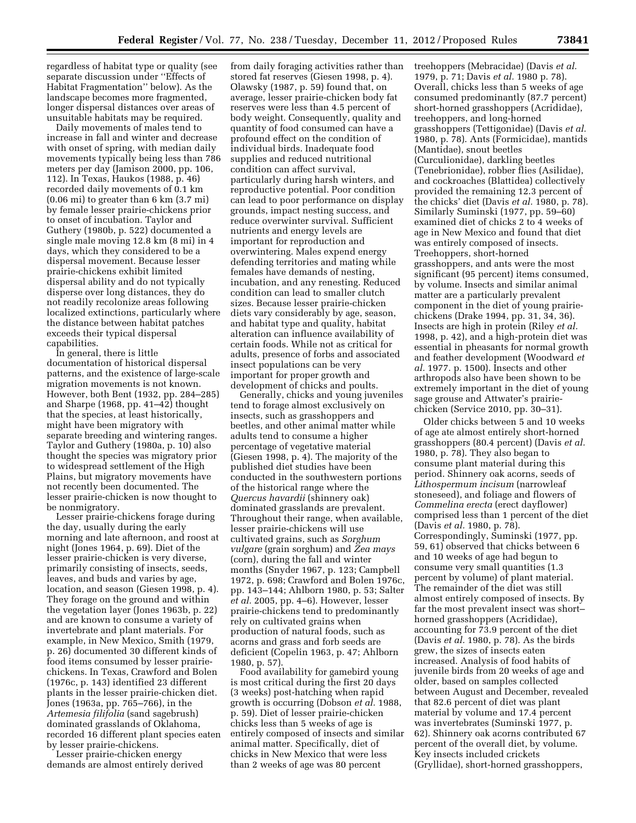regardless of habitat type or quality (see separate discussion under ''Effects of Habitat Fragmentation'' below). As the landscape becomes more fragmented, longer dispersal distances over areas of unsuitable habitats may be required.

Daily movements of males tend to increase in fall and winter and decrease with onset of spring, with median daily movements typically being less than 786 meters per day (Jamison 2000, pp. 106, 112). In Texas, Haukos (1988, p. 46) recorded daily movements of 0.1 km (0.06 mi) to greater than 6 km (3.7 mi) by female lesser prairie-chickens prior to onset of incubation. Taylor and Guthery (1980b, p. 522) documented a single male moving 12.8 km (8 mi) in 4 days, which they considered to be a dispersal movement. Because lesser prairie-chickens exhibit limited dispersal ability and do not typically disperse over long distances, they do not readily recolonize areas following localized extinctions, particularly where the distance between habitat patches exceeds their typical dispersal capabilities.

In general, there is little documentation of historical dispersal patterns, and the existence of large-scale migration movements is not known. However, both Bent (1932, pp. 284–285) and Sharpe (1968, pp. 41–42) thought that the species, at least historically, might have been migratory with separate breeding and wintering ranges. Taylor and Guthery (1980a, p. 10) also thought the species was migratory prior to widespread settlement of the High Plains, but migratory movements have not recently been documented. The lesser prairie-chicken is now thought to be nonmigratory.

Lesser prairie-chickens forage during the day, usually during the early morning and late afternoon, and roost at night (Jones 1964, p. 69). Diet of the lesser prairie-chicken is very diverse, primarily consisting of insects, seeds, leaves, and buds and varies by age, location, and season (Giesen 1998, p. 4). They forage on the ground and within the vegetation layer (Jones 1963b, p. 22) and are known to consume a variety of invertebrate and plant materials. For example, in New Mexico, Smith (1979, p. 26) documented 30 different kinds of food items consumed by lesser prairiechickens. In Texas, Crawford and Bolen (1976c, p. 143) identified 23 different plants in the lesser prairie-chicken diet. Jones (1963a, pp. 765–766), in the *Artemesia filifolia* (sand sagebrush) dominated grasslands of Oklahoma, recorded 16 different plant species eaten by lesser prairie-chickens.

Lesser prairie-chicken energy demands are almost entirely derived

from daily foraging activities rather than stored fat reserves (Giesen 1998, p. 4). Olawsky (1987, p. 59) found that, on average, lesser prairie-chicken body fat reserves were less than 4.5 percent of body weight. Consequently, quality and quantity of food consumed can have a profound effect on the condition of individual birds. Inadequate food supplies and reduced nutritional condition can affect survival, particularly during harsh winters, and reproductive potential. Poor condition can lead to poor performance on display grounds, impact nesting success, and reduce overwinter survival. Sufficient nutrients and energy levels are important for reproduction and overwintering. Males expend energy defending territories and mating while females have demands of nesting, incubation, and any renesting. Reduced condition can lead to smaller clutch sizes. Because lesser prairie-chicken diets vary considerably by age, season, and habitat type and quality, habitat alteration can influence availability of certain foods. While not as critical for adults, presence of forbs and associated insect populations can be very important for proper growth and development of chicks and poults.

Generally, chicks and young juveniles tend to forage almost exclusively on insects, such as grasshoppers and beetles, and other animal matter while adults tend to consume a higher percentage of vegetative material (Giesen 1998, p. 4). The majority of the published diet studies have been conducted in the southwestern portions of the historical range where the *Quercus havardii* (shinnery oak) dominated grasslands are prevalent. Throughout their range, when available, lesser prairie-chickens will use cultivated grains, such as *Sorghum vulgare* (grain sorghum) and *Zea mays*  (corn), during the fall and winter months (Snyder 1967, p. 123; Campbell 1972, p. 698; Crawford and Bolen 1976c, pp. 143–144; Ahlborn 1980, p. 53; Salter *et al.* 2005, pp. 4–6). However, lesser prairie-chickens tend to predominantly rely on cultivated grains when production of natural foods, such as acorns and grass and forb seeds are deficient (Copelin 1963, p. 47; Ahlborn 1980, p. 57).

Food availability for gamebird young is most critical during the first 20 days (3 weeks) post-hatching when rapid growth is occurring (Dobson *et al.* 1988, p. 59). Diet of lesser prairie-chicken chicks less than 5 weeks of age is entirely composed of insects and similar animal matter. Specifically, diet of chicks in New Mexico that were less than 2 weeks of age was 80 percent

treehoppers (Mebracidae) (Davis *et al.*  1979, p. 71; Davis *et al.* 1980 p. 78). Overall, chicks less than 5 weeks of age consumed predominantly (87.7 percent) short-horned grasshoppers (Acrididae), treehoppers, and long-horned grasshoppers (Tettigonidae) (Davis *et al.*  1980, p. 78). Ants (Formicidae), mantids (Mantidae), snout beetles (Curculionidae), darkling beetles (Tenebrionidae), robber flies (Asilidae), and cockroaches (Blattidea) collectively provided the remaining 12.3 percent of the chicks' diet (Davis *et al.* 1980, p. 78). Similarly Suminski (1977, pp. 59–60) examined diet of chicks 2 to 4 weeks of age in New Mexico and found that diet was entirely composed of insects. Treehoppers, short-horned grasshoppers, and ants were the most significant (95 percent) items consumed, by volume. Insects and similar animal matter are a particularly prevalent component in the diet of young prairiechickens (Drake 1994, pp. 31, 34, 36). Insects are high in protein (Riley *et al.*  1998, p. 42), and a high-protein diet was essential in pheasants for normal growth and feather development (Woodward *et al.* 1977. p. 1500). Insects and other arthropods also have been shown to be extremely important in the diet of young sage grouse and Attwater's prairiechicken (Service 2010, pp. 30–31).

Older chicks between 5 and 10 weeks of age ate almost entirely short-horned grasshoppers (80.4 percent) (Davis *et al.*  1980, p. 78). They also began to consume plant material during this period. Shinnery oak acorns, seeds of *Lithospermum incisum* (narrowleaf stoneseed), and foliage and flowers of *Commelina erecta* (erect dayflower) comprised less than 1 percent of the diet (Davis *et al.* 1980, p. 78). Correspondingly, Suminski (1977, pp. 59, 61) observed that chicks between 6 and 10 weeks of age had begun to consume very small quantities (1.3 percent by volume) of plant material. The remainder of the diet was still almost entirely composed of insects. By far the most prevalent insect was short– horned grasshoppers (Acrididae), accounting for 73.9 percent of the diet (Davis *et al.* 1980, p. 78). As the birds grew, the sizes of insects eaten increased. Analysis of food habits of juvenile birds from 20 weeks of age and older, based on samples collected between August and December, revealed that 82.6 percent of diet was plant material by volume and 17.4 percent was invertebrates (Suminski 1977, p. 62). Shinnery oak acorns contributed 67 percent of the overall diet, by volume. Key insects included crickets (Gryllidae), short-horned grasshoppers,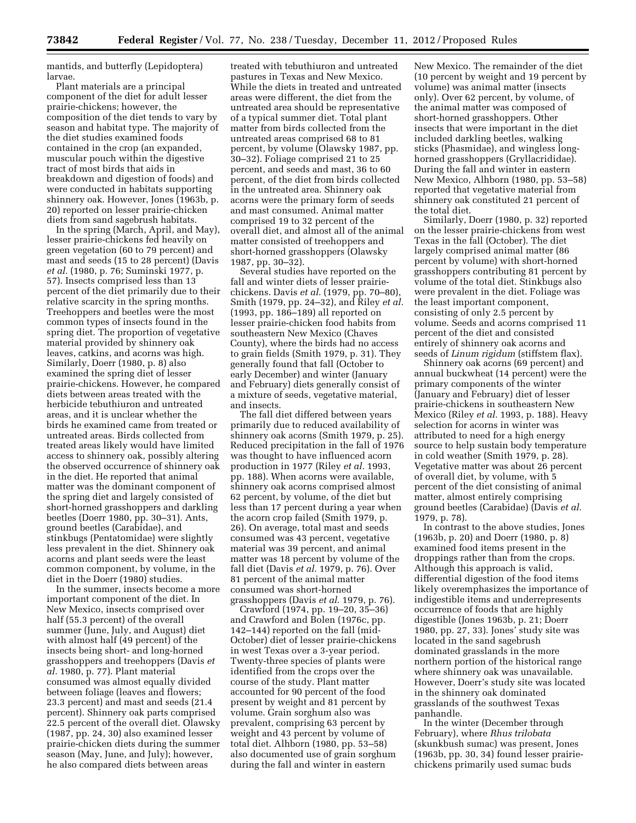mantids, and butterfly (Lepidoptera) larvae.

Plant materials are a principal component of the diet for adult lesser prairie-chickens; however, the composition of the diet tends to vary by season and habitat type. The majority of the diet studies examined foods contained in the crop (an expanded, muscular pouch within the digestive tract of most birds that aids in breakdown and digestion of foods) and were conducted in habitats supporting shinnery oak. However, Jones (1963b, p. 20) reported on lesser prairie-chicken diets from sand sagebrush habitats.

In the spring (March, April, and May), lesser prairie-chickens fed heavily on green vegetation (60 to 79 percent) and mast and seeds (15 to 28 percent) (Davis *et al.* (1980, p. 76; Suminski 1977, p. 57). Insects comprised less than 13 percent of the diet primarily due to their relative scarcity in the spring months. Treehoppers and beetles were the most common types of insects found in the spring diet. The proportion of vegetative material provided by shinnery oak leaves, catkins, and acorns was high. Similarly, Doerr (1980, p. 8) also examined the spring diet of lesser prairie-chickens. However, he compared diets between areas treated with the herbicide tebuthiuron and untreated areas, and it is unclear whether the birds he examined came from treated or untreated areas. Birds collected from treated areas likely would have limited access to shinnery oak, possibly altering the observed occurrence of shinnery oak in the diet. He reported that animal matter was the dominant component of the spring diet and largely consisted of short-horned grasshoppers and darkling beetles (Doerr 1980, pp. 30–31). Ants, ground beetles (Carabidae), and stinkbugs (Pentatomidae) were slightly less prevalent in the diet. Shinnery oak acorns and plant seeds were the least common component, by volume, in the diet in the Doerr (1980) studies.

In the summer, insects become a more important component of the diet. In New Mexico, insects comprised over half (55.3 percent) of the overall summer (June, July, and August) diet with almost half (49 percent) of the insects being short- and long-horned grasshoppers and treehoppers (Davis *et al.* 1980, p. 77). Plant material consumed was almost equally divided between foliage (leaves and flowers; 23.3 percent) and mast and seeds (21.4 percent). Shinnery oak parts comprised 22.5 percent of the overall diet. Olawsky (1987, pp. 24, 30) also examined lesser prairie-chicken diets during the summer season (May, June, and July); however, he also compared diets between areas

treated with tebuthiuron and untreated pastures in Texas and New Mexico. While the diets in treated and untreated areas were different, the diet from the untreated area should be representative of a typical summer diet. Total plant matter from birds collected from the untreated areas comprised 68 to 81 percent, by volume (Olawsky 1987, pp. 30–32). Foliage comprised 21 to 25 percent, and seeds and mast, 36 to 60 percent, of the diet from birds collected in the untreated area. Shinnery oak acorns were the primary form of seeds and mast consumed. Animal matter comprised 19 to 32 percent of the overall diet, and almost all of the animal matter consisted of treehoppers and short-horned grasshoppers (Olawsky 1987, pp. 30–32).

Several studies have reported on the fall and winter diets of lesser prairiechickens. Davis *et al.* (1979, pp. 70–80), Smith (1979, pp. 24–32), and Riley *et al.*  (1993, pp. 186–189) all reported on lesser prairie-chicken food habits from southeastern New Mexico (Chaves County), where the birds had no access to grain fields (Smith 1979, p. 31). They generally found that fall (October to early December) and winter (January and February) diets generally consist of a mixture of seeds, vegetative material, and insects.

The fall diet differed between years primarily due to reduced availability of shinnery oak acorns (Smith 1979, p. 25). Reduced precipitation in the fall of 1976 was thought to have influenced acorn production in 1977 (Riley *et al.* 1993, pp. 188). When acorns were available, shinnery oak acorns comprised almost 62 percent, by volume, of the diet but less than 17 percent during a year when the acorn crop failed (Smith 1979, p. 26). On average, total mast and seeds consumed was 43 percent, vegetative material was 39 percent, and animal matter was 18 percent by volume of the fall diet (Davis *et al.* 1979, p. 76). Over 81 percent of the animal matter consumed was short-horned grasshoppers (Davis *et al.* 1979, p. 76).

Crawford (1974, pp. 19–20, 35–36) and Crawford and Bolen (1976c, pp. 142–144) reported on the fall (mid-October) diet of lesser prairie-chickens in west Texas over a 3-year period. Twenty-three species of plants were identified from the crops over the course of the study. Plant matter accounted for 90 percent of the food present by weight and 81 percent by volume. Grain sorghum also was prevalent, comprising 63 percent by weight and 43 percent by volume of total diet. Alhborn (1980, pp. 53–58) also documented use of grain sorghum during the fall and winter in eastern

New Mexico. The remainder of the diet (10 percent by weight and 19 percent by volume) was animal matter (insects only). Over 62 percent, by volume, of the animal matter was composed of short-horned grasshoppers. Other insects that were important in the diet included darkling beetles, walking sticks (Phasmidae), and wingless longhorned grasshoppers (Gryllacrididae). During the fall and winter in eastern New Mexico, Alhborn (1980, pp. 53–58) reported that vegetative material from shinnery oak constituted 21 percent of the total diet.

Similarly, Doerr (1980, p. 32) reported on the lesser prairie-chickens from west Texas in the fall (October). The diet largely comprised animal matter (86 percent by volume) with short-horned grasshoppers contributing 81 percent by volume of the total diet. Stinkbugs also were prevalent in the diet. Foliage was the least important component, consisting of only 2.5 percent by volume. Seeds and acorns comprised 11 percent of the diet and consisted entirely of shinnery oak acorns and seeds of *Linum rigidum* (stiffstem flax).

Shinnery oak acorns (69 percent) and annual buckwheat (14 percent) were the primary components of the winter (January and February) diet of lesser prairie-chickens in southeastern New Mexico (Riley *et al.* 1993, p. 188). Heavy selection for acorns in winter was attributed to need for a high energy source to help sustain body temperature in cold weather (Smith 1979, p. 28). Vegetative matter was about 26 percent of overall diet, by volume, with 5 percent of the diet consisting of animal matter, almost entirely comprising ground beetles (Carabidae) (Davis *et al.*  1979, p. 78).

In contrast to the above studies, Jones (1963b, p. 20) and Doerr (1980, p. 8) examined food items present in the droppings rather than from the crops. Although this approach is valid, differential digestion of the food items likely overemphasizes the importance of indigestible items and underrepresents occurrence of foods that are highly digestible (Jones 1963b, p. 21; Doerr 1980, pp. 27, 33). Jones' study site was located in the sand sagebrush dominated grasslands in the more northern portion of the historical range where shinnery oak was unavailable. However, Doerr's study site was located in the shinnery oak dominated grasslands of the southwest Texas panhandle.

In the winter (December through February), where *Rhus trilobata*  (skunkbush sumac) was present, Jones (1963b, pp. 30, 34) found lesser prairiechickens primarily used sumac buds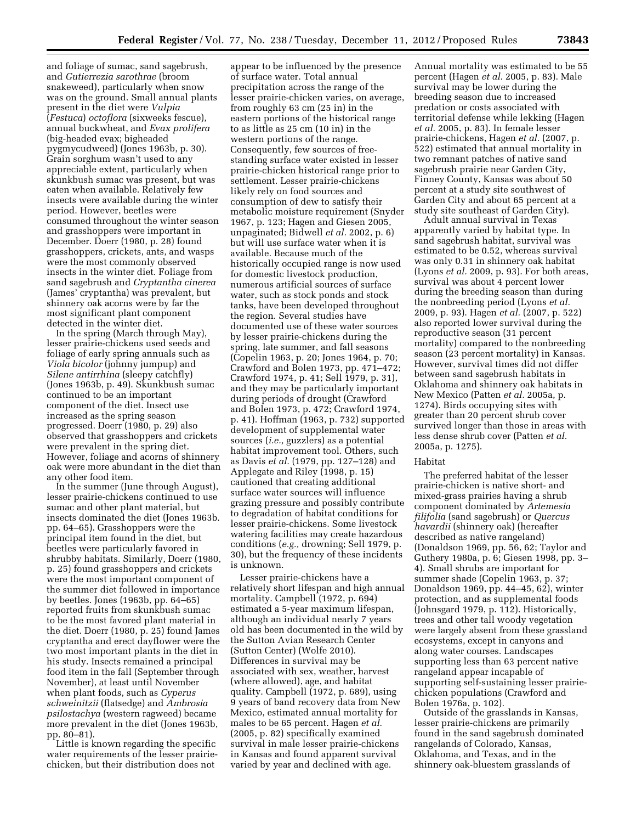and foliage of sumac, sand sagebrush, and *Gutierrezia sarothrae* (broom snakeweed), particularly when snow was on the ground. Small annual plants present in the diet were *Vulpia*  (*Festuca*) *octoflora* (sixweeks fescue), annual buckwheat, and *Evax prolifera*  (big-headed evax; bigheaded pygmycudweed) (Jones 1963b, p. 30). Grain sorghum wasn't used to any appreciable extent, particularly when skunkbush sumac was present, but was eaten when available. Relatively few insects were available during the winter period. However, beetles were consumed throughout the winter season and grasshoppers were important in December. Doerr (1980, p. 28) found grasshoppers, crickets, ants, and wasps were the most commonly observed insects in the winter diet. Foliage from sand sagebrush and *Cryptantha cinerea*  (James' cryptantha) was prevalent, but shinnery oak acorns were by far the most significant plant component detected in the winter diet.

In the spring (March through May), lesser prairie-chickens used seeds and foliage of early spring annuals such as *Viola bicolor* (johnny jumpup) and *Silene antirrhina* (sleepy catchfly) (Jones 1963b, p. 49). Skunkbush sumac continued to be an important component of the diet. Insect use increased as the spring season progressed. Doerr (1980, p. 29) also observed that grasshoppers and crickets were prevalent in the spring diet. However, foliage and acorns of shinnery oak were more abundant in the diet than any other food item.

In the summer (June through August), lesser prairie-chickens continued to use sumac and other plant material, but insects dominated the diet (Jones 1963b. pp. 64–65). Grasshoppers were the principal item found in the diet, but beetles were particularly favored in shrubby habitats. Similarly, Doerr (1980, p. 25) found grasshoppers and crickets were the most important component of the summer diet followed in importance by beetles. Jones (1963b, pp. 64–65) reported fruits from skunkbush sumac to be the most favored plant material in the diet. Doerr (1980, p. 25) found James cryptantha and erect dayflower were the two most important plants in the diet in his study. Insects remained a principal food item in the fall (September through November), at least until November when plant foods, such as *Cyperus schweinitzii* (flatsedge) and *Ambrosia psilostachya* (western ragweed) became more prevalent in the diet (Jones 1963b, pp. 80–81).

Little is known regarding the specific water requirements of the lesser prairiechicken, but their distribution does not

appear to be influenced by the presence of surface water. Total annual precipitation across the range of the lesser prairie-chicken varies, on average, from roughly 63 cm (25 in) in the eastern portions of the historical range to as little as 25 cm (10 in) in the western portions of the range. Consequently, few sources of freestanding surface water existed in lesser prairie-chicken historical range prior to settlement. Lesser prairie-chickens likely rely on food sources and consumption of dew to satisfy their metabolic moisture requirement (Snyder 1967, p. 123; Hagen and Giesen 2005, unpaginated; Bidwell *et al.* 2002, p. 6) but will use surface water when it is available. Because much of the historically occupied range is now used for domestic livestock production, numerous artificial sources of surface water, such as stock ponds and stock tanks, have been developed throughout the region. Several studies have documented use of these water sources by lesser prairie-chickens during the spring, late summer, and fall seasons (Copelin 1963, p. 20; Jones 1964, p. 70; Crawford and Bolen 1973, pp. 471–472; Crawford 1974, p. 41; Sell 1979, p. 31), and they may be particularly important during periods of drought (Crawford and Bolen 1973, p. 472; Crawford 1974, p. 41). Hoffman (1963, p. 732) supported development of supplemental water sources (*i.e.,* guzzlers) as a potential habitat improvement tool. Others, such as Davis *et al.* (1979, pp. 127–128) and Applegate and Riley (1998, p. 15) cautioned that creating additional surface water sources will influence grazing pressure and possibly contribute to degradation of habitat conditions for lesser prairie-chickens. Some livestock watering facilities may create hazardous conditions (*e.g.,* drowning; Sell 1979, p. 30), but the frequency of these incidents is unknown.

Lesser prairie-chickens have a relatively short lifespan and high annual mortality. Campbell (1972, p. 694) estimated a 5-year maximum lifespan, although an individual nearly 7 years old has been documented in the wild by the Sutton Avian Research Center (Sutton Center) (Wolfe 2010). Differences in survival may be associated with sex, weather, harvest (where allowed), age, and habitat quality. Campbell (1972, p. 689), using 9 years of band recovery data from New Mexico, estimated annual mortality for males to be 65 percent. Hagen *et al.*  (2005, p. 82) specifically examined survival in male lesser prairie-chickens in Kansas and found apparent survival varied by year and declined with age.

Annual mortality was estimated to be 55 percent (Hagen *et al.* 2005, p. 83). Male survival may be lower during the breeding season due to increased predation or costs associated with territorial defense while lekking (Hagen *et al.* 2005, p. 83). In female lesser prairie-chickens, Hagen *et al.* (2007, p. 522) estimated that annual mortality in two remnant patches of native sand sagebrush prairie near Garden City, Finney County, Kansas was about 50 percent at a study site southwest of Garden City and about 65 percent at a study site southeast of Garden City).

Adult annual survival in Texas apparently varied by habitat type. In sand sagebrush habitat, survival was estimated to be 0.52, whereas survival was only 0.31 in shinnery oak habitat (Lyons *et al.* 2009, p. 93). For both areas, survival was about 4 percent lower during the breeding season than during the nonbreeding period (Lyons *et al.*  2009, p. 93). Hagen *et al.* (2007, p. 522) also reported lower survival during the reproductive season (31 percent mortality) compared to the nonbreeding season (23 percent mortality) in Kansas. However, survival times did not differ between sand sagebrush habitats in Oklahoma and shinnery oak habitats in New Mexico (Patten *et al.* 2005a, p. 1274). Birds occupying sites with greater than 20 percent shrub cover survived longer than those in areas with less dense shrub cover (Patten *et al.*  2005a, p. 1275).

## Habitat

The preferred habitat of the lesser prairie-chicken is native short- and mixed-grass prairies having a shrub component dominated by *Artemesia filifolia* (sand sagebrush) or *Quercus havardii* (shinnery oak) (hereafter described as native rangeland) (Donaldson 1969, pp. 56, 62; Taylor and Guthery 1980a, p. 6; Giesen 1998, pp. 3– 4). Small shrubs are important for summer shade (Copelin 1963, p. 37; Donaldson 1969, pp. 44–45, 62), winter protection, and as supplemental foods (Johnsgard 1979, p. 112). Historically, trees and other tall woody vegetation were largely absent from these grassland ecosystems, except in canyons and along water courses. Landscapes supporting less than 63 percent native rangeland appear incapable of supporting self-sustaining lesser prairiechicken populations (Crawford and Bolen 1976a, p. 102).

Outside of the grasslands in Kansas, lesser prairie-chickens are primarily found in the sand sagebrush dominated rangelands of Colorado, Kansas, Oklahoma, and Texas, and in the shinnery oak-bluestem grasslands of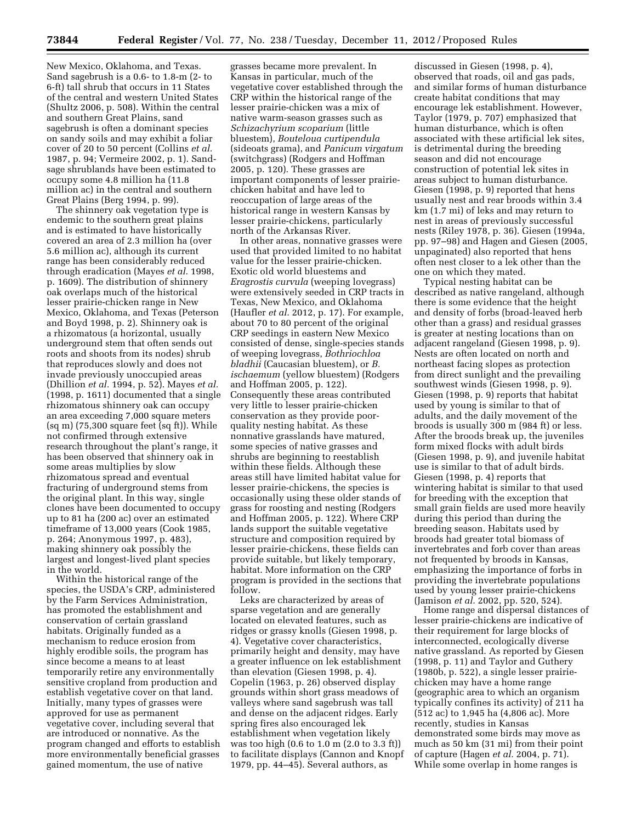New Mexico, Oklahoma, and Texas. Sand sagebrush is a 0.6- to 1.8-m (2- to 6-ft) tall shrub that occurs in 11 States of the central and western United States (Shultz 2006, p. 508). Within the central and southern Great Plains, sand sagebrush is often a dominant species on sandy soils and may exhibit a foliar cover of 20 to 50 percent (Collins *et al.*  1987, p. 94; Vermeire 2002, p. 1). Sandsage shrublands have been estimated to occupy some 4.8 million ha (11.8 million ac) in the central and southern Great Plains (Berg 1994, p. 99).

The shinnery oak vegetation type is endemic to the southern great plains and is estimated to have historically covered an area of 2.3 million ha (over 5.6 million ac), although its current range has been considerably reduced through eradication (Mayes *et al.* 1998, p. 1609). The distribution of shinnery oak overlaps much of the historical lesser prairie-chicken range in New Mexico, Oklahoma, and Texas (Peterson and Boyd 1998, p. 2). Shinnery oak is a rhizomatous (a horizontal, usually underground stem that often sends out roots and shoots from its nodes) shrub that reproduces slowly and does not invade previously unoccupied areas (Dhillion *et al.* 1994, p. 52). Mayes *et al.*  (1998, p. 1611) documented that a single rhizomatous shinnery oak can occupy an area exceeding 7,000 square meters  $(sq m)$  (75,300 square feet  $(sq ft)$ ). While not confirmed through extensive research throughout the plant's range, it has been observed that shinnery oak in some areas multiplies by slow rhizomatous spread and eventual fracturing of underground stems from the original plant. In this way, single clones have been documented to occupy up to 81 ha (200 ac) over an estimated timeframe of 13,000 years (Cook 1985, p. 264; Anonymous 1997, p. 483), making shinnery oak possibly the largest and longest-lived plant species in the world.

Within the historical range of the species, the USDA's CRP, administered by the Farm Services Administration, has promoted the establishment and conservation of certain grassland habitats. Originally funded as a mechanism to reduce erosion from highly erodible soils, the program has since become a means to at least temporarily retire any environmentally sensitive cropland from production and establish vegetative cover on that land. Initially, many types of grasses were approved for use as permanent vegetative cover, including several that are introduced or nonnative. As the program changed and efforts to establish more environmentally beneficial grasses gained momentum, the use of native

grasses became more prevalent. In Kansas in particular, much of the vegetative cover established through the CRP within the historical range of the lesser prairie-chicken was a mix of native warm-season grasses such as *Schizachyrium scoparium* (little bluestem), *Bouteloua curtipendula*  (sideoats grama), and *Panicum virgatum*  (switchgrass) (Rodgers and Hoffman 2005, p. 120). These grasses are important components of lesser prairiechicken habitat and have led to reoccupation of large areas of the historical range in western Kansas by lesser prairie-chickens, particularly north of the Arkansas River.

In other areas, nonnative grasses were used that provided limited to no habitat value for the lesser prairie-chicken. Exotic old world bluestems and *Eragrostis curvula* (weeping lovegrass) were extensively seeded in CRP tracts in Texas, New Mexico, and Oklahoma (Haufler *et al.* 2012, p. 17). For example, about 70 to 80 percent of the original CRP seedings in eastern New Mexico consisted of dense, single-species stands of weeping lovegrass, *Bothriochloa bladhii* (Caucasian bluestem), or *B. ischaemum* (yellow bluestem) (Rodgers and Hoffman 2005, p. 122). Consequently these areas contributed very little to lesser prairie-chicken conservation as they provide poorquality nesting habitat. As these nonnative grasslands have matured, some species of native grasses and shrubs are beginning to reestablish within these fields. Although these areas still have limited habitat value for lesser prairie-chickens, the species is occasionally using these older stands of grass for roosting and nesting (Rodgers and Hoffman 2005, p. 122). Where CRP lands support the suitable vegetative structure and composition required by lesser prairie-chickens, these fields can provide suitable, but likely temporary, habitat. More information on the CRP program is provided in the sections that follow.

Leks are characterized by areas of sparse vegetation and are generally located on elevated features, such as ridges or grassy knolls (Giesen 1998, p. 4). Vegetative cover characteristics, primarily height and density, may have a greater influence on lek establishment than elevation (Giesen 1998, p. 4). Copelin (1963, p. 26) observed display grounds within short grass meadows of valleys where sand sagebrush was tall and dense on the adjacent ridges. Early spring fires also encouraged lek establishment when vegetation likely was too high (0.6 to 1.0 m (2.0 to 3.3 ft)) to facilitate displays (Cannon and Knopf 1979, pp. 44–45). Several authors, as

discussed in Giesen (1998, p. 4), observed that roads, oil and gas pads, and similar forms of human disturbance create habitat conditions that may encourage lek establishment. However, Taylor (1979, p. 707) emphasized that human disturbance, which is often associated with these artificial lek sites, is detrimental during the breeding season and did not encourage construction of potential lek sites in areas subject to human disturbance. Giesen (1998, p. 9) reported that hens usually nest and rear broods within 3.4 km (1.7 mi) of leks and may return to nest in areas of previously successful nests (Riley 1978, p. 36). Giesen (1994a, pp. 97–98) and Hagen and Giesen (2005, unpaginated) also reported that hens often nest closer to a lek other than the one on which they mated.

Typical nesting habitat can be described as native rangeland, although there is some evidence that the height and density of forbs (broad-leaved herb other than a grass) and residual grasses is greater at nesting locations than on adjacent rangeland (Giesen 1998, p. 9). Nests are often located on north and northeast facing slopes as protection from direct sunlight and the prevailing southwest winds (Giesen 1998, p. 9). Giesen (1998, p. 9) reports that habitat used by young is similar to that of adults, and the daily movement of the broods is usually 300 m (984 ft) or less. After the broods break up, the juveniles form mixed flocks with adult birds (Giesen 1998, p. 9), and juvenile habitat use is similar to that of adult birds. Giesen (1998, p. 4) reports that wintering habitat is similar to that used for breeding with the exception that small grain fields are used more heavily during this period than during the breeding season. Habitats used by broods had greater total biomass of invertebrates and forb cover than areas not frequented by broods in Kansas, emphasizing the importance of forbs in providing the invertebrate populations used by young lesser prairie-chickens (Jamison *et al.* 2002, pp. 520, 524).

Home range and dispersal distances of lesser prairie-chickens are indicative of their requirement for large blocks of interconnected, ecologically diverse native grassland. As reported by Giesen (1998, p. 11) and Taylor and Guthery (1980b, p. 522), a single lesser prairiechicken may have a home range (geographic area to which an organism typically confines its activity) of 211 ha (512 ac) to 1,945 ha (4,806 ac). More recently, studies in Kansas demonstrated some birds may move as much as 50 km (31 mi) from their point of capture (Hagen *et al.* 2004, p. 71). While some overlap in home ranges is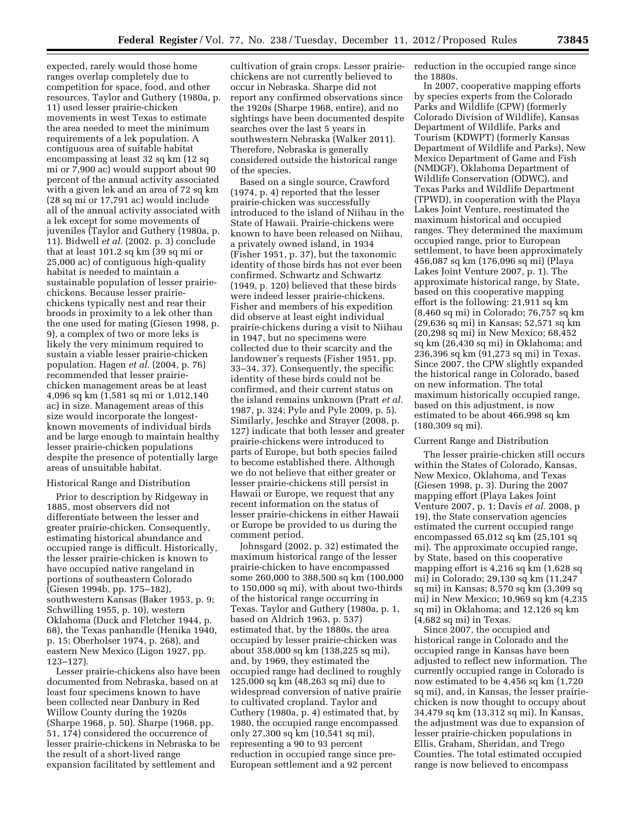expected, rarely would those home ranges overlap completely due to competition for space, food, and other resources. Taylor and Guthery (1980a, p. 11) used lesser prairie-chicken movements in west Texas to estimate the area needed to meet the minimum requirements of a lek population. A contiguous area of suitable habitat encompassing at least 32 sq km (12 sq mi or 7,900 ac) would support about 90 percent of the annual activity associated with a given lek and an area of 72 sq km (28 sq mi or 17,791 ac) would include all of the annual activity associated with a lek except for some movements of juveniles (Taylor and Guthery (1980a, p. 11). Bidwell *et al.* (2002. p. 3) conclude that at least 101.2 sq km (39 sq mi or 25,000 ac) of contiguous high-quality habitat is needed to maintain a sustainable population of lesser prairiechickens. Because lesser prairiechickens typically nest and rear their broods in proximity to a lek other than the one used for mating (Giesen 1998, p. 9), a complex of two or more leks is likely the very minimum required to sustain a viable lesser prairie-chicken population. Hagen *et al.* (2004, p. 76) recommended that lesser prairiechicken management areas be at least 4,096 sq km (1,581 sq mi or 1,012,140 ac) in size. Management areas of this size would incorporate the longestknown movements of individual birds and be large enough to maintain healthy lesser prairie-chicken populations despite the presence of potentially large areas of unsuitable habitat.

### Historical Range and Distribution

Prior to description by Ridgeway in 1885, most observers did not differentiate between the lesser and greater prairie-chicken. Consequently, estimating historical abundance and occupied range is difficult. Historically, the lesser prairie-chicken is known to have occupied native rangeland in portions of southeastern Colorado (Giesen 1994b, pp. 175–182), southwestern Kansas (Baker 1953, p. 9; Schwilling 1955, p. 10), western Oklahoma (Duck and Fletcher 1944, p. 68), the Texas panhandle (Henika 1940, p. 15; Oberholser 1974, p. 268), and eastern New Mexico (Ligon 1927, pp. 123–127).

Lesser prairie-chickens also have been documented from Nebraska, based on at least four specimens known to have been collected near Danbury in Red Willow County during the 1920s (Sharpe 1968, p. 50). Sharpe (1968, pp. 51, 174) considered the occurrence of lesser prairie-chickens in Nebraska to be the result of a short-lived range expansion facilitated by settlement and

cultivation of grain crops. Lesser prairiechickens are not currently believed to occur in Nebraska. Sharpe did not report any confirmed observations since the 1920s (Sharpe 1968, entire), and no sightings have been documented despite searches over the last 5 years in southwestern Nebraska (Walker 2011). Therefore, Nebraska is generally considered outside the historical range of the species.

Based on a single source, Crawford (1974, p. 4) reported that the lesser prairie-chicken was successfully introduced to the island of Niihau in the State of Hawaii. Prairie-chickens were known to have been released on Niihau, a privately owned island, in 1934 (Fisher 1951, p. 37), but the taxonomic identity of those birds has not ever been confirmed. Schwartz and Schwartz (1949, p. 120) believed that these birds were indeed lesser prairie-chickens. Fisher and members of his expedition did observe at least eight individual prairie-chickens during a visit to Niihau in 1947, but no specimens were collected due to their scarcity and the landowner's requests (Fisher 1951, pp. 33–34, 37). Consequently, the specific identity of these birds could not be confirmed, and their current status on the island remains unknown (Pratt *et al.*  1987, p. 324; Pyle and Pyle 2009, p. 5). Similarly, Jeschke and Strayer (2008, p. 127) indicate that both lesser and greater prairie-chickens were introduced to parts of Europe, but both species failed to become established there. Although we do not believe that either greater or lesser prairie-chickens still persist in Hawaii or Europe, we request that any recent information on the status of lesser prairie-chickens in either Hawaii or Europe be provided to us during the comment period.

Johnsgard (2002, p. 32) estimated the maximum historical range of the lesser prairie-chicken to have encompassed some 260,000 to 388,500 sq km (100,000 to 150,000 sq mi), with about two-thirds of the historical range occurring in Texas. Taylor and Guthery (1980a, p. 1, based on Aldrich 1963, p. 537) estimated that, by the 1880s, the area occupied by lesser prairie-chicken was about 358,000 sq km (138,225 sq mi), and, by 1969, they estimated the occupied range had declined to roughly 125,000 sq km (48,263 sq mi) due to widespread conversion of native prairie to cultivated cropland. Taylor and Cuthery (1980a, p. 4) estimated that, by 1980, the occupied range encompassed only 27,300 sq km (10,541 sq mi), representing a 90 to 93 percent reduction in occupied range since pre-European settlement and a 92 percent

reduction in the occupied range since the 1880s.

In 2007, cooperative mapping efforts by species experts from the Colorado Parks and Wildlife (CPW) (formerly Colorado Division of Wildlife), Kansas Department of Wildlife, Parks and Tourism (KDWPT) (formerly Kansas Department of Wildlife and Parks), New Mexico Department of Game and Fish (NMDGF), Oklahoma Department of Wildlife Conservation (ODWC), and Texas Parks and Wildlife Department (TPWD), in cooperation with the Playa Lakes Joint Venture, reestimated the maximum historical and occupied ranges. They determined the maximum occupied range, prior to European settlement, to have been approximately 456,087 sq km (176,096 sq mi) (Playa Lakes Joint Venture 2007, p. 1). The approximate historical range, by State, based on this cooperative mapping effort is the following: 21,911 sq km (8,460 sq mi) in Colorado; 76,757 sq km (29,636 sq mi) in Kansas; 52,571 sq km (20,298 sq mi) in New Mexico; 68,452 sq km (26,430 sq mi) in Oklahoma; and 236,396 sq km (91,273 sq mi) in Texas. Since 2007, the CPW slightly expanded the historical range in Colorado, based on new information. The total maximum historically occupied range, based on this adjustment, is now estimated to be about 466,998 sq km (180,309 sq mi).

#### Current Range and Distribution

The lesser prairie-chicken still occurs within the States of Colorado, Kansas, New Mexico, Oklahoma, and Texas (Giesen 1998, p. 3). During the 2007 mapping effort (Playa Lakes Joint Venture 2007, p. 1; Davis *et al.* 2008, p 19), the State conservation agencies estimated the current occupied range encompassed 65,012 sq km (25,101 sq mi). The approximate occupied range, by State, based on this cooperative mapping effort is 4,216 sq km (1,628 sq mi) in Colorado; 29,130 sq km (11,247 sq mi) in Kansas; 8,570 sq km (3,309 sq mi) in New Mexico; 10,969 sq km (4,235 sq mi) in Oklahoma; and 12,126 sq km (4,682 sq mi) in Texas.

Since 2007, the occupied and historical range in Colorado and the occupied range in Kansas have been adjusted to reflect new information. The currently occupied range in Colorado is now estimated to be 4,456 sq km (1,720 sq mi), and, in Kansas, the lesser prairiechicken is now thought to occupy about 34,479 sq km (13,312 sq mi). In Kansas, the adjustment was due to expansion of lesser prairie-chicken populations in Ellis, Graham, Sheridan, and Trego Counties. The total estimated occupied range is now believed to encompass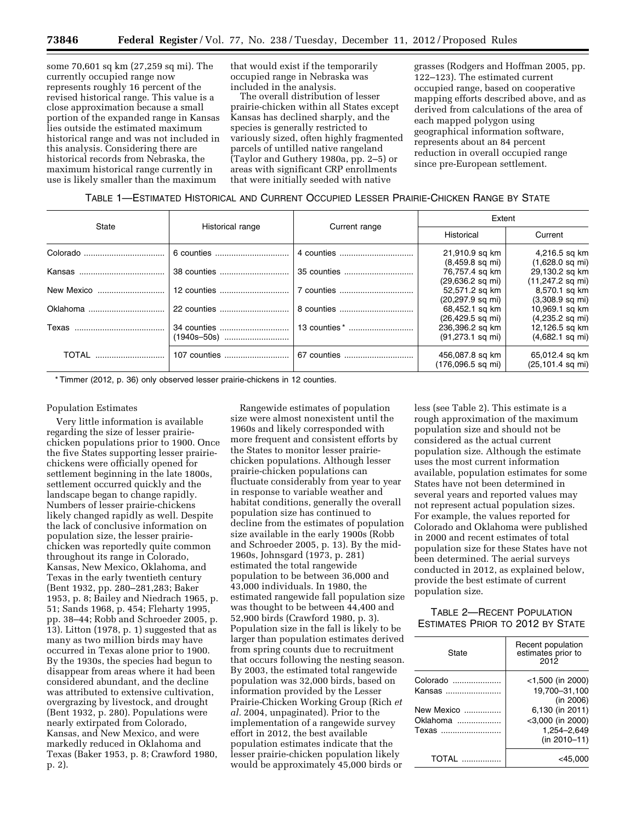some 70,601 sq km (27,259 sq mi). The currently occupied range now represents roughly 16 percent of the revised historical range. This value is a close approximation because a small portion of the expanded range in Kansas lies outside the estimated maximum historical range and was not included in this analysis. Considering there are historical records from Nebraska, the maximum historical range currently in use is likely smaller than the maximum

that would exist if the temporarily occupied range in Nebraska was included in the analysis.

The overall distribution of lesser prairie-chicken within all States except Kansas has declined sharply, and the species is generally restricted to variously sized, often highly fragmented parcels of untilled native rangeland (Taylor and Guthery 1980a, pp. 2–5) or areas with significant CRP enrollments that were initially seeded with native

grasses (Rodgers and Hoffman 2005, pp. 122–123). The estimated current occupied range, based on cooperative mapping efforts described above, and as derived from calculations of the area of each mapped polygon using geographical information software, represents about an 84 percent reduction in overall occupied range since pre-European settlement.

| TABLE 1—ESTIMATED HISTORICAL AND CURRENT OCCUPIED LESSER PRAIRIE-CHICKEN RANGE BY STATE |  |
|-----------------------------------------------------------------------------------------|--|
|-----------------------------------------------------------------------------------------|--|

| State        | Historical range |               | Extent                      |                     |  |
|--------------|------------------|---------------|-----------------------------|---------------------|--|
|              |                  | Current range | Historical                  | Current             |  |
|              | 6 counties       |               | 21,910.9 sq km              | 4,216.5 sq km       |  |
|              |                  |               | $(8,459.8$ sq mi)           | $(1,628.0$ sq mi)   |  |
|              | 38 counties      | 35 counties   | 76,757.4 sq km              | 29,130.2 sq km      |  |
|              |                  |               | $(29,636.2$ sq mi)          | $(11,247.2$ sq mi)  |  |
| New Mexico   | 12 counties      | 7 counties    | 52,571.2 sq km              | 8,570.1 sq km       |  |
|              |                  |               | $(20, 297.9$ sq mi)         | $(3,308.9$ sq mi)   |  |
| Oklahoma     | 22 counties      |               | 68,452.1 sq km              | 10,969.1 sq km      |  |
|              |                  |               | $(26, 429.5 \text{ sq mi})$ | $(4,235.2$ sq mi)   |  |
|              | 34 counties      |               | 236,396.2 sq km             | 12,126.5 sq km      |  |
|              |                  |               | $(91, 273.1$ sq mi)         | $(4,682.1$ sq mi)   |  |
| <b>TOTAL</b> | 107 counties     | 67 counties   | 456,087.8 sq km             | 65,012.4 sq km      |  |
|              |                  |               | (176,096.5 sq mi)           | $(25, 101.4$ sq mi) |  |

\* Timmer (2012, p. 36) only observed lesser prairie-chickens in 12 counties.

## Population Estimates

Very little information is available regarding the size of lesser prairiechicken populations prior to 1900. Once the five States supporting lesser prairiechickens were officially opened for settlement beginning in the late 1800s, settlement occurred quickly and the landscape began to change rapidly. Numbers of lesser prairie-chickens likely changed rapidly as well. Despite the lack of conclusive information on population size, the lesser prairiechicken was reportedly quite common throughout its range in Colorado, Kansas, New Mexico, Oklahoma, and Texas in the early twentieth century (Bent 1932, pp. 280–281,283; Baker 1953, p. 8; Bailey and Niedrach 1965, p. 51; Sands 1968, p. 454; Fleharty 1995, pp. 38–44; Robb and Schroeder 2005, p. 13). Litton (1978, p. 1) suggested that as many as two million birds may have occurred in Texas alone prior to 1900. By the 1930s, the species had begun to disappear from areas where it had been considered abundant, and the decline was attributed to extensive cultivation, overgrazing by livestock, and drought (Bent 1932, p. 280). Populations were nearly extirpated from Colorado, Kansas, and New Mexico, and were markedly reduced in Oklahoma and Texas (Baker 1953, p. 8; Crawford 1980, p. 2).

Rangewide estimates of population size were almost nonexistent until the 1960s and likely corresponded with more frequent and consistent efforts by the States to monitor lesser prairiechicken populations. Although lesser prairie-chicken populations can fluctuate considerably from year to year in response to variable weather and habitat conditions, generally the overall population size has continued to decline from the estimates of population size available in the early 1900s (Robb and Schroeder 2005, p. 13). By the mid-1960s, Johnsgard (1973, p. 281) estimated the total rangewide population to be between 36,000 and 43,000 individuals. In 1980, the estimated rangewide fall population size was thought to be between 44,400 and 52,900 birds (Crawford 1980, p. 3). Population size in the fall is likely to be larger than population estimates derived from spring counts due to recruitment that occurs following the nesting season. By 2003, the estimated total rangewide population was 32,000 birds, based on information provided by the Lesser Prairie-Chicken Working Group (Rich *et al.* 2004, unpaginated). Prior to the implementation of a rangewide survey effort in 2012, the best available population estimates indicate that the lesser prairie-chicken population likely would be approximately 45,000 birds or

less (see Table 2). This estimate is a rough approximation of the maximum population size and should not be considered as the actual current population size. Although the estimate uses the most current information available, population estimates for some States have not been determined in several years and reported values may not represent actual population sizes. For example, the values reported for Colorado and Oklahoma were published in 2000 and recent estimates of total population size for these States have not been determined. The aerial surveys conducted in 2012, as explained below, provide the best estimate of current population size.

# TABLE 2—RECENT POPULATION ESTIMATES PRIOR TO 2012 BY STATE

| State                           | Recent population<br>estimates prior to<br>2012                    |
|---------------------------------|--------------------------------------------------------------------|
| Colorado<br>Kansas              | $<$ 1,500 (in 2000)<br>19,700-31,100                               |
| New Mexico<br>Oklahoma<br>Texas | (in 2006)<br>6,130 (in 2011)<br>$<$ 3,000 (in 2000)<br>1.254-2.649 |
| TOTAI                           | $(in 2010 - 11)$<br><45.00                                         |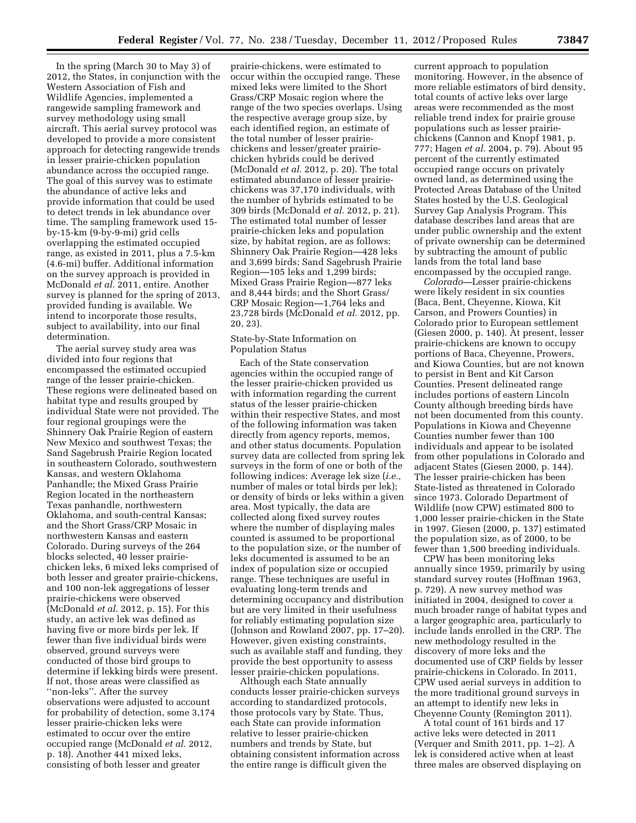In the spring (March 30 to May 3) of 2012, the States, in conjunction with the Western Association of Fish and Wildlife Agencies, implemented a rangewide sampling framework and survey methodology using small aircraft. This aerial survey protocol was developed to provide a more consistent approach for detecting rangewide trends in lesser prairie-chicken population abundance across the occupied range. The goal of this survey was to estimate the abundance of active leks and provide information that could be used to detect trends in lek abundance over time. The sampling framework used 15 by-15-km (9-by-9-mi) grid cells overlapping the estimated occupied range, as existed in 2011, plus a 7.5-km (4.6-mi) buffer. Additional information on the survey approach is provided in McDonald *et al.* 2011, entire. Another survey is planned for the spring of 2013, provided funding is available. We intend to incorporate those results, subject to availability, into our final determination.

The aerial survey study area was divided into four regions that encompassed the estimated occupied range of the lesser prairie-chicken. These regions were delineated based on habitat type and results grouped by individual State were not provided. The four regional groupings were the Shinnery Oak Prairie Region of eastern New Mexico and southwest Texas; the Sand Sagebrush Prairie Region located in southeastern Colorado, southwestern Kansas, and western Oklahoma Panhandle; the Mixed Grass Prairie Region located in the northeastern Texas panhandle, northwestern Oklahoma, and south-central Kansas; and the Short Grass/CRP Mosaic in northwestern Kansas and eastern Colorado. During surveys of the 264 blocks selected, 40 lesser prairiechicken leks, 6 mixed leks comprised of both lesser and greater prairie-chickens, and 100 non-lek aggregations of lesser prairie-chickens were observed (McDonald *et al.* 2012, p. 15). For this study, an active lek was defined as having five or more birds per lek. If fewer than five individual birds were observed, ground surveys were conducted of those bird groups to determine if lekking birds were present. If not, those areas were classified as ''non-leks''. After the survey observations were adjusted to account for probability of detection, some 3,174 lesser prairie-chicken leks were estimated to occur over the entire occupied range (McDonald *et al.* 2012, p. 18). Another 441 mixed leks, consisting of both lesser and greater

prairie-chickens, were estimated to occur within the occupied range. These mixed leks were limited to the Short Grass/CRP Mosaic region where the range of the two species overlaps. Using the respective average group size, by each identified region, an estimate of the total number of lesser prairiechickens and lesser/greater prairiechicken hybrids could be derived (McDonald *et al.* 2012, p. 20). The total estimated abundance of lesser prairiechickens was 37,170 individuals, with the number of hybrids estimated to be 309 birds (McDonald *et al.* 2012, p. 21). The estimated total number of lesser prairie-chicken leks and population size, by habitat region, are as follows: Shinnery Oak Prairie Region—428 leks and 3,699 birds; Sand Sagebrush Prairie Region—105 leks and 1,299 birds; Mixed Grass Prairie Region—877 leks and 8,444 birds; and the Short Grass/ CRP Mosaic Region—1,764 leks and 23,728 birds (McDonald *et al.* 2012, pp. 20, 23).

## State-by-State Information on Population Status

Each of the State conservation agencies within the occupied range of the lesser prairie-chicken provided us with information regarding the current status of the lesser prairie-chicken within their respective States, and most of the following information was taken directly from agency reports, memos, and other status documents. Population survey data are collected from spring lek surveys in the form of one or both of the following indices: Average lek size (*i.e.,*  number of males or total birds per lek); or density of birds or leks within a given area. Most typically, the data are collected along fixed survey routes where the number of displaying males counted is assumed to be proportional to the population size, or the number of leks documented is assumed to be an index of population size or occupied range. These techniques are useful in evaluating long-term trends and determining occupancy and distribution but are very limited in their usefulness for reliably estimating population size (Johnson and Rowland 2007, pp. 17–20). However, given existing constraints, such as available staff and funding, they provide the best opportunity to assess lesser prairie-chicken populations.

Although each State annually conducts lesser prairie-chicken surveys according to standardized protocols, those protocols vary by State. Thus, each State can provide information relative to lesser prairie-chicken numbers and trends by State, but obtaining consistent information across the entire range is difficult given the

current approach to population monitoring. However, in the absence of more reliable estimators of bird density, total counts of active leks over large areas were recommended as the most reliable trend index for prairie grouse populations such as lesser prairiechickens (Cannon and Knopf 1981, p. 777; Hagen *et al.* 2004, p. 79). About 95 percent of the currently estimated occupied range occurs on privately owned land, as determined using the Protected Areas Database of the United States hosted by the U.S. Geological Survey Gap Analysis Program. This database describes land areas that are under public ownership and the extent of private ownership can be determined by subtracting the amount of public lands from the total land base encompassed by the occupied range.

*Colorado—*Lesser prairie-chickens were likely resident in six counties (Baca, Bent, Cheyenne, Kiowa, Kit Carson, and Prowers Counties) in Colorado prior to European settlement (Giesen 2000, p. 140). At present, lesser prairie-chickens are known to occupy portions of Baca, Cheyenne, Prowers, and Kiowa Counties, but are not known to persist in Bent and Kit Carson Counties. Present delineated range includes portions of eastern Lincoln County although breeding birds have not been documented from this county. Populations in Kiowa and Cheyenne Counties number fewer than 100 individuals and appear to be isolated from other populations in Colorado and adjacent States (Giesen 2000, p. 144). The lesser prairie-chicken has been State-listed as threatened in Colorado since 1973. Colorado Department of Wildlife (now CPW) estimated 800 to 1,000 lesser prairie-chicken in the State in 1997. Giesen (2000, p. 137) estimated the population size, as of 2000, to be fewer than 1,500 breeding individuals.

CPW has been monitoring leks annually since 1959, primarily by using standard survey routes (Hoffman 1963, p. 729). A new survey method was initiated in 2004, designed to cover a much broader range of habitat types and a larger geographic area, particularly to include lands enrolled in the CRP. The new methodology resulted in the discovery of more leks and the documented use of CRP fields by lesser prairie-chickens in Colorado. In 2011, CPW used aerial surveys in addition to the more traditional ground surveys in an attempt to identify new leks in Cheyenne County (Remington 2011).

A total count of 161 birds and 17 active leks were detected in 2011 (Verquer and Smith 2011, pp. 1–2). A lek is considered active when at least three males are observed displaying on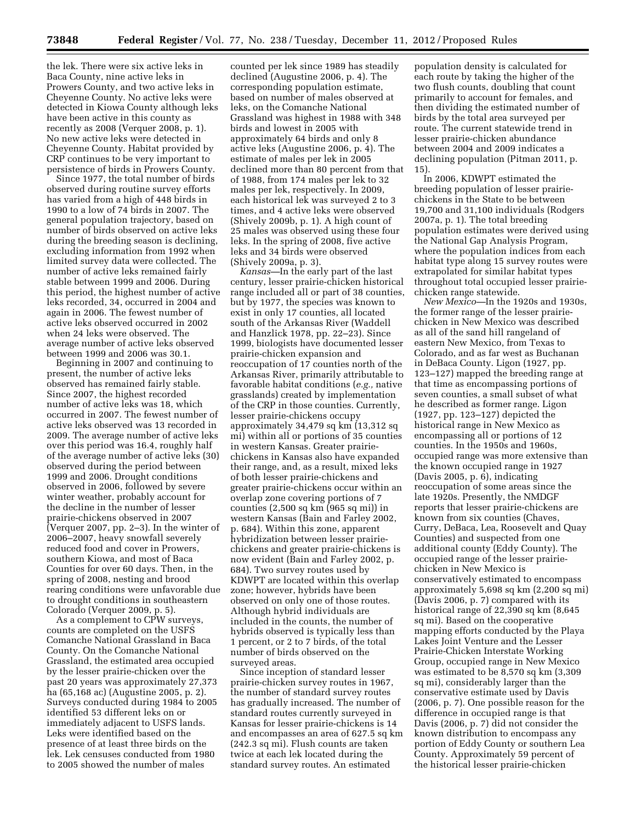the lek. There were six active leks in Baca County, nine active leks in Prowers County, and two active leks in Cheyenne County. No active leks were detected in Kiowa County although leks have been active in this county as recently as 2008 (Verquer 2008, p. 1). No new active leks were detected in Cheyenne County. Habitat provided by CRP continues to be very important to persistence of birds in Prowers County.

Since 1977, the total number of birds observed during routine survey efforts has varied from a high of 448 birds in 1990 to a low of 74 birds in 2007. The general population trajectory, based on number of birds observed on active leks during the breeding season is declining, excluding information from 1992 when limited survey data were collected. The number of active leks remained fairly stable between 1999 and 2006. During this period, the highest number of active leks recorded, 34, occurred in 2004 and again in 2006. The fewest number of active leks observed occurred in 2002 when 24 leks were observed. The average number of active leks observed between 1999 and 2006 was 30.1.

Beginning in 2007 and continuing to present, the number of active leks observed has remained fairly stable. Since 2007, the highest recorded number of active leks was 18, which occurred in 2007. The fewest number of active leks observed was 13 recorded in 2009. The average number of active leks over this period was 16.4, roughly half of the average number of active leks (30) observed during the period between 1999 and 2006. Drought conditions observed in 2006, followed by severe winter weather, probably account for the decline in the number of lesser prairie-chickens observed in 2007 (Verquer 2007, pp. 2–3). In the winter of 2006–2007, heavy snowfall severely reduced food and cover in Prowers, southern Kiowa, and most of Baca Counties for over 60 days. Then, in the spring of 2008, nesting and brood rearing conditions were unfavorable due to drought conditions in southeastern Colorado (Verquer 2009, p. 5).

As a complement to CPW surveys, counts are completed on the USFS Comanche National Grassland in Baca County. On the Comanche National Grassland, the estimated area occupied by the lesser prairie-chicken over the past 20 years was approximately 27,373 ha (65,168 ac) (Augustine 2005, p. 2). Surveys conducted during 1984 to 2005 identified 53 different leks on or immediately adjacent to USFS lands. Leks were identified based on the presence of at least three birds on the lek. Lek censuses conducted from 1980 to 2005 showed the number of males

counted per lek since 1989 has steadily declined (Augustine 2006, p. 4). The corresponding population estimate, based on number of males observed at leks, on the Comanche National Grassland was highest in 1988 with 348 birds and lowest in 2005 with approximately 64 birds and only 8 active leks (Augustine 2006, p. 4). The estimate of males per lek in 2005 declined more than 80 percent from that of 1988, from 174 males per lek to 32 males per lek, respectively. In 2009, each historical lek was surveyed 2 to 3 times, and 4 active leks were observed (Shively 2009b, p. 1). A high count of 25 males was observed using these four leks. In the spring of 2008, five active leks and 34 birds were observed (Shively 2009a, p. 3).

*Kansas—*In the early part of the last century, lesser prairie-chicken historical range included all or part of 38 counties, but by 1977, the species was known to exist in only 17 counties, all located south of the Arkansas River (Waddell and Hanzlick 1978, pp. 22–23). Since 1999, biologists have documented lesser prairie-chicken expansion and reoccupation of 17 counties north of the Arkansas River, primarily attributable to favorable habitat conditions (*e.g.,* native grasslands) created by implementation of the CRP in those counties. Currently, lesser prairie-chickens occupy approximately 34,479 sq km (13,312 sq mi) within all or portions of 35 counties in western Kansas. Greater prairiechickens in Kansas also have expanded their range, and, as a result, mixed leks of both lesser prairie-chickens and greater prairie-chickens occur within an overlap zone covering portions of 7 counties (2,500 sq km (965 sq mi)) in western Kansas (Bain and Farley 2002, p. 684). Within this zone, apparent hybridization between lesser prairiechickens and greater prairie-chickens is now evident (Bain and Farley 2002, p. 684). Two survey routes used by KDWPT are located within this overlap zone; however, hybrids have been observed on only one of those routes. Although hybrid individuals are included in the counts, the number of hybrids observed is typically less than 1 percent, or 2 to 7 birds, of the total number of birds observed on the surveyed areas.

Since inception of standard lesser prairie-chicken survey routes in 1967, the number of standard survey routes has gradually increased. The number of standard routes currently surveyed in Kansas for lesser prairie-chickens is 14 and encompasses an area of 627.5 sq km (242.3 sq mi). Flush counts are taken twice at each lek located during the standard survey routes. An estimated

population density is calculated for each route by taking the higher of the two flush counts, doubling that count primarily to account for females, and then dividing the estimated number of birds by the total area surveyed per route. The current statewide trend in lesser prairie-chicken abundance between 2004 and 2009 indicates a declining population (Pitman 2011, p. 15).

In 2006, KDWPT estimated the breeding population of lesser prairiechickens in the State to be between 19,700 and 31,100 individuals (Rodgers 2007a, p. 1). The total breeding population estimates were derived using the National Gap Analysis Program, where the population indices from each habitat type along 15 survey routes were extrapolated for similar habitat types throughout total occupied lesser prairiechicken range statewide.

*New Mexico—*In the 1920s and 1930s, the former range of the lesser prairiechicken in New Mexico was described as all of the sand hill rangeland of eastern New Mexico, from Texas to Colorado, and as far west as Buchanan in DeBaca County. Ligon (1927, pp. 123–127) mapped the breeding range at that time as encompassing portions of seven counties, a small subset of what he described as former range. Ligon (1927, pp. 123–127) depicted the historical range in New Mexico as encompassing all or portions of 12 counties. In the 1950s and 1960s, occupied range was more extensive than the known occupied range in 1927 (Davis 2005, p. 6), indicating reoccupation of some areas since the late 1920s. Presently, the NMDGF reports that lesser prairie-chickens are known from six counties (Chaves, Curry, DeBaca, Lea, Roosevelt and Quay Counties) and suspected from one additional county (Eddy County). The occupied range of the lesser prairiechicken in New Mexico is conservatively estimated to encompass approximately 5,698 sq km (2,200 sq mi) (Davis 2006, p. 7) compared with its historical range of 22,390 sq km (8,645 sq mi). Based on the cooperative mapping efforts conducted by the Playa Lakes Joint Venture and the Lesser Prairie-Chicken Interstate Working Group, occupied range in New Mexico was estimated to be 8,570 sq km (3,309 sq mi), considerably larger than the conservative estimate used by Davis (2006, p. 7). One possible reason for the difference in occupied range is that Davis (2006, p. 7) did not consider the known distribution to encompass any portion of Eddy County or southern Lea County. Approximately 59 percent of the historical lesser prairie-chicken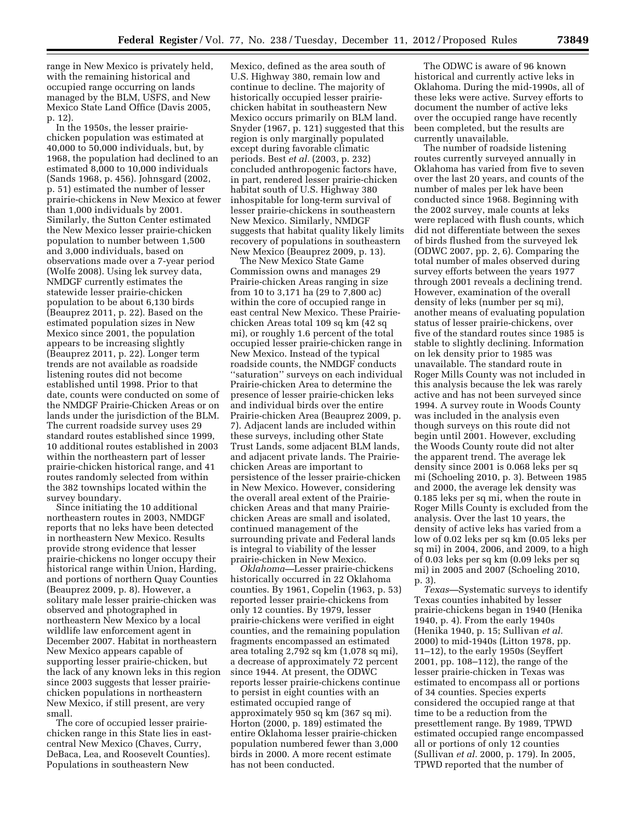range in New Mexico is privately held, with the remaining historical and occupied range occurring on lands managed by the BLM, USFS, and New Mexico State Land Office (Davis 2005, p. 12).

In the 1950s, the lesser prairiechicken population was estimated at 40,000 to 50,000 individuals, but, by 1968, the population had declined to an estimated 8,000 to 10,000 individuals (Sands 1968, p. 456). Johnsgard (2002, p. 51) estimated the number of lesser prairie-chickens in New Mexico at fewer than 1,000 individuals by 2001. Similarly, the Sutton Center estimated the New Mexico lesser prairie-chicken population to number between 1,500 and 3,000 individuals, based on observations made over a 7-year period (Wolfe 2008). Using lek survey data, NMDGF currently estimates the statewide lesser prairie-chicken population to be about 6,130 birds (Beauprez 2011, p. 22). Based on the estimated population sizes in New Mexico since 2001, the population appears to be increasing slightly (Beauprez 2011, p. 22). Longer term trends are not available as roadside listening routes did not become established until 1998. Prior to that date, counts were conducted on some of the NMDGF Prairie-Chicken Areas or on lands under the jurisdiction of the BLM. The current roadside survey uses 29 standard routes established since 1999, 10 additional routes established in 2003 within the northeastern part of lesser prairie-chicken historical range, and 41 routes randomly selected from within the 382 townships located within the survey boundary.

Since initiating the 10 additional northeastern routes in 2003, NMDGF reports that no leks have been detected in northeastern New Mexico. Results provide strong evidence that lesser prairie-chickens no longer occupy their historical range within Union, Harding, and portions of northern Quay Counties (Beauprez 2009, p. 8). However, a solitary male lesser prairie-chicken was observed and photographed in northeastern New Mexico by a local wildlife law enforcement agent in December 2007. Habitat in northeastern New Mexico appears capable of supporting lesser prairie-chicken, but the lack of any known leks in this region since 2003 suggests that lesser prairiechicken populations in northeastern New Mexico, if still present, are very small.

The core of occupied lesser prairiechicken range in this State lies in eastcentral New Mexico (Chaves, Curry, DeBaca, Lea, and Roosevelt Counties). Populations in southeastern New

Mexico, defined as the area south of U.S. Highway 380, remain low and continue to decline. The majority of historically occupied lesser prairiechicken habitat in southeastern New Mexico occurs primarily on BLM land. Snyder (1967, p. 121) suggested that this region is only marginally populated except during favorable climatic periods. Best *et al.* (2003, p. 232) concluded anthropogenic factors have, in part, rendered lesser prairie-chicken habitat south of U.S. Highway 380 inhospitable for long-term survival of lesser prairie-chickens in southeastern New Mexico. Similarly, NMDGF suggests that habitat quality likely limits recovery of populations in southeastern New Mexico (Beauprez 2009, p. 13).

The New Mexico State Game Commission owns and manages 29 Prairie-chicken Areas ranging in size from 10 to 3,171 ha (29 to 7,800 ac) within the core of occupied range in east central New Mexico. These Prairiechicken Areas total 109 sq km (42 sq mi), or roughly 1.6 percent of the total occupied lesser prairie-chicken range in New Mexico. Instead of the typical roadside counts, the NMDGF conducts ''saturation'' surveys on each individual Prairie-chicken Area to determine the presence of lesser prairie-chicken leks and individual birds over the entire Prairie-chicken Area (Beauprez 2009, p. 7). Adjacent lands are included within these surveys, including other State Trust Lands, some adjacent BLM lands, and adjacent private lands. The Prairiechicken Areas are important to persistence of the lesser prairie-chicken in New Mexico. However, considering the overall areal extent of the Prairiechicken Areas and that many Prairiechicken Areas are small and isolated, continued management of the surrounding private and Federal lands is integral to viability of the lesser prairie-chicken in New Mexico.

*Oklahoma—*Lesser prairie-chickens historically occurred in 22 Oklahoma counties. By 1961, Copelin (1963, p. 53) reported lesser prairie-chickens from only 12 counties. By 1979, lesser prairie-chickens were verified in eight counties, and the remaining population fragments encompassed an estimated area totaling 2,792 sq km (1,078 sq mi), a decrease of approximately 72 percent since 1944. At present, the ODWC reports lesser prairie-chickens continue to persist in eight counties with an estimated occupied range of approximately 950 sq km (367 sq mi). Horton (2000, p. 189) estimated the entire Oklahoma lesser prairie-chicken population numbered fewer than 3,000 birds in 2000. A more recent estimate has not been conducted.

The ODWC is aware of 96 known historical and currently active leks in Oklahoma. During the mid-1990s, all of these leks were active. Survey efforts to document the number of active leks over the occupied range have recently been completed, but the results are currently unavailable.

The number of roadside listening routes currently surveyed annually in Oklahoma has varied from five to seven over the last 20 years, and counts of the number of males per lek have been conducted since 1968. Beginning with the 2002 survey, male counts at leks were replaced with flush counts, which did not differentiate between the sexes of birds flushed from the surveyed lek (ODWC 2007, pp. 2, 6). Comparing the total number of males observed during survey efforts between the years 1977 through 2001 reveals a declining trend. However, examination of the overall density of leks (number per sq mi), another means of evaluating population status of lesser prairie-chickens, over five of the standard routes since 1985 is stable to slightly declining. Information on lek density prior to 1985 was unavailable. The standard route in Roger Mills County was not included in this analysis because the lek was rarely active and has not been surveyed since 1994. A survey route in Woods County was included in the analysis even though surveys on this route did not begin until 2001. However, excluding the Woods County route did not alter the apparent trend. The average lek density since 2001 is 0.068 leks per sq mi (Schoeling 2010, p. 3). Between 1985 and 2000, the average lek density was 0.185 leks per sq mi, when the route in Roger Mills County is excluded from the analysis. Over the last 10 years, the density of active leks has varied from a low of 0.02 leks per sq km (0.05 leks per sq mi) in 2004, 2006, and 2009, to a high of 0.03 leks per sq km (0.09 leks per sq mi) in 2005 and 2007 (Schoeling 2010, p. 3).

*Texas—*Systematic surveys to identify Texas counties inhabited by lesser prairie-chickens began in 1940 (Henika 1940, p. 4). From the early 1940s (Henika 1940, p. 15; Sullivan *et al.*  2000) to mid-1940s (Litton 1978, pp. 11–12), to the early 1950s (Seyffert 2001, pp. 108–112), the range of the lesser prairie-chicken in Texas was estimated to encompass all or portions of 34 counties. Species experts considered the occupied range at that time to be a reduction from the presettlement range. By 1989, TPWD estimated occupied range encompassed all or portions of only 12 counties (Sullivan *et al.* 2000, p. 179). In 2005, TPWD reported that the number of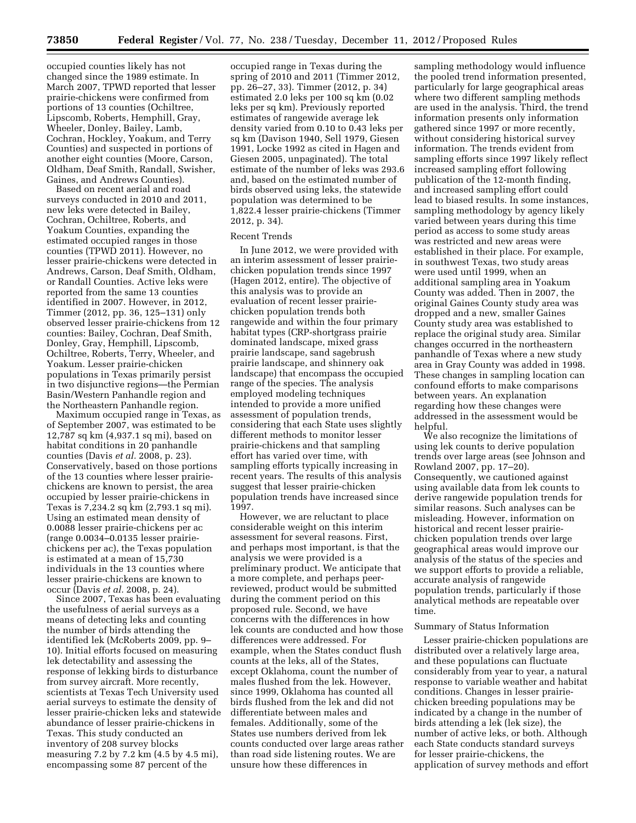**73850 Federal Register** / Vol. 77, No. 238 / Tuesday, December 11, 2012 / Proposed Rules

occupied counties likely has not changed since the 1989 estimate. In March 2007, TPWD reported that lesser prairie-chickens were confirmed from portions of 13 counties (Ochiltree, Lipscomb, Roberts, Hemphill, Gray, Wheeler, Donley, Bailey, Lamb, Cochran, Hockley, Yoakum, and Terry Counties) and suspected in portions of another eight counties (Moore, Carson, Oldham, Deaf Smith, Randall, Swisher, Gaines, and Andrews Counties).

Based on recent aerial and road surveys conducted in 2010 and 2011, new leks were detected in Bailey, Cochran, Ochiltree, Roberts, and Yoakum Counties, expanding the estimated occupied ranges in those counties (TPWD 2011). However, no lesser prairie-chickens were detected in Andrews, Carson, Deaf Smith, Oldham, or Randall Counties. Active leks were reported from the same 13 counties identified in 2007. However, in 2012, Timmer (2012, pp. 36, 125–131) only observed lesser prairie-chickens from 12 counties: Bailey, Cochran, Deaf Smith, Donley, Gray, Hemphill, Lipscomb, Ochiltree, Roberts, Terry, Wheeler, and Yoakum. Lesser prairie-chicken populations in Texas primarily persist in two disjunctive regions—the Permian Basin/Western Panhandle region and the Northeastern Panhandle region.

Maximum occupied range in Texas, as of September 2007, was estimated to be 12,787 sq km (4,937.1 sq mi), based on habitat conditions in 20 panhandle counties (Davis *et al.* 2008, p. 23). Conservatively, based on those portions of the 13 counties where lesser prairiechickens are known to persist, the area occupied by lesser prairie-chickens in Texas is 7,234.2 sq km (2,793.1 sq mi). Using an estimated mean density of 0.0088 lesser prairie-chickens per ac (range 0.0034–0.0135 lesser prairiechickens per ac), the Texas population is estimated at a mean of 15,730 individuals in the 13 counties where lesser prairie-chickens are known to occur (Davis *et al.* 2008, p. 24).

Since 2007, Texas has been evaluating the usefulness of aerial surveys as a means of detecting leks and counting the number of birds attending the identified lek (McRoberts 2009, pp. 9– 10). Initial efforts focused on measuring lek detectability and assessing the response of lekking birds to disturbance from survey aircraft. More recently, scientists at Texas Tech University used aerial surveys to estimate the density of lesser prairie-chicken leks and statewide abundance of lesser prairie-chickens in Texas. This study conducted an inventory of 208 survey blocks measuring 7.2 by 7.2 km (4.5 by 4.5 mi), encompassing some 87 percent of the

occupied range in Texas during the spring of 2010 and 2011 (Timmer 2012, pp. 26–27, 33). Timmer (2012, p. 34) estimated 2.0 leks per 100 sq km (0.02 leks per sq km). Previously reported estimates of rangewide average lek density varied from 0.10 to 0.43 leks per sq km (Davison 1940, Sell 1979, Giesen 1991, Locke 1992 as cited in Hagen and Giesen 2005, unpaginated). The total estimate of the number of leks was 293.6 and, based on the estimated number of birds observed using leks, the statewide population was determined to be 1,822.4 lesser prairie-chickens (Timmer 2012, p. 34).

### Recent Trends

In June 2012, we were provided with an interim assessment of lesser prairiechicken population trends since 1997 (Hagen 2012, entire). The objective of this analysis was to provide an evaluation of recent lesser prairiechicken population trends both rangewide and within the four primary habitat types (CRP-shortgrass prairie dominated landscape, mixed grass prairie landscape, sand sagebrush prairie landscape, and shinnery oak landscape) that encompass the occupied range of the species. The analysis employed modeling techniques intended to provide a more unified assessment of population trends, considering that each State uses slightly different methods to monitor lesser prairie-chickens and that sampling effort has varied over time, with sampling efforts typically increasing in recent years. The results of this analysis suggest that lesser prairie-chicken population trends have increased since 1997.

However, we are reluctant to place considerable weight on this interim assessment for several reasons. First, and perhaps most important, is that the analysis we were provided is a preliminary product. We anticipate that a more complete, and perhaps peerreviewed, product would be submitted during the comment period on this proposed rule. Second, we have concerns with the differences in how lek counts are conducted and how those differences were addressed. For example, when the States conduct flush counts at the leks, all of the States, except Oklahoma, count the number of males flushed from the lek. However, since 1999, Oklahoma has counted all birds flushed from the lek and did not differentiate between males and females. Additionally, some of the States use numbers derived from lek counts conducted over large areas rather than road side listening routes. We are unsure how these differences in

sampling methodology would influence the pooled trend information presented, particularly for large geographical areas where two different sampling methods are used in the analysis. Third, the trend information presents only information gathered since 1997 or more recently, without considering historical survey information. The trends evident from sampling efforts since 1997 likely reflect increased sampling effort following publication of the 12-month finding, and increased sampling effort could lead to biased results. In some instances, sampling methodology by agency likely varied between years during this time period as access to some study areas was restricted and new areas were established in their place. For example, in southwest Texas, two study areas were used until 1999, when an additional sampling area in Yoakum County was added. Then in 2007, the original Gaines County study area was dropped and a new, smaller Gaines County study area was established to replace the original study area. Similar changes occurred in the northeastern panhandle of Texas where a new study area in Gray County was added in 1998. These changes in sampling location can confound efforts to make comparisons between years. An explanation regarding how these changes were addressed in the assessment would be helpful.

We also recognize the limitations of using lek counts to derive population trends over large areas (see Johnson and Rowland 2007, pp. 17–20). Consequently, we cautioned against using available data from lek counts to derive rangewide population trends for similar reasons. Such analyses can be misleading. However, information on historical and recent lesser prairiechicken population trends over large geographical areas would improve our analysis of the status of the species and we support efforts to provide a reliable, accurate analysis of rangewide population trends, particularly if those analytical methods are repeatable over time.

## Summary of Status Information

Lesser prairie-chicken populations are distributed over a relatively large area, and these populations can fluctuate considerably from year to year, a natural response to variable weather and habitat conditions. Changes in lesser prairiechicken breeding populations may be indicated by a change in the number of birds attending a lek (lek size), the number of active leks, or both. Although each State conducts standard surveys for lesser prairie-chickens, the application of survey methods and effort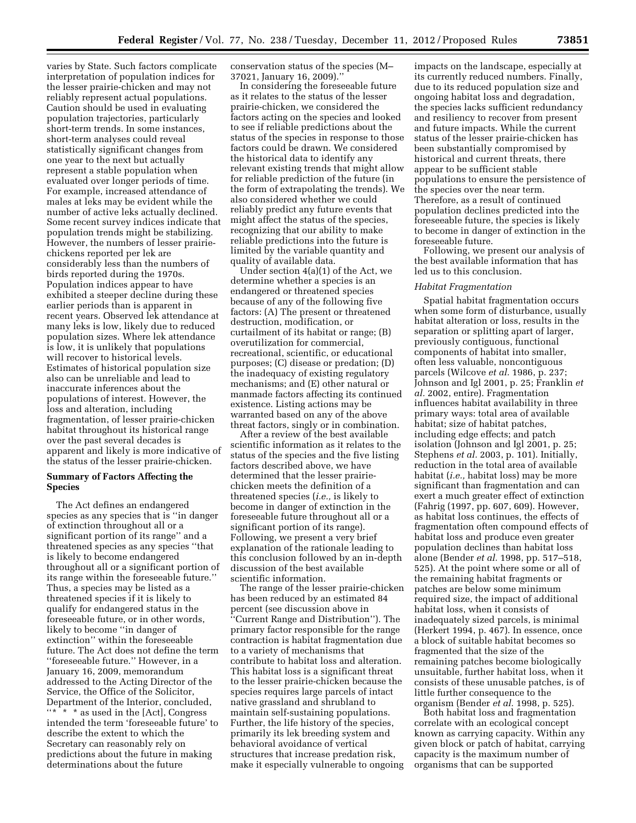varies by State. Such factors complicate interpretation of population indices for the lesser prairie-chicken and may not reliably represent actual populations. Caution should be used in evaluating population trajectories, particularly short-term trends. In some instances, short-term analyses could reveal statistically significant changes from one year to the next but actually represent a stable population when evaluated over longer periods of time. For example, increased attendance of males at leks may be evident while the number of active leks actually declined. Some recent survey indices indicate that population trends might be stabilizing. However, the numbers of lesser prairiechickens reported per lek are considerably less than the numbers of birds reported during the 1970s. Population indices appear to have exhibited a steeper decline during these earlier periods than is apparent in recent years. Observed lek attendance at many leks is low, likely due to reduced population sizes. Where lek attendance is low, it is unlikely that populations will recover to historical levels. Estimates of historical population size also can be unreliable and lead to inaccurate inferences about the populations of interest. However, the loss and alteration, including fragmentation, of lesser prairie-chicken habitat throughout its historical range over the past several decades is apparent and likely is more indicative of the status of the lesser prairie-chicken.

## **Summary of Factors Affecting the Species**

The Act defines an endangered species as any species that is ''in danger of extinction throughout all or a significant portion of its range'' and a threatened species as any species ''that is likely to become endangered throughout all or a significant portion of its range within the foreseeable future.'' Thus, a species may be listed as a threatened species if it is likely to qualify for endangered status in the foreseeable future, or in other words, likely to become ''in danger of extinction'' within the foreseeable future. The Act does not define the term ''foreseeable future.'' However, in a January 16, 2009, memorandum addressed to the Acting Director of the Service, the Office of the Solicitor, Department of the Interior, concluded, ''\* \* \* as used in the [Act], Congress intended the term 'foreseeable future' to describe the extent to which the Secretary can reasonably rely on predictions about the future in making determinations about the future

conservation status of the species (M– 37021, January 16, 2009).''

In considering the foreseeable future as it relates to the status of the lesser prairie-chicken, we considered the factors acting on the species and looked to see if reliable predictions about the status of the species in response to those factors could be drawn. We considered the historical data to identify any relevant existing trends that might allow for reliable prediction of the future (in the form of extrapolating the trends). We also considered whether we could reliably predict any future events that might affect the status of the species, recognizing that our ability to make reliable predictions into the future is limited by the variable quantity and quality of available data.

Under section 4(a)(1) of the Act, we determine whether a species is an endangered or threatened species because of any of the following five factors: (A) The present or threatened destruction, modification, or curtailment of its habitat or range; (B) overutilization for commercial, recreational, scientific, or educational purposes; (C) disease or predation; (D) the inadequacy of existing regulatory mechanisms; and (E) other natural or manmade factors affecting its continued existence. Listing actions may be warranted based on any of the above threat factors, singly or in combination.

After a review of the best available scientific information as it relates to the status of the species and the five listing factors described above, we have determined that the lesser prairiechicken meets the definition of a threatened species (*i.e.,* is likely to become in danger of extinction in the foreseeable future throughout all or a significant portion of its range). Following, we present a very brief explanation of the rationale leading to this conclusion followed by an in-depth discussion of the best available scientific information.

The range of the lesser prairie-chicken has been reduced by an estimated 84 percent (see discussion above in ''Current Range and Distribution''). The primary factor responsible for the range contraction is habitat fragmentation due to a variety of mechanisms that contribute to habitat loss and alteration. This habitat loss is a significant threat to the lesser prairie-chicken because the species requires large parcels of intact native grassland and shrubland to maintain self-sustaining populations. Further, the life history of the species, primarily its lek breeding system and behavioral avoidance of vertical structures that increase predation risk, make it especially vulnerable to ongoing

impacts on the landscape, especially at its currently reduced numbers. Finally, due to its reduced population size and ongoing habitat loss and degradation, the species lacks sufficient redundancy and resiliency to recover from present and future impacts. While the current status of the lesser prairie-chicken has been substantially compromised by historical and current threats, there appear to be sufficient stable populations to ensure the persistence of the species over the near term. Therefore, as a result of continued population declines predicted into the foreseeable future, the species is likely to become in danger of extinction in the foreseeable future.

Following, we present our analysis of the best available information that has led us to this conclusion.

#### *Habitat Fragmentation*

Spatial habitat fragmentation occurs when some form of disturbance, usually habitat alteration or loss, results in the separation or splitting apart of larger, previously contiguous, functional components of habitat into smaller, often less valuable, noncontiguous parcels (Wilcove *et al.* 1986, p. 237; Johnson and Igl 2001, p. 25; Franklin *et al.* 2002, entire). Fragmentation influences habitat availability in three primary ways: total area of available habitat; size of habitat patches, including edge effects; and patch isolation (Johnson and Igl 2001, p. 25; Stephens *et al.* 2003, p. 101). Initially, reduction in the total area of available habitat (*i.e.,* habitat loss) may be more significant than fragmentation and can exert a much greater effect of extinction (Fahrig (1997, pp. 607, 609). However, as habitat loss continues, the effects of fragmentation often compound effects of habitat loss and produce even greater population declines than habitat loss alone (Bender *et al.* 1998, pp. 517–518, 525). At the point where some or all of the remaining habitat fragments or patches are below some minimum required size, the impact of additional habitat loss, when it consists of inadequately sized parcels, is minimal (Herkert 1994, p. 467). In essence, once a block of suitable habitat becomes so fragmented that the size of the remaining patches become biologically unsuitable, further habitat loss, when it consists of these unusable patches, is of little further consequence to the organism (Bender *et al.* 1998, p. 525).

Both habitat loss and fragmentation correlate with an ecological concept known as carrying capacity. Within any given block or patch of habitat, carrying capacity is the maximum number of organisms that can be supported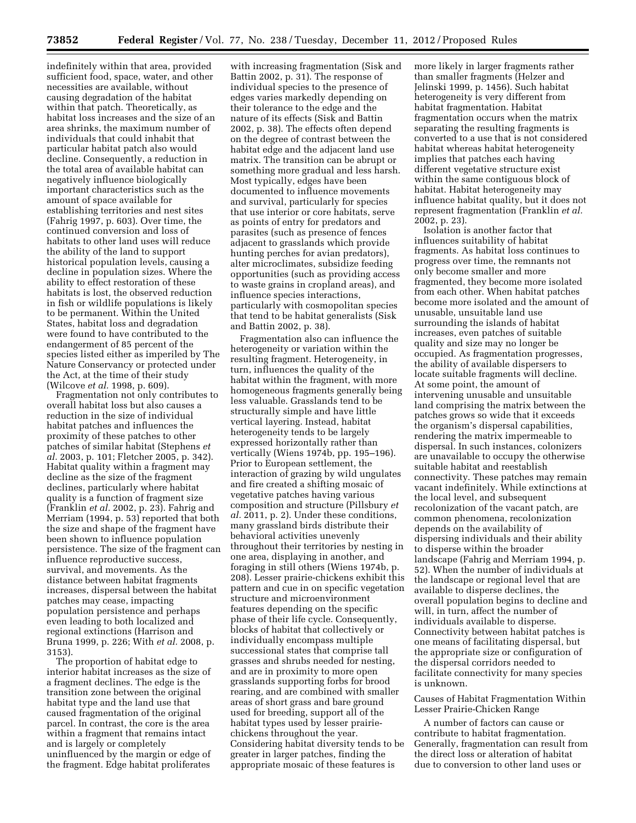indefinitely within that area, provided sufficient food, space, water, and other necessities are available, without causing degradation of the habitat within that patch. Theoretically, as habitat loss increases and the size of an area shrinks, the maximum number of individuals that could inhabit that particular habitat patch also would decline. Consequently, a reduction in the total area of available habitat can negatively influence biologically important characteristics such as the amount of space available for establishing territories and nest sites (Fahrig 1997, p. 603). Over time, the continued conversion and loss of habitats to other land uses will reduce the ability of the land to support historical population levels, causing a decline in population sizes. Where the ability to effect restoration of these habitats is lost, the observed reduction in fish or wildlife populations is likely to be permanent. Within the United States, habitat loss and degradation were found to have contributed to the endangerment of 85 percent of the species listed either as imperiled by The Nature Conservancy or protected under the Act, at the time of their study (Wilcove *et al.* 1998, p. 609).

Fragmentation not only contributes to overall habitat loss but also causes a reduction in the size of individual habitat patches and influences the proximity of these patches to other patches of similar habitat (Stephens *et al.* 2003, p. 101; Fletcher 2005, p. 342). Habitat quality within a fragment may decline as the size of the fragment declines, particularly where habitat quality is a function of fragment size (Franklin *et al.* 2002, p. 23). Fahrig and Merriam (1994, p. 53) reported that both the size and shape of the fragment have been shown to influence population persistence. The size of the fragment can influence reproductive success, survival, and movements. As the distance between habitat fragments increases, dispersal between the habitat patches may cease, impacting population persistence and perhaps even leading to both localized and regional extinctions (Harrison and Bruna 1999, p. 226; With *et al.* 2008, p. 3153).

The proportion of habitat edge to interior habitat increases as the size of a fragment declines. The edge is the transition zone between the original habitat type and the land use that caused fragmentation of the original parcel. In contrast, the core is the area within a fragment that remains intact and is largely or completely uninfluenced by the margin or edge of the fragment. Edge habitat proliferates

with increasing fragmentation (Sisk and Battin 2002, p. 31). The response of individual species to the presence of edges varies markedly depending on their tolerance to the edge and the nature of its effects (Sisk and Battin 2002, p. 38). The effects often depend on the degree of contrast between the habitat edge and the adjacent land use matrix. The transition can be abrupt or something more gradual and less harsh. Most typically, edges have been documented to influence movements and survival, particularly for species that use interior or core habitats, serve as points of entry for predators and parasites (such as presence of fences adjacent to grasslands which provide hunting perches for avian predators), alter microclimates, subsidize feeding opportunities (such as providing access to waste grains in cropland areas), and influence species interactions, particularly with cosmopolitan species that tend to be habitat generalists (Sisk and Battin 2002, p. 38).

Fragmentation also can influence the heterogeneity or variation within the resulting fragment. Heterogeneity, in turn, influences the quality of the habitat within the fragment, with more homogeneous fragments generally being less valuable. Grasslands tend to be structurally simple and have little vertical layering. Instead, habitat heterogeneity tends to be largely expressed horizontally rather than vertically (Wiens 1974b, pp. 195–196). Prior to European settlement, the interaction of grazing by wild ungulates and fire created a shifting mosaic of vegetative patches having various composition and structure (Pillsbury *et al.* 2011, p. 2). Under these conditions, many grassland birds distribute their behavioral activities unevenly throughout their territories by nesting in one area, displaying in another, and foraging in still others (Wiens 1974b, p. 208). Lesser prairie-chickens exhibit this pattern and cue in on specific vegetation structure and microenvironment features depending on the specific phase of their life cycle. Consequently, blocks of habitat that collectively or individually encompass multiple successional states that comprise tall grasses and shrubs needed for nesting, and are in proximity to more open grasslands supporting forbs for brood rearing, and are combined with smaller areas of short grass and bare ground used for breeding, support all of the habitat types used by lesser prairiechickens throughout the year. Considering habitat diversity tends to be greater in larger patches, finding the appropriate mosaic of these features is

more likely in larger fragments rather than smaller fragments (Helzer and Jelinski 1999, p. 1456). Such habitat heterogeneity is very different from habitat fragmentation. Habitat fragmentation occurs when the matrix separating the resulting fragments is converted to a use that is not considered habitat whereas habitat heterogeneity implies that patches each having different vegetative structure exist within the same contiguous block of habitat. Habitat heterogeneity may influence habitat quality, but it does not represent fragmentation (Franklin *et al.*  2002, p. 23).

Isolation is another factor that influences suitability of habitat fragments. As habitat loss continues to progress over time, the remnants not only become smaller and more fragmented, they become more isolated from each other. When habitat patches become more isolated and the amount of unusable, unsuitable land use surrounding the islands of habitat increases, even patches of suitable quality and size may no longer be occupied. As fragmentation progresses, the ability of available dispersers to locate suitable fragments will decline. At some point, the amount of intervening unusable and unsuitable land comprising the matrix between the patches grows so wide that it exceeds the organism's dispersal capabilities, rendering the matrix impermeable to dispersal. In such instances, colonizers are unavailable to occupy the otherwise suitable habitat and reestablish connectivity. These patches may remain vacant indefinitely. While extinctions at the local level, and subsequent recolonization of the vacant patch, are common phenomena, recolonization depends on the availability of dispersing individuals and their ability to disperse within the broader landscape (Fahrig and Merriam 1994, p. 52). When the number of individuals at the landscape or regional level that are available to disperse declines, the overall population begins to decline and will, in turn, affect the number of individuals available to disperse. Connectivity between habitat patches is one means of facilitating dispersal, but the appropriate size or configuration of the dispersal corridors needed to facilitate connectivity for many species is unknown.

Causes of Habitat Fragmentation Within Lesser Prairie-Chicken Range

A number of factors can cause or contribute to habitat fragmentation. Generally, fragmentation can result from the direct loss or alteration of habitat due to conversion to other land uses or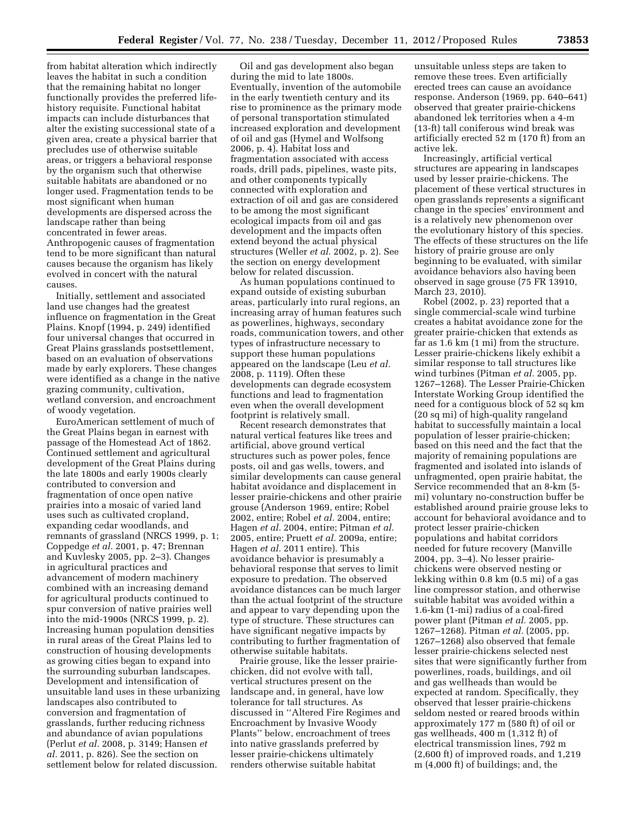from habitat alteration which indirectly leaves the habitat in such a condition that the remaining habitat no longer functionally provides the preferred lifehistory requisite. Functional habitat impacts can include disturbances that alter the existing successional state of a given area, create a physical barrier that precludes use of otherwise suitable areas, or triggers a behavioral response by the organism such that otherwise suitable habitats are abandoned or no longer used. Fragmentation tends to be most significant when human developments are dispersed across the landscape rather than being concentrated in fewer areas. Anthropogenic causes of fragmentation tend to be more significant than natural causes because the organism has likely evolved in concert with the natural causes.

Initially, settlement and associated land use changes had the greatest influence on fragmentation in the Great Plains. Knopf (1994, p. 249) identified four universal changes that occurred in Great Plains grasslands postsettlement, based on an evaluation of observations made by early explorers. These changes were identified as a change in the native grazing community, cultivation, wetland conversion, and encroachment of woody vegetation.

EuroAmerican settlement of much of the Great Plains began in earnest with passage of the Homestead Act of 1862. Continued settlement and agricultural development of the Great Plains during the late 1800s and early 1900s clearly contributed to conversion and fragmentation of once open native prairies into a mosaic of varied land uses such as cultivated cropland, expanding cedar woodlands, and remnants of grassland (NRCS 1999, p. 1; Coppedge *et al.* 2001, p. 47; Brennan and Kuvlesky 2005, pp. 2–3). Changes in agricultural practices and advancement of modern machinery combined with an increasing demand for agricultural products continued to spur conversion of native prairies well into the mid-1900s (NRCS 1999, p. 2). Increasing human population densities in rural areas of the Great Plains led to construction of housing developments as growing cities began to expand into the surrounding suburban landscapes. Development and intensification of unsuitable land uses in these urbanizing landscapes also contributed to conversion and fragmentation of grasslands, further reducing richness and abundance of avian populations (Perlut *et al.* 2008, p. 3149; Hansen *et al.* 2011, p. 826). See the section on settlement below for related discussion.

Oil and gas development also began during the mid to late 1800s. Eventually, invention of the automobile in the early twentieth century and its rise to prominence as the primary mode of personal transportation stimulated increased exploration and development of oil and gas (Hymel and Wolfsong 2006, p. 4). Habitat loss and fragmentation associated with access roads, drill pads, pipelines, waste pits, and other components typically connected with exploration and extraction of oil and gas are considered to be among the most significant ecological impacts from oil and gas development and the impacts often extend beyond the actual physical structures (Weller *et al.* 2002, p. 2). See the section on energy development below for related discussion.

As human populations continued to expand outside of existing suburban areas, particularly into rural regions, an increasing array of human features such as powerlines, highways, secondary roads, communication towers, and other types of infrastructure necessary to support these human populations appeared on the landscape (Leu *et al.*  2008, p. 1119). Often these developments can degrade ecosystem functions and lead to fragmentation even when the overall development footprint is relatively small.

Recent research demonstrates that natural vertical features like trees and artificial, above ground vertical structures such as power poles, fence posts, oil and gas wells, towers, and similar developments can cause general habitat avoidance and displacement in lesser prairie-chickens and other prairie grouse (Anderson 1969, entire; Robel 2002, entire; Robel *et al.* 2004, entire; Hagen *et al.* 2004, entire; Pitman *et al.*  2005, entire; Pruett *et al.* 2009a, entire; Hagen *et al.* 2011 entire). This avoidance behavior is presumably a behavioral response that serves to limit exposure to predation. The observed avoidance distances can be much larger than the actual footprint of the structure and appear to vary depending upon the type of structure. These structures can have significant negative impacts by contributing to further fragmentation of otherwise suitable habitats.

Prairie grouse, like the lesser prairiechicken, did not evolve with tall, vertical structures present on the landscape and, in general, have low tolerance for tall structures. As discussed in ''Altered Fire Regimes and Encroachment by Invasive Woody Plants'' below, encroachment of trees into native grasslands preferred by lesser prairie-chickens ultimately renders otherwise suitable habitat

unsuitable unless steps are taken to remove these trees. Even artificially erected trees can cause an avoidance response. Anderson (1969, pp. 640–641) observed that greater prairie-chickens abandoned lek territories when a 4-m (13-ft) tall coniferous wind break was artificially erected 52 m (170 ft) from an active lek.

Increasingly, artificial vertical structures are appearing in landscapes used by lesser prairie-chickens. The placement of these vertical structures in open grasslands represents a significant change in the species' environment and is a relatively new phenomenon over the evolutionary history of this species. The effects of these structures on the life history of prairie grouse are only beginning to be evaluated, with similar avoidance behaviors also having been observed in sage grouse (75 FR 13910, March 23, 2010).

Robel (2002, p. 23) reported that a single commercial-scale wind turbine creates a habitat avoidance zone for the greater prairie-chicken that extends as far as 1.6 km (1 mi) from the structure. Lesser prairie-chickens likely exhibit a similar response to tall structures like wind turbines (Pitman *et al.* 2005, pp. 1267–1268). The Lesser Prairie-Chicken Interstate Working Group identified the need for a contiguous block of 52 sq km (20 sq mi) of high-quality rangeland habitat to successfully maintain a local population of lesser prairie-chicken; based on this need and the fact that the majority of remaining populations are fragmented and isolated into islands of unfragmented, open prairie habitat, the Service recommended that an 8-km (5 mi) voluntary no-construction buffer be established around prairie grouse leks to account for behavioral avoidance and to protect lesser prairie-chicken populations and habitat corridors needed for future recovery (Manville 2004, pp. 3–4). No lesser prairiechickens were observed nesting or lekking within 0.8 km (0.5 mi) of a gas line compressor station, and otherwise suitable habitat was avoided within a 1.6-km (1-mi) radius of a coal-fired power plant (Pitman *et al.* 2005, pp. 1267–1268). Pitman *et al.* (2005, pp. 1267–1268) also observed that female lesser prairie-chickens selected nest sites that were significantly further from powerlines, roads, buildings, and oil and gas wellheads than would be expected at random. Specifically, they observed that lesser prairie-chickens seldom nested or reared broods within approximately 177 m (580 ft) of oil or gas wellheads, 400 m (1,312 ft) of electrical transmission lines, 792 m (2,600 ft) of improved roads, and 1,219 m (4,000 ft) of buildings; and, the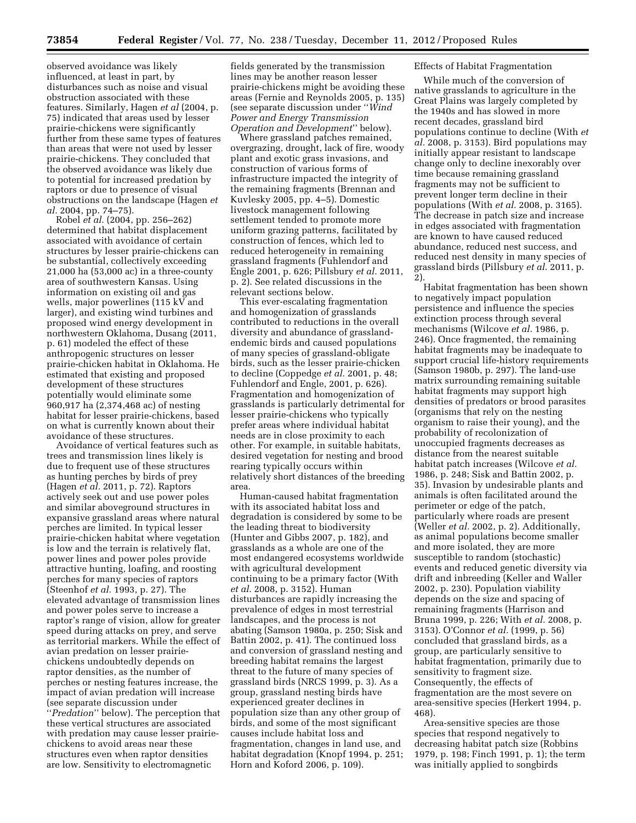observed avoidance was likely influenced, at least in part, by disturbances such as noise and visual obstruction associated with these features. Similarly, Hagen *et al* (2004, p. 75) indicated that areas used by lesser prairie-chickens were significantly further from these same types of features than areas that were not used by lesser prairie-chickens. They concluded that the observed avoidance was likely due to potential for increased predation by raptors or due to presence of visual obstructions on the landscape (Hagen *et al.* 2004, pp. 74–75).

Robel *et al.* (2004, pp. 256–262) determined that habitat displacement associated with avoidance of certain structures by lesser prairie-chickens can be substantial, collectively exceeding 21,000 ha (53,000 ac) in a three-county area of southwestern Kansas. Using information on existing oil and gas wells, major powerlines (115 kV and larger), and existing wind turbines and proposed wind energy development in northwestern Oklahoma, Dusang (2011, p. 61) modeled the effect of these anthropogenic structures on lesser prairie-chicken habitat in Oklahoma. He estimated that existing and proposed development of these structures potentially would eliminate some 960,917 ha (2,374,468 ac) of nesting habitat for lesser prairie-chickens, based on what is currently known about their avoidance of these structures.

Avoidance of vertical features such as trees and transmission lines likely is due to frequent use of these structures as hunting perches by birds of prey (Hagen *et al.* 2011, p. 72). Raptors actively seek out and use power poles and similar aboveground structures in expansive grassland areas where natural perches are limited. In typical lesser prairie-chicken habitat where vegetation is low and the terrain is relatively flat, power lines and power poles provide attractive hunting, loafing, and roosting perches for many species of raptors (Steenhof *et al.* 1993, p. 27). The elevated advantage of transmission lines and power poles serve to increase a raptor's range of vision, allow for greater speed during attacks on prey, and serve as territorial markers. While the effect of avian predation on lesser prairiechickens undoubtedly depends on raptor densities, as the number of perches or nesting features increase, the impact of avian predation will increase (see separate discussion under ''*Predation*'' below). The perception that these vertical structures are associated with predation may cause lesser prairiechickens to avoid areas near these structures even when raptor densities are low. Sensitivity to electromagnetic

fields generated by the transmission lines may be another reason lesser prairie-chickens might be avoiding these areas (Fernie and Reynolds 2005, p. 135) (see separate discussion under ''*Wind Power and Energy Transmission Operation and Development*'' below).

Where grassland patches remained, overgrazing, drought, lack of fire, woody plant and exotic grass invasions, and construction of various forms of infrastructure impacted the integrity of the remaining fragments (Brennan and Kuvlesky 2005, pp. 4–5). Domestic livestock management following settlement tended to promote more uniform grazing patterns, facilitated by construction of fences, which led to reduced heterogeneity in remaining grassland fragments (Fuhlendorf and Engle 2001, p. 626; Pillsbury *et al.* 2011, p. 2). See related discussions in the relevant sections below.

This ever-escalating fragmentation and homogenization of grasslands contributed to reductions in the overall diversity and abundance of grasslandendemic birds and caused populations of many species of grassland-obligate birds, such as the lesser prairie-chicken to decline (Coppedge *et al.* 2001, p. 48; Fuhlendorf and Engle, 2001, p. 626). Fragmentation and homogenization of grasslands is particularly detrimental for lesser prairie-chickens who typically prefer areas where individual habitat needs are in close proximity to each other. For example, in suitable habitats, desired vegetation for nesting and brood rearing typically occurs within relatively short distances of the breeding area.

Human-caused habitat fragmentation with its associated habitat loss and degradation is considered by some to be the leading threat to biodiversity (Hunter and Gibbs 2007, p. 182), and grasslands as a whole are one of the most endangered ecosystems worldwide with agricultural development continuing to be a primary factor (With *et al.* 2008, p. 3152). Human disturbances are rapidly increasing the prevalence of edges in most terrestrial landscapes, and the process is not abating (Samson 1980a, p. 250; Sisk and Battin 2002, p. 41). The continued loss and conversion of grassland nesting and breeding habitat remains the largest threat to the future of many species of grassland birds (NRCS 1999, p. 3). As a group, grassland nesting birds have experienced greater declines in population size than any other group of birds, and some of the most significant causes include habitat loss and fragmentation, changes in land use, and habitat degradation (Knopf 1994, p. 251; Horn and Koford 2006, p. 109).

## Effects of Habitat Fragmentation

While much of the conversion of native grasslands to agriculture in the Great Plains was largely completed by the 1940s and has slowed in more recent decades, grassland bird populations continue to decline (With *et al.* 2008, p. 3153). Bird populations may initially appear resistant to landscape change only to decline inexorably over time because remaining grassland fragments may not be sufficient to prevent longer term decline in their populations (With *et al.* 2008, p. 3165). The decrease in patch size and increase in edges associated with fragmentation are known to have caused reduced abundance, reduced nest success, and reduced nest density in many species of grassland birds (Pillsbury *et al.* 2011, p. 2).

Habitat fragmentation has been shown to negatively impact population persistence and influence the species extinction process through several mechanisms (Wilcove *et al.* 1986, p. 246). Once fragmented, the remaining habitat fragments may be inadequate to support crucial life-history requirements (Samson 1980b, p. 297). The land-use matrix surrounding remaining suitable habitat fragments may support high densities of predators or brood parasites (organisms that rely on the nesting organism to raise their young), and the probability of recolonization of unoccupied fragments decreases as distance from the nearest suitable habitat patch increases (Wilcove *et al.*  1986, p. 248; Sisk and Battin 2002, p. 35). Invasion by undesirable plants and animals is often facilitated around the perimeter or edge of the patch, particularly where roads are present (Weller *et al.* 2002, p. 2). Additionally, as animal populations become smaller and more isolated, they are more susceptible to random (stochastic) events and reduced genetic diversity via drift and inbreeding (Keller and Waller 2002, p. 230). Population viability depends on the size and spacing of remaining fragments (Harrison and Bruna 1999, p. 226; With *et al.* 2008, p. 3153). O'Connor *et al.* (1999, p. 56) concluded that grassland birds, as a group, are particularly sensitive to habitat fragmentation, primarily due to sensitivity to fragment size. Consequently, the effects of fragmentation are the most severe on area-sensitive species (Herkert 1994, p. 468).

Area-sensitive species are those species that respond negatively to decreasing habitat patch size (Robbins 1979, p. 198; Finch 1991, p. 1); the term was initially applied to songbirds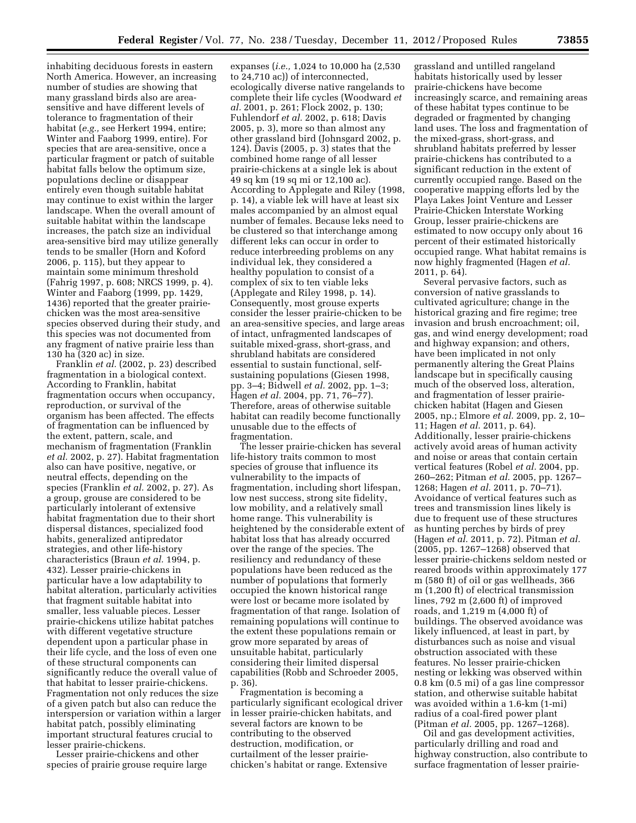inhabiting deciduous forests in eastern North America. However, an increasing number of studies are showing that many grassland birds also are areasensitive and have different levels of tolerance to fragmentation of their habitat (*e.g.,* see Herkert 1994, entire; Winter and Faaborg 1999, entire). For species that are area-sensitive, once a particular fragment or patch of suitable habitat falls below the optimum size, populations decline or disappear entirely even though suitable habitat may continue to exist within the larger landscape. When the overall amount of suitable habitat within the landscape increases, the patch size an individual area-sensitive bird may utilize generally tends to be smaller (Horn and Koford 2006, p. 115), but they appear to maintain some minimum threshold (Fahrig 1997, p. 608; NRCS 1999, p. 4). Winter and Faaborg (1999, pp. 1429, 1436) reported that the greater prairiechicken was the most area-sensitive species observed during their study, and this species was not documented from any fragment of native prairie less than 130 ha (320 ac) in size.

Franklin *et al.* (2002, p. 23) described fragmentation in a biological context. According to Franklin, habitat fragmentation occurs when occupancy, reproduction, or survival of the organism has been affected. The effects of fragmentation can be influenced by the extent, pattern, scale, and mechanism of fragmentation (Franklin *et al.* 2002, p. 27). Habitat fragmentation also can have positive, negative, or neutral effects, depending on the species (Franklin *et al.* 2002, p. 27). As a group, grouse are considered to be particularly intolerant of extensive habitat fragmentation due to their short dispersal distances, specialized food habits, generalized antipredator strategies, and other life-history characteristics (Braun *et al.* 1994, p. 432). Lesser prairie-chickens in particular have a low adaptability to habitat alteration, particularly activities that fragment suitable habitat into smaller, less valuable pieces. Lesser prairie-chickens utilize habitat patches with different vegetative structure dependent upon a particular phase in their life cycle, and the loss of even one of these structural components can significantly reduce the overall value of that habitat to lesser prairie-chickens. Fragmentation not only reduces the size of a given patch but also can reduce the interspersion or variation within a larger habitat patch, possibly eliminating important structural features crucial to lesser prairie-chickens.

Lesser prairie-chickens and other species of prairie grouse require large

expanses (*i.e.,* 1,024 to 10,000 ha (2,530 to 24,710 ac)) of interconnected, ecologically diverse native rangelands to complete their life cycles (Woodward *et al.* 2001, p. 261; Flock 2002, p. 130; Fuhlendorf *et al.* 2002, p. 618; Davis 2005, p. 3), more so than almost any other grassland bird (Johnsgard 2002, p. 124). Davis (2005, p. 3) states that the combined home range of all lesser prairie-chickens at a single lek is about 49 sq km (19 sq mi or 12,100 ac). According to Applegate and Riley (1998, p. 14), a viable lek will have at least six males accompanied by an almost equal number of females. Because leks need to be clustered so that interchange among different leks can occur in order to reduce interbreeding problems on any individual lek, they considered a healthy population to consist of a complex of six to ten viable leks (Applegate and Riley 1998, p. 14). Consequently, most grouse experts consider the lesser prairie-chicken to be an area-sensitive species, and large areas of intact, unfragmented landscapes of suitable mixed-grass, short-grass, and shrubland habitats are considered essential to sustain functional, selfsustaining populations (Giesen 1998, pp. 3–4; Bidwell *et al.* 2002, pp. 1–3; Hagen *et al.* 2004, pp. 71, 76–77). Therefore, areas of otherwise suitable habitat can readily become functionally unusable due to the effects of fragmentation.

The lesser prairie-chicken has several life-history traits common to most species of grouse that influence its vulnerability to the impacts of fragmentation, including short lifespan, low nest success, strong site fidelity, low mobility, and a relatively small home range. This vulnerability is heightened by the considerable extent of habitat loss that has already occurred over the range of the species. The resiliency and redundancy of these populations have been reduced as the number of populations that formerly occupied the known historical range were lost or became more isolated by fragmentation of that range. Isolation of remaining populations will continue to the extent these populations remain or grow more separated by areas of unsuitable habitat, particularly considering their limited dispersal capabilities (Robb and Schroeder 2005, p. 36).

Fragmentation is becoming a particularly significant ecological driver in lesser prairie-chicken habitats, and several factors are known to be contributing to the observed destruction, modification, or curtailment of the lesser prairiechicken's habitat or range. Extensive

grassland and untilled rangeland habitats historically used by lesser prairie-chickens have become increasingly scarce, and remaining areas of these habitat types continue to be degraded or fragmented by changing land uses. The loss and fragmentation of the mixed-grass, short-grass, and shrubland habitats preferred by lesser prairie-chickens has contributed to a significant reduction in the extent of currently occupied range. Based on the cooperative mapping efforts led by the Playa Lakes Joint Venture and Lesser Prairie-Chicken Interstate Working Group, lesser prairie-chickens are estimated to now occupy only about 16 percent of their estimated historically occupied range. What habitat remains is now highly fragmented (Hagen *et al.*  2011, p. 64).

Several pervasive factors, such as conversion of native grasslands to cultivated agriculture; change in the historical grazing and fire regime; tree invasion and brush encroachment; oil, gas, and wind energy development; road and highway expansion; and others, have been implicated in not only permanently altering the Great Plains landscape but in specifically causing much of the observed loss, alteration, and fragmentation of lesser prairiechicken habitat (Hagen and Giesen 2005, np.; Elmore *et al.* 2009, pp. 2, 10– 11; Hagen *et al.* 2011, p. 64). Additionally, lesser prairie-chickens actively avoid areas of human activity and noise or areas that contain certain vertical features (Robel *et al.* 2004, pp. 260–262; Pitman *et al.* 2005, pp. 1267– 1268; Hagen *et al.* 2011, p. 70–71). Avoidance of vertical features such as trees and transmission lines likely is due to frequent use of these structures as hunting perches by birds of prey (Hagen *et al.* 2011, p. 72). Pitman *et al.*  (2005, pp. 1267–1268) observed that lesser prairie-chickens seldom nested or reared broods within approximately 177 m (580 ft) of oil or gas wellheads, 366 m (1,200 ft) of electrical transmission lines, 792 m (2,600 ft) of improved roads, and 1,219 m (4,000 ft) of buildings. The observed avoidance was likely influenced, at least in part, by disturbances such as noise and visual obstruction associated with these features. No lesser prairie-chicken nesting or lekking was observed within 0.8 km (0.5 mi) of a gas line compressor station, and otherwise suitable habitat was avoided within a 1.6-km (1-mi) radius of a coal-fired power plant (Pitman *et al.* 2005, pp. 1267–1268).

Oil and gas development activities, particularly drilling and road and highway construction, also contribute to surface fragmentation of lesser prairie-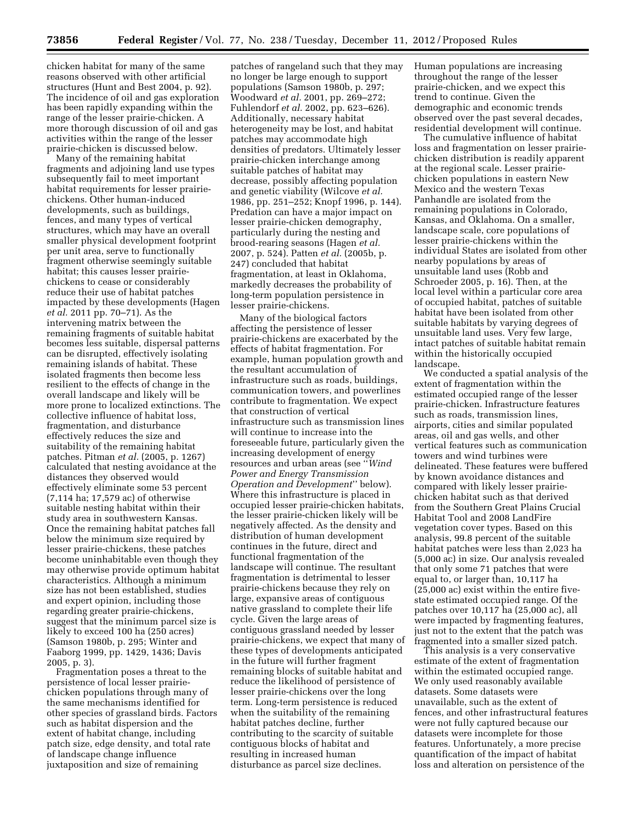chicken habitat for many of the same reasons observed with other artificial structures (Hunt and Best 2004, p. 92). The incidence of oil and gas exploration has been rapidly expanding within the range of the lesser prairie-chicken. A more thorough discussion of oil and gas activities within the range of the lesser prairie-chicken is discussed below.

Many of the remaining habitat fragments and adjoining land use types subsequently fail to meet important habitat requirements for lesser prairiechickens. Other human-induced developments, such as buildings, fences, and many types of vertical structures, which may have an overall smaller physical development footprint per unit area, serve to functionally fragment otherwise seemingly suitable habitat; this causes lesser prairiechickens to cease or considerably reduce their use of habitat patches impacted by these developments (Hagen *et al.* 2011 pp. 70–71). As the intervening matrix between the remaining fragments of suitable habitat becomes less suitable, dispersal patterns can be disrupted, effectively isolating remaining islands of habitat. These isolated fragments then become less resilient to the effects of change in the overall landscape and likely will be more prone to localized extinctions. The collective influence of habitat loss, fragmentation, and disturbance effectively reduces the size and suitability of the remaining habitat patches. Pitman *et al.* (2005, p. 1267) calculated that nesting avoidance at the distances they observed would effectively eliminate some 53 percent (7,114 ha; 17,579 ac) of otherwise suitable nesting habitat within their study area in southwestern Kansas. Once the remaining habitat patches fall below the minimum size required by lesser prairie-chickens, these patches become uninhabitable even though they may otherwise provide optimum habitat characteristics. Although a minimum size has not been established, studies and expert opinion, including those regarding greater prairie-chickens, suggest that the minimum parcel size is likely to exceed 100 ha (250 acres) (Samson 1980b, p. 295; Winter and Faaborg 1999, pp. 1429, 1436; Davis 2005, p. 3).

Fragmentation poses a threat to the persistence of local lesser prairiechicken populations through many of the same mechanisms identified for other species of grassland birds. Factors such as habitat dispersion and the extent of habitat change, including patch size, edge density, and total rate of landscape change influence juxtaposition and size of remaining

patches of rangeland such that they may no longer be large enough to support populations (Samson 1980b, p. 297; Woodward *et al.* 2001, pp. 269–272; Fuhlendorf *et al.* 2002, pp. 623–626). Additionally, necessary habitat heterogeneity may be lost, and habitat patches may accommodate high densities of predators. Ultimately lesser prairie-chicken interchange among suitable patches of habitat may decrease, possibly affecting population and genetic viability (Wilcove *et al.*  1986, pp. 251–252; Knopf 1996, p. 144). Predation can have a major impact on lesser prairie-chicken demography, particularly during the nesting and brood-rearing seasons (Hagen *et al.*  2007, p. 524). Patten *et al.* (2005b, p. 247) concluded that habitat fragmentation, at least in Oklahoma, markedly decreases the probability of long-term population persistence in lesser prairie-chickens.

Many of the biological factors affecting the persistence of lesser prairie-chickens are exacerbated by the effects of habitat fragmentation. For example, human population growth and the resultant accumulation of infrastructure such as roads, buildings, communication towers, and powerlines contribute to fragmentation. We expect that construction of vertical infrastructure such as transmission lines will continue to increase into the foreseeable future, particularly given the increasing development of energy resources and urban areas (see ''*Wind Power and Energy Transmission Operation and Development*'' below). Where this infrastructure is placed in occupied lesser prairie-chicken habitats, the lesser prairie-chicken likely will be negatively affected. As the density and distribution of human development continues in the future, direct and functional fragmentation of the landscape will continue. The resultant fragmentation is detrimental to lesser prairie-chickens because they rely on large, expansive areas of contiguous native grassland to complete their life cycle. Given the large areas of contiguous grassland needed by lesser prairie-chickens, we expect that many of these types of developments anticipated in the future will further fragment remaining blocks of suitable habitat and reduce the likelihood of persistence of lesser prairie-chickens over the long term. Long-term persistence is reduced when the suitability of the remaining habitat patches decline, further contributing to the scarcity of suitable contiguous blocks of habitat and resulting in increased human disturbance as parcel size declines.

Human populations are increasing throughout the range of the lesser prairie-chicken, and we expect this trend to continue. Given the demographic and economic trends observed over the past several decades, residential development will continue.

The cumulative influence of habitat loss and fragmentation on lesser prairiechicken distribution is readily apparent at the regional scale. Lesser prairiechicken populations in eastern New Mexico and the western Texas Panhandle are isolated from the remaining populations in Colorado, Kansas, and Oklahoma. On a smaller, landscape scale, core populations of lesser prairie-chickens within the individual States are isolated from other nearby populations by areas of unsuitable land uses (Robb and Schroeder 2005, p. 16). Then, at the local level within a particular core area of occupied habitat, patches of suitable habitat have been isolated from other suitable habitats by varying degrees of unsuitable land uses. Very few large, intact patches of suitable habitat remain within the historically occupied landscape.

We conducted a spatial analysis of the extent of fragmentation within the estimated occupied range of the lesser prairie-chicken. Infrastructure features such as roads, transmission lines, airports, cities and similar populated areas, oil and gas wells, and other vertical features such as communication towers and wind turbines were delineated. These features were buffered by known avoidance distances and compared with likely lesser prairiechicken habitat such as that derived from the Southern Great Plains Crucial Habitat Tool and 2008 LandFire vegetation cover types. Based on this analysis, 99.8 percent of the suitable habitat patches were less than 2,023 ha (5,000 ac) in size. Our analysis revealed that only some 71 patches that were equal to, or larger than, 10,117 ha (25,000 ac) exist within the entire fivestate estimated occupied range. Of the patches over 10,117 ha (25,000 ac), all were impacted by fragmenting features, just not to the extent that the patch was fragmented into a smaller sized patch.

This analysis is a very conservative estimate of the extent of fragmentation within the estimated occupied range. We only used reasonably available datasets. Some datasets were unavailable, such as the extent of fences, and other infrastructural features were not fully captured because our datasets were incomplete for those features. Unfortunately, a more precise quantification of the impact of habitat loss and alteration on persistence of the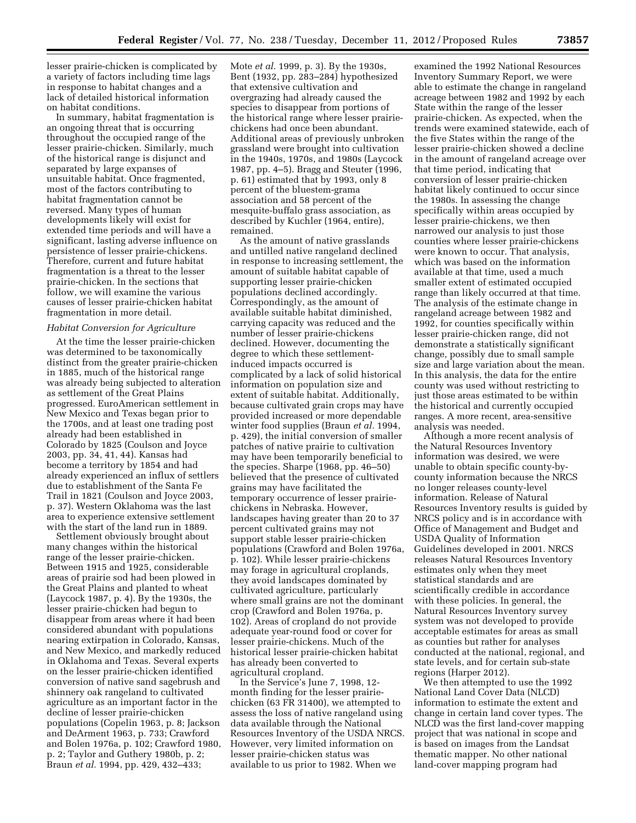lesser prairie-chicken is complicated by a variety of factors including time lags in response to habitat changes and a lack of detailed historical information on habitat conditions.

In summary, habitat fragmentation is an ongoing threat that is occurring throughout the occupied range of the lesser prairie-chicken. Similarly, much of the historical range is disjunct and separated by large expanses of unsuitable habitat. Once fragmented, most of the factors contributing to habitat fragmentation cannot be reversed. Many types of human developments likely will exist for extended time periods and will have a significant, lasting adverse influence on persistence of lesser prairie-chickens. Therefore, current and future habitat fragmentation is a threat to the lesser prairie-chicken. In the sections that follow, we will examine the various causes of lesser prairie-chicken habitat fragmentation in more detail.

#### *Habitat Conversion for Agriculture*

At the time the lesser prairie-chicken was determined to be taxonomically distinct from the greater prairie-chicken in 1885, much of the historical range was already being subjected to alteration as settlement of the Great Plains progressed. EuroAmerican settlement in New Mexico and Texas began prior to the 1700s, and at least one trading post already had been established in Colorado by 1825 (Coulson and Joyce 2003, pp. 34, 41, 44). Kansas had become a territory by 1854 and had already experienced an influx of settlers due to establishment of the Santa Fe Trail in 1821 (Coulson and Joyce 2003, p. 37). Western Oklahoma was the last area to experience extensive settlement with the start of the land run in 1889.

Settlement obviously brought about many changes within the historical range of the lesser prairie-chicken. Between 1915 and 1925, considerable areas of prairie sod had been plowed in the Great Plains and planted to wheat (Laycock 1987, p. 4). By the 1930s, the lesser prairie-chicken had begun to disappear from areas where it had been considered abundant with populations nearing extirpation in Colorado, Kansas, and New Mexico, and markedly reduced in Oklahoma and Texas. Several experts on the lesser prairie-chicken identified conversion of native sand sagebrush and shinnery oak rangeland to cultivated agriculture as an important factor in the decline of lesser prairie-chicken populations (Copelin 1963, p. 8; Jackson and DeArment 1963, p. 733; Crawford and Bolen 1976a, p. 102; Crawford 1980, p. 2; Taylor and Guthery 1980b, p. 2; Braun *et al.* 1994, pp. 429, 432–433;

Mote *et al.* 1999, p. 3). By the 1930s, Bent (1932, pp. 283–284) hypothesized that extensive cultivation and overgrazing had already caused the species to disappear from portions of the historical range where lesser prairiechickens had once been abundant. Additional areas of previously unbroken grassland were brought into cultivation in the 1940s, 1970s, and 1980s (Laycock 1987, pp. 4–5). Bragg and Steuter (1996, p. 61) estimated that by 1993, only 8 percent of the bluestem-grama association and 58 percent of the mesquite-buffalo grass association, as described by Kuchler (1964, entire), remained.

As the amount of native grasslands and untilled native rangeland declined in response to increasing settlement, the amount of suitable habitat capable of supporting lesser prairie-chicken populations declined accordingly. Correspondingly, as the amount of available suitable habitat diminished, carrying capacity was reduced and the number of lesser prairie-chickens declined. However, documenting the degree to which these settlementinduced impacts occurred is complicated by a lack of solid historical information on population size and extent of suitable habitat. Additionally, because cultivated grain crops may have provided increased or more dependable winter food supplies (Braun *et al.* 1994, p. 429), the initial conversion of smaller patches of native prairie to cultivation may have been temporarily beneficial to the species. Sharpe (1968, pp. 46–50) believed that the presence of cultivated grains may have facilitated the temporary occurrence of lesser prairiechickens in Nebraska. However, landscapes having greater than 20 to 37 percent cultivated grains may not support stable lesser prairie-chicken populations (Crawford and Bolen 1976a, p. 102). While lesser prairie-chickens may forage in agricultural croplands, they avoid landscapes dominated by cultivated agriculture, particularly where small grains are not the dominant crop (Crawford and Bolen 1976a, p. 102). Areas of cropland do not provide adequate year-round food or cover for lesser prairie-chickens. Much of the historical lesser prairie-chicken habitat has already been converted to agricultural cropland.

In the Service's June 7, 1998, 12 month finding for the lesser prairiechicken (63 FR 31400), we attempted to assess the loss of native rangeland using data available through the National Resources Inventory of the USDA NRCS. However, very limited information on lesser prairie-chicken status was available to us prior to 1982. When we

examined the 1992 National Resources Inventory Summary Report, we were able to estimate the change in rangeland acreage between 1982 and 1992 by each State within the range of the lesser prairie-chicken. As expected, when the trends were examined statewide, each of the five States within the range of the lesser prairie-chicken showed a decline in the amount of rangeland acreage over that time period, indicating that conversion of lesser prairie-chicken habitat likely continued to occur since the 1980s. In assessing the change specifically within areas occupied by lesser prairie-chickens, we then narrowed our analysis to just those counties where lesser prairie-chickens were known to occur. That analysis, which was based on the information available at that time, used a much smaller extent of estimated occupied range than likely occurred at that time. The analysis of the estimate change in rangeland acreage between 1982 and 1992, for counties specifically within lesser prairie-chicken range, did not demonstrate a statistically significant change, possibly due to small sample size and large variation about the mean. In this analysis, the data for the entire county was used without restricting to just those areas estimated to be within the historical and currently occupied ranges. A more recent, area-sensitive analysis was needed.

Although a more recent analysis of the Natural Resources Inventory information was desired, we were unable to obtain specific county-bycounty information because the NRCS no longer releases county-level information. Release of Natural Resources Inventory results is guided by NRCS policy and is in accordance with Office of Management and Budget and USDA Quality of Information Guidelines developed in 2001. NRCS releases Natural Resources Inventory estimates only when they meet statistical standards and are scientifically credible in accordance with these policies. In general, the Natural Resources Inventory survey system was not developed to provide acceptable estimates for areas as small as counties but rather for analyses conducted at the national, regional, and state levels, and for certain sub-state regions (Harper 2012).

We then attempted to use the 1992 National Land Cover Data (NLCD) information to estimate the extent and change in certain land cover types. The NLCD was the first land-cover mapping project that was national in scope and is based on images from the Landsat thematic mapper. No other national land-cover mapping program had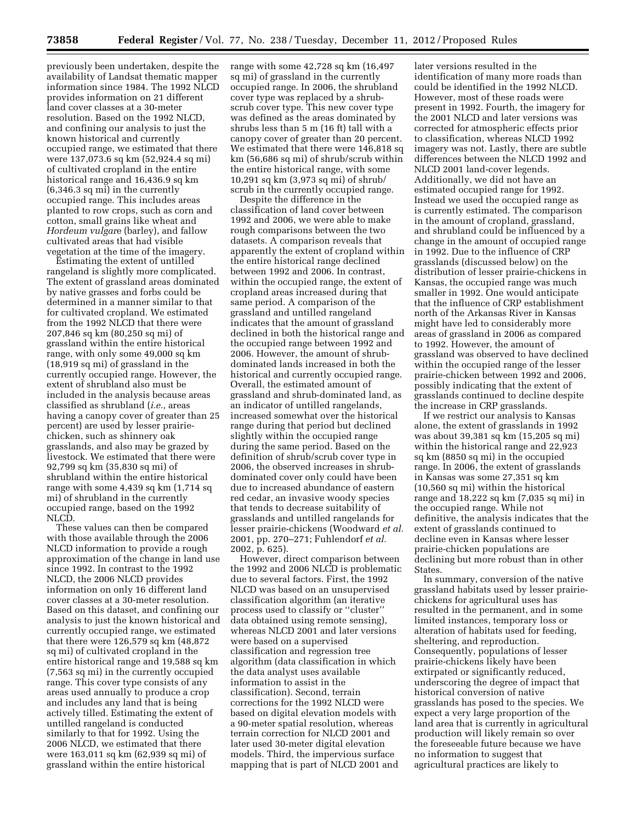previously been undertaken, despite the availability of Landsat thematic mapper information since 1984. The 1992 NLCD provides information on 21 different land cover classes at a 30-meter resolution. Based on the 1992 NLCD, and confining our analysis to just the known historical and currently occupied range, we estimated that there were 137,073.6 sq km (52,924.4 sq mi) of cultivated cropland in the entire historical range and 16,436.9 sq km (6,346.3 sq mi) in the currently occupied range. This includes areas planted to row crops, such as corn and cotton, small grains like wheat and *Hordeum vulgar*e (barley), and fallow cultivated areas that had visible vegetation at the time of the imagery.

Estimating the extent of untilled rangeland is slightly more complicated. The extent of grassland areas dominated by native grasses and forbs could be determined in a manner similar to that for cultivated cropland. We estimated from the 1992 NLCD that there were 207,846 sq km (80,250 sq mi) of grassland within the entire historical range, with only some 49,000 sq km (18,919 sq mi) of grassland in the currently occupied range. However, the extent of shrubland also must be included in the analysis because areas classified as shrubland (*i.e.,* areas having a canopy cover of greater than 25 percent) are used by lesser prairiechicken, such as shinnery oak grasslands, and also may be grazed by livestock. We estimated that there were 92,799 sq km (35,830 sq mi) of shrubland within the entire historical range with some 4,439 sq km (1,714 sq mi) of shrubland in the currently occupied range, based on the 1992 NLCD.

These values can then be compared with those available through the 2006 NLCD information to provide a rough approximation of the change in land use since 1992. In contrast to the 1992 NLCD, the 2006 NLCD provides information on only 16 different land cover classes at a 30-meter resolution. Based on this dataset, and confining our analysis to just the known historical and currently occupied range, we estimated that there were 126,579 sq km (48,872 sq mi) of cultivated cropland in the entire historical range and 19,588 sq km (7,563 sq mi) in the currently occupied range. This cover type consists of any areas used annually to produce a crop and includes any land that is being actively tilled. Estimating the extent of untilled rangeland is conducted similarly to that for 1992. Using the 2006 NLCD, we estimated that there were 163,011 sq km (62,939 sq mi) of grassland within the entire historical

range with some 42,728 sq km (16,497 sq mi) of grassland in the currently occupied range. In 2006, the shrubland cover type was replaced by a shrubscrub cover type. This new cover type was defined as the areas dominated by shrubs less than 5 m (16 ft) tall with a canopy cover of greater than 20 percent. We estimated that there were 146,818 sq km (56,686 sq mi) of shrub/scrub within the entire historical range, with some 10,291 sq km (3,973 sq mi) of shrub/ scrub in the currently occupied range.

Despite the difference in the classification of land cover between 1992 and 2006, we were able to make rough comparisons between the two datasets. A comparison reveals that apparently the extent of cropland within the entire historical range declined between 1992 and 2006. In contrast, within the occupied range, the extent of cropland areas increased during that same period. A comparison of the grassland and untilled rangeland indicates that the amount of grassland declined in both the historical range and the occupied range between 1992 and 2006. However, the amount of shrubdominated lands increased in both the historical and currently occupied range. Overall, the estimated amount of grassland and shrub-dominated land, as an indicator of untilled rangelands, increased somewhat over the historical range during that period but declined slightly within the occupied range during the same period. Based on the definition of shrub/scrub cover type in 2006, the observed increases in shrubdominated cover only could have been due to increased abundance of eastern red cedar, an invasive woody species that tends to decrease suitability of grasslands and untilled rangelands for lesser prairie-chickens (Woodward *et al.*  2001, pp. 270–271; Fuhlendorf *et al.*  2002, p. 625).

However, direct comparison between the 1992 and 2006 NLCD is problematic due to several factors. First, the 1992 NLCD was based on an unsupervised classification algorithm (an iterative process used to classify or ''cluster'' data obtained using remote sensing), whereas NLCD 2001 and later versions were based on a supervised classification and regression tree algorithm (data classification in which the data analyst uses available information to assist in the classification). Second, terrain corrections for the 1992 NLCD were based on digital elevation models with a 90-meter spatial resolution, whereas terrain correction for NLCD 2001 and later used 30-meter digital elevation models. Third, the impervious surface mapping that is part of NLCD 2001 and

later versions resulted in the identification of many more roads than could be identified in the 1992 NLCD. However, most of these roads were present in 1992. Fourth, the imagery for the 2001 NLCD and later versions was corrected for atmospheric effects prior to classification, whereas NLCD 1992 imagery was not. Lastly, there are subtle differences between the NLCD 1992 and NLCD 2001 land-cover legends. Additionally, we did not have an estimated occupied range for 1992. Instead we used the occupied range as is currently estimated. The comparison in the amount of cropland, grassland, and shrubland could be influenced by a change in the amount of occupied range in 1992. Due to the influence of CRP grasslands (discussed below) on the distribution of lesser prairie-chickens in Kansas, the occupied range was much smaller in 1992. One would anticipate that the influence of CRP establishment north of the Arkansas River in Kansas might have led to considerably more areas of grassland in 2006 as compared to 1992. However, the amount of grassland was observed to have declined within the occupied range of the lesser prairie-chicken between 1992 and 2006, possibly indicating that the extent of grasslands continued to decline despite the increase in CRP grasslands.

If we restrict our analysis to Kansas alone, the extent of grasslands in 1992 was about 39,381 sq km (15,205 sq mi) within the historical range and 22,923 sq km (8850 sq mi) in the occupied range. In 2006, the extent of grasslands in Kansas was some 27,351 sq km (10,560 sq mi) within the historical range and 18,222 sq km (7,035 sq mi) in the occupied range. While not definitive, the analysis indicates that the extent of grasslands continued to decline even in Kansas where lesser prairie-chicken populations are declining but more robust than in other States.

In summary, conversion of the native grassland habitats used by lesser prairiechickens for agricultural uses has resulted in the permanent, and in some limited instances, temporary loss or alteration of habitats used for feeding, sheltering, and reproduction. Consequently, populations of lesser prairie-chickens likely have been extirpated or significantly reduced, underscoring the degree of impact that historical conversion of native grasslands has posed to the species. We expect a very large proportion of the land area that is currently in agricultural production will likely remain so over the foreseeable future because we have no information to suggest that agricultural practices are likely to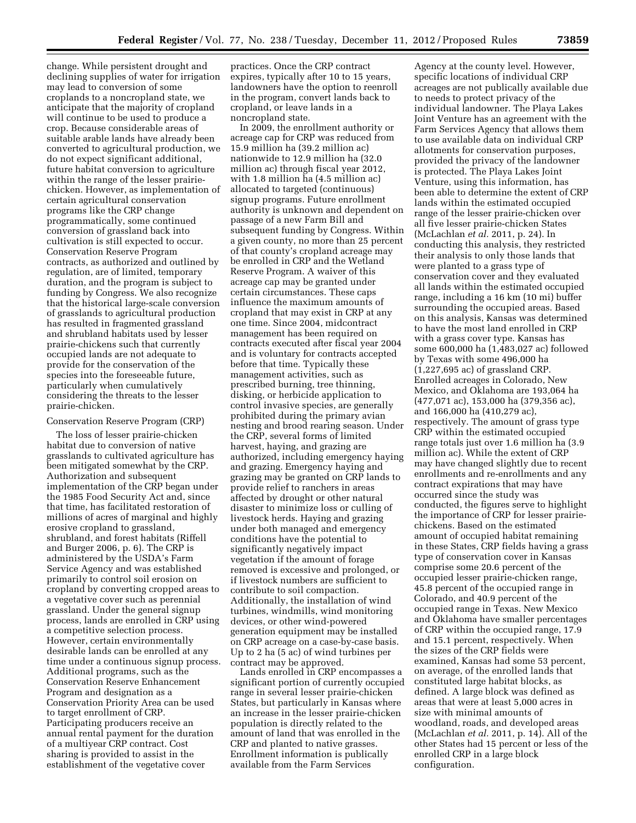change. While persistent drought and declining supplies of water for irrigation may lead to conversion of some croplands to a noncropland state, we anticipate that the majority of cropland will continue to be used to produce a crop. Because considerable areas of suitable arable lands have already been converted to agricultural production, we do not expect significant additional, future habitat conversion to agriculture within the range of the lesser prairiechicken. However, as implementation of certain agricultural conservation programs like the CRP change programmatically, some continued conversion of grassland back into cultivation is still expected to occur. Conservation Reserve Program contracts, as authorized and outlined by regulation, are of limited, temporary duration, and the program is subject to funding by Congress. We also recognize that the historical large-scale conversion of grasslands to agricultural production has resulted in fragmented grassland and shrubland habitats used by lesser prairie-chickens such that currently occupied lands are not adequate to provide for the conservation of the species into the foreseeable future, particularly when cumulatively considering the threats to the lesser prairie-chicken.

#### Conservation Reserve Program (CRP)

The loss of lesser prairie-chicken habitat due to conversion of native grasslands to cultivated agriculture has been mitigated somewhat by the CRP. Authorization and subsequent implementation of the CRP began under the 1985 Food Security Act and, since that time, has facilitated restoration of millions of acres of marginal and highly erosive cropland to grassland, shrubland, and forest habitats (Riffell and Burger 2006, p. 6). The CRP is administered by the USDA's Farm Service Agency and was established primarily to control soil erosion on cropland by converting cropped areas to a vegetative cover such as perennial grassland. Under the general signup process, lands are enrolled in CRP using a competitive selection process. However, certain environmentally desirable lands can be enrolled at any time under a continuous signup process. Additional programs, such as the Conservation Reserve Enhancement Program and designation as a Conservation Priority Area can be used to target enrollment of CRP. Participating producers receive an annual rental payment for the duration of a multiyear CRP contract. Cost sharing is provided to assist in the establishment of the vegetative cover

practices. Once the CRP contract expires, typically after 10 to 15 years, landowners have the option to reenroll in the program, convert lands back to cropland, or leave lands in a noncropland state.

In 2009, the enrollment authority or acreage cap for CRP was reduced from 15.9 million ha (39.2 million ac) nationwide to 12.9 million ha (32.0 million ac) through fiscal year 2012, with 1.8 million ha (4.5 million ac) allocated to targeted (continuous) signup programs. Future enrollment authority is unknown and dependent on passage of a new Farm Bill and subsequent funding by Congress. Within a given county, no more than 25 percent of that county's cropland acreage may be enrolled in CRP and the Wetland Reserve Program. A waiver of this acreage cap may be granted under certain circumstances. These caps influence the maximum amounts of cropland that may exist in CRP at any one time. Since 2004, midcontract management has been required on contracts executed after fiscal year 2004 and is voluntary for contracts accepted before that time. Typically these management activities, such as prescribed burning, tree thinning, disking, or herbicide application to control invasive species, are generally prohibited during the primary avian nesting and brood rearing season. Under the CRP, several forms of limited harvest, haying, and grazing are authorized, including emergency haying and grazing. Emergency haying and grazing may be granted on CRP lands to provide relief to ranchers in areas affected by drought or other natural disaster to minimize loss or culling of livestock herds. Haying and grazing under both managed and emergency conditions have the potential to significantly negatively impact vegetation if the amount of forage removed is excessive and prolonged, or if livestock numbers are sufficient to contribute to soil compaction. Additionally, the installation of wind turbines, windmills, wind monitoring devices, or other wind-powered generation equipment may be installed on CRP acreage on a case-by-case basis. Up to 2 ha (5 ac) of wind turbines per contract may be approved.

Lands enrolled in CRP encompasses a significant portion of currently occupied range in several lesser prairie-chicken States, but particularly in Kansas where an increase in the lesser prairie-chicken population is directly related to the amount of land that was enrolled in the CRP and planted to native grasses. Enrollment information is publically available from the Farm Services

Agency at the county level. However, specific locations of individual CRP acreages are not publically available due to needs to protect privacy of the individual landowner. The Playa Lakes Joint Venture has an agreement with the Farm Services Agency that allows them to use available data on individual CRP allotments for conservation purposes, provided the privacy of the landowner is protected. The Playa Lakes Joint Venture, using this information, has been able to determine the extent of CRP lands within the estimated occupied range of the lesser prairie-chicken over all five lesser prairie-chicken States (McLachlan *et al.* 2011, p. 24). In conducting this analysis, they restricted their analysis to only those lands that were planted to a grass type of conservation cover and they evaluated all lands within the estimated occupied range, including a 16 km (10 mi) buffer surrounding the occupied areas. Based on this analysis, Kansas was determined to have the most land enrolled in CRP with a grass cover type. Kansas has some 600,000 ha (1,483,027 ac) followed by Texas with some 496,000 ha (1,227,695 ac) of grassland CRP. Enrolled acreages in Colorado, New Mexico, and Oklahoma are 193,064 ha (477,071 ac), 153,000 ha (379,356 ac), and 166,000 ha (410,279 ac), respectively. The amount of grass type CRP within the estimated occupied range totals just over 1.6 million ha (3.9 million ac). While the extent of CRP may have changed slightly due to recent enrollments and re-enrollments and any contract expirations that may have occurred since the study was conducted, the figures serve to highlight the importance of CRP for lesser prairiechickens. Based on the estimated amount of occupied habitat remaining in these States, CRP fields having a grass type of conservation cover in Kansas comprise some 20.6 percent of the occupied lesser prairie-chicken range, 45.8 percent of the occupied range in Colorado, and 40.9 percent of the occupied range in Texas. New Mexico and Oklahoma have smaller percentages of CRP within the occupied range, 17.9 and 15.1 percent, respectively. When the sizes of the CRP fields were examined, Kansas had some 53 percent, on average, of the enrolled lands that constituted large habitat blocks, as defined. A large block was defined as areas that were at least 5,000 acres in size with minimal amounts of woodland, roads, and developed areas (McLachlan *et al.* 2011, p. 14). All of the other States had 15 percent or less of the enrolled CRP in a large block configuration.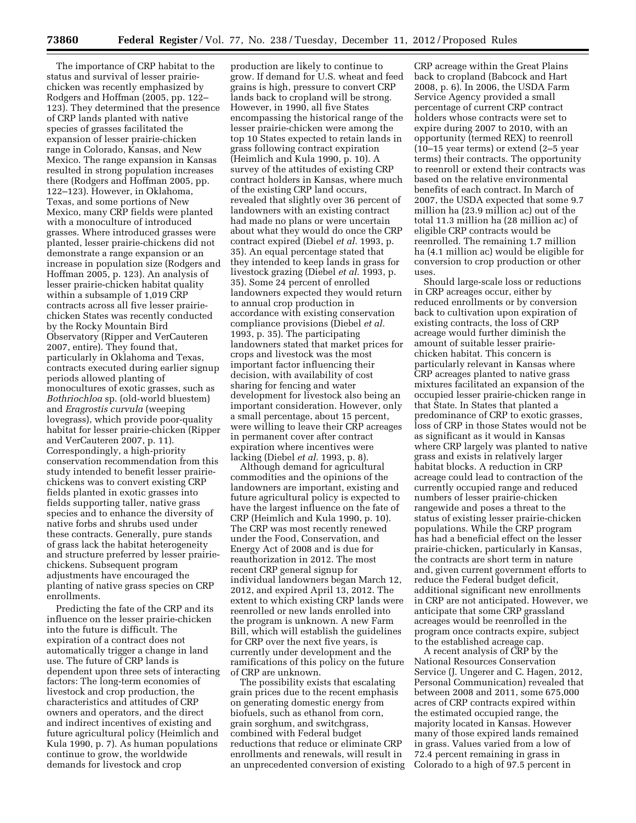The importance of CRP habitat to the status and survival of lesser prairiechicken was recently emphasized by Rodgers and Hoffman (2005, pp. 122– 123). They determined that the presence of CRP lands planted with native species of grasses facilitated the expansion of lesser prairie-chicken range in Colorado, Kansas, and New Mexico. The range expansion in Kansas resulted in strong population increases there (Rodgers and Hoffman 2005, pp. 122–123). However, in Oklahoma, Texas, and some portions of New Mexico, many CRP fields were planted with a monoculture of introduced grasses. Where introduced grasses were planted, lesser prairie-chickens did not demonstrate a range expansion or an increase in population size (Rodgers and Hoffman 2005, p. 123). An analysis of lesser prairie-chicken habitat quality within a subsample of 1,019 CRP contracts across all five lesser prairiechicken States was recently conducted by the Rocky Mountain Bird Observatory (Ripper and VerCauteren 2007, entire). They found that, particularly in Oklahoma and Texas, contracts executed during earlier signup periods allowed planting of monocultures of exotic grasses, such as *Bothriochloa* sp. (old-world bluestem) and *Eragrostis curvula* (weeping lovegrass), which provide poor-quality habitat for lesser prairie-chicken (Ripper and VerCauteren 2007, p. 11). Correspondingly, a high-priority conservation recommendation from this study intended to benefit lesser prairiechickens was to convert existing CRP fields planted in exotic grasses into fields supporting taller, native grass species and to enhance the diversity of native forbs and shrubs used under these contracts. Generally, pure stands of grass lack the habitat heterogeneity and structure preferred by lesser prairiechickens. Subsequent program adjustments have encouraged the planting of native grass species on CRP enrollments.

Predicting the fate of the CRP and its influence on the lesser prairie-chicken into the future is difficult. The expiration of a contract does not automatically trigger a change in land use. The future of CRP lands is dependent upon three sets of interacting factors: The long-term economies of livestock and crop production, the characteristics and attitudes of CRP owners and operators, and the direct and indirect incentives of existing and future agricultural policy (Heimlich and Kula 1990, p. 7). As human populations continue to grow, the worldwide demands for livestock and crop

production are likely to continue to grow. If demand for U.S. wheat and feed grains is high, pressure to convert CRP lands back to cropland will be strong. However, in 1990, all five States encompassing the historical range of the lesser prairie-chicken were among the top 10 States expected to retain lands in grass following contract expiration (Heimlich and Kula 1990, p. 10). A survey of the attitudes of existing CRP contract holders in Kansas, where much of the existing CRP land occurs, revealed that slightly over 36 percent of landowners with an existing contract had made no plans or were uncertain about what they would do once the CRP contract expired (Diebel *et al.* 1993, p. 35). An equal percentage stated that they intended to keep lands in grass for livestock grazing (Diebel *et al.* 1993, p. 35). Some 24 percent of enrolled landowners expected they would return to annual crop production in accordance with existing conservation compliance provisions (Diebel *et al.*  1993, p. 35). The participating landowners stated that market prices for crops and livestock was the most important factor influencing their decision, with availability of cost sharing for fencing and water development for livestock also being an important consideration. However, only a small percentage, about 15 percent, were willing to leave their CRP acreages in permanent cover after contract expiration where incentives were lacking (Diebel *et al.* 1993, p. 8).

Although demand for agricultural commodities and the opinions of the landowners are important, existing and future agricultural policy is expected to have the largest influence on the fate of CRP (Heimlich and Kula 1990, p. 10). The CRP was most recently renewed under the Food, Conservation, and Energy Act of 2008 and is due for reauthorization in 2012. The most recent CRP general signup for individual landowners began March 12, 2012, and expired April 13, 2012. The extent to which existing CRP lands were reenrolled or new lands enrolled into the program is unknown. A new Farm Bill, which will establish the guidelines for CRP over the next five years, is currently under development and the ramifications of this policy on the future of CRP are unknown.

The possibility exists that escalating grain prices due to the recent emphasis on generating domestic energy from biofuels, such as ethanol from corn, grain sorghum, and switchgrass, combined with Federal budget reductions that reduce or eliminate CRP enrollments and renewals, will result in an unprecedented conversion of existing

CRP acreage within the Great Plains back to cropland (Babcock and Hart 2008, p. 6). In 2006, the USDA Farm Service Agency provided a small percentage of current CRP contract holders whose contracts were set to expire during 2007 to 2010, with an opportunity (termed REX) to reenroll (10–15 year terms) or extend (2–5 year terms) their contracts. The opportunity to reenroll or extend their contracts was based on the relative environmental benefits of each contract. In March of 2007, the USDA expected that some 9.7 million ha (23.9 million ac) out of the total 11.3 million ha (28 million ac) of eligible CRP contracts would be reenrolled. The remaining 1.7 million ha (4.1 million ac) would be eligible for conversion to crop production or other uses.

Should large-scale loss or reductions in CRP acreages occur, either by reduced enrollments or by conversion back to cultivation upon expiration of existing contracts, the loss of CRP acreage would further diminish the amount of suitable lesser prairiechicken habitat. This concern is particularly relevant in Kansas where CRP acreages planted to native grass mixtures facilitated an expansion of the occupied lesser prairie-chicken range in that State. In States that planted a predominance of CRP to exotic grasses, loss of CRP in those States would not be as significant as it would in Kansas where CRP largely was planted to native grass and exists in relatively larger habitat blocks. A reduction in CRP acreage could lead to contraction of the currently occupied range and reduced numbers of lesser prairie-chicken rangewide and poses a threat to the status of existing lesser prairie-chicken populations. While the CRP program has had a beneficial effect on the lesser prairie-chicken, particularly in Kansas, the contracts are short term in nature and, given current government efforts to reduce the Federal budget deficit, additional significant new enrollments in CRP are not anticipated. However, we anticipate that some CRP grassland acreages would be reenrolled in the program once contracts expire, subject to the established acreage cap.

A recent analysis of CRP by the National Resources Conservation Service (J. Ungerer and C. Hagen, 2012, Personal Communication) revealed that between 2008 and 2011, some 675,000 acres of CRP contracts expired within the estimated occupied range, the majority located in Kansas. However many of those expired lands remained in grass. Values varied from a low of 72.4 percent remaining in grass in Colorado to a high of 97.5 percent in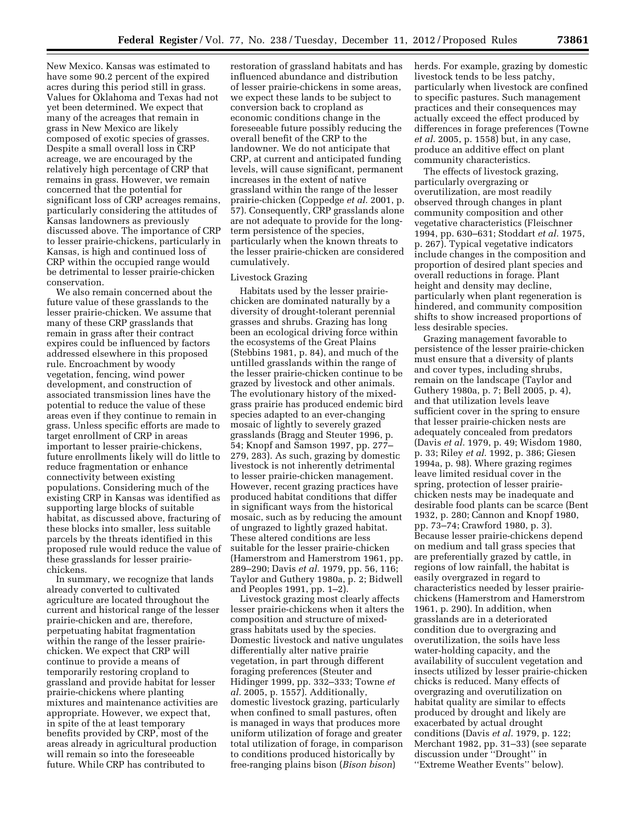New Mexico. Kansas was estimated to have some 90.2 percent of the expired acres during this period still in grass. Values for Oklahoma and Texas had not yet been determined. We expect that many of the acreages that remain in grass in New Mexico are likely composed of exotic species of grasses. Despite a small overall loss in CRP acreage, we are encouraged by the relatively high percentage of CRP that remains in grass. However, we remain concerned that the potential for significant loss of CRP acreages remains, particularly considering the attitudes of Kansas landowners as previously discussed above. The importance of CRP to lesser prairie-chickens, particularly in Kansas, is high and continued loss of CRP within the occupied range would be detrimental to lesser prairie-chicken conservation.

We also remain concerned about the future value of these grasslands to the lesser prairie-chicken. We assume that many of these CRP grasslands that remain in grass after their contract expires could be influenced by factors addressed elsewhere in this proposed rule. Encroachment by woody vegetation, fencing, wind power development, and construction of associated transmission lines have the potential to reduce the value of these areas even if they continue to remain in grass. Unless specific efforts are made to target enrollment of CRP in areas important to lesser prairie-chickens, future enrollments likely will do little to reduce fragmentation or enhance connectivity between existing populations. Considering much of the existing CRP in Kansas was identified as supporting large blocks of suitable habitat, as discussed above, fracturing of these blocks into smaller, less suitable parcels by the threats identified in this proposed rule would reduce the value of these grasslands for lesser prairiechickens.

In summary, we recognize that lands already converted to cultivated agriculture are located throughout the current and historical range of the lesser prairie-chicken and are, therefore, perpetuating habitat fragmentation within the range of the lesser prairiechicken. We expect that CRP will continue to provide a means of temporarily restoring cropland to grassland and provide habitat for lesser prairie-chickens where planting mixtures and maintenance activities are appropriate. However, we expect that, in spite of the at least temporary benefits provided by CRP, most of the areas already in agricultural production will remain so into the foreseeable future. While CRP has contributed to

restoration of grassland habitats and has influenced abundance and distribution of lesser prairie-chickens in some areas, we expect these lands to be subject to conversion back to cropland as economic conditions change in the foreseeable future possibly reducing the overall benefit of the CRP to the landowner. We do not anticipate that CRP, at current and anticipated funding levels, will cause significant, permanent increases in the extent of native grassland within the range of the lesser prairie-chicken (Coppedge *et al.* 2001, p. 57). Consequently, CRP grasslands alone are not adequate to provide for the longterm persistence of the species, particularly when the known threats to the lesser prairie-chicken are considered cumulatively.

### Livestock Grazing

Habitats used by the lesser prairiechicken are dominated naturally by a diversity of drought-tolerant perennial grasses and shrubs. Grazing has long been an ecological driving force within the ecosystems of the Great Plains (Stebbins 1981, p. 84), and much of the untilled grasslands within the range of the lesser prairie-chicken continue to be grazed by livestock and other animals. The evolutionary history of the mixedgrass prairie has produced endemic bird species adapted to an ever-changing mosaic of lightly to severely grazed grasslands (Bragg and Steuter 1996, p. 54; Knopf and Samson 1997, pp. 277– 279, 283). As such, grazing by domestic livestock is not inherently detrimental to lesser prairie-chicken management. However, recent grazing practices have produced habitat conditions that differ in significant ways from the historical mosaic, such as by reducing the amount of ungrazed to lightly grazed habitat. These altered conditions are less suitable for the lesser prairie-chicken (Hamerstrom and Hamerstrom 1961, pp. 289–290; Davis *et al.* 1979, pp. 56, 116; Taylor and Guthery 1980a, p. 2; Bidwell and Peoples 1991, pp. 1–2).

Livestock grazing most clearly affects lesser prairie-chickens when it alters the composition and structure of mixedgrass habitats used by the species. Domestic livestock and native ungulates differentially alter native prairie vegetation, in part through different foraging preferences (Steuter and Hidinger 1999, pp. 332–333; Towne *et al.* 2005, p. 1557). Additionally, domestic livestock grazing, particularly when confined to small pastures, often is managed in ways that produces more uniform utilization of forage and greater total utilization of forage, in comparison to conditions produced historically by free-ranging plains bison (*Bison bison*)

herds. For example, grazing by domestic livestock tends to be less patchy, particularly when livestock are confined to specific pastures. Such management practices and their consequences may actually exceed the effect produced by differences in forage preferences (Towne *et al.* 2005, p. 1558) but, in any case, produce an additive effect on plant community characteristics.

The effects of livestock grazing, particularly overgrazing or overutilization, are most readily observed through changes in plant community composition and other vegetative characteristics (Fleischner 1994, pp. 630–631; Stoddart *et al.* 1975, p. 267). Typical vegetative indicators include changes in the composition and proportion of desired plant species and overall reductions in forage. Plant height and density may decline, particularly when plant regeneration is hindered, and community composition shifts to show increased proportions of less desirable species.

Grazing management favorable to persistence of the lesser prairie-chicken must ensure that a diversity of plants and cover types, including shrubs, remain on the landscape (Taylor and Guthery 1980a, p. 7; Bell 2005, p. 4), and that utilization levels leave sufficient cover in the spring to ensure that lesser prairie-chicken nests are adequately concealed from predators (Davis *et al.* 1979, p. 49; Wisdom 1980, p. 33; Riley *et al.* 1992, p. 386; Giesen 1994a, p. 98). Where grazing regimes leave limited residual cover in the spring, protection of lesser prairiechicken nests may be inadequate and desirable food plants can be scarce (Bent 1932, p. 280; Cannon and Knopf 1980, pp. 73–74; Crawford 1980, p. 3). Because lesser prairie-chickens depend on medium and tall grass species that are preferentially grazed by cattle, in regions of low rainfall, the habitat is easily overgrazed in regard to characteristics needed by lesser prairiechickens (Hamerstrom and Hamerstrom 1961, p. 290). In addition, when grasslands are in a deteriorated condition due to overgrazing and overutilization, the soils have less water-holding capacity, and the availability of succulent vegetation and insects utilized by lesser prairie-chicken chicks is reduced. Many effects of overgrazing and overutilization on habitat quality are similar to effects produced by drought and likely are exacerbated by actual drought conditions (Davis *et al.* 1979, p. 122; Merchant 1982, pp. 31–33) (see separate discussion under ''Drought'' in ''Extreme Weather Events'' below).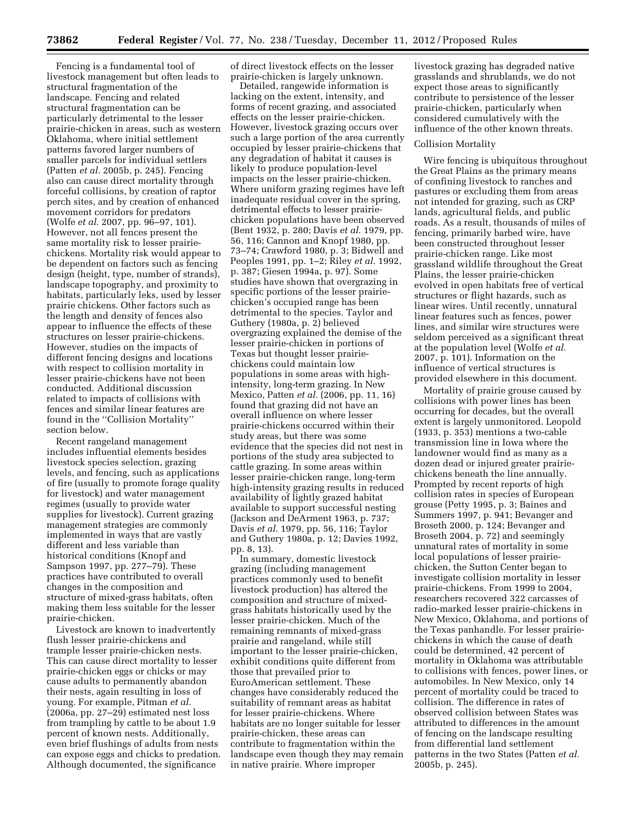Fencing is a fundamental tool of livestock management but often leads to structural fragmentation of the landscape. Fencing and related structural fragmentation can be particularly detrimental to the lesser prairie-chicken in areas, such as western Oklahoma, where initial settlement patterns favored larger numbers of smaller parcels for individual settlers (Patten *et al.* 2005b, p. 245). Fencing also can cause direct mortality through forceful collisions, by creation of raptor perch sites, and by creation of enhanced movement corridors for predators (Wolfe *et al.* 2007, pp. 96–97, 101). However, not all fences present the same mortality risk to lesser prairiechickens. Mortality risk would appear to be dependent on factors such as fencing design (height, type, number of strands), landscape topography, and proximity to habitats, particularly leks, used by lesser prairie chickens. Other factors such as the length and density of fences also appear to influence the effects of these structures on lesser prairie-chickens. However, studies on the impacts of different fencing designs and locations with respect to collision mortality in lesser prairie-chickens have not been conducted. Additional discussion related to impacts of collisions with fences and similar linear features are found in the ''Collision Mortality'' section below.

Recent rangeland management includes influential elements besides livestock species selection, grazing levels, and fencing, such as applications of fire (usually to promote forage quality for livestock) and water management regimes (usually to provide water supplies for livestock). Current grazing management strategies are commonly implemented in ways that are vastly different and less variable than historical conditions (Knopf and Sampson 1997, pp. 277–79). These practices have contributed to overall changes in the composition and structure of mixed-grass habitats, often making them less suitable for the lesser prairie-chicken.

Livestock are known to inadvertently flush lesser prairie-chickens and trample lesser prairie-chicken nests. This can cause direct mortality to lesser prairie-chicken eggs or chicks or may cause adults to permanently abandon their nests, again resulting in loss of young. For example, Pitman *et al.*  (2006a, pp. 27–29) estimated nest loss from trampling by cattle to be about 1.9 percent of known nests. Additionally, even brief flushings of adults from nests can expose eggs and chicks to predation. Although documented, the significance

of direct livestock effects on the lesser prairie-chicken is largely unknown.

Detailed, rangewide information is lacking on the extent, intensity, and forms of recent grazing, and associated effects on the lesser prairie-chicken. However, livestock grazing occurs over such a large portion of the area currently occupied by lesser prairie-chickens that any degradation of habitat it causes is likely to produce population-level impacts on the lesser prairie-chicken. Where uniform grazing regimes have left inadequate residual cover in the spring, detrimental effects to lesser prairiechicken populations have been observed (Bent 1932, p. 280; Davis *et al.* 1979, pp. 56, 116; Cannon and Knopf 1980, pp. 73–74; Crawford 1980, p. 3; Bidwell and Peoples 1991, pp. 1–2; Riley *et al.* 1992, p. 387; Giesen 1994a, p. 97). Some studies have shown that overgrazing in specific portions of the lesser prairiechicken's occupied range has been detrimental to the species. Taylor and Guthery (1980a, p. 2) believed overgrazing explained the demise of the lesser prairie-chicken in portions of Texas but thought lesser prairiechickens could maintain low populations in some areas with highintensity, long-term grazing. In New Mexico, Patten *et al.* (2006, pp. 11, 16) found that grazing did not have an overall influence on where lesser prairie-chickens occurred within their study areas, but there was some evidence that the species did not nest in portions of the study area subjected to cattle grazing. In some areas within lesser prairie-chicken range, long-term high-intensity grazing results in reduced availability of lightly grazed habitat available to support successful nesting (Jackson and DeArment 1963, p. 737; Davis *et al.* 1979, pp. 56, 116; Taylor and Guthery 1980a, p. 12; Davies 1992, pp. 8, 13).

In summary, domestic livestock grazing (including management practices commonly used to benefit livestock production) has altered the composition and structure of mixedgrass habitats historically used by the lesser prairie-chicken. Much of the remaining remnants of mixed-grass prairie and rangeland, while still important to the lesser prairie-chicken, exhibit conditions quite different from those that prevailed prior to EuroAmerican settlement. These changes have considerably reduced the suitability of remnant areas as habitat for lesser prairie-chickens. Where habitats are no longer suitable for lesser prairie-chicken, these areas can contribute to fragmentation within the landscape even though they may remain in native prairie. Where improper

livestock grazing has degraded native grasslands and shrublands, we do not expect those areas to significantly contribute to persistence of the lesser prairie-chicken, particularly when considered cumulatively with the influence of the other known threats.

#### Collision Mortality

Wire fencing is ubiquitous throughout the Great Plains as the primary means of confining livestock to ranches and pastures or excluding them from areas not intended for grazing, such as CRP lands, agricultural fields, and public roads. As a result, thousands of miles of fencing, primarily barbed wire, have been constructed throughout lesser prairie-chicken range. Like most grassland wildlife throughout the Great Plains, the lesser prairie-chicken evolved in open habitats free of vertical structures or flight hazards, such as linear wires. Until recently, unnatural linear features such as fences, power lines, and similar wire structures were seldom perceived as a significant threat at the population level (Wolfe *et al.*  2007, p. 101). Information on the influence of vertical structures is provided elsewhere in this document.

Mortality of prairie grouse caused by collisions with power lines has been occurring for decades, but the overall extent is largely unmonitored. Leopold (1933, p. 353) mentions a two-cable transmission line in Iowa where the landowner would find as many as a dozen dead or injured greater prairiechickens beneath the line annually. Prompted by recent reports of high collision rates in species of European grouse (Petty 1995, p. 3; Baines and Summers 1997, p. 941; Bevanger and Broseth 2000, p. 124; Bevanger and Broseth 2004, p. 72) and seemingly unnatural rates of mortality in some local populations of lesser prairiechicken, the Sutton Center began to investigate collision mortality in lesser prairie-chickens. From 1999 to 2004, researchers recovered 322 carcasses of radio-marked lesser prairie-chickens in New Mexico, Oklahoma, and portions of the Texas panhandle. For lesser prairiechickens in which the cause of death could be determined, 42 percent of mortality in Oklahoma was attributable to collisions with fences, power lines, or automobiles. In New Mexico, only 14 percent of mortality could be traced to collision. The difference in rates of observed collision between States was attributed to differences in the amount of fencing on the landscape resulting from differential land settlement patterns in the two States (Patten *et al.*  2005b, p. 245).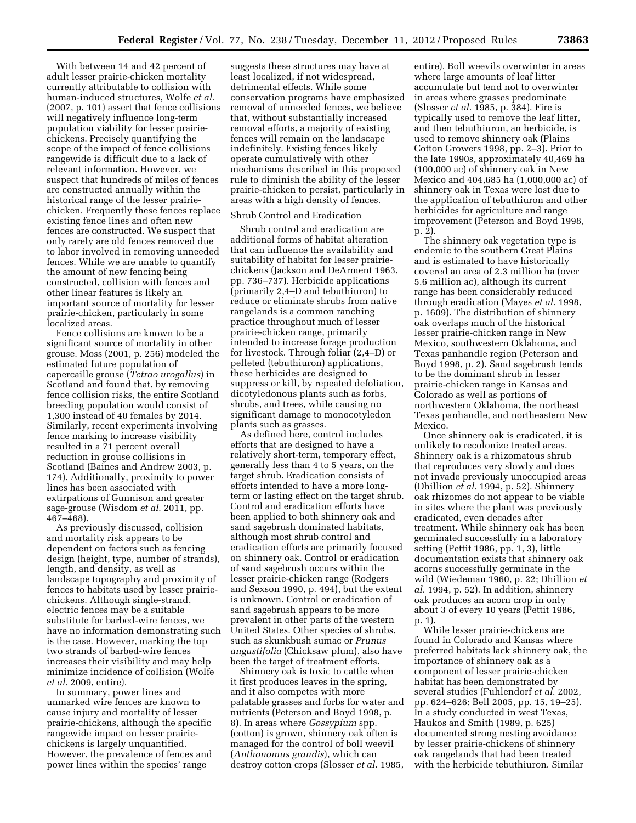With between 14 and 42 percent of adult lesser prairie-chicken mortality currently attributable to collision with human-induced structures, Wolfe *et al.*  (2007, p. 101) assert that fence collisions will negatively influence long-term population viability for lesser prairiechickens. Precisely quantifying the scope of the impact of fence collisions rangewide is difficult due to a lack of relevant information. However, we suspect that hundreds of miles of fences are constructed annually within the historical range of the lesser prairiechicken. Frequently these fences replace existing fence lines and often new fences are constructed. We suspect that only rarely are old fences removed due to labor involved in removing unneeded fences. While we are unable to quantify the amount of new fencing being constructed, collision with fences and other linear features is likely an important source of mortality for lesser prairie-chicken, particularly in some localized areas.

Fence collisions are known to be a significant source of mortality in other grouse. Moss (2001, p. 256) modeled the estimated future population of capercaille grouse (*Tetrao urogallus*) in Scotland and found that, by removing fence collision risks, the entire Scotland breeding population would consist of 1,300 instead of 40 females by 2014. Similarly, recent experiments involving fence marking to increase visibility resulted in a 71 percent overall reduction in grouse collisions in Scotland (Baines and Andrew 2003, p. 174). Additionally, proximity to power lines has been associated with extirpations of Gunnison and greater sage-grouse (Wisdom *et al.* 2011, pp. 467–468).

As previously discussed, collision and mortality risk appears to be dependent on factors such as fencing design (height, type, number of strands), length, and density, as well as landscape topography and proximity of fences to habitats used by lesser prairiechickens. Although single-strand, electric fences may be a suitable substitute for barbed-wire fences, we have no information demonstrating such is the case. However, marking the top two strands of barbed-wire fences increases their visibility and may help minimize incidence of collision (Wolfe *et al.* 2009, entire).

In summary, power lines and unmarked wire fences are known to cause injury and mortality of lesser prairie-chickens, although the specific rangewide impact on lesser prairiechickens is largely unquantified. However, the prevalence of fences and power lines within the species' range

suggests these structures may have at least localized, if not widespread, detrimental effects. While some conservation programs have emphasized removal of unneeded fences, we believe that, without substantially increased removal efforts, a majority of existing fences will remain on the landscape indefinitely. Existing fences likely operate cumulatively with other mechanisms described in this proposed rule to diminish the ability of the lesser prairie-chicken to persist, particularly in areas with a high density of fences.

### Shrub Control and Eradication

Shrub control and eradication are additional forms of habitat alteration that can influence the availability and suitability of habitat for lesser prairiechickens (Jackson and DeArment 1963, pp. 736–737). Herbicide applications (primarily 2,4–D and tebuthiuron) to reduce or eliminate shrubs from native rangelands is a common ranching practice throughout much of lesser prairie-chicken range, primarily intended to increase forage production for livestock. Through foliar (2,4–D) or pelleted (tebuthiuron) applications, these herbicides are designed to suppress or kill, by repeated defoliation, dicotyledonous plants such as forbs, shrubs, and trees, while causing no significant damage to monocotyledon plants such as grasses.

As defined here, control includes efforts that are designed to have a relatively short-term, temporary effect, generally less than 4 to 5 years, on the target shrub. Eradication consists of efforts intended to have a more longterm or lasting effect on the target shrub. Control and eradication efforts have been applied to both shinnery oak and sand sagebrush dominated habitats, although most shrub control and eradication efforts are primarily focused on shinnery oak. Control or eradication of sand sagebrush occurs within the lesser prairie-chicken range (Rodgers and Sexson 1990, p. 494), but the extent is unknown. Control or eradication of sand sagebrush appears to be more prevalent in other parts of the western United States. Other species of shrubs, such as skunkbush sumac or *Prunus angustifolia* (Chicksaw plum), also have been the target of treatment efforts.

Shinnery oak is toxic to cattle when it first produces leaves in the spring, and it also competes with more palatable grasses and forbs for water and nutrients (Peterson and Boyd 1998, p. 8). In areas where *Gossypium* spp. (cotton) is grown, shinnery oak often is managed for the control of boll weevil (*Anthonomus grandis*), which can destroy cotton crops (Slosser *et al.* 1985,

entire). Boll weevils overwinter in areas where large amounts of leaf litter accumulate but tend not to overwinter in areas where grasses predominate (Slosser *et al.* 1985, p. 384). Fire is typically used to remove the leaf litter, and then tebuthiuron, an herbicide, is used to remove shinnery oak (Plains Cotton Growers 1998, pp. 2–3). Prior to the late 1990s, approximately 40,469 ha (100,000 ac) of shinnery oak in New Mexico and 404,685 ha (1,000,000 ac) of shinnery oak in Texas were lost due to the application of tebuthiuron and other herbicides for agriculture and range improvement (Peterson and Boyd 1998, p. 2).

The shinnery oak vegetation type is endemic to the southern Great Plains and is estimated to have historically covered an area of 2.3 million ha (over 5.6 million ac), although its current range has been considerably reduced through eradication (Mayes *et al.* 1998, p. 1609). The distribution of shinnery oak overlaps much of the historical lesser prairie-chicken range in New Mexico, southwestern Oklahoma, and Texas panhandle region (Peterson and Boyd 1998, p. 2). Sand sagebrush tends to be the dominant shrub in lesser prairie-chicken range in Kansas and Colorado as well as portions of northwestern Oklahoma, the northeast Texas panhandle, and northeastern New Mexico.

Once shinnery oak is eradicated, it is unlikely to recolonize treated areas. Shinnery oak is a rhizomatous shrub that reproduces very slowly and does not invade previously unoccupied areas (Dhillion *et al.* 1994, p. 52). Shinnery oak rhizomes do not appear to be viable in sites where the plant was previously eradicated, even decades after treatment. While shinnery oak has been germinated successfully in a laboratory setting (Pettit 1986, pp. 1, 3), little documentation exists that shinnery oak acorns successfully germinate in the wild (Wiedeman 1960, p. 22; Dhillion *et al.* 1994, p. 52). In addition, shinnery oak produces an acorn crop in only about 3 of every 10 years (Pettit 1986, p. 1).

While lesser prairie-chickens are found in Colorado and Kansas where preferred habitats lack shinnery oak, the importance of shinnery oak as a component of lesser prairie-chicken habitat has been demonstrated by several studies (Fuhlendorf *et al.* 2002, pp. 624–626; Bell 2005, pp. 15, 19–25). In a study conducted in west Texas, Haukos and Smith (1989, p. 625) documented strong nesting avoidance by lesser prairie-chickens of shinnery oak rangelands that had been treated with the herbicide tebuthiuron. Similar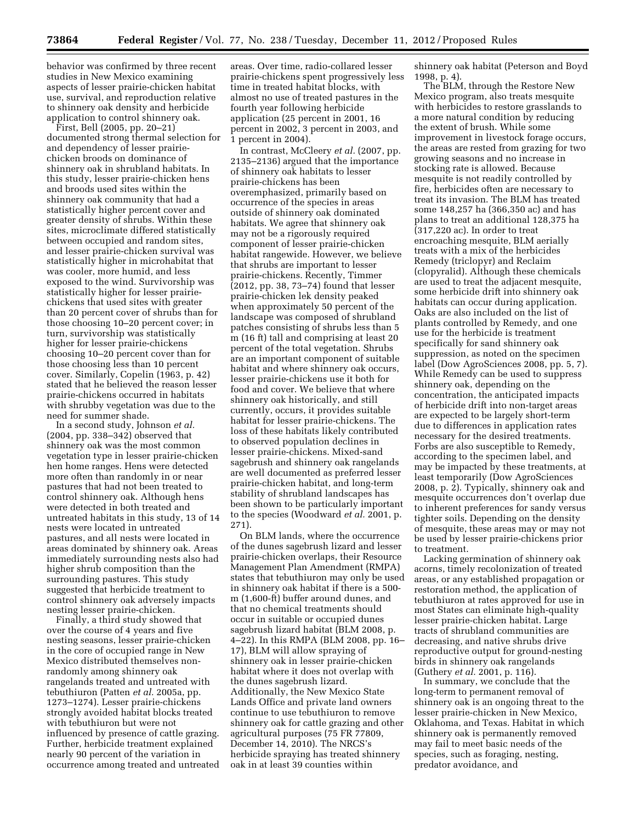behavior was confirmed by three recent studies in New Mexico examining aspects of lesser prairie-chicken habitat use, survival, and reproduction relative to shinnery oak density and herbicide application to control shinnery oak.

First, Bell (2005, pp. 20–21) documented strong thermal selection for and dependency of lesser prairiechicken broods on dominance of shinnery oak in shrubland habitats. In this study, lesser prairie-chicken hens and broods used sites within the shinnery oak community that had a statistically higher percent cover and greater density of shrubs. Within these sites, microclimate differed statistically between occupied and random sites, and lesser prairie-chicken survival was statistically higher in microhabitat that was cooler, more humid, and less exposed to the wind. Survivorship was statistically higher for lesser prairiechickens that used sites with greater than 20 percent cover of shrubs than for those choosing 10–20 percent cover; in turn, survivorship was statistically higher for lesser prairie-chickens choosing 10–20 percent cover than for those choosing less than 10 percent cover. Similarly, Copelin (1963, p. 42) stated that he believed the reason lesser prairie-chickens occurred in habitats with shrubby vegetation was due to the need for summer shade.

In a second study, Johnson *et al.*  (2004, pp. 338–342) observed that shinnery oak was the most common vegetation type in lesser prairie-chicken hen home ranges. Hens were detected more often than randomly in or near pastures that had not been treated to control shinnery oak. Although hens were detected in both treated and untreated habitats in this study, 13 of 14 nests were located in untreated pastures, and all nests were located in areas dominated by shinnery oak. Areas immediately surrounding nests also had higher shrub composition than the surrounding pastures. This study suggested that herbicide treatment to control shinnery oak adversely impacts nesting lesser prairie-chicken.

Finally, a third study showed that over the course of 4 years and five nesting seasons, lesser prairie-chicken in the core of occupied range in New Mexico distributed themselves nonrandomly among shinnery oak rangelands treated and untreated with tebuthiuron (Patten *et al.* 2005a, pp. 1273–1274). Lesser prairie-chickens strongly avoided habitat blocks treated with tebuthiuron but were not influenced by presence of cattle grazing. Further, herbicide treatment explained nearly 90 percent of the variation in occurrence among treated and untreated areas. Over time, radio-collared lesser prairie-chickens spent progressively less time in treated habitat blocks, with almost no use of treated pastures in the fourth year following herbicide application (25 percent in 2001, 16 percent in 2002, 3 percent in 2003, and 1 percent in 2004).

In contrast, McCleery *et al.* (2007, pp. 2135–2136) argued that the importance of shinnery oak habitats to lesser prairie-chickens has been overemphasized, primarily based on occurrence of the species in areas outside of shinnery oak dominated habitats. We agree that shinnery oak may not be a rigorously required component of lesser prairie-chicken habitat rangewide. However, we believe that shrubs are important to lesser prairie-chickens. Recently, Timmer (2012, pp. 38, 73–74) found that lesser prairie-chicken lek density peaked when approximately 50 percent of the landscape was composed of shrubland patches consisting of shrubs less than 5 m (16 ft) tall and comprising at least 20 percent of the total vegetation. Shrubs are an important component of suitable habitat and where shinnery oak occurs, lesser prairie-chickens use it both for food and cover. We believe that where shinnery oak historically, and still currently, occurs, it provides suitable habitat for lesser prairie-chickens. The loss of these habitats likely contributed to observed population declines in lesser prairie-chickens. Mixed-sand sagebrush and shinnery oak rangelands are well documented as preferred lesser prairie-chicken habitat, and long-term stability of shrubland landscapes has been shown to be particularly important to the species (Woodward *et al.* 2001, p. 271).

On BLM lands, where the occurrence of the dunes sagebrush lizard and lesser prairie-chicken overlaps, their Resource Management Plan Amendment (RMPA) states that tebuthiuron may only be used in shinnery oak habitat if there is a 500 m (1,600-ft) buffer around dunes, and that no chemical treatments should occur in suitable or occupied dunes sagebrush lizard habitat (BLM 2008, p. 4–22). In this RMPA (BLM 2008, pp. 16– 17), BLM will allow spraying of shinnery oak in lesser prairie-chicken habitat where it does not overlap with the dunes sagebrush lizard. Additionally, the New Mexico State Lands Office and private land owners continue to use tebuthiuron to remove shinnery oak for cattle grazing and other agricultural purposes (75 FR 77809, December 14, 2010). The NRCS's herbicide spraying has treated shinnery oak in at least 39 counties within

shinnery oak habitat (Peterson and Boyd 1998, p. 4).

The BLM, through the Restore New Mexico program, also treats mesquite with herbicides to restore grasslands to a more natural condition by reducing the extent of brush. While some improvement in livestock forage occurs, the areas are rested from grazing for two growing seasons and no increase in stocking rate is allowed. Because mesquite is not readily controlled by fire, herbicides often are necessary to treat its invasion. The BLM has treated some 148,257 ha (366,350 ac) and has plans to treat an additional 128,375 ha (317,220 ac). In order to treat encroaching mesquite, BLM aerially treats with a mix of the herbicides Remedy (triclopyr) and Reclaim (clopyralid). Although these chemicals are used to treat the adjacent mesquite, some herbicide drift into shinnery oak habitats can occur during application. Oaks are also included on the list of plants controlled by Remedy, and one use for the herbicide is treatment specifically for sand shinnery oak suppression, as noted on the specimen label (Dow AgroSciences 2008, pp. 5, 7). While Remedy can be used to suppress shinnery oak, depending on the concentration, the anticipated impacts of herbicide drift into non-target areas are expected to be largely short-term due to differences in application rates necessary for the desired treatments. Forbs are also susceptible to Remedy, according to the specimen label, and may be impacted by these treatments, at least temporarily (Dow AgroSciences 2008, p. 2). Typically, shinnery oak and mesquite occurrences don't overlap due to inherent preferences for sandy versus tighter soils. Depending on the density of mesquite, these areas may or may not be used by lesser prairie-chickens prior to treatment.

Lacking germination of shinnery oak acorns, timely recolonization of treated areas, or any established propagation or restoration method, the application of tebuthiuron at rates approved for use in most States can eliminate high-quality lesser prairie-chicken habitat. Large tracts of shrubland communities are decreasing, and native shrubs drive reproductive output for ground-nesting birds in shinnery oak rangelands (Guthery *et al.* 2001, p. 116).

In summary, we conclude that the long-term to permanent removal of shinnery oak is an ongoing threat to the lesser prairie-chicken in New Mexico, Oklahoma, and Texas. Habitat in which shinnery oak is permanently removed may fail to meet basic needs of the species, such as foraging, nesting, predator avoidance, and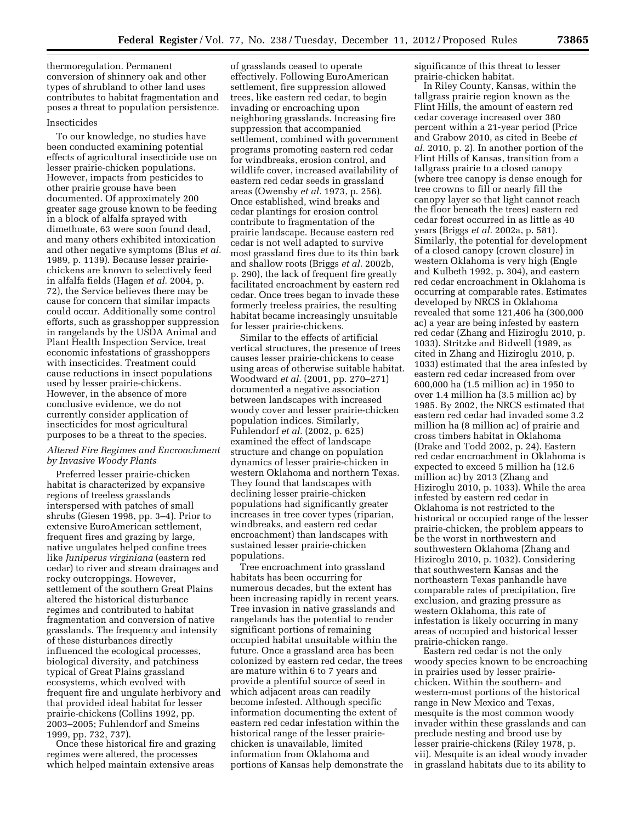thermoregulation. Permanent conversion of shinnery oak and other types of shrubland to other land uses contributes to habitat fragmentation and poses a threat to population persistence.

### Insecticides

To our knowledge, no studies have been conducted examining potential effects of agricultural insecticide use on lesser prairie-chicken populations. However, impacts from pesticides to other prairie grouse have been documented. Of approximately 200 greater sage grouse known to be feeding in a block of alfalfa sprayed with dimethoate, 63 were soon found dead, and many others exhibited intoxication and other negative symptoms (Blus *et al.*  1989, p. 1139). Because lesser prairiechickens are known to selectively feed in alfalfa fields (Hagen *et al.* 2004, p. 72), the Service believes there may be cause for concern that similar impacts could occur. Additionally some control efforts, such as grasshopper suppression in rangelands by the USDA Animal and Plant Health Inspection Service, treat economic infestations of grasshoppers with insecticides. Treatment could cause reductions in insect populations used by lesser prairie-chickens. However, in the absence of more conclusive evidence, we do not currently consider application of insecticides for most agricultural purposes to be a threat to the species.

## *Altered Fire Regimes and Encroachment by Invasive Woody Plants*

Preferred lesser prairie-chicken habitat is characterized by expansive regions of treeless grasslands interspersed with patches of small shrubs (Giesen 1998, pp. 3–4). Prior to extensive EuroAmerican settlement, frequent fires and grazing by large, native ungulates helped confine trees like *Juniperus virginiana* (eastern red cedar) to river and stream drainages and rocky outcroppings. However, settlement of the southern Great Plains altered the historical disturbance regimes and contributed to habitat fragmentation and conversion of native grasslands. The frequency and intensity of these disturbances directly influenced the ecological processes, biological diversity, and patchiness typical of Great Plains grassland ecosystems, which evolved with frequent fire and ungulate herbivory and that provided ideal habitat for lesser prairie-chickens (Collins 1992, pp. 2003–2005; Fuhlendorf and Smeins 1999, pp. 732, 737).

Once these historical fire and grazing regimes were altered, the processes which helped maintain extensive areas

of grasslands ceased to operate effectively. Following EuroAmerican settlement, fire suppression allowed trees, like eastern red cedar, to begin invading or encroaching upon neighboring grasslands. Increasing fire suppression that accompanied settlement, combined with government programs promoting eastern red cedar for windbreaks, erosion control, and wildlife cover, increased availability of eastern red cedar seeds in grassland areas (Owensby *et al.* 1973, p. 256). Once established, wind breaks and cedar plantings for erosion control contribute to fragmentation of the prairie landscape. Because eastern red cedar is not well adapted to survive most grassland fires due to its thin bark and shallow roots (Briggs *et al.* 2002b, p. 290), the lack of frequent fire greatly facilitated encroachment by eastern red cedar. Once trees began to invade these formerly treeless prairies, the resulting habitat became increasingly unsuitable for lesser prairie-chickens.

Similar to the effects of artificial vertical structures, the presence of trees causes lesser prairie-chickens to cease using areas of otherwise suitable habitat. Woodward *et al.* (2001, pp. 270–271) documented a negative association between landscapes with increased woody cover and lesser prairie-chicken population indices. Similarly, Fuhlendorf *et al.* (2002, p. 625) examined the effect of landscape structure and change on population dynamics of lesser prairie-chicken in western Oklahoma and northern Texas. They found that landscapes with declining lesser prairie-chicken populations had significantly greater increases in tree cover types (riparian, windbreaks, and eastern red cedar encroachment) than landscapes with sustained lesser prairie-chicken populations.

Tree encroachment into grassland habitats has been occurring for numerous decades, but the extent has been increasing rapidly in recent years. Tree invasion in native grasslands and rangelands has the potential to render significant portions of remaining occupied habitat unsuitable within the future. Once a grassland area has been colonized by eastern red cedar, the trees are mature within 6 to 7 years and provide a plentiful source of seed in which adjacent areas can readily become infested. Although specific information documenting the extent of eastern red cedar infestation within the historical range of the lesser prairiechicken is unavailable, limited information from Oklahoma and portions of Kansas help demonstrate the significance of this threat to lesser prairie-chicken habitat.

In Riley County, Kansas, within the tallgrass prairie region known as the Flint Hills, the amount of eastern red cedar coverage increased over 380 percent within a 21-year period (Price and Grabow 2010, as cited in Beebe *et al.* 2010, p. 2). In another portion of the Flint Hills of Kansas, transition from a tallgrass prairie to a closed canopy (where tree canopy is dense enough for tree crowns to fill or nearly fill the canopy layer so that light cannot reach the floor beneath the trees) eastern red cedar forest occurred in as little as 40 years (Briggs *et al.* 2002a, p. 581). Similarly, the potential for development of a closed canopy (crown closure) in western Oklahoma is very high (Engle and Kulbeth 1992, p. 304), and eastern red cedar encroachment in Oklahoma is occurring at comparable rates. Estimates developed by NRCS in Oklahoma revealed that some 121,406 ha (300,000 ac) a year are being infested by eastern red cedar (Zhang and Hiziroglu 2010, p. 1033). Stritzke and Bidwell (1989, as cited in Zhang and Hiziroglu 2010, p. 1033) estimated that the area infested by eastern red cedar increased from over 600,000 ha (1.5 million ac) in 1950 to over 1.4 million ha (3.5 million ac) by 1985. By 2002, the NRCS estimated that eastern red cedar had invaded some 3.2 million ha (8 million ac) of prairie and cross timbers habitat in Oklahoma (Drake and Todd 2002, p. 24). Eastern red cedar encroachment in Oklahoma is expected to exceed 5 million ha (12.6 million ac) by 2013 (Zhang and Hiziroglu 2010, p. 1033). While the area infested by eastern red cedar in Oklahoma is not restricted to the historical or occupied range of the lesser prairie-chicken, the problem appears to be the worst in northwestern and southwestern Oklahoma (Zhang and Hiziroglu 2010, p. 1032). Considering that southwestern Kansas and the northeastern Texas panhandle have comparable rates of precipitation, fire exclusion, and grazing pressure as western Oklahoma, this rate of infestation is likely occurring in many areas of occupied and historical lesser prairie-chicken range.

Eastern red cedar is not the only woody species known to be encroaching in prairies used by lesser prairiechicken. Within the southern- and western-most portions of the historical range in New Mexico and Texas, mesquite is the most common woody invader within these grasslands and can preclude nesting and brood use by lesser prairie-chickens (Riley 1978, p. vii). Mesquite is an ideal woody invader in grassland habitats due to its ability to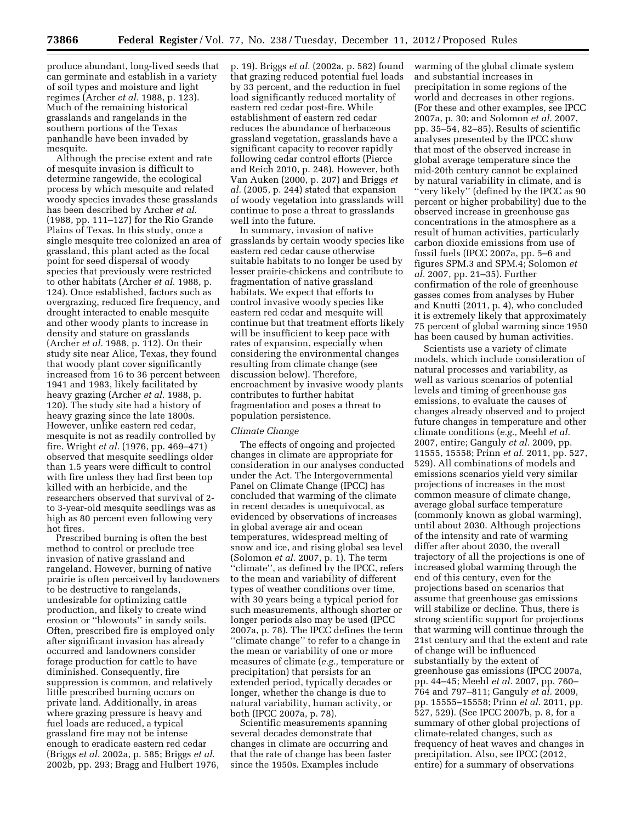produce abundant, long-lived seeds that can germinate and establish in a variety of soil types and moisture and light regimes (Archer *et al.* 1988, p. 123). Much of the remaining historical grasslands and rangelands in the southern portions of the Texas panhandle have been invaded by mesquite.

Although the precise extent and rate of mesquite invasion is difficult to determine rangewide, the ecological process by which mesquite and related woody species invades these grasslands has been described by Archer *et al.*  (1988, pp. 111–127) for the Rio Grande Plains of Texas. In this study, once a single mesquite tree colonized an area of grassland, this plant acted as the focal point for seed dispersal of woody species that previously were restricted to other habitats (Archer *et al.* 1988, p. 124). Once established, factors such as overgrazing, reduced fire frequency, and drought interacted to enable mesquite and other woody plants to increase in density and stature on grasslands (Archer *et al.* 1988, p. 112). On their study site near Alice, Texas, they found that woody plant cover significantly increased from 16 to 36 percent between 1941 and 1983, likely facilitated by heavy grazing (Archer *et al.* 1988, p. 120). The study site had a history of heavy grazing since the late 1800s. However, unlike eastern red cedar, mesquite is not as readily controlled by fire. Wright *et al.* (1976, pp. 469–471) observed that mesquite seedlings older than 1.5 years were difficult to control with fire unless they had first been top killed with an herbicide, and the researchers observed that survival of 2 to 3-year-old mesquite seedlings was as high as 80 percent even following very hot fires.

Prescribed burning is often the best method to control or preclude tree invasion of native grassland and rangeland. However, burning of native prairie is often perceived by landowners to be destructive to rangelands, undesirable for optimizing cattle production, and likely to create wind erosion or ''blowouts'' in sandy soils. Often, prescribed fire is employed only after significant invasion has already occurred and landowners consider forage production for cattle to have diminished. Consequently, fire suppression is common, and relatively little prescribed burning occurs on private land. Additionally, in areas where grazing pressure is heavy and fuel loads are reduced, a typical grassland fire may not be intense enough to eradicate eastern red cedar (Briggs *et al.* 2002a, p. 585; Briggs *et al.*  2002b, pp. 293; Bragg and Hulbert 1976,

p. 19). Briggs *et al.* (2002a, p. 582) found that grazing reduced potential fuel loads by 33 percent, and the reduction in fuel load significantly reduced mortality of eastern red cedar post-fire. While establishment of eastern red cedar reduces the abundance of herbaceous grassland vegetation, grasslands have a significant capacity to recover rapidly following cedar control efforts (Pierce and Reich 2010, p. 248). However, both Van Auken (2000, p. 207) and Briggs *et al.* (2005, p. 244) stated that expansion of woody vegetation into grasslands will continue to pose a threat to grasslands well into the future.

In summary, invasion of native grasslands by certain woody species like eastern red cedar cause otherwise suitable habitats to no longer be used by lesser prairie-chickens and contribute to fragmentation of native grassland habitats. We expect that efforts to control invasive woody species like eastern red cedar and mesquite will continue but that treatment efforts likely will be insufficient to keep pace with rates of expansion, especially when considering the environmental changes resulting from climate change (see discussion below). Therefore, encroachment by invasive woody plants contributes to further habitat fragmentation and poses a threat to population persistence.

#### *Climate Change*

The effects of ongoing and projected changes in climate are appropriate for consideration in our analyses conducted under the Act. The Intergovernmental Panel on Climate Change (IPCC) has concluded that warming of the climate in recent decades is unequivocal, as evidenced by observations of increases in global average air and ocean temperatures, widespread melting of snow and ice, and rising global sea level (Solomon *et al.* 2007, p. 1). The term ''climate'', as defined by the IPCC, refers to the mean and variability of different types of weather conditions over time, with 30 years being a typical period for such measurements, although shorter or longer periods also may be used (IPCC 2007a, p. 78). The IPCC defines the term ''climate change'' to refer to a change in the mean or variability of one or more measures of climate (*e.g.,* temperature or precipitation) that persists for an extended period, typically decades or longer, whether the change is due to natural variability, human activity, or both (IPCC 2007a, p. 78).

Scientific measurements spanning several decades demonstrate that changes in climate are occurring and that the rate of change has been faster since the 1950s. Examples include

warming of the global climate system and substantial increases in precipitation in some regions of the world and decreases in other regions. (For these and other examples, see IPCC 2007a, p. 30; and Solomon *et al.* 2007, pp. 35–54, 82–85). Results of scientific analyses presented by the IPCC show that most of the observed increase in global average temperature since the mid-20th century cannot be explained by natural variability in climate, and is ''very likely'' (defined by the IPCC as 90 percent or higher probability) due to the observed increase in greenhouse gas concentrations in the atmosphere as a result of human activities, particularly carbon dioxide emissions from use of fossil fuels (IPCC 2007a, pp. 5–6 and figures SPM.3 and SPM.4; Solomon *et al.* 2007, pp. 21–35). Further confirmation of the role of greenhouse gasses comes from analyses by Huber and Knutti (2011, p. 4), who concluded it is extremely likely that approximately 75 percent of global warming since 1950 has been caused by human activities.

Scientists use a variety of climate models, which include consideration of natural processes and variability, as well as various scenarios of potential levels and timing of greenhouse gas emissions, to evaluate the causes of changes already observed and to project future changes in temperature and other climate conditions (*e.g.,* Meehl *et al.*  2007, entire; Ganguly *et al.* 2009, pp. 11555, 15558; Prinn *et al.* 2011, pp. 527, 529). All combinations of models and emissions scenarios yield very similar projections of increases in the most common measure of climate change, average global surface temperature (commonly known as global warming), until about 2030. Although projections of the intensity and rate of warming differ after about 2030, the overall trajectory of all the projections is one of increased global warming through the end of this century, even for the projections based on scenarios that assume that greenhouse gas emissions will stabilize or decline. Thus, there is strong scientific support for projections that warming will continue through the 21st century and that the extent and rate of change will be influenced substantially by the extent of greenhouse gas emissions (IPCC 2007a, pp. 44–45; Meehl *et al.* 2007, pp. 760– 764 and 797–811; Ganguly *et al.* 2009, pp. 15555–15558; Prinn *et al.* 2011, pp. 527, 529). (See IPCC 2007b, p. 8, for a summary of other global projections of climate-related changes, such as frequency of heat waves and changes in precipitation. Also, see IPCC (2012, entire) for a summary of observations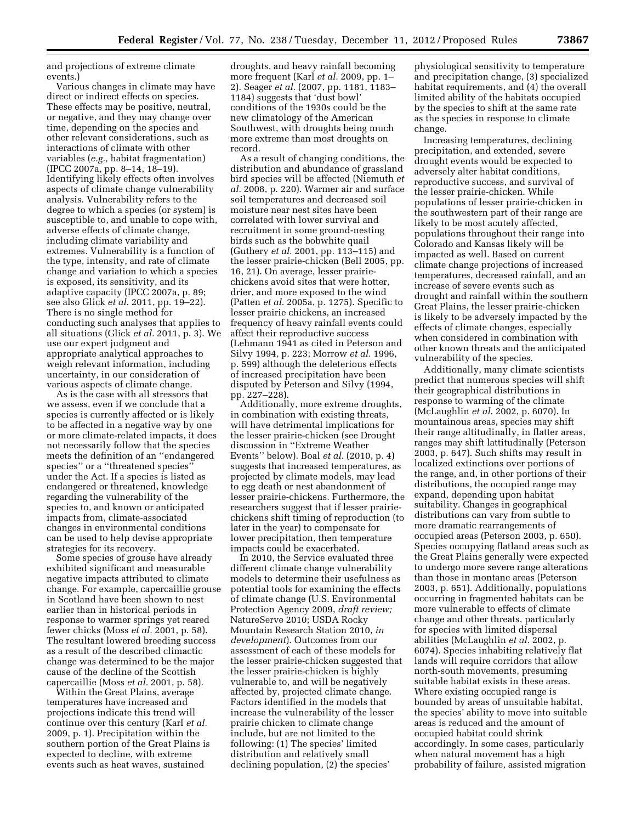and projections of extreme climate events.)

Various changes in climate may have direct or indirect effects on species. These effects may be positive, neutral, or negative, and they may change over time, depending on the species and other relevant considerations, such as interactions of climate with other variables (*e.g.,* habitat fragmentation) (IPCC 2007a, pp. 8–14, 18–19). Identifying likely effects often involves aspects of climate change vulnerability analysis. Vulnerability refers to the degree to which a species (or system) is susceptible to, and unable to cope with, adverse effects of climate change, including climate variability and extremes. Vulnerability is a function of the type, intensity, and rate of climate change and variation to which a species is exposed, its sensitivity, and its adaptive capacity (IPCC 2007a, p. 89; see also Glick *et al.* 2011, pp. 19–22). There is no single method for conducting such analyses that applies to all situations (Glick *et al.* 2011, p. 3). We use our expert judgment and appropriate analytical approaches to weigh relevant information, including uncertainty, in our consideration of various aspects of climate change.

As is the case with all stressors that we assess, even if we conclude that a species is currently affected or is likely to be affected in a negative way by one or more climate-related impacts, it does not necessarily follow that the species meets the definition of an ''endangered species'' or a ''threatened species'' under the Act. If a species is listed as endangered or threatened, knowledge regarding the vulnerability of the species to, and known or anticipated impacts from, climate-associated changes in environmental conditions can be used to help devise appropriate strategies for its recovery.

Some species of grouse have already exhibited significant and measurable negative impacts attributed to climate change. For example, capercaillie grouse in Scotland have been shown to nest earlier than in historical periods in response to warmer springs yet reared fewer chicks (Moss *et al.* 2001, p. 58). The resultant lowered breeding success as a result of the described climactic change was determined to be the major cause of the decline of the Scottish capercaillie (Moss *et al.* 2001, p. 58).

Within the Great Plains, average temperatures have increased and projections indicate this trend will continue over this century (Karl *et al.*  2009, p. 1). Precipitation within the southern portion of the Great Plains is expected to decline, with extreme events such as heat waves, sustained

droughts, and heavy rainfall becoming more frequent (Karl *et al.* 2009, pp. 1– 2). Seager *et al.* (2007, pp. 1181, 1183– 1184) suggests that 'dust bowl' conditions of the 1930s could be the new climatology of the American Southwest, with droughts being much more extreme than most droughts on record.

As a result of changing conditions, the distribution and abundance of grassland bird species will be affected (Niemuth *et al.* 2008, p. 220). Warmer air and surface soil temperatures and decreased soil moisture near nest sites have been correlated with lower survival and recruitment in some ground-nesting birds such as the bobwhite quail (Guthery *et al.* 2001, pp. 113–115) and the lesser prairie-chicken (Bell 2005, pp. 16, 21). On average, lesser prairiechickens avoid sites that were hotter, drier, and more exposed to the wind (Patten *et al.* 2005a, p. 1275). Specific to lesser prairie chickens, an increased frequency of heavy rainfall events could affect their reproductive success (Lehmann 1941 as cited in Peterson and Silvy 1994, p. 223; Morrow *et al.* 1996, p. 599) although the deleterious effects of increased precipitation have been disputed by Peterson and Silvy (1994, pp. 227–228).

Additionally, more extreme droughts, in combination with existing threats, will have detrimental implications for the lesser prairie-chicken (see Drought discussion in ''Extreme Weather Events'' below). Boal *et al.* (2010, p. 4) suggests that increased temperatures, as projected by climate models, may lead to egg death or nest abandonment of lesser prairie-chickens. Furthermore, the researchers suggest that if lesser prairiechickens shift timing of reproduction (to later in the year) to compensate for lower precipitation, then temperature impacts could be exacerbated.

In 2010, the Service evaluated three different climate change vulnerability models to determine their usefulness as potential tools for examining the effects of climate change (U.S. Environmental Protection Agency 2009, *draft review;*  NatureServe 2010; USDA Rocky Mountain Research Station 2010, *in development*). Outcomes from our assessment of each of these models for the lesser prairie-chicken suggested that the lesser prairie-chicken is highly vulnerable to, and will be negatively affected by, projected climate change. Factors identified in the models that increase the vulnerability of the lesser prairie chicken to climate change include, but are not limited to the following: (1) The species' limited distribution and relatively small declining population, (2) the species'

physiological sensitivity to temperature and precipitation change, (3) specialized habitat requirements, and (4) the overall limited ability of the habitats occupied by the species to shift at the same rate as the species in response to climate change.

Increasing temperatures, declining precipitation, and extended, severe drought events would be expected to adversely alter habitat conditions, reproductive success, and survival of the lesser prairie-chicken. While populations of lesser prairie-chicken in the southwestern part of their range are likely to be most acutely affected, populations throughout their range into Colorado and Kansas likely will be impacted as well. Based on current climate change projections of increased temperatures, decreased rainfall, and an increase of severe events such as drought and rainfall within the southern Great Plains, the lesser prairie-chicken is likely to be adversely impacted by the effects of climate changes, especially when considered in combination with other known threats and the anticipated vulnerability of the species.

Additionally, many climate scientists predict that numerous species will shift their geographical distributions in response to warming of the climate (McLaughlin *et al.* 2002, p. 6070). In mountainous areas, species may shift their range altitudinally, in flatter areas, ranges may shift lattitudinally (Peterson 2003, p. 647). Such shifts may result in localized extinctions over portions of the range, and, in other portions of their distributions, the occupied range may expand, depending upon habitat suitability. Changes in geographical distributions can vary from subtle to more dramatic rearrangements of occupied areas (Peterson 2003, p. 650). Species occupying flatland areas such as the Great Plains generally were expected to undergo more severe range alterations than those in montane areas (Peterson 2003, p. 651). Additionally, populations occurring in fragmented habitats can be more vulnerable to effects of climate change and other threats, particularly for species with limited dispersal abilities (McLaughlin *et al.* 2002, p. 6074). Species inhabiting relatively flat lands will require corridors that allow north-south movements, presuming suitable habitat exists in these areas. Where existing occupied range is bounded by areas of unsuitable habitat, the species' ability to move into suitable areas is reduced and the amount of occupied habitat could shrink accordingly. In some cases, particularly when natural movement has a high probability of failure, assisted migration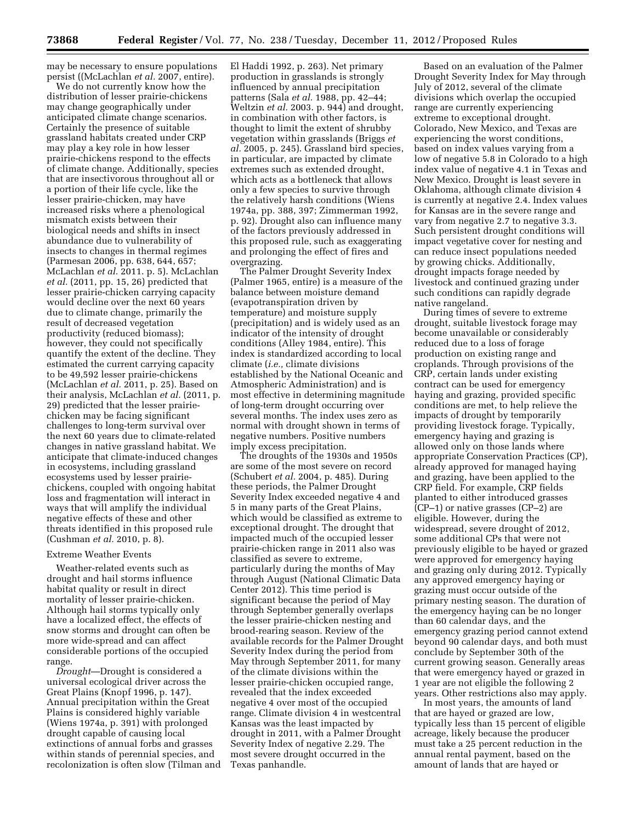may be necessary to ensure populations persist ((McLachlan *et al.* 2007, entire).

We do not currently know how the distribution of lesser prairie-chickens may change geographically under anticipated climate change scenarios. Certainly the presence of suitable grassland habitats created under CRP may play a key role in how lesser prairie-chickens respond to the effects of climate change. Additionally, species that are insectivorous throughout all or a portion of their life cycle, like the lesser prairie-chicken, may have increased risks where a phenological mismatch exists between their biological needs and shifts in insect abundance due to vulnerability of insects to changes in thermal regimes (Parmesan 2006, pp. 638, 644, 657; McLachlan *et al.* 2011. p. 5). McLachlan *et al.* (2011, pp. 15, 26) predicted that lesser prairie-chicken carrying capacity would decline over the next 60 years due to climate change, primarily the result of decreased vegetation productivity (reduced biomass); however, they could not specifically quantify the extent of the decline. They estimated the current carrying capacity to be 49,592 lesser prairie-chickens (McLachlan *et al.* 2011, p. 25). Based on their analysis, McLachlan *et al.* (2011, p. 29) predicted that the lesser prairiechicken may be facing significant challenges to long-term survival over the next 60 years due to climate-related changes in native grassland habitat. We anticipate that climate-induced changes in ecosystems, including grassland ecosystems used by lesser prairiechickens, coupled with ongoing habitat loss and fragmentation will interact in ways that will amplify the individual negative effects of these and other threats identified in this proposed rule (Cushman *et al.* 2010, p. 8).

#### Extreme Weather Events

Weather-related events such as drought and hail storms influence habitat quality or result in direct mortality of lesser prairie-chicken. Although hail storms typically only have a localized effect, the effects of snow storms and drought can often be more wide-spread and can affect considerable portions of the occupied range.

*Drought*—Drought is considered a universal ecological driver across the Great Plains (Knopf 1996, p. 147). Annual precipitation within the Great Plains is considered highly variable (Wiens 1974a, p. 391) with prolonged drought capable of causing local extinctions of annual forbs and grasses within stands of perennial species, and recolonization is often slow (Tilman and El Haddi 1992, p. 263). Net primary production in grasslands is strongly influenced by annual precipitation patterns (Sala *et al.* 1988, pp. 42–44; Weltzin *et al.* 2003. p. 944) and drought, in combination with other factors, is thought to limit the extent of shrubby vegetation within grasslands (Briggs *et al.* 2005, p. 245). Grassland bird species, in particular, are impacted by climate extremes such as extended drought, which acts as a bottleneck that allows only a few species to survive through the relatively harsh conditions (Wiens 1974a, pp. 388, 397; Zimmerman 1992, p. 92). Drought also can influence many of the factors previously addressed in this proposed rule, such as exaggerating and prolonging the effect of fires and overgrazing.

The Palmer Drought Severity Index (Palmer 1965, entire) is a measure of the balance between moisture demand (evapotranspiration driven by temperature) and moisture supply (precipitation) and is widely used as an indicator of the intensity of drought conditions (Alley 1984, entire). This index is standardized according to local climate (*i.e.,* climate divisions established by the National Oceanic and Atmospheric Administration) and is most effective in determining magnitude of long-term drought occurring over several months. The index uses zero as normal with drought shown in terms of negative numbers. Positive numbers imply excess precipitation.

The droughts of the 1930s and 1950s are some of the most severe on record (Schubert *et al.* 2004, p. 485). During these periods, the Palmer Drought Severity Index exceeded negative 4 and 5 in many parts of the Great Plains, which would be classified as extreme to exceptional drought. The drought that impacted much of the occupied lesser prairie-chicken range in 2011 also was classified as severe to extreme, particularly during the months of May through August (National Climatic Data Center 2012). This time period is significant because the period of May through September generally overlaps the lesser prairie-chicken nesting and brood-rearing season. Review of the available records for the Palmer Drought Severity Index during the period from May through September 2011, for many of the climate divisions within the lesser prairie-chicken occupied range, revealed that the index exceeded negative 4 over most of the occupied range. Climate division 4 in westcentral Kansas was the least impacted by drought in 2011, with a Palmer Drought Severity Index of negative 2.29. The most severe drought occurred in the Texas panhandle.

Based on an evaluation of the Palmer Drought Severity Index for May through July of 2012, several of the climate divisions which overlap the occupied range are currently experiencing extreme to exceptional drought. Colorado, New Mexico, and Texas are experiencing the worst conditions, based on index values varying from a low of negative 5.8 in Colorado to a high index value of negative 4.1 in Texas and New Mexico. Drought is least severe in Oklahoma, although climate division 4 is currently at negative 2.4. Index values for Kansas are in the severe range and vary from negative 2.7 to negative 3.3. Such persistent drought conditions will impact vegetative cover for nesting and can reduce insect populations needed by growing chicks. Additionally, drought impacts forage needed by livestock and continued grazing under such conditions can rapidly degrade native rangeland.

During times of severe to extreme drought, suitable livestock forage may become unavailable or considerably reduced due to a loss of forage production on existing range and croplands. Through provisions of the CRP, certain lands under existing contract can be used for emergency haying and grazing, provided specific conditions are met, to help relieve the impacts of drought by temporarily providing livestock forage. Typically, emergency haying and grazing is allowed only on those lands where appropriate Conservation Practices (CP), already approved for managed haying and grazing, have been applied to the CRP field. For example, CRP fields planted to either introduced grasses (CP–1) or native grasses (CP–2) are eligible. However, during the widespread, severe drought of 2012, some additional CPs that were not previously eligible to be hayed or grazed were approved for emergency haying and grazing only during 2012. Typically any approved emergency haying or grazing must occur outside of the primary nesting season. The duration of the emergency haying can be no longer than 60 calendar days, and the emergency grazing period cannot extend beyond 90 calendar days, and both must conclude by September 30th of the current growing season. Generally areas that were emergency hayed or grazed in 1 year are not eligible the following 2 years. Other restrictions also may apply.

In most years, the amounts of land that are hayed or grazed are low, typically less than 15 percent of eligible acreage, likely because the producer must take a 25 percent reduction in the annual rental payment, based on the amount of lands that are hayed or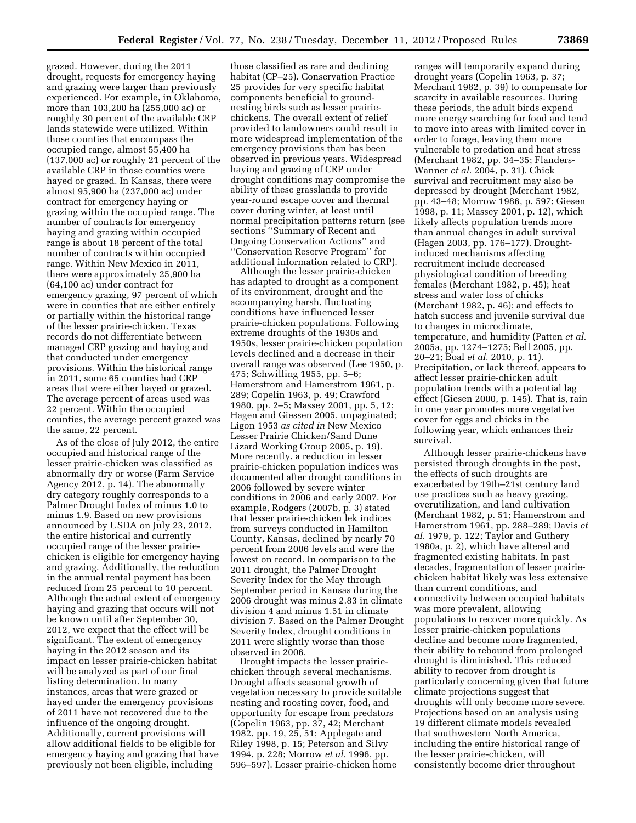grazed. However, during the 2011 drought, requests for emergency haying and grazing were larger than previously experienced. For example, in Oklahoma, more than 103,200 ha (255,000 ac) or roughly 30 percent of the available CRP lands statewide were utilized. Within those counties that encompass the occupied range, almost 55,400 ha (137,000 ac) or roughly 21 percent of the available CRP in those counties were hayed or grazed. In Kansas, there were almost 95,900 ha (237,000 ac) under contract for emergency haying or grazing within the occupied range. The number of contracts for emergency haying and grazing within occupied range is about 18 percent of the total number of contracts within occupied range. Within New Mexico in 2011, there were approximately 25,900 ha (64,100 ac) under contract for emergency grazing, 97 percent of which were in counties that are either entirely or partially within the historical range of the lesser prairie-chicken. Texas records do not differentiate between managed CRP grazing and haying and that conducted under emergency provisions. Within the historical range in 2011, some 65 counties had CRP areas that were either hayed or grazed. The average percent of areas used was 22 percent. Within the occupied counties, the average percent grazed was the same, 22 percent.

As of the close of July 2012, the entire occupied and historical range of the lesser prairie-chicken was classified as abnormally dry or worse (Farm Service Agency 2012, p. 14). The abnormally dry category roughly corresponds to a Palmer Drought Index of minus 1.0 to minus 1.9. Based on new provisions announced by USDA on July 23, 2012, the entire historical and currently occupied range of the lesser prairiechicken is eligible for emergency haying and grazing. Additionally, the reduction in the annual rental payment has been reduced from 25 percent to 10 percent. Although the actual extent of emergency haying and grazing that occurs will not be known until after September 30, 2012, we expect that the effect will be significant. The extent of emergency haying in the 2012 season and its impact on lesser prairie-chicken habitat will be analyzed as part of our final listing determination. In many instances, areas that were grazed or hayed under the emergency provisions of 2011 have not recovered due to the influence of the ongoing drought. Additionally, current provisions will allow additional fields to be eligible for emergency haying and grazing that have previously not been eligible, including

those classified as rare and declining habitat (CP–25). Conservation Practice 25 provides for very specific habitat components beneficial to groundnesting birds such as lesser prairiechickens. The overall extent of relief provided to landowners could result in more widespread implementation of the emergency provisions than has been observed in previous years. Widespread haying and grazing of CRP under drought conditions may compromise the ability of these grasslands to provide year-round escape cover and thermal cover during winter, at least until normal precipitation patterns return (see sections ''Summary of Recent and Ongoing Conservation Actions'' and ''Conservation Reserve Program'' for additional information related to CRP).

Although the lesser prairie-chicken has adapted to drought as a component of its environment, drought and the accompanying harsh, fluctuating conditions have influenced lesser prairie-chicken populations. Following extreme droughts of the 1930s and 1950s, lesser prairie-chicken population levels declined and a decrease in their overall range was observed (Lee 1950, p. 475; Schwilling 1955, pp. 5–6; Hamerstrom and Hamerstrom 1961, p. 289; Copelin 1963, p. 49; Crawford 1980, pp. 2–5; Massey 2001, pp. 5, 12; Hagen and Giessen 2005, unpaginated; Ligon 1953 *as cited in* New Mexico Lesser Prairie Chicken/Sand Dune Lizard Working Group 2005, p. 19). More recently, a reduction in lesser prairie-chicken population indices was documented after drought conditions in 2006 followed by severe winter conditions in 2006 and early 2007. For example, Rodgers (2007b, p. 3) stated that lesser prairie-chicken lek indices from surveys conducted in Hamilton County, Kansas, declined by nearly 70 percent from 2006 levels and were the lowest on record. In comparison to the 2011 drought, the Palmer Drought Severity Index for the May through September period in Kansas during the 2006 drought was minus 2.83 in climate division 4 and minus 1.51 in climate division 7. Based on the Palmer Drought Severity Index, drought conditions in 2011 were slightly worse than those observed in 2006.

Drought impacts the lesser prairiechicken through several mechanisms. Drought affects seasonal growth of vegetation necessary to provide suitable nesting and roosting cover, food, and opportunity for escape from predators (Copelin 1963, pp. 37, 42; Merchant 1982, pp. 19, 25, 51; Applegate and Riley 1998, p. 15; Peterson and Silvy 1994, p. 228; Morrow *et al.* 1996, pp. 596–597). Lesser prairie-chicken home

ranges will temporarily expand during drought years (Copelin 1963, p. 37; Merchant 1982, p. 39) to compensate for scarcity in available resources. During these periods, the adult birds expend more energy searching for food and tend to move into areas with limited cover in order to forage, leaving them more vulnerable to predation and heat stress (Merchant 1982, pp. 34–35; Flanders-Wanner *et al.* 2004, p. 31). Chick survival and recruitment may also be depressed by drought (Merchant 1982, pp. 43–48; Morrow 1986, p. 597; Giesen 1998, p. 11; Massey 2001, p. 12), which likely affects population trends more than annual changes in adult survival (Hagen 2003, pp. 176–177). Droughtinduced mechanisms affecting recruitment include decreased physiological condition of breeding females (Merchant 1982, p. 45); heat stress and water loss of chicks (Merchant 1982, p. 46); and effects to hatch success and juvenile survival due to changes in microclimate, temperature, and humidity (Patten *et al.*  2005a, pp. 1274–1275; Bell 2005, pp. 20–21; Boal *et al.* 2010, p. 11). Precipitation, or lack thereof, appears to affect lesser prairie-chicken adult population trends with a potential lag effect (Giesen 2000, p. 145). That is, rain in one year promotes more vegetative cover for eggs and chicks in the following year, which enhances their survival.

Although lesser prairie-chickens have persisted through droughts in the past, the effects of such droughts are exacerbated by 19th–21st century land use practices such as heavy grazing, overutilization, and land cultivation (Merchant 1982, p. 51; Hamerstrom and Hamerstrom 1961, pp. 288–289; Davis *et al.* 1979, p. 122; Taylor and Guthery 1980a, p. 2), which have altered and fragmented existing habitats. In past decades, fragmentation of lesser prairiechicken habitat likely was less extensive than current conditions, and connectivity between occupied habitats was more prevalent, allowing populations to recover more quickly. As lesser prairie-chicken populations decline and become more fragmented, their ability to rebound from prolonged drought is diminished. This reduced ability to recover from drought is particularly concerning given that future climate projections suggest that droughts will only become more severe. Projections based on an analysis using 19 different climate models revealed that southwestern North America, including the entire historical range of the lesser prairie-chicken, will consistently become drier throughout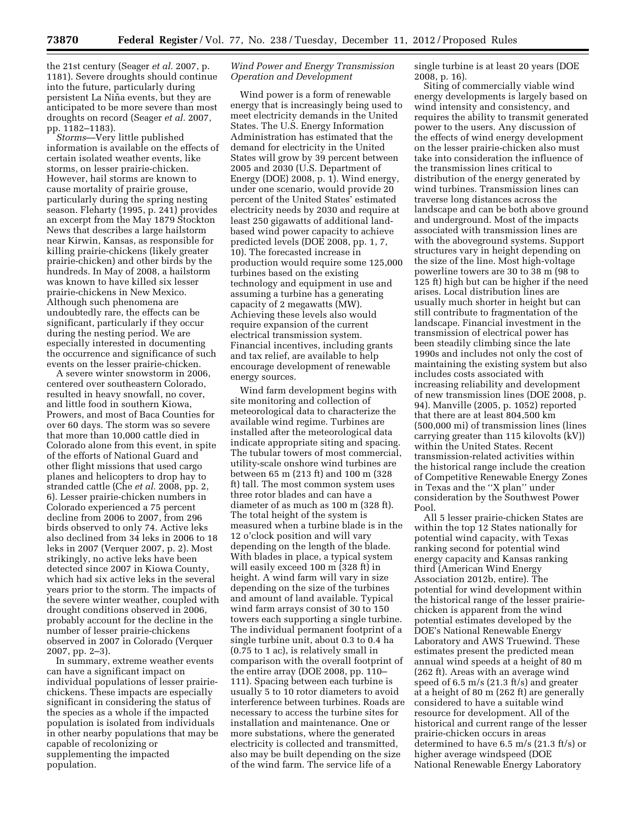the 21st century (Seager *et al.* 2007, p. 1181). Severe droughts should continue into the future, particularly during persistent La Nin˜ a events, but they are anticipated to be more severe than most droughts on record (Seager *et al.* 2007, pp. 1182–1183).

*Storms*—Very little published information is available on the effects of certain isolated weather events, like storms, on lesser prairie-chicken. However, hail storms are known to cause mortality of prairie grouse, particularly during the spring nesting season. Fleharty (1995, p. 241) provides an excerpt from the May 1879 Stockton News that describes a large hailstorm near Kirwin, Kansas, as responsible for killing prairie-chickens (likely greater prairie-chicken) and other birds by the hundreds. In May of 2008, a hailstorm was known to have killed six lesser prairie-chickens in New Mexico. Although such phenomena are undoubtedly rare, the effects can be significant, particularly if they occur during the nesting period. We are especially interested in documenting the occurrence and significance of such events on the lesser prairie-chicken.

A severe winter snowstorm in 2006, centered over southeastern Colorado, resulted in heavy snowfall, no cover, and little food in southern Kiowa, Prowers, and most of Baca Counties for over 60 days. The storm was so severe that more than 10,000 cattle died in Colorado alone from this event, in spite of the efforts of National Guard and other flight missions that used cargo planes and helicopters to drop hay to stranded cattle (Che *et al.* 2008, pp. 2, 6). Lesser prairie-chicken numbers in Colorado experienced a 75 percent decline from 2006 to 2007, from 296 birds observed to only 74. Active leks also declined from 34 leks in 2006 to 18 leks in 2007 (Verquer 2007, p. 2). Most strikingly, no active leks have been detected since 2007 in Kiowa County, which had six active leks in the several years prior to the storm. The impacts of the severe winter weather, coupled with drought conditions observed in 2006, probably account for the decline in the number of lesser prairie-chickens observed in 2007 in Colorado (Verquer 2007, pp. 2–3).

In summary, extreme weather events can have a significant impact on individual populations of lesser prairiechickens. These impacts are especially significant in considering the status of the species as a whole if the impacted population is isolated from individuals in other nearby populations that may be capable of recolonizing or supplementing the impacted population.

## *Wind Power and Energy Transmission Operation and Development*

Wind power is a form of renewable energy that is increasingly being used to meet electricity demands in the United States. The U.S. Energy Information Administration has estimated that the demand for electricity in the United States will grow by 39 percent between 2005 and 2030 (U.S. Department of Energy (DOE) 2008, p. 1). Wind energy, under one scenario, would provide 20 percent of the United States' estimated electricity needs by 2030 and require at least 250 gigawatts of additional landbased wind power capacity to achieve predicted levels (DOE 2008, pp. 1, 7, 10). The forecasted increase in production would require some 125,000 turbines based on the existing technology and equipment in use and assuming a turbine has a generating capacity of 2 megawatts (MW). Achieving these levels also would require expansion of the current electrical transmission system. Financial incentives, including grants and tax relief, are available to help encourage development of renewable energy sources.

Wind farm development begins with site monitoring and collection of meteorological data to characterize the available wind regime. Turbines are installed after the meteorological data indicate appropriate siting and spacing. The tubular towers of most commercial, utility-scale onshore wind turbines are between 65 m (213 ft) and 100 m (328 ft) tall. The most common system uses three rotor blades and can have a diameter of as much as 100 m (328 ft). The total height of the system is measured when a turbine blade is in the 12 o'clock position and will vary depending on the length of the blade. With blades in place, a typical system will easily exceed 100 m (328 ft) in height. A wind farm will vary in size depending on the size of the turbines and amount of land available. Typical wind farm arrays consist of 30 to 150 towers each supporting a single turbine. The individual permanent footprint of a single turbine unit, about 0.3 to 0.4 ha (0.75 to 1 ac), is relatively small in comparison with the overall footprint of the entire array (DOE 2008, pp. 110– 111). Spacing between each turbine is usually 5 to 10 rotor diameters to avoid interference between turbines. Roads are necessary to access the turbine sites for installation and maintenance. One or more substations, where the generated electricity is collected and transmitted, also may be built depending on the size of the wind farm. The service life of a

single turbine is at least 20 years (DOE 2008, p. 16).

Siting of commercially viable wind energy developments is largely based on wind intensity and consistency, and requires the ability to transmit generated power to the users. Any discussion of the effects of wind energy development on the lesser prairie-chicken also must take into consideration the influence of the transmission lines critical to distribution of the energy generated by wind turbines. Transmission lines can traverse long distances across the landscape and can be both above ground and underground. Most of the impacts associated with transmission lines are with the aboveground systems. Support structures vary in height depending on the size of the line. Most high-voltage powerline towers are 30 to 38 m (98 to 125 ft) high but can be higher if the need arises. Local distribution lines are usually much shorter in height but can still contribute to fragmentation of the landscape. Financial investment in the transmission of electrical power has been steadily climbing since the late 1990s and includes not only the cost of maintaining the existing system but also includes costs associated with increasing reliability and development of new transmission lines (DOE 2008, p. 94). Manville (2005, p. 1052) reported that there are at least 804,500 km (500,000 mi) of transmission lines (lines carrying greater than 115 kilovolts (kV)) within the United States. Recent transmission-related activities within the historical range include the creation of Competitive Renewable Energy Zones in Texas and the ''X plan'' under consideration by the Southwest Power Pool.

All 5 lesser prairie-chicken States are within the top 12 States nationally for potential wind capacity, with Texas ranking second for potential wind energy capacity and Kansas ranking third (American Wind Energy Association 2012b, entire). The potential for wind development within the historical range of the lesser prairiechicken is apparent from the wind potential estimates developed by the DOE's National Renewable Energy Laboratory and AWS Truewind. These estimates present the predicted mean annual wind speeds at a height of 80 m (262 ft). Areas with an average wind speed of 6.5 m/s (21.3 ft/s) and greater at a height of 80 m (262 ft) are generally considered to have a suitable wind resource for development. All of the historical and current range of the lesser prairie-chicken occurs in areas determined to have 6.5 m/s (21.3 ft/s) or higher average windspeed (DOE National Renewable Energy Laboratory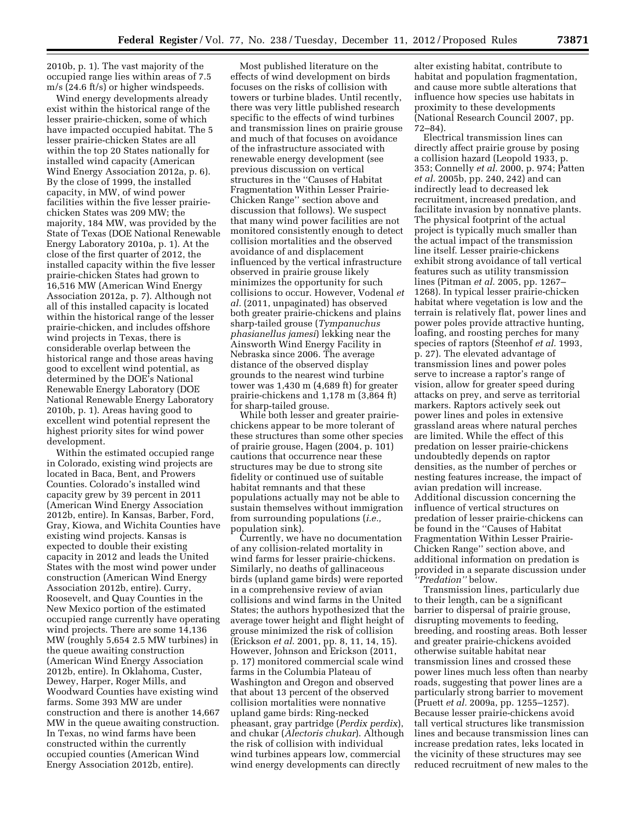2010b, p. 1). The vast majority of the occupied range lies within areas of 7.5 m/s (24.6 ft/s) or higher windspeeds.

Wind energy developments already exist within the historical range of the lesser prairie-chicken, some of which have impacted occupied habitat. The 5 lesser prairie-chicken States are all within the top 20 States nationally for installed wind capacity (American Wind Energy Association 2012a, p. 6). By the close of 1999, the installed capacity, in MW, of wind power facilities within the five lesser prairiechicken States was 209 MW; the majority, 184 MW, was provided by the State of Texas (DOE National Renewable Energy Laboratory 2010a, p. 1). At the close of the first quarter of 2012, the installed capacity within the five lesser prairie-chicken States had grown to 16,516 MW (American Wind Energy Association 2012a, p. 7). Although not all of this installed capacity is located within the historical range of the lesser prairie-chicken, and includes offshore wind projects in Texas, there is considerable overlap between the historical range and those areas having good to excellent wind potential, as determined by the DOE's National Renewable Energy Laboratory (DOE National Renewable Energy Laboratory 2010b, p. 1). Areas having good to excellent wind potential represent the highest priority sites for wind power development.

Within the estimated occupied range in Colorado, existing wind projects are located in Baca, Bent, and Prowers Counties. Colorado's installed wind capacity grew by 39 percent in 2011 (American Wind Energy Association 2012b, entire). In Kansas, Barber, Ford, Gray, Kiowa, and Wichita Counties have existing wind projects. Kansas is expected to double their existing capacity in 2012 and leads the United States with the most wind power under construction (American Wind Energy Association 2012b, entire). Curry, Roosevelt, and Quay Counties in the New Mexico portion of the estimated occupied range currently have operating wind projects. There are some 14,136 MW (roughly 5,654 2.5 MW turbines) in the queue awaiting construction (American Wind Energy Association 2012b, entire). In Oklahoma, Custer, Dewey, Harper, Roger Mills, and Woodward Counties have existing wind farms. Some 393 MW are under construction and there is another 14,667 MW in the queue awaiting construction. In Texas, no wind farms have been constructed within the currently occupied counties (American Wind Energy Association 2012b, entire).

Most published literature on the effects of wind development on birds focuses on the risks of collision with towers or turbine blades. Until recently, there was very little published research specific to the effects of wind turbines and transmission lines on prairie grouse and much of that focuses on avoidance of the infrastructure associated with renewable energy development (see previous discussion on vertical structures in the ''Causes of Habitat Fragmentation Within Lesser Prairie-Chicken Range'' section above and discussion that follows). We suspect that many wind power facilities are not monitored consistently enough to detect collision mortalities and the observed avoidance of and displacement influenced by the vertical infrastructure observed in prairie grouse likely minimizes the opportunity for such collisions to occur. However, Vodenal *et al.* (2011, unpaginated) has observed both greater prairie-chickens and plains sharp-tailed grouse (*Tympanuchus phasianellus jamesi*) lekking near the Ainsworth Wind Energy Facility in Nebraska since 2006. The average distance of the observed display grounds to the nearest wind turbine tower was 1,430 m (4,689 ft) for greater prairie-chickens and 1,178 m (3,864 ft) for sharp-tailed grouse.

While both lesser and greater prairiechickens appear to be more tolerant of these structures than some other species of prairie grouse, Hagen (2004, p. 101) cautions that occurrence near these structures may be due to strong site fidelity or continued use of suitable habitat remnants and that these populations actually may not be able to sustain themselves without immigration from surrounding populations (*i.e.,*  population sink).

Currently, we have no documentation of any collision-related mortality in wind farms for lesser prairie-chickens. Similarly, no deaths of gallinaceous birds (upland game birds) were reported in a comprehensive review of avian collisions and wind farms in the United States; the authors hypothesized that the average tower height and flight height of grouse minimized the risk of collision (Erickson *et al.* 2001, pp. 8, 11, 14, 15). However, Johnson and Erickson (2011, p. 17) monitored commercial scale wind farms in the Columbia Plateau of Washington and Oregon and observed that about 13 percent of the observed collision mortalities were nonnative upland game birds: Ring-necked pheasant, gray partridge (*Perdix perdix*), and chukar (*Alectoris chukar*). Although the risk of collision with individual wind turbines appears low, commercial wind energy developments can directly

alter existing habitat, contribute to habitat and population fragmentation, and cause more subtle alterations that influence how species use habitats in proximity to these developments (National Research Council 2007, pp. 72–84).

Electrical transmission lines can directly affect prairie grouse by posing a collision hazard (Leopold 1933, p. 353; Connelly *et al.* 2000, p. 974; Patten *et al.* 2005b, pp. 240, 242) and can indirectly lead to decreased lek recruitment, increased predation, and facilitate invasion by nonnative plants. The physical footprint of the actual project is typically much smaller than the actual impact of the transmission line itself. Lesser prairie-chickens exhibit strong avoidance of tall vertical features such as utility transmission lines (Pitman *et al.* 2005, pp. 1267– 1268). In typical lesser prairie-chicken habitat where vegetation is low and the terrain is relatively flat, power lines and power poles provide attractive hunting, loafing, and roosting perches for many species of raptors (Steenhof *et al.* 1993, p. 27). The elevated advantage of transmission lines and power poles serve to increase a raptor's range of vision, allow for greater speed during attacks on prey, and serve as territorial markers. Raptors actively seek out power lines and poles in extensive grassland areas where natural perches are limited. While the effect of this predation on lesser prairie-chickens undoubtedly depends on raptor densities, as the number of perches or nesting features increase, the impact of avian predation will increase. Additional discussion concerning the influence of vertical structures on predation of lesser prairie-chickens can be found in the ''Causes of Habitat Fragmentation Within Lesser Prairie-Chicken Range'' section above, and additional information on predation is provided in a separate discussion under *''Predation''* below.

Transmission lines, particularly due to their length, can be a significant barrier to dispersal of prairie grouse, disrupting movements to feeding, breeding, and roosting areas. Both lesser and greater prairie-chickens avoided otherwise suitable habitat near transmission lines and crossed these power lines much less often than nearby roads, suggesting that power lines are a particularly strong barrier to movement (Pruett *et al.* 2009a, pp. 1255–1257). Because lesser prairie-chickens avoid tall vertical structures like transmission lines and because transmission lines can increase predation rates, leks located in the vicinity of these structures may see reduced recruitment of new males to the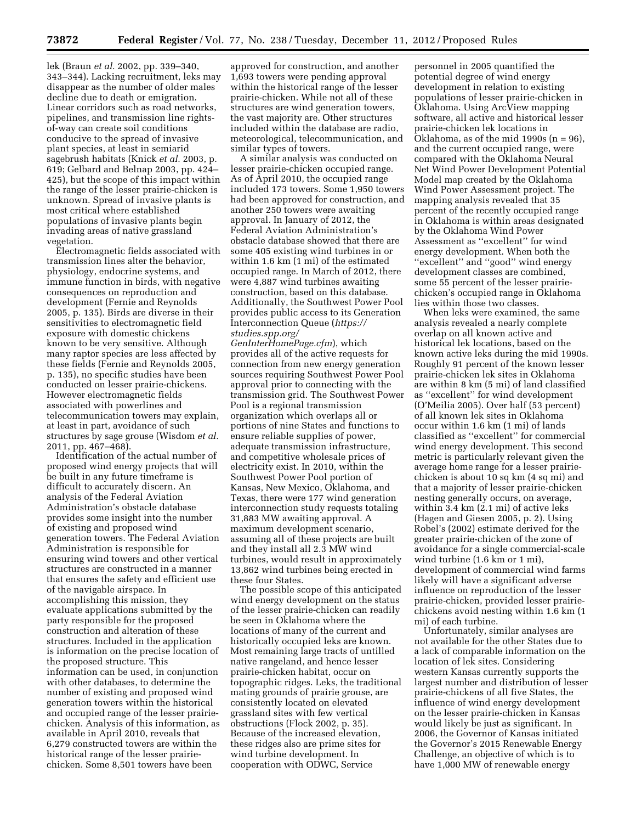lek (Braun *et al.* 2002, pp. 339–340, 343–344). Lacking recruitment, leks may disappear as the number of older males decline due to death or emigration. Linear corridors such as road networks, pipelines, and transmission line rightsof-way can create soil conditions conducive to the spread of invasive plant species, at least in semiarid sagebrush habitats (Knick *et al.* 2003, p. 619; Gelbard and Belnap 2003, pp. 424– 425), but the scope of this impact within the range of the lesser prairie-chicken is unknown. Spread of invasive plants is most critical where established populations of invasive plants begin invading areas of native grassland vegetation.

Electromagnetic fields associated with transmission lines alter the behavior, physiology, endocrine systems, and immune function in birds, with negative consequences on reproduction and development (Fernie and Reynolds 2005, p. 135). Birds are diverse in their sensitivities to electromagnetic field exposure with domestic chickens known to be very sensitive. Although many raptor species are less affected by these fields (Fernie and Reynolds 2005, p. 135), no specific studies have been conducted on lesser prairie-chickens. However electromagnetic fields associated with powerlines and telecommunication towers may explain, at least in part, avoidance of such structures by sage grouse (Wisdom *et al.*  2011, pp. 467–468).

Identification of the actual number of proposed wind energy projects that will be built in any future timeframe is difficult to accurately discern. An analysis of the Federal Aviation Administration's obstacle database provides some insight into the number of existing and proposed wind generation towers. The Federal Aviation Administration is responsible for ensuring wind towers and other vertical structures are constructed in a manner that ensures the safety and efficient use of the navigable airspace. In accomplishing this mission, they evaluate applications submitted by the party responsible for the proposed construction and alteration of these structures. Included in the application is information on the precise location of the proposed structure. This information can be used, in conjunction with other databases, to determine the number of existing and proposed wind generation towers within the historical and occupied range of the lesser prairiechicken. Analysis of this information, as available in April 2010, reveals that 6,279 constructed towers are within the historical range of the lesser prairiechicken. Some 8,501 towers have been

approved for construction, and another 1,693 towers were pending approval within the historical range of the lesser prairie-chicken. While not all of these structures are wind generation towers, the vast majority are. Other structures included within the database are radio, meteorological, telecommunication, and similar types of towers.

A similar analysis was conducted on lesser prairie-chicken occupied range. As of April 2010, the occupied range included 173 towers. Some 1,950 towers had been approved for construction, and another 250 towers were awaiting approval. In January of 2012, the Federal Aviation Administration's obstacle database showed that there are some 405 existing wind turbines in or within 1.6 km (1 mi) of the estimated occupied range. In March of 2012, there were 4,887 wind turbines awaiting construction, based on this database. Additionally, the Southwest Power Pool provides public access to its Generation Interconnection Queue (*[https://](https://studies.spp.org/GenInterHomePage.cfm)  [studies.spp.org/](https://studies.spp.org/GenInterHomePage.cfm)* 

*[GenInterHomePage.cfm](https://studies.spp.org/GenInterHomePage.cfm)*), which provides all of the active requests for connection from new energy generation sources requiring Southwest Power Pool approval prior to connecting with the transmission grid. The Southwest Power Pool is a regional transmission organization which overlaps all or portions of nine States and functions to ensure reliable supplies of power, adequate transmission infrastructure, and competitive wholesale prices of electricity exist. In 2010, within the Southwest Power Pool portion of Kansas, New Mexico, Oklahoma, and Texas, there were 177 wind generation interconnection study requests totaling 31,883 MW awaiting approval. A maximum development scenario, assuming all of these projects are built and they install all 2.3 MW wind turbines, would result in approximately 13,862 wind turbines being erected in these four States.

The possible scope of this anticipated wind energy development on the status of the lesser prairie-chicken can readily be seen in Oklahoma where the locations of many of the current and historically occupied leks are known. Most remaining large tracts of untilled native rangeland, and hence lesser prairie-chicken habitat, occur on topographic ridges. Leks, the traditional mating grounds of prairie grouse, are consistently located on elevated grassland sites with few vertical obstructions (Flock 2002, p. 35). Because of the increased elevation, these ridges also are prime sites for wind turbine development. In cooperation with ODWC, Service

personnel in 2005 quantified the potential degree of wind energy development in relation to existing populations of lesser prairie-chicken in Oklahoma. Using ArcView mapping software, all active and historical lesser prairie-chicken lek locations in Oklahoma, as of the mid 1990s (n = 96), and the current occupied range, were compared with the Oklahoma Neural Net Wind Power Development Potential Model map created by the Oklahoma Wind Power Assessment project. The mapping analysis revealed that 35 percent of the recently occupied range in Oklahoma is within areas designated by the Oklahoma Wind Power Assessment as ''excellent'' for wind energy development. When both the "excellent" and "good" wind energy development classes are combined, some 55 percent of the lesser prairiechicken's occupied range in Oklahoma lies within those two classes.

When leks were examined, the same analysis revealed a nearly complete overlap on all known active and historical lek locations, based on the known active leks during the mid 1990s. Roughly 91 percent of the known lesser prairie-chicken lek sites in Oklahoma are within 8 km (5 mi) of land classified as ''excellent'' for wind development (O'Meilia 2005). Over half (53 percent) of all known lek sites in Oklahoma occur within 1.6 km (1 mi) of lands classified as ''excellent'' for commercial wind energy development. This second metric is particularly relevant given the average home range for a lesser prairiechicken is about 10 sq km (4 sq mi) and that a majority of lesser prairie-chicken nesting generally occurs, on average, within 3.4 km (2.1 mi) of active leks (Hagen and Giesen 2005, p. 2). Using Robel's (2002) estimate derived for the greater prairie-chicken of the zone of avoidance for a single commercial-scale wind turbine (1.6 km or 1 mi), development of commercial wind farms likely will have a significant adverse influence on reproduction of the lesser prairie-chicken, provided lesser prairiechickens avoid nesting within 1.6 km (1 mi) of each turbine.

Unfortunately, similar analyses are not available for the other States due to a lack of comparable information on the location of lek sites. Considering western Kansas currently supports the largest number and distribution of lesser prairie-chickens of all five States, the influence of wind energy development on the lesser prairie-chicken in Kansas would likely be just as significant. In 2006, the Governor of Kansas initiated the Governor's 2015 Renewable Energy Challenge, an objective of which is to have 1,000 MW of renewable energy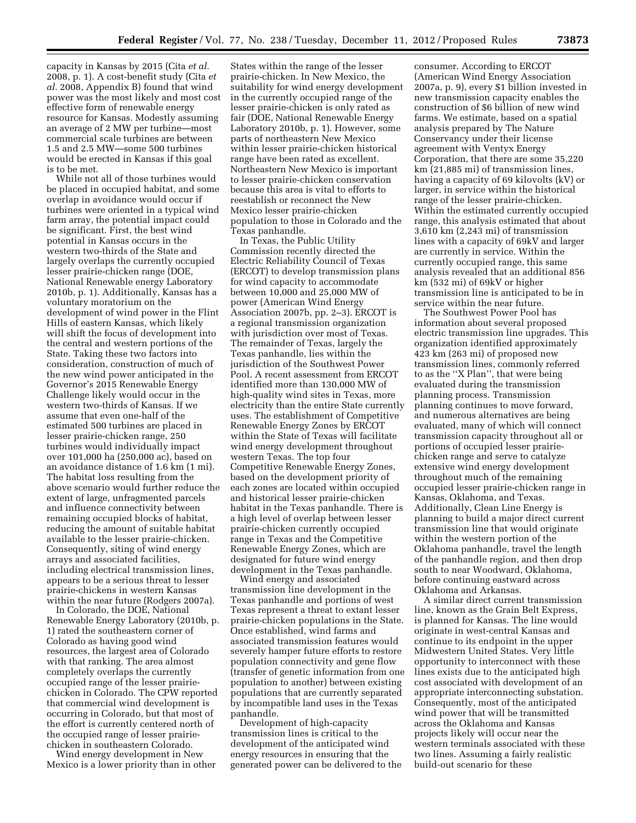capacity in Kansas by 2015 (Cita *et al.*  2008, p. 1). A cost-benefit study (Cita *et al.* 2008, Appendix B) found that wind power was the most likely and most cost effective form of renewable energy resource for Kansas. Modestly assuming an average of 2 MW per turbine—most commercial scale turbines are between 1.5 and 2.5 MW—some 500 turbines would be erected in Kansas if this goal is to be met.

While not all of those turbines would be placed in occupied habitat, and some overlap in avoidance would occur if turbines were oriented in a typical wind farm array, the potential impact could be significant. First, the best wind potential in Kansas occurs in the western two-thirds of the State and largely overlaps the currently occupied lesser prairie-chicken range (DOE, National Renewable energy Laboratory 2010b, p. 1). Additionally, Kansas has a voluntary moratorium on the development of wind power in the Flint Hills of eastern Kansas, which likely will shift the focus of development into the central and western portions of the State. Taking these two factors into consideration, construction of much of the new wind power anticipated in the Governor's 2015 Renewable Energy Challenge likely would occur in the western two-thirds of Kansas. If we assume that even one-half of the estimated 500 turbines are placed in lesser prairie-chicken range, 250 turbines would individually impact over 101,000 ha (250,000 ac), based on an avoidance distance of 1.6 km (1 mi). The habitat loss resulting from the above scenario would further reduce the extent of large, unfragmented parcels and influence connectivity between remaining occupied blocks of habitat, reducing the amount of suitable habitat available to the lesser prairie-chicken. Consequently, siting of wind energy arrays and associated facilities, including electrical transmission lines, appears to be a serious threat to lesser prairie-chickens in western Kansas within the near future (Rodgers 2007a).

In Colorado, the DOE, National Renewable Energy Laboratory (2010b, p. 1) rated the southeastern corner of Colorado as having good wind resources, the largest area of Colorado with that ranking. The area almost completely overlaps the currently occupied range of the lesser prairiechicken in Colorado. The CPW reported that commercial wind development is occurring in Colorado, but that most of the effort is currently centered north of the occupied range of lesser prairiechicken in southeastern Colorado.

Wind energy development in New Mexico is a lower priority than in other

States within the range of the lesser prairie-chicken. In New Mexico, the suitability for wind energy development in the currently occupied range of the lesser prairie-chicken is only rated as fair (DOE, National Renewable Energy Laboratory 2010b, p. 1). However, some parts of northeastern New Mexico within lesser prairie-chicken historical range have been rated as excellent. Northeastern New Mexico is important to lesser prairie-chicken conservation because this area is vital to efforts to reestablish or reconnect the New Mexico lesser prairie-chicken population to those in Colorado and the Texas panhandle.

In Texas, the Public Utility Commission recently directed the Electric Reliability Council of Texas (ERCOT) to develop transmission plans for wind capacity to accommodate between 10,000 and 25,000 MW of power (American Wind Energy Association 2007b, pp. 2–3). ERCOT is a regional transmission organization with jurisdiction over most of Texas. The remainder of Texas, largely the Texas panhandle, lies within the jurisdiction of the Southwest Power Pool. A recent assessment from ERCOT identified more than 130,000 MW of high-quality wind sites in Texas, more electricity than the entire State currently uses. The establishment of Competitive Renewable Energy Zones by ERCOT within the State of Texas will facilitate wind energy development throughout western Texas. The top four Competitive Renewable Energy Zones, based on the development priority of each zones are located within occupied and historical lesser prairie-chicken habitat in the Texas panhandle. There is a high level of overlap between lesser prairie-chicken currently occupied range in Texas and the Competitive Renewable Energy Zones, which are designated for future wind energy development in the Texas panhandle.

Wind energy and associated transmission line development in the Texas panhandle and portions of west Texas represent a threat to extant lesser prairie-chicken populations in the State. Once established, wind farms and associated transmission features would severely hamper future efforts to restore population connectivity and gene flow (transfer of genetic information from one population to another) between existing populations that are currently separated by incompatible land uses in the Texas panhandle.

Development of high-capacity transmission lines is critical to the development of the anticipated wind energy resources in ensuring that the generated power can be delivered to the

consumer. According to ERCOT (American Wind Energy Association 2007a, p. 9), every \$1 billion invested in new transmission capacity enables the construction of \$6 billion of new wind farms. We estimate, based on a spatial analysis prepared by The Nature Conservancy under their license agreement with Ventyx Energy Corporation, that there are some 35,220 km (21,885 mi) of transmission lines, having a capacity of 69 kilovolts (kV) or larger, in service within the historical range of the lesser prairie-chicken. Within the estimated currently occupied range, this analysis estimated that about 3,610 km (2,243 mi) of transmission lines with a capacity of 69kV and larger are currently in service. Within the currently occupied range, this same analysis revealed that an additional 856 km (532 mi) of 69kV or higher transmission line is anticipated to be in service within the near future.

The Southwest Power Pool has information about several proposed electric transmission line upgrades. This organization identified approximately 423 km (263 mi) of proposed new transmission lines, commonly referred to as the ''X Plan'', that were being evaluated during the transmission planning process. Transmission planning continues to move forward, and numerous alternatives are being evaluated, many of which will connect transmission capacity throughout all or portions of occupied lesser prairiechicken range and serve to catalyze extensive wind energy development throughout much of the remaining occupied lesser prairie-chicken range in Kansas, Oklahoma, and Texas. Additionally, Clean Line Energy is planning to build a major direct current transmission line that would originate within the western portion of the Oklahoma panhandle, travel the length of the panhandle region, and then drop south to near Woodward, Oklahoma, before continuing eastward across Oklahoma and Arkansas.

A similar direct current transmission line, known as the Grain Belt Express, is planned for Kansas. The line would originate in west-central Kansas and continue to its endpoint in the upper Midwestern United States. Very little opportunity to interconnect with these lines exists due to the anticipated high cost associated with development of an appropriate interconnecting substation. Consequently, most of the anticipated wind power that will be transmitted across the Oklahoma and Kansas projects likely will occur near the western terminals associated with these two lines. Assuming a fairly realistic build-out scenario for these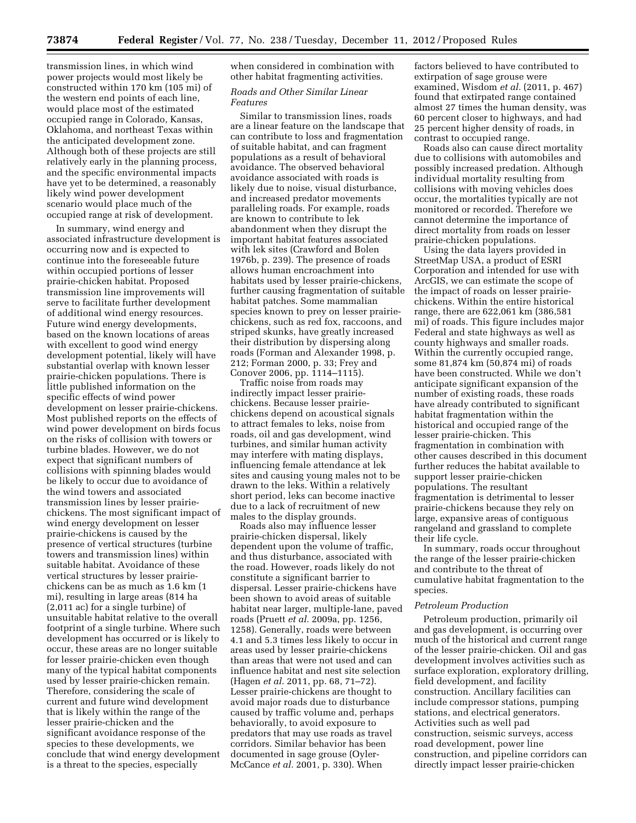transmission lines, in which wind power projects would most likely be constructed within 170 km (105 mi) of the western end points of each line, would place most of the estimated occupied range in Colorado, Kansas, Oklahoma, and northeast Texas within the anticipated development zone. Although both of these projects are still relatively early in the planning process, and the specific environmental impacts have yet to be determined, a reasonably likely wind power development scenario would place much of the occupied range at risk of development.

In summary, wind energy and associated infrastructure development is occurring now and is expected to continue into the foreseeable future within occupied portions of lesser prairie-chicken habitat. Proposed transmission line improvements will serve to facilitate further development of additional wind energy resources. Future wind energy developments, based on the known locations of areas with excellent to good wind energy development potential, likely will have substantial overlap with known lesser prairie-chicken populations. There is little published information on the specific effects of wind power development on lesser prairie-chickens. Most published reports on the effects of wind power development on birds focus on the risks of collision with towers or turbine blades. However, we do not expect that significant numbers of collisions with spinning blades would be likely to occur due to avoidance of the wind towers and associated transmission lines by lesser prairiechickens. The most significant impact of wind energy development on lesser prairie-chickens is caused by the presence of vertical structures (turbine towers and transmission lines) within suitable habitat. Avoidance of these vertical structures by lesser prairiechickens can be as much as 1.6 km (1 mi), resulting in large areas (814 ha (2,011 ac) for a single turbine) of unsuitable habitat relative to the overall footprint of a single turbine. Where such development has occurred or is likely to occur, these areas are no longer suitable for lesser prairie-chicken even though many of the typical habitat components used by lesser prairie-chicken remain. Therefore, considering the scale of current and future wind development that is likely within the range of the lesser prairie-chicken and the significant avoidance response of the species to these developments, we conclude that wind energy development is a threat to the species, especially

when considered in combination with other habitat fragmenting activities.

## *Roads and Other Similar Linear Features*

Similar to transmission lines, roads are a linear feature on the landscape that can contribute to loss and fragmentation of suitable habitat, and can fragment populations as a result of behavioral avoidance. The observed behavioral avoidance associated with roads is likely due to noise, visual disturbance, and increased predator movements paralleling roads. For example, roads are known to contribute to lek abandonment when they disrupt the important habitat features associated with lek sites (Crawford and Bolen 1976b, p. 239). The presence of roads allows human encroachment into habitats used by lesser prairie-chickens, further causing fragmentation of suitable habitat patches. Some mammalian species known to prey on lesser prairiechickens, such as red fox, raccoons, and striped skunks, have greatly increased their distribution by dispersing along roads (Forman and Alexander 1998, p. 212; Forman 2000, p. 33; Frey and Conover 2006, pp. 1114–1115).

Traffic noise from roads may indirectly impact lesser prairiechickens. Because lesser prairiechickens depend on acoustical signals to attract females to leks, noise from roads, oil and gas development, wind turbines, and similar human activity may interfere with mating displays, influencing female attendance at lek sites and causing young males not to be drawn to the leks. Within a relatively short period, leks can become inactive due to a lack of recruitment of new males to the display grounds.

Roads also may influence lesser prairie-chicken dispersal, likely dependent upon the volume of traffic, and thus disturbance, associated with the road. However, roads likely do not constitute a significant barrier to dispersal. Lesser prairie-chickens have been shown to avoid areas of suitable habitat near larger, multiple-lane, paved roads (Pruett *et al.* 2009a, pp. 1256, 1258). Generally, roads were between 4.1 and 5.3 times less likely to occur in areas used by lesser prairie-chickens than areas that were not used and can influence habitat and nest site selection (Hagen *et al.* 2011, pp. 68, 71–72). Lesser prairie-chickens are thought to avoid major roads due to disturbance caused by traffic volume and, perhaps behaviorally, to avoid exposure to predators that may use roads as travel corridors. Similar behavior has been documented in sage grouse (Oyler-McCance *et al.* 2001, p. 330). When

factors believed to have contributed to extirpation of sage grouse were examined, Wisdom *et al.* (2011, p. 467) found that extirpated range contained almost 27 times the human density, was 60 percent closer to highways, and had 25 percent higher density of roads, in contrast to occupied range.

Roads also can cause direct mortality due to collisions with automobiles and possibly increased predation. Although individual mortality resulting from collisions with moving vehicles does occur, the mortalities typically are not monitored or recorded. Therefore we cannot determine the importance of direct mortality from roads on lesser prairie-chicken populations.

Using the data layers provided in StreetMap USA, a product of ESRI Corporation and intended for use with ArcGIS, we can estimate the scope of the impact of roads on lesser prairiechickens. Within the entire historical range, there are 622,061 km (386,581 mi) of roads. This figure includes major Federal and state highways as well as county highways and smaller roads. Within the currently occupied range, some 81,874 km (50,874 mi) of roads have been constructed. While we don't anticipate significant expansion of the number of existing roads, these roads have already contributed to significant habitat fragmentation within the historical and occupied range of the lesser prairie-chicken. This fragmentation in combination with other causes described in this document further reduces the habitat available to support lesser prairie-chicken populations. The resultant fragmentation is detrimental to lesser prairie-chickens because they rely on large, expansive areas of contiguous rangeland and grassland to complete their life cycle.

In summary, roads occur throughout the range of the lesser prairie-chicken and contribute to the threat of cumulative habitat fragmentation to the species.

#### *Petroleum Production*

Petroleum production, primarily oil and gas development, is occurring over much of the historical and current range of the lesser prairie-chicken. Oil and gas development involves activities such as surface exploration, exploratory drilling, field development, and facility construction. Ancillary facilities can include compressor stations, pumping stations, and electrical generators. Activities such as well pad construction, seismic surveys, access road development, power line construction, and pipeline corridors can directly impact lesser prairie-chicken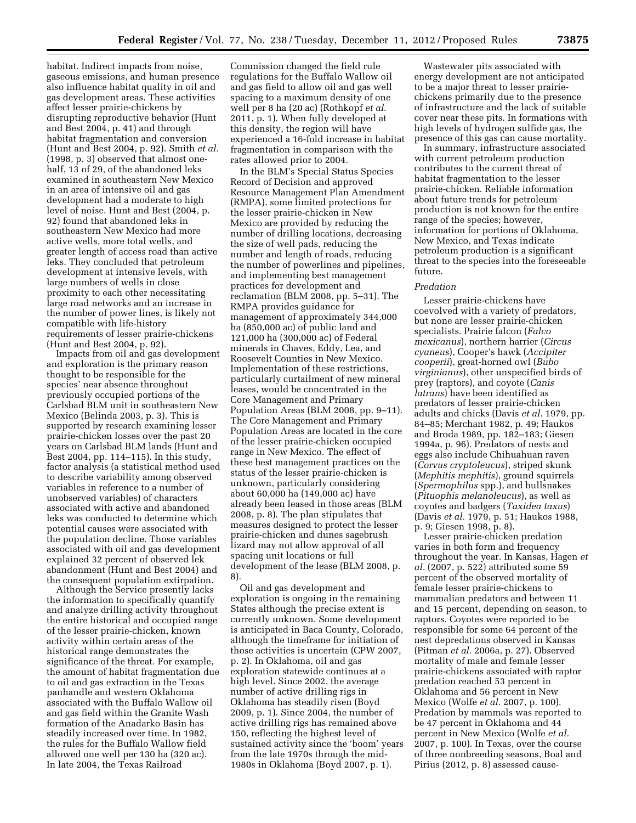habitat. Indirect impacts from noise, gaseous emissions, and human presence also influence habitat quality in oil and gas development areas. These activities affect lesser prairie-chickens by disrupting reproductive behavior (Hunt and Best 2004, p. 41) and through habitat fragmentation and conversion (Hunt and Best 2004, p. 92). Smith *et al.*  (1998, p. 3) observed that almost onehalf, 13 of 29, of the abandoned leks examined in southeastern New Mexico in an area of intensive oil and gas development had a moderate to high level of noise. Hunt and Best (2004, p. 92) found that abandoned leks in southeastern New Mexico had more active wells, more total wells, and greater length of access road than active leks. They concluded that petroleum development at intensive levels, with large numbers of wells in close proximity to each other necessitating large road networks and an increase in the number of power lines, is likely not compatible with life-history requirements of lesser prairie-chickens (Hunt and Best 2004, p. 92).

Impacts from oil and gas development and exploration is the primary reason thought to be responsible for the species' near absence throughout previously occupied portions of the Carlsbad BLM unit in southeastern New Mexico (Belinda 2003, p. 3). This is supported by research examining lesser prairie-chicken losses over the past 20 years on Carlsbad BLM lands (Hunt and Best 2004, pp. 114–115). In this study, factor analysis (a statistical method used to describe variability among observed variables in reference to a number of unobserved variables) of characters associated with active and abandoned leks was conducted to determine which potential causes were associated with the population decline. Those variables associated with oil and gas development explained 32 percent of observed lek abandonment (Hunt and Best 2004) and the consequent population extirpation.

Although the Service presently lacks the information to specifically quantify and analyze drilling activity throughout the entire historical and occupied range of the lesser prairie-chicken, known activity within certain areas of the historical range demonstrates the significance of the threat. For example, the amount of habitat fragmentation due to oil and gas extraction in the Texas panhandle and western Oklahoma associated with the Buffalo Wallow oil and gas field within the Granite Wash formation of the Anadarko Basin has steadily increased over time. In 1982, the rules for the Buffalo Wallow field allowed one well per 130 ha (320 ac). In late 2004, the Texas Railroad

Commission changed the field rule regulations for the Buffalo Wallow oil and gas field to allow oil and gas well spacing to a maximum density of one well per 8 ha (20 ac) (Rothkopf *et al.*  2011, p. 1). When fully developed at this density, the region will have experienced a 16-fold increase in habitat fragmentation in comparison with the rates allowed prior to 2004.

In the BLM's Special Status Species Record of Decision and approved Resource Management Plan Amendment (RMPA), some limited protections for the lesser prairie-chicken in New Mexico are provided by reducing the number of drilling locations, decreasing the size of well pads, reducing the number and length of roads, reducing the number of powerlines and pipelines, and implementing best management practices for development and reclamation (BLM 2008, pp. 5–31). The RMPA provides guidance for management of approximately 344,000 ha (850,000 ac) of public land and 121,000 ha (300,000 ac) of Federal minerals in Chaves, Eddy, Lea, and Roosevelt Counties in New Mexico. Implementation of these restrictions, particularly curtailment of new mineral leases, would be concentrated in the Core Management and Primary Population Areas (BLM 2008, pp. 9–11). The Core Management and Primary Population Areas are located in the core of the lesser prairie-chicken occupied range in New Mexico. The effect of these best management practices on the status of the lesser prairie-chicken is unknown, particularly considering about 60,000 ha (149,000 ac) have already been leased in those areas (BLM 2008, p. 8). The plan stipulates that measures designed to protect the lesser prairie-chicken and dunes sagebrush lizard may not allow approval of all spacing unit locations or full development of the lease (BLM 2008, p. 8).

Oil and gas development and exploration is ongoing in the remaining States although the precise extent is currently unknown. Some development is anticipated in Baca County, Colorado, although the timeframe for initiation of those activities is uncertain (CPW 2007, p. 2). In Oklahoma, oil and gas exploration statewide continues at a high level. Since 2002, the average number of active drilling rigs in Oklahoma has steadily risen (Boyd 2009, p. 1). Since 2004, the number of active drilling rigs has remained above 150, reflecting the highest level of sustained activity since the 'boom' years from the late 1970s through the mid-1980s in Oklahoma (Boyd 2007, p. 1).

Wastewater pits associated with energy development are not anticipated to be a major threat to lesser prairiechickens primarily due to the presence of infrastructure and the lack of suitable cover near these pits. In formations with high levels of hydrogen sulfide gas, the presence of this gas can cause mortality.

In summary, infrastructure associated with current petroleum production contributes to the current threat of habitat fragmentation to the lesser prairie-chicken. Reliable information about future trends for petroleum production is not known for the entire range of the species; however, information for portions of Oklahoma, New Mexico, and Texas indicate petroleum production is a significant threat to the species into the foreseeable future.

#### *Predation*

Lesser prairie-chickens have coevolved with a variety of predators, but none are lesser prairie-chicken specialists. Prairie falcon (*Falco mexicanus*), northern harrier (*Circus cyaneus*), Cooper's hawk (*Accipiter cooperii*), great-horned owl (*Bubo virginianus*), other unspecified birds of prey (raptors), and coyote (*Canis latrans*) have been identified as predators of lesser prairie-chicken adults and chicks (Davis *et al.* 1979, pp. 84–85; Merchant 1982, p. 49; Haukos and Broda 1989, pp. 182–183; Giesen 1994a, p. 96). Predators of nests and eggs also include Chihuahuan raven (*Corvus cryptoleucus*), striped skunk (*Mephitis mephitis*), ground squirrels (*Spermophilus* spp.), and bullsnakes (*Pituophis melanoleucus*), as well as coyotes and badgers (*Taxidea taxus*) (Davis *et al.* 1979, p. 51; Haukos 1988, p. 9; Giesen 1998, p. 8).

Lesser prairie-chicken predation varies in both form and frequency throughout the year. In Kansas, Hagen *et al.* (2007, p. 522) attributed some 59 percent of the observed mortality of female lesser prairie-chickens to mammalian predators and between 11 and 15 percent, depending on season, to raptors. Coyotes were reported to be responsible for some 64 percent of the nest depredations observed in Kansas (Pitman *et al.* 2006a, p. 27). Observed mortality of male and female lesser prairie-chickens associated with raptor predation reached 53 percent in Oklahoma and 56 percent in New Mexico (Wolfe *et al.* 2007, p. 100). Predation by mammals was reported to be 47 percent in Oklahoma and 44 percent in New Mexico (Wolfe *et al.*  2007, p. 100). In Texas, over the course of three nonbreeding seasons, Boal and Pirius (2012, p. 8) assessed cause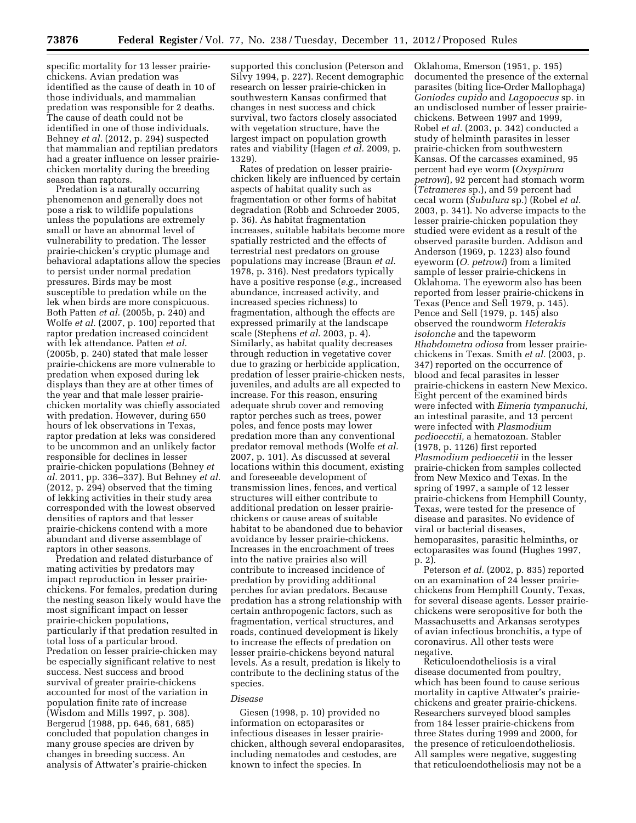specific mortality for 13 lesser prairiechickens. Avian predation was identified as the cause of death in 10 of those individuals, and mammalian predation was responsible for 2 deaths. The cause of death could not be identified in one of those individuals. Behney *et al.* (2012, p. 294) suspected that mammalian and reptilian predators had a greater influence on lesser prairiechicken mortality during the breeding season than raptors.

Predation is a naturally occurring phenomenon and generally does not pose a risk to wildlife populations unless the populations are extremely small or have an abnormal level of vulnerability to predation. The lesser prairie-chicken's cryptic plumage and behavioral adaptations allow the species to persist under normal predation pressures. Birds may be most susceptible to predation while on the lek when birds are more conspicuous. Both Patten *et al.* (2005b, p. 240) and Wolfe *et al.* (2007, p. 100) reported that raptor predation increased coincident with lek attendance. Patten *et al.*  (2005b, p. 240) stated that male lesser prairie-chickens are more vulnerable to predation when exposed during lek displays than they are at other times of the year and that male lesser prairiechicken mortality was chiefly associated with predation. However, during 650 hours of lek observations in Texas, raptor predation at leks was considered to be uncommon and an unlikely factor responsible for declines in lesser prairie-chicken populations (Behney *et al.* 2011, pp. 336–337). But Behney *et al.*  (2012, p. 294) observed that the timing of lekking activities in their study area corresponded with the lowest observed densities of raptors and that lesser prairie-chickens contend with a more abundant and diverse assemblage of raptors in other seasons.

Predation and related disturbance of mating activities by predators may impact reproduction in lesser prairiechickens. For females, predation during the nesting season likely would have the most significant impact on lesser prairie-chicken populations, particularly if that predation resulted in total loss of a particular brood. Predation on lesser prairie-chicken may be especially significant relative to nest success. Nest success and brood survival of greater prairie-chickens accounted for most of the variation in population finite rate of increase (Wisdom and Mills 1997, p. 308). Bergerud (1988, pp. 646, 681, 685) concluded that population changes in many grouse species are driven by changes in breeding success. An analysis of Attwater's prairie-chicken

supported this conclusion (Peterson and Silvy 1994, p. 227). Recent demographic research on lesser prairie-chicken in southwestern Kansas confirmed that changes in nest success and chick survival, two factors closely associated with vegetation structure, have the largest impact on population growth rates and viability (Hagen *et al.* 2009, p. 1329).

Rates of predation on lesser prairiechicken likely are influenced by certain aspects of habitat quality such as fragmentation or other forms of habitat degradation (Robb and Schroeder 2005, p. 36). As habitat fragmentation increases, suitable habitats become more spatially restricted and the effects of terrestrial nest predators on grouse populations may increase (Braun *et al.*  1978, p. 316). Nest predators typically have a positive response (*e.g.,* increased abundance, increased activity, and increased species richness) to fragmentation, although the effects are expressed primarily at the landscape scale (Stephens *et al.* 2003, p. 4). Similarly, as habitat quality decreases through reduction in vegetative cover due to grazing or herbicide application, predation of lesser prairie-chicken nests, juveniles, and adults are all expected to increase. For this reason, ensuring adequate shrub cover and removing raptor perches such as trees, power poles, and fence posts may lower predation more than any conventional predator removal methods (Wolfe *et al.*  2007, p. 101). As discussed at several locations within this document, existing and foreseeable development of transmission lines, fences, and vertical structures will either contribute to additional predation on lesser prairiechickens or cause areas of suitable habitat to be abandoned due to behavior avoidance by lesser prairie-chickens. Increases in the encroachment of trees into the native prairies also will contribute to increased incidence of predation by providing additional perches for avian predators. Because predation has a strong relationship with certain anthropogenic factors, such as fragmentation, vertical structures, and roads, continued development is likely to increase the effects of predation on lesser prairie-chickens beyond natural levels. As a result, predation is likely to contribute to the declining status of the species.

### *Disease*

Giesen (1998, p. 10) provided no information on ectoparasites or infectious diseases in lesser prairiechicken, although several endoparasites, including nematodes and cestodes, are known to infect the species. In

Oklahoma, Emerson (1951, p. 195) documented the presence of the external parasites (biting lice-Order Mallophaga) *Goniodes cupido* and *Lagopoecus* sp. in an undisclosed number of lesser prairiechickens. Between 1997 and 1999, Robel *et al.* (2003, p. 342) conducted a study of helminth parasites in lesser prairie-chicken from southwestern Kansas. Of the carcasses examined, 95 percent had eye worm (*Oxyspirura petrowi*), 92 percent had stomach worm (*Tetrameres* sp.), and 59 percent had cecal worm (*Subulura* sp.) (Robel *et al.*  2003, p. 341). No adverse impacts to the lesser prairie-chicken population they studied were evident as a result of the observed parasite burden. Addison and Anderson (1969, p. 1223) also found eyeworm (*O. petrowi*) from a limited sample of lesser prairie-chickens in Oklahoma. The eyeworm also has been reported from lesser prairie-chickens in Texas (Pence and Sell 1979, p. 145). Pence and Sell (1979, p. 145) also observed the roundworm *Heterakis isolonche* and the tapeworm *Rhabdometra odiosa* from lesser prairiechickens in Texas. Smith *et al.* (2003, p. 347) reported on the occurrence of blood and fecal parasites in lesser prairie-chickens in eastern New Mexico. Eight percent of the examined birds were infected with *Eimeria tympanuchi,*  an intestinal parasite, and 13 percent were infected with *Plasmodium pedioecetii,* a hematozoan. Stabler (1978, p. 1126) first reported *Plasmodium pedioecetii* in the lesser prairie-chicken from samples collected from New Mexico and Texas. In the spring of 1997, a sample of 12 lesser prairie-chickens from Hemphill County, Texas, were tested for the presence of disease and parasites. No evidence of viral or bacterial diseases, hemoparasites, parasitic helminths, or ectoparasites was found (Hughes 1997, p. 2).

Peterson *et al.* (2002, p. 835) reported on an examination of 24 lesser prairiechickens from Hemphill County, Texas, for several disease agents. Lesser prairiechickens were seropositive for both the Massachusetts and Arkansas serotypes of avian infectious bronchitis, a type of coronavirus. All other tests were negative.

Reticuloendotheliosis is a viral disease documented from poultry, which has been found to cause serious mortality in captive Attwater's prairiechickens and greater prairie-chickens. Researchers surveyed blood samples from 184 lesser prairie-chickens from three States during 1999 and 2000, for the presence of reticuloendotheliosis. All samples were negative, suggesting that reticuloendotheliosis may not be a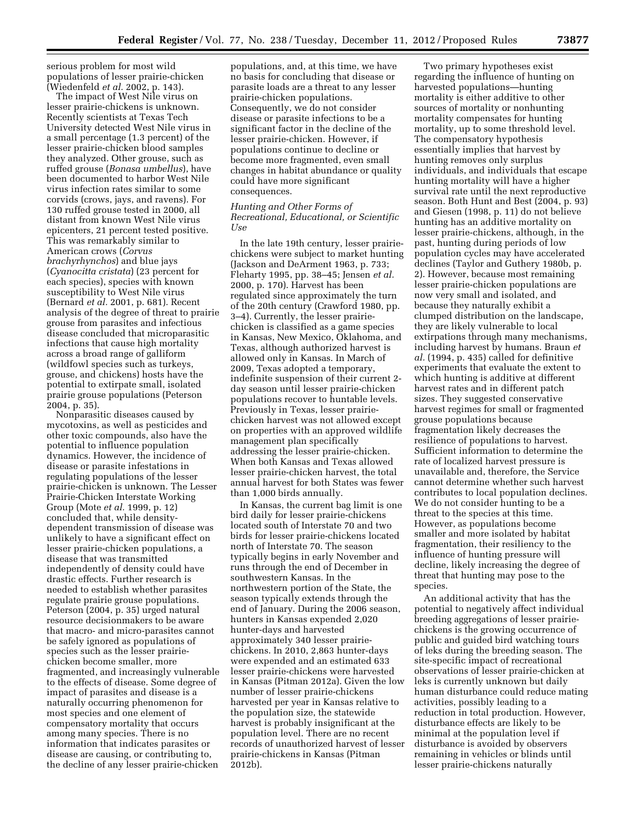serious problem for most wild populations of lesser prairie-chicken (Wiedenfeld *et al.* 2002, p. 143).

The impact of West Nile virus on lesser prairie-chickens is unknown. Recently scientists at Texas Tech University detected West Nile virus in a small percentage (1.3 percent) of the lesser prairie-chicken blood samples they analyzed. Other grouse, such as ruffed grouse (*Bonasa umbellus*), have been documented to harbor West Nile virus infection rates similar to some corvids (crows, jays, and ravens). For 130 ruffed grouse tested in 2000, all distant from known West Nile virus epicenters, 21 percent tested positive. This was remarkably similar to American crows (*Corvus brachyrhynchos*) and blue jays (*Cyanocitta cristata*) (23 percent for each species), species with known susceptibility to West Nile virus (Bernard *et al.* 2001, p. 681). Recent analysis of the degree of threat to prairie grouse from parasites and infectious disease concluded that microparasitic infections that cause high mortality across a broad range of galliform (wildfowl species such as turkeys, grouse, and chickens) hosts have the potential to extirpate small, isolated prairie grouse populations (Peterson 2004, p. 35).

Nonparasitic diseases caused by mycotoxins, as well as pesticides and other toxic compounds, also have the potential to influence population dynamics. However, the incidence of disease or parasite infestations in regulating populations of the lesser prairie-chicken is unknown. The Lesser Prairie-Chicken Interstate Working Group (Mote *et al.* 1999, p. 12) concluded that, while densitydependent transmission of disease was unlikely to have a significant effect on lesser prairie-chicken populations, a disease that was transmitted independently of density could have drastic effects. Further research is needed to establish whether parasites regulate prairie grouse populations. Peterson (2004, p. 35) urged natural resource decisionmakers to be aware that macro- and micro-parasites cannot be safely ignored as populations of species such as the lesser prairiechicken become smaller, more fragmented, and increasingly vulnerable to the effects of disease. Some degree of impact of parasites and disease is a naturally occurring phenomenon for most species and one element of compensatory mortality that occurs among many species. There is no information that indicates parasites or disease are causing, or contributing to, the decline of any lesser prairie-chicken

populations, and, at this time, we have no basis for concluding that disease or parasite loads are a threat to any lesser prairie-chicken populations. Consequently, we do not consider disease or parasite infections to be a significant factor in the decline of the lesser prairie-chicken. However, if populations continue to decline or become more fragmented, even small changes in habitat abundance or quality could have more significant consequences.

## *Hunting and Other Forms of Recreational, Educational, or Scientific Use*

In the late 19th century, lesser prairiechickens were subject to market hunting (Jackson and DeArment 1963, p. 733; Fleharty 1995, pp. 38–45; Jensen *et al.*  2000, p. 170). Harvest has been regulated since approximately the turn of the 20th century (Crawford 1980, pp. 3–4). Currently, the lesser prairiechicken is classified as a game species in Kansas, New Mexico, Oklahoma, and Texas, although authorized harvest is allowed only in Kansas. In March of 2009, Texas adopted a temporary, indefinite suspension of their current 2 day season until lesser prairie-chicken populations recover to huntable levels. Previously in Texas, lesser prairiechicken harvest was not allowed except on properties with an approved wildlife management plan specifically addressing the lesser prairie-chicken. When both Kansas and Texas allowed lesser prairie-chicken harvest, the total annual harvest for both States was fewer than 1,000 birds annually.

In Kansas, the current bag limit is one bird daily for lesser prairie-chickens located south of Interstate 70 and two birds for lesser prairie-chickens located north of Interstate 70. The season typically begins in early November and runs through the end of December in southwestern Kansas. In the northwestern portion of the State, the season typically extends through the end of January. During the 2006 season, hunters in Kansas expended 2,020 hunter-days and harvested approximately 340 lesser prairiechickens. In 2010, 2,863 hunter-days were expended and an estimated 633 lesser prairie-chickens were harvested in Kansas (Pitman 2012a). Given the low number of lesser prairie-chickens harvested per year in Kansas relative to the population size, the statewide harvest is probably insignificant at the population level. There are no recent records of unauthorized harvest of lesser prairie-chickens in Kansas (Pitman 2012b).

Two primary hypotheses exist regarding the influence of hunting on harvested populations—hunting mortality is either additive to other sources of mortality or nonhunting mortality compensates for hunting mortality, up to some threshold level. The compensatory hypothesis essentially implies that harvest by hunting removes only surplus individuals, and individuals that escape hunting mortality will have a higher survival rate until the next reproductive season. Both Hunt and Best (2004, p. 93) and Giesen (1998, p. 11) do not believe hunting has an additive mortality on lesser prairie-chickens, although, in the past, hunting during periods of low population cycles may have accelerated declines (Taylor and Guthery 1980b, p. 2). However, because most remaining lesser prairie-chicken populations are now very small and isolated, and because they naturally exhibit a clumped distribution on the landscape, they are likely vulnerable to local extirpations through many mechanisms, including harvest by humans. Braun *et al.* (1994, p. 435) called for definitive experiments that evaluate the extent to which hunting is additive at different harvest rates and in different patch sizes. They suggested conservative harvest regimes for small or fragmented grouse populations because fragmentation likely decreases the resilience of populations to harvest. Sufficient information to determine the rate of localized harvest pressure is unavailable and, therefore, the Service cannot determine whether such harvest contributes to local population declines. We do not consider hunting to be a threat to the species at this time. However, as populations become smaller and more isolated by habitat fragmentation, their resiliency to the influence of hunting pressure will decline, likely increasing the degree of threat that hunting may pose to the species.

An additional activity that has the potential to negatively affect individual breeding aggregations of lesser prairiechickens is the growing occurrence of public and guided bird watching tours of leks during the breeding season. The site-specific impact of recreational observations of lesser prairie-chicken at leks is currently unknown but daily human disturbance could reduce mating activities, possibly leading to a reduction in total production. However, disturbance effects are likely to be minimal at the population level if disturbance is avoided by observers remaining in vehicles or blinds until lesser prairie-chickens naturally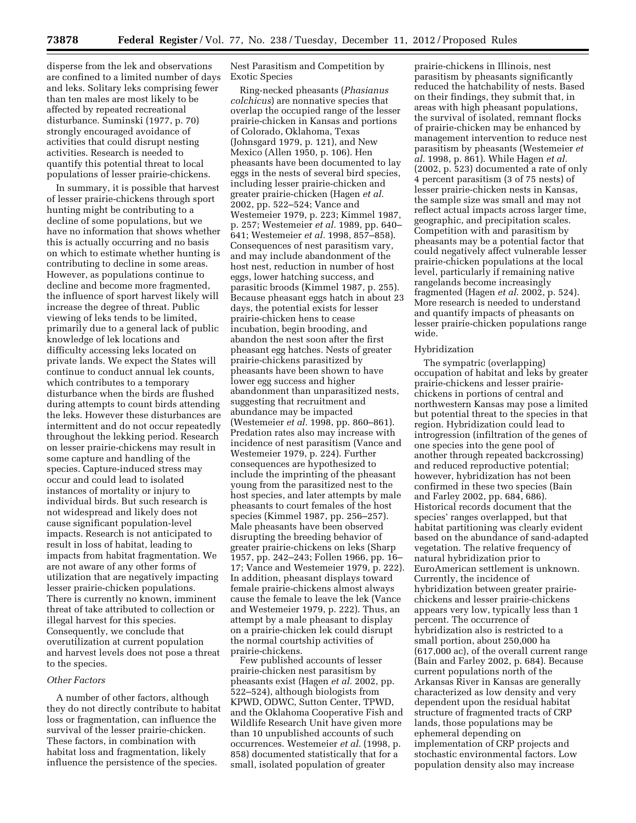disperse from the lek and observations are confined to a limited number of days and leks. Solitary leks comprising fewer than ten males are most likely to be affected by repeated recreational disturbance. Suminski (1977, p. 70) strongly encouraged avoidance of activities that could disrupt nesting activities. Research is needed to quantify this potential threat to local populations of lesser prairie-chickens.

In summary, it is possible that harvest of lesser prairie-chickens through sport hunting might be contributing to a decline of some populations, but we have no information that shows whether this is actually occurring and no basis on which to estimate whether hunting is contributing to decline in some areas. However, as populations continue to decline and become more fragmented, the influence of sport harvest likely will increase the degree of threat. Public viewing of leks tends to be limited, primarily due to a general lack of public knowledge of lek locations and difficulty accessing leks located on private lands. We expect the States will continue to conduct annual lek counts, which contributes to a temporary disturbance when the birds are flushed during attempts to count birds attending the leks. However these disturbances are intermittent and do not occur repeatedly throughout the lekking period. Research on lesser prairie-chickens may result in some capture and handling of the species. Capture-induced stress may occur and could lead to isolated instances of mortality or injury to individual birds. But such research is not widespread and likely does not cause significant population-level impacts. Research is not anticipated to result in loss of habitat, leading to impacts from habitat fragmentation. We are not aware of any other forms of utilization that are negatively impacting lesser prairie-chicken populations. There is currently no known, imminent threat of take attributed to collection or illegal harvest for this species. Consequently, we conclude that overutilization at current population and harvest levels does not pose a threat to the species.

### *Other Factors*

A number of other factors, although they do not directly contribute to habitat loss or fragmentation, can influence the survival of the lesser prairie-chicken. These factors, in combination with habitat loss and fragmentation, likely influence the persistence of the species.

Nest Parasitism and Competition by Exotic Species

Ring-necked pheasants (*Phasianus colchicus*) are nonnative species that overlap the occupied range of the lesser prairie-chicken in Kansas and portions of Colorado, Oklahoma, Texas (Johnsgard 1979, p. 121), and New Mexico (Allen 1950, p. 106). Hen pheasants have been documented to lay eggs in the nests of several bird species, including lesser prairie-chicken and greater prairie-chicken (Hagen *et al.*  2002, pp. 522–524; Vance and Westemeier 1979, p. 223; Kimmel 1987, p. 257; Westemeier *et al.* 1989, pp. 640– 641; Westemeier *et al.* 1998, 857–858). Consequences of nest parasitism vary, and may include abandonment of the host nest, reduction in number of host eggs, lower hatching success, and parasitic broods (Kimmel 1987, p. 255). Because pheasant eggs hatch in about 23 days, the potential exists for lesser prairie-chicken hens to cease incubation, begin brooding, and abandon the nest soon after the first pheasant egg hatches. Nests of greater prairie-chickens parasitized by pheasants have been shown to have lower egg success and higher abandonment than unparasitized nests, suggesting that recruitment and abundance may be impacted (Westemeier *et al.* 1998, pp. 860–861). Predation rates also may increase with incidence of nest parasitism (Vance and Westemeier 1979, p. 224). Further consequences are hypothesized to include the imprinting of the pheasant young from the parasitized nest to the host species, and later attempts by male pheasants to court females of the host species (Kimmel 1987, pp. 256–257). Male pheasants have been observed disrupting the breeding behavior of greater prairie-chickens on leks (Sharp 1957, pp. 242–243; Follen 1966, pp. 16– 17; Vance and Westemeier 1979, p. 222). In addition, pheasant displays toward female prairie-chickens almost always cause the female to leave the lek (Vance and Westemeier 1979, p. 222). Thus, an attempt by a male pheasant to display on a prairie-chicken lek could disrupt the normal courtship activities of prairie-chickens.

Few published accounts of lesser prairie-chicken nest parasitism by pheasants exist (Hagen *et al.* 2002, pp. 522–524), although biologists from KPWD, ODWC, Sutton Center, TPWD, and the Oklahoma Cooperative Fish and Wildlife Research Unit have given more than 10 unpublished accounts of such occurrences. Westemeier *et al.* (1998, p. 858) documented statistically that for a small, isolated population of greater

prairie-chickens in Illinois, nest parasitism by pheasants significantly reduced the hatchability of nests. Based on their findings, they submit that, in areas with high pheasant populations, the survival of isolated, remnant flocks of prairie-chicken may be enhanced by management intervention to reduce nest parasitism by pheasants (Westemeier *et al.* 1998, p. 861). While Hagen *et al.*  (2002, p. 523) documented a rate of only 4 percent parasitism (3 of 75 nests) of lesser prairie-chicken nests in Kansas, the sample size was small and may not reflect actual impacts across larger time, geographic, and precipitation scales. Competition with and parasitism by pheasants may be a potential factor that could negatively affect vulnerable lesser prairie-chicken populations at the local level, particularly if remaining native rangelands become increasingly fragmented (Hagen *et al.* 2002, p. 524). More research is needed to understand and quantify impacts of pheasants on lesser prairie-chicken populations range wide.

## Hybridization

The sympatric (overlapping) occupation of habitat and leks by greater prairie-chickens and lesser prairiechickens in portions of central and northwestern Kansas may pose a limited but potential threat to the species in that region. Hybridization could lead to introgression (infiltration of the genes of one species into the gene pool of another through repeated backcrossing) and reduced reproductive potential; however, hybridization has not been confirmed in these two species (Bain and Farley 2002, pp. 684, 686). Historical records document that the species' ranges overlapped, but that habitat partitioning was clearly evident based on the abundance of sand-adapted vegetation. The relative frequency of natural hybridization prior to EuroAmerican settlement is unknown. Currently, the incidence of hybridization between greater prairiechickens and lesser prairie-chickens appears very low, typically less than 1 percent. The occurrence of hybridization also is restricted to a small portion, about 250,000 ha (617,000 ac), of the overall current range (Bain and Farley 2002, p. 684). Because current populations north of the Arkansas River in Kansas are generally characterized as low density and very dependent upon the residual habitat structure of fragmented tracts of CRP lands, those populations may be ephemeral depending on implementation of CRP projects and stochastic environmental factors. Low population density also may increase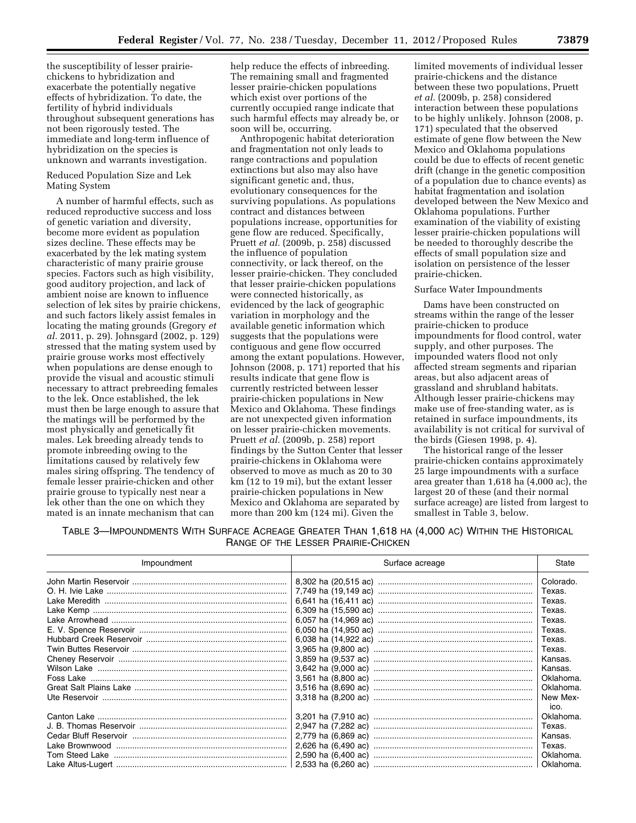the susceptibility of lesser prairiechickens to hybridization and exacerbate the potentially negative effects of hybridization. To date, the fertility of hybrid individuals throughout subsequent generations has not been rigorously tested. The immediate and long-term influence of hybridization on the species is unknown and warrants investigation.

Reduced Population Size and Lek Mating System

A number of harmful effects, such as reduced reproductive success and loss of genetic variation and diversity, become more evident as population sizes decline. These effects may be exacerbated by the lek mating system characteristic of many prairie grouse species. Factors such as high visibility, good auditory projection, and lack of ambient noise are known to influence selection of lek sites by prairie chickens, and such factors likely assist females in locating the mating grounds (Gregory *et al.* 2011, p. 29). Johnsgard (2002, p. 129) stressed that the mating system used by prairie grouse works most effectively when populations are dense enough to provide the visual and acoustic stimuli necessary to attract prebreeding females to the lek. Once established, the lek must then be large enough to assure that the matings will be performed by the most physically and genetically fit males. Lek breeding already tends to promote inbreeding owing to the limitations caused by relatively few males siring offspring. The tendency of female lesser prairie-chicken and other prairie grouse to typically nest near a lek other than the one on which they mated is an innate mechanism that can

help reduce the effects of inbreeding. The remaining small and fragmented lesser prairie-chicken populations which exist over portions of the currently occupied range indicate that such harmful effects may already be, or soon will be, occurring.

Anthropogenic habitat deterioration and fragmentation not only leads to range contractions and population extinctions but also may also have significant genetic and, thus, evolutionary consequences for the surviving populations. As populations contract and distances between populations increase, opportunities for gene flow are reduced. Specifically, Pruett *et al.* (2009b, p. 258) discussed the influence of population connectivity, or lack thereof, on the lesser prairie-chicken. They concluded that lesser prairie-chicken populations were connected historically, as evidenced by the lack of geographic variation in morphology and the available genetic information which suggests that the populations were contiguous and gene flow occurred among the extant populations. However, Johnson (2008, p. 171) reported that his results indicate that gene flow is currently restricted between lesser prairie-chicken populations in New Mexico and Oklahoma. These findings are not unexpected given information on lesser prairie-chicken movements. Pruett *et al.* (2009b, p. 258) report findings by the Sutton Center that lesser prairie-chickens in Oklahoma were observed to move as much as 20 to 30 km (12 to 19 mi), but the extant lesser prairie-chicken populations in New Mexico and Oklahoma are separated by more than 200 km (124 mi). Given the

limited movements of individual lesser prairie-chickens and the distance between these two populations, Pruett *et al.* (2009b, p. 258) considered interaction between these populations to be highly unlikely. Johnson (2008, p. 171) speculated that the observed estimate of gene flow between the New Mexico and Oklahoma populations could be due to effects of recent genetic drift (change in the genetic composition of a population due to chance events) as habitat fragmentation and isolation developed between the New Mexico and Oklahoma populations. Further examination of the viability of existing lesser prairie-chicken populations will be needed to thoroughly describe the effects of small population size and isolation on persistence of the lesser prairie-chicken.

#### Surface Water Impoundments

Dams have been constructed on streams within the range of the lesser prairie-chicken to produce impoundments for flood control, water supply, and other purposes. The impounded waters flood not only affected stream segments and riparian areas, but also adjacent areas of grassland and shrubland habitats. Although lesser prairie-chickens may make use of free-standing water, as is retained in surface impoundments, its availability is not critical for survival of the birds (Giesen 1998, p. 4).

The historical range of the lesser prairie-chicken contains approximately 25 large impoundments with a surface area greater than 1,618 ha (4,000 ac), the largest 20 of these (and their normal surface acreage) are listed from largest to smallest in Table 3, below.

TABLE 3—IMPOUNDMENTS WITH SURFACE ACREAGE GREATER THAN 1,618 HA (4,000 AC) WITHIN THE HISTORICAL RANGE OF THE LESSER PRAIRIE-CHICKEN

| Impoundment | Surface acreage | State     |  |
|-------------|-----------------|-----------|--|
|             |                 | Colorado. |  |
|             |                 | Texas.    |  |
|             |                 | Texas.    |  |
|             |                 | Texas.    |  |
|             |                 | Texas.    |  |
|             |                 | Texas.    |  |
|             |                 | Texas.    |  |
|             |                 | Texas.    |  |
|             |                 | Kansas.   |  |
|             |                 | Kansas.   |  |
|             |                 | Oklahoma. |  |
|             |                 | Oklahoma. |  |
|             |                 | New Mex-  |  |
|             |                 | ico.      |  |
|             |                 | Oklahoma. |  |
|             |                 | Texas.    |  |
|             |                 | Kansas.   |  |
|             |                 | Texas.    |  |
|             |                 | Oklahoma. |  |
|             |                 | Oklahoma. |  |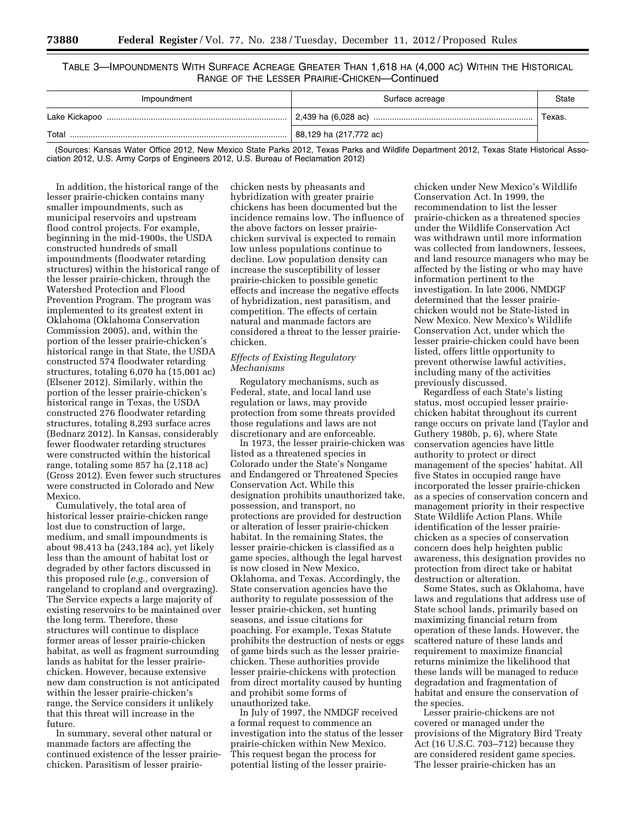TABLE 3—IMPOUNDMENTS WITH SURFACE ACREAGE GREATER THAN 1,618 HA (4,000 AC) WITHIN THE HISTORICAL RANGE OF THE LESSER PRAIRIE-CHICKEN—Continued

| Impoundment | Surface acreage        | State  |
|-------------|------------------------|--------|
|             |                        | Texas. |
| Total       | 88,129 ha (217,772 ac) |        |

(Sources: Kansas Water Office 2012, New Mexico State Parks 2012, Texas Parks and Wildlife Department 2012, Texas State Historical Association 2012, U.S. Army Corps of Engineers 2012, U.S. Bureau of Reclamation 2012)

In addition, the historical range of the lesser prairie-chicken contains many smaller impoundments, such as municipal reservoirs and upstream flood control projects. For example, beginning in the mid-1900s, the USDA constructed hundreds of small impoundments (floodwater retarding structures) within the historical range of the lesser prairie-chicken, through the Watershed Protection and Flood Prevention Program. The program was implemented to its greatest extent in Oklahoma (Oklahoma Conservation Commission 2005), and, within the portion of the lesser prairie-chicken's historical range in that State, the USDA constructed 574 floodwater retarding structures, totaling 6,070 ha (15,001 ac) (Elsener 2012). Similarly, within the portion of the lesser prairie-chicken's historical range in Texas, the USDA constructed 276 floodwater retarding structures, totaling 8,293 surface acres (Bednarz 2012). In Kansas, considerably fewer floodwater retarding structures were constructed within the historical range, totaling some 857 ha (2,118 ac) (Gross 2012). Even fewer such structures were constructed in Colorado and New Mexico.

Cumulatively, the total area of historical lesser prairie-chicken range lost due to construction of large, medium, and small impoundments is about 98,413 ha (243,184 ac), yet likely less than the amount of habitat lost or degraded by other factors discussed in this proposed rule (*e.g.,* conversion of rangeland to cropland and overgrazing). The Service expects a large majority of existing reservoirs to be maintained over the long term. Therefore, these structures will continue to displace former areas of lesser prairie-chicken habitat, as well as fragment surrounding lands as habitat for the lesser prairiechicken. However, because extensive new dam construction is not anticipated within the lesser prairie-chicken's range, the Service considers it unlikely that this threat will increase in the future.

In summary, several other natural or manmade factors are affecting the continued existence of the lesser prairiechicken. Parasitism of lesser prairie-

chicken nests by pheasants and hybridization with greater prairie chickens has been documented but the incidence remains low. The influence of the above factors on lesser prairiechicken survival is expected to remain low unless populations continue to decline. Low population density can increase the susceptibility of lesser prairie-chicken to possible genetic effects and increase the negative effects of hybridization, nest parasitism, and competition. The effects of certain natural and manmade factors are considered a threat to the lesser prairiechicken.

## *Effects of Existing Regulatory Mechanisms*

Regulatory mechanisms, such as Federal, state, and local land use regulation or laws, may provide protection from some threats provided those regulations and laws are not discretionary and are enforceable.

In 1973, the lesser prairie-chicken was listed as a threatened species in Colorado under the State's Nongame and Endangered or Threatened Species Conservation Act. While this designation prohibits unauthorized take, possession, and transport, no protections are provided for destruction or alteration of lesser prairie-chicken habitat. In the remaining States, the lesser prairie-chicken is classified as a game species, although the legal harvest is now closed in New Mexico, Oklahoma, and Texas. Accordingly, the State conservation agencies have the authority to regulate possession of the lesser prairie-chicken, set hunting seasons, and issue citations for poaching. For example, Texas Statute prohibits the destruction of nests or eggs of game birds such as the lesser prairiechicken. These authorities provide lesser prairie-chickens with protection from direct mortality caused by hunting and prohibit some forms of unauthorized take.

In July of 1997, the NMDGF received a formal request to commence an investigation into the status of the lesser prairie-chicken within New Mexico. This request began the process for potential listing of the lesser prairie-

chicken under New Mexico's Wildlife Conservation Act. In 1999, the recommendation to list the lesser prairie-chicken as a threatened species under the Wildlife Conservation Act was withdrawn until more information was collected from landowners, lessees, and land resource managers who may be affected by the listing or who may have information pertinent to the investigation. In late 2006, NMDGF determined that the lesser prairiechicken would not be State-listed in New Mexico. New Mexico's Wildlife Conservation Act, under which the lesser prairie-chicken could have been listed, offers little opportunity to prevent otherwise lawful activities, including many of the activities previously discussed.

Regardless of each State's listing status, most occupied lesser prairiechicken habitat throughout its current range occurs on private land (Taylor and Guthery 1980b, p. 6), where State conservation agencies have little authority to protect or direct management of the species' habitat. All five States in occupied range have incorporated the lesser prairie-chicken as a species of conservation concern and management priority in their respective State Wildlife Action Plans. While identification of the lesser prairiechicken as a species of conservation concern does help heighten public awareness, this designation provides no protection from direct take or habitat destruction or alteration.

Some States, such as Oklahoma, have laws and regulations that address use of State school lands, primarily based on maximizing financial return from operation of these lands. However, the scattered nature of these lands and requirement to maximize financial returns minimize the likelihood that these lands will be managed to reduce degradation and fragmentation of habitat and ensure the conservation of the species.

Lesser prairie-chickens are not covered or managed under the provisions of the Migratory Bird Treaty Act (16 U.S.C. 703–712) because they are considered resident game species. The lesser prairie-chicken has an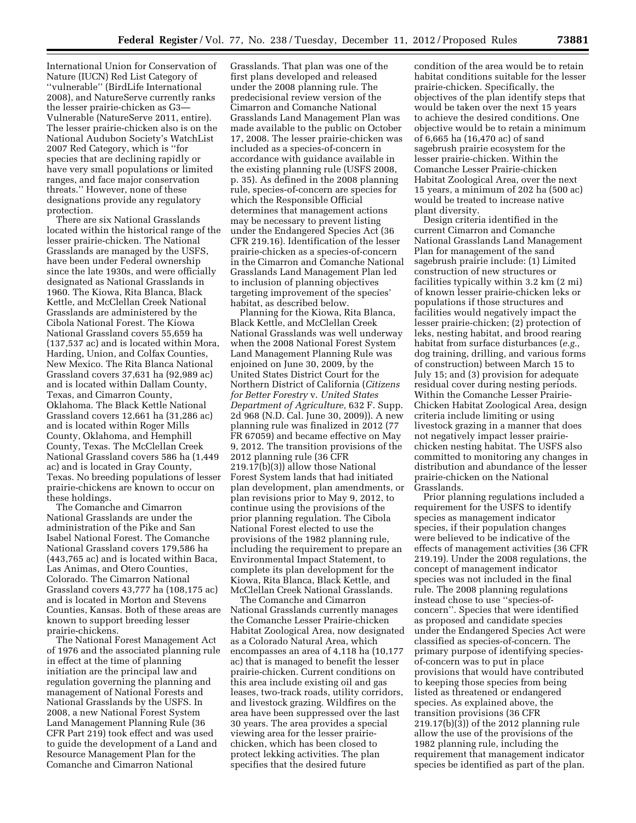International Union for Conservation of Nature (IUCN) Red List Category of ''vulnerable'' (BirdLife International 2008), and NatureServe currently ranks the lesser prairie-chicken as G3— Vulnerable (NatureServe 2011, entire). The lesser prairie-chicken also is on the National Audubon Society's WatchList 2007 Red Category, which is ''for species that are declining rapidly or have very small populations or limited ranges, and face major conservation threats.'' However, none of these designations provide any regulatory protection.

There are six National Grasslands located within the historical range of the lesser prairie-chicken. The National Grasslands are managed by the USFS, have been under Federal ownership since the late 1930s, and were officially designated as National Grasslands in 1960. The Kiowa, Rita Blanca, Black Kettle, and McClellan Creek National Grasslands are administered by the Cibola National Forest. The Kiowa National Grassland covers 55,659 ha (137,537 ac) and is located within Mora, Harding, Union, and Colfax Counties, New Mexico. The Rita Blanca National Grassland covers 37,631 ha (92,989 ac) and is located within Dallam County, Texas, and Cimarron County, Oklahoma. The Black Kettle National Grassland covers 12,661 ha (31,286 ac) and is located within Roger Mills County, Oklahoma, and Hemphill County, Texas. The McClellan Creek National Grassland covers 586 ha (1,449 ac) and is located in Gray County, Texas. No breeding populations of lesser prairie-chickens are known to occur on these holdings.

The Comanche and Cimarron National Grasslands are under the administration of the Pike and San Isabel National Forest. The Comanche National Grassland covers 179,586 ha (443,765 ac) and is located within Baca, Las Animas, and Otero Counties, Colorado. The Cimarron National Grassland covers 43,777 ha (108,175 ac) and is located in Morton and Stevens Counties, Kansas. Both of these areas are known to support breeding lesser prairie-chickens.

The National Forest Management Act of 1976 and the associated planning rule in effect at the time of planning initiation are the principal law and regulation governing the planning and management of National Forests and National Grasslands by the USFS. In 2008, a new National Forest System Land Management Planning Rule (36 CFR Part 219) took effect and was used to guide the development of a Land and Resource Management Plan for the Comanche and Cimarron National

Grasslands. That plan was one of the first plans developed and released under the 2008 planning rule. The predecisional review version of the Cimarron and Comanche National Grasslands Land Management Plan was made available to the public on October 17, 2008. The lesser prairie-chicken was included as a species-of-concern in accordance with guidance available in the existing planning rule (USFS 2008, p. 35). As defined in the 2008 planning rule, species-of-concern are species for which the Responsible Official determines that management actions may be necessary to prevent listing under the Endangered Species Act (36 CFR 219.16). Identification of the lesser prairie-chicken as a species-of-concern in the Cimarron and Comanche National Grasslands Land Management Plan led to inclusion of planning objectives targeting improvement of the species' habitat, as described below.

Planning for the Kiowa, Rita Blanca, Black Kettle, and McClellan Creek National Grasslands was well underway when the 2008 National Forest System Land Management Planning Rule was enjoined on June 30, 2009, by the United States District Court for the Northern District of California (*Citizens for Better Forestry* v. *United States Department of Agriculture,* 632 F. Supp. 2d 968 (N.D. Cal. June 30, 2009)). A new planning rule was finalized in 2012 (77 FR 67059) and became effective on May 9, 2012. The transition provisions of the 2012 planning rule (36 CFR 219.17(b)(3)) allow those National Forest System lands that had initiated plan development, plan amendments, or plan revisions prior to May 9, 2012, to continue using the provisions of the prior planning regulation. The Cibola National Forest elected to use the provisions of the 1982 planning rule, including the requirement to prepare an Environmental Impact Statement, to complete its plan development for the Kiowa, Rita Blanca, Black Kettle, and McClellan Creek National Grasslands.

The Comanche and Cimarron National Grasslands currently manages the Comanche Lesser Prairie-chicken Habitat Zoological Area, now designated as a Colorado Natural Area, which encompasses an area of 4,118 ha (10,177 ac) that is managed to benefit the lesser prairie-chicken. Current conditions on this area include existing oil and gas leases, two-track roads, utility corridors, and livestock grazing. Wildfires on the area have been suppressed over the last 30 years. The area provides a special viewing area for the lesser prairiechicken, which has been closed to protect lekking activities. The plan specifies that the desired future

condition of the area would be to retain habitat conditions suitable for the lesser prairie-chicken. Specifically, the objectives of the plan identify steps that would be taken over the next 15 years to achieve the desired conditions. One objective would be to retain a minimum of 6,665 ha (16,470 ac) of sand sagebrush prairie ecosystem for the lesser prairie-chicken. Within the Comanche Lesser Prairie-chicken Habitat Zoological Area, over the next 15 years, a minimum of 202 ha (500 ac) would be treated to increase native plant diversity.

Design criteria identified in the current Cimarron and Comanche National Grasslands Land Management Plan for management of the sand sagebrush prairie include: (1) Limited construction of new structures or facilities typically within 3.2 km (2 mi) of known lesser prairie-chicken leks or populations if those structures and facilities would negatively impact the lesser prairie-chicken; (2) protection of leks, nesting habitat, and brood rearing habitat from surface disturbances (*e.g.,*  dog training, drilling, and various forms of construction) between March 15 to July 15; and (3) provision for adequate residual cover during nesting periods. Within the Comanche Lesser Prairie-Chicken Habitat Zoological Area, design criteria include limiting or using livestock grazing in a manner that does not negatively impact lesser prairiechicken nesting habitat. The USFS also committed to monitoring any changes in distribution and abundance of the lesser prairie-chicken on the National Grasslands.

Prior planning regulations included a requirement for the USFS to identify species as management indicator species, if their population changes were believed to be indicative of the effects of management activities (36 CFR 219.19). Under the 2008 regulations, the concept of management indicator species was not included in the final rule. The 2008 planning regulations instead chose to use ''species-ofconcern''. Species that were identified as proposed and candidate species under the Endangered Species Act were classified as species-of-concern. The primary purpose of identifying speciesof-concern was to put in place provisions that would have contributed to keeping those species from being listed as threatened or endangered species. As explained above, the transition provisions (36 CFR 219.17(b)(3)) of the 2012 planning rule allow the use of the provisions of the 1982 planning rule, including the requirement that management indicator species be identified as part of the plan.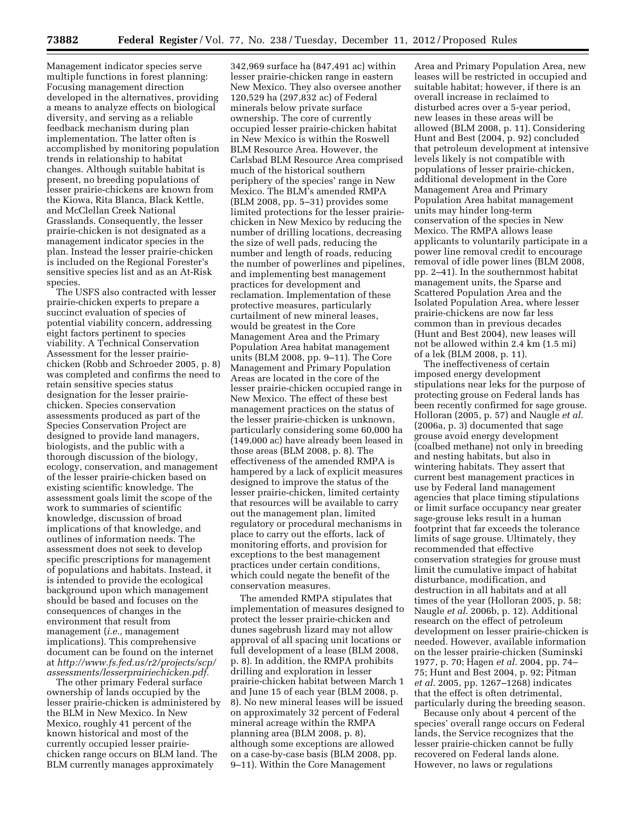Management indicator species serve multiple functions in forest planning: Focusing management direction developed in the alternatives, providing a means to analyze effects on biological diversity, and serving as a reliable feedback mechanism during plan implementation. The latter often is accomplished by monitoring population trends in relationship to habitat changes. Although suitable habitat is present, no breeding populations of lesser prairie-chickens are known from the Kiowa, Rita Blanca, Black Kettle, and McClellan Creek National Grasslands. Consequently, the lesser prairie-chicken is not designated as a management indicator species in the plan. Instead the lesser prairie-chicken is included on the Regional Forester's sensitive species list and as an At-Risk species.

The USFS also contracted with lesser prairie-chicken experts to prepare a succinct evaluation of species of potential viability concern, addressing eight factors pertinent to species viability. A Technical Conservation Assessment for the lesser prairiechicken (Robb and Schroeder 2005, p. 8) was completed and confirms the need to retain sensitive species status designation for the lesser prairiechicken. Species conservation assessments produced as part of the Species Conservation Project are designed to provide land managers, biologists, and the public with a thorough discussion of the biology, ecology, conservation, and management of the lesser prairie-chicken based on existing scientific knowledge. The assessment goals limit the scope of the work to summaries of scientific knowledge, discussion of broad implications of that knowledge, and outlines of information needs. The assessment does not seek to develop specific prescriptions for management of populations and habitats. Instead, it is intended to provide the ecological background upon which management should be based and focuses on the consequences of changes in the environment that result from management (*i.e.,* management implications). This comprehensive document can be found on the internet at *[http://www.fs.fed.us/r2/projects/scp/](http://www.fs.fed.us/r2/projects/scp/assessments/lesserprairiechicken.pdf)  [assessments/lesserprairiechicken.pdf.](http://www.fs.fed.us/r2/projects/scp/assessments/lesserprairiechicken.pdf)* 

The other primary Federal surface ownership of lands occupied by the lesser prairie-chicken is administered by the BLM in New Mexico. In New Mexico, roughly 41 percent of the known historical and most of the currently occupied lesser prairiechicken range occurs on BLM land. The BLM currently manages approximately

342,969 surface ha (847,491 ac) within lesser prairie-chicken range in eastern New Mexico. They also oversee another 120,529 ha (297,832 ac) of Federal minerals below private surface ownership. The core of currently occupied lesser prairie-chicken habitat in New Mexico is within the Roswell BLM Resource Area. However, the Carlsbad BLM Resource Area comprised much of the historical southern periphery of the species' range in New Mexico. The BLM's amended RMPA (BLM 2008, pp. 5–31) provides some limited protections for the lesser prairiechicken in New Mexico by reducing the number of drilling locations, decreasing the size of well pads, reducing the number and length of roads, reducing the number of powerlines and pipelines, and implementing best management practices for development and reclamation. Implementation of these protective measures, particularly curtailment of new mineral leases, would be greatest in the Core Management Area and the Primary Population Area habitat management units (BLM 2008, pp. 9–11). The Core Management and Primary Population Areas are located in the core of the lesser prairie-chicken occupied range in New Mexico. The effect of these best management practices on the status of the lesser prairie-chicken is unknown, particularly considering some 60,000 ha (149,000 ac) have already been leased in those areas (BLM 2008, p. 8). The effectiveness of the amended RMPA is hampered by a lack of explicit measures designed to improve the status of the lesser prairie-chicken, limited certainty that resources will be available to carry out the management plan, limited regulatory or procedural mechanisms in place to carry out the efforts, lack of monitoring efforts, and provision for exceptions to the best management practices under certain conditions, which could negate the benefit of the conservation measures.

The amended RMPA stipulates that implementation of measures designed to protect the lesser prairie-chicken and dunes sagebrush lizard may not allow approval of all spacing unit locations or full development of a lease (BLM 2008, p. 8). In addition, the RMPA prohibits drilling and exploration in lesser prairie-chicken habitat between March 1 and June 15 of each year (BLM 2008, p. 8). No new mineral leases will be issued on approximately 32 percent of Federal mineral acreage within the RMPA planning area (BLM 2008, p. 8), although some exceptions are allowed on a case-by-case basis (BLM 2008, pp. 9–11). Within the Core Management

Area and Primary Population Area, new leases will be restricted in occupied and suitable habitat; however, if there is an overall increase in reclaimed to disturbed acres over a 5-year period, new leases in these areas will be allowed (BLM 2008, p. 11). Considering Hunt and Best (2004, p. 92) concluded that petroleum development at intensive levels likely is not compatible with populations of lesser prairie-chicken, additional development in the Core Management Area and Primary Population Area habitat management units may hinder long-term conservation of the species in New Mexico. The RMPA allows lease applicants to voluntarily participate in a power line removal credit to encourage removal of idle power lines (BLM 2008, pp. 2–41). In the southernmost habitat management units, the Sparse and Scattered Population Area and the Isolated Population Area, where lesser prairie-chickens are now far less common than in previous decades (Hunt and Best 2004), new leases will not be allowed within 2.4 km (1.5 mi) of a lek (BLM 2008, p. 11).

The ineffectiveness of certain imposed energy development stipulations near leks for the purpose of protecting grouse on Federal lands has been recently confirmed for sage grouse. Holloran (2005, p. 57) and Naugle *et al.*  (2006a, p. 3) documented that sage grouse avoid energy development (coalbed methane) not only in breeding and nesting habitats, but also in wintering habitats. They assert that current best management practices in use by Federal land management agencies that place timing stipulations or limit surface occupancy near greater sage-grouse leks result in a human footprint that far exceeds the tolerance limits of sage grouse. Ultimately, they recommended that effective conservation strategies for grouse must limit the cumulative impact of habitat disturbance, modification, and destruction in all habitats and at all times of the year (Holloran 2005, p. 58; Naugle *et al.* 2006b, p. 12). Additional research on the effect of petroleum development on lesser prairie-chicken is needed. However, available information on the lesser prairie-chicken (Suminski 1977, p. 70; Hagen *et al.* 2004, pp. 74– 75; Hunt and Best 2004, p. 92; Pitman *et al.* 2005, pp. 1267–1268) indicates that the effect is often detrimental, particularly during the breeding season.

Because only about 4 percent of the species' overall range occurs on Federal lands, the Service recognizes that the lesser prairie-chicken cannot be fully recovered on Federal lands alone. However, no laws or regulations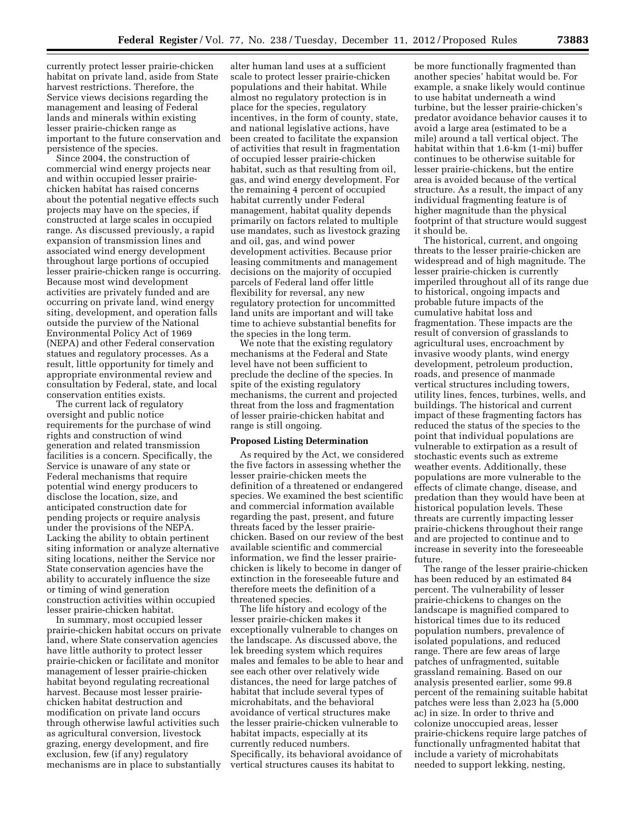currently protect lesser prairie-chicken habitat on private land, aside from State harvest restrictions. Therefore, the Service views decisions regarding the management and leasing of Federal lands and minerals within existing lesser prairie-chicken range as important to the future conservation and persistence of the species.

Since 2004, the construction of commercial wind energy projects near and within occupied lesser prairiechicken habitat has raised concerns about the potential negative effects such projects may have on the species, if constructed at large scales in occupied range. As discussed previously, a rapid expansion of transmission lines and associated wind energy development throughout large portions of occupied lesser prairie-chicken range is occurring. Because most wind development activities are privately funded and are occurring on private land, wind energy siting, development, and operation falls outside the purview of the National Environmental Policy Act of 1969 (NEPA) and other Federal conservation statues and regulatory processes. As a result, little opportunity for timely and appropriate environmental review and consultation by Federal, state, and local conservation entities exists.

The current lack of regulatory oversight and public notice requirements for the purchase of wind rights and construction of wind generation and related transmission facilities is a concern. Specifically, the Service is unaware of any state or Federal mechanisms that require potential wind energy producers to disclose the location, size, and anticipated construction date for pending projects or require analysis under the provisions of the NEPA. Lacking the ability to obtain pertinent siting information or analyze alternative siting locations, neither the Service nor State conservation agencies have the ability to accurately influence the size or timing of wind generation construction activities within occupied lesser prairie-chicken habitat.

In summary, most occupied lesser prairie-chicken habitat occurs on private land, where State conservation agencies have little authority to protect lesser prairie-chicken or facilitate and monitor management of lesser prairie-chicken habitat beyond regulating recreational harvest. Because most lesser prairiechicken habitat destruction and modification on private land occurs through otherwise lawful activities such as agricultural conversion, livestock grazing, energy development, and fire exclusion, few (if any) regulatory mechanisms are in place to substantially

alter human land uses at a sufficient scale to protect lesser prairie-chicken populations and their habitat. While almost no regulatory protection is in place for the species, regulatory incentives, in the form of county, state, and national legislative actions, have been created to facilitate the expansion of activities that result in fragmentation of occupied lesser prairie-chicken habitat, such as that resulting from oil, gas, and wind energy development. For the remaining 4 percent of occupied habitat currently under Federal management, habitat quality depends primarily on factors related to multiple use mandates, such as livestock grazing and oil, gas, and wind power development activities. Because prior leasing commitments and management decisions on the majority of occupied parcels of Federal land offer little flexibility for reversal, any new regulatory protection for uncommitted land units are important and will take time to achieve substantial benefits for the species in the long term.

We note that the existing regulatory mechanisms at the Federal and State level have not been sufficient to preclude the decline of the species. In spite of the existing regulatory mechanisms, the current and projected threat from the loss and fragmentation of lesser prairie-chicken habitat and range is still ongoing.

#### **Proposed Listing Determination**

As required by the Act, we considered the five factors in assessing whether the lesser prairie-chicken meets the definition of a threatened or endangered species. We examined the best scientific and commercial information available regarding the past, present, and future threats faced by the lesser prairiechicken. Based on our review of the best available scientific and commercial information, we find the lesser prairiechicken is likely to become in danger of extinction in the foreseeable future and therefore meets the definition of a threatened species.

The life history and ecology of the lesser prairie-chicken makes it exceptionally vulnerable to changes on the landscape. As discussed above, the lek breeding system which requires males and females to be able to hear and see each other over relatively wide distances, the need for large patches of habitat that include several types of microhabitats, and the behavioral avoidance of vertical structures make the lesser prairie-chicken vulnerable to habitat impacts, especially at its currently reduced numbers. Specifically, its behavioral avoidance of vertical structures causes its habitat to

be more functionally fragmented than another species' habitat would be. For example, a snake likely would continue to use habitat underneath a wind turbine, but the lesser prairie-chicken's predator avoidance behavior causes it to avoid a large area (estimated to be a mile) around a tall vertical object. The habitat within that 1.6-km (1-mi) buffer continues to be otherwise suitable for lesser prairie-chickens, but the entire area is avoided because of the vertical structure. As a result, the impact of any individual fragmenting feature is of higher magnitude than the physical footprint of that structure would suggest it should be.

The historical, current, and ongoing threats to the lesser prairie-chicken are widespread and of high magnitude. The lesser prairie-chicken is currently imperiled throughout all of its range due to historical, ongoing impacts and probable future impacts of the cumulative habitat loss and fragmentation. These impacts are the result of conversion of grasslands to agricultural uses, encroachment by invasive woody plants, wind energy development, petroleum production, roads, and presence of manmade vertical structures including towers, utility lines, fences, turbines, wells, and buildings. The historical and current impact of these fragmenting factors has reduced the status of the species to the point that individual populations are vulnerable to extirpation as a result of stochastic events such as extreme weather events. Additionally, these populations are more vulnerable to the effects of climate change, disease, and predation than they would have been at historical population levels. These threats are currently impacting lesser prairie-chickens throughout their range and are projected to continue and to increase in severity into the foreseeable future.

The range of the lesser prairie-chicken has been reduced by an estimated 84 percent. The vulnerability of lesser prairie-chickens to changes on the landscape is magnified compared to historical times due to its reduced population numbers, prevalence of isolated populations, and reduced range. There are few areas of large patches of unfragmented, suitable grassland remaining. Based on our analysis presented earlier, some 99.8 percent of the remaining suitable habitat patches were less than 2,023 ha (5,000 ac) in size. In order to thrive and colonize unoccupied areas, lesser prairie-chickens require large patches of functionally unfragmented habitat that include a variety of microhabitats needed to support lekking, nesting,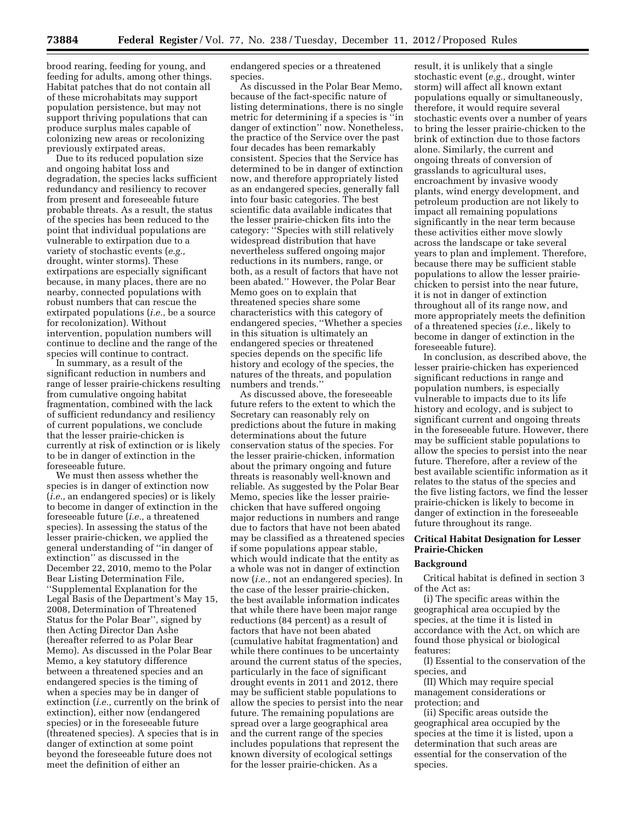brood rearing, feeding for young, and feeding for adults, among other things. Habitat patches that do not contain all of these microhabitats may support population persistence, but may not support thriving populations that can produce surplus males capable of colonizing new areas or recolonizing previously extirpated areas.

Due to its reduced population size and ongoing habitat loss and degradation, the species lacks sufficient redundancy and resiliency to recover from present and foreseeable future probable threats. As a result, the status of the species has been reduced to the point that individual populations are vulnerable to extirpation due to a variety of stochastic events (*e.g.,*  drought, winter storms). These extirpations are especially significant because, in many places, there are no nearby, connected populations with robust numbers that can rescue the extirpated populations (*i.e.,* be a source for recolonization). Without intervention, population numbers will continue to decline and the range of the species will continue to contract.

In summary, as a result of the significant reduction in numbers and range of lesser prairie-chickens resulting from cumulative ongoing habitat fragmentation, combined with the lack of sufficient redundancy and resiliency of current populations, we conclude that the lesser prairie-chicken is currently at risk of extinction or is likely to be in danger of extinction in the foreseeable future.

We must then assess whether the species is in danger of extinction now (*i.e.,* an endangered species) or is likely to become in danger of extinction in the foreseeable future (*i.e.,* a threatened species). In assessing the status of the lesser prairie-chicken, we applied the general understanding of ''in danger of extinction'' as discussed in the December 22, 2010, memo to the Polar Bear Listing Determination File, ''Supplemental Explanation for the Legal Basis of the Department's May 15, 2008, Determination of Threatened Status for the Polar Bear'', signed by then Acting Director Dan Ashe (hereafter referred to as Polar Bear Memo). As discussed in the Polar Bear Memo, a key statutory difference between a threatened species and an endangered species is the timing of when a species may be in danger of extinction (*i.e.,* currently on the brink of extinction), either now (endangered species) or in the foreseeable future (threatened species). A species that is in danger of extinction at some point beyond the foreseeable future does not meet the definition of either an

endangered species or a threatened species.

As discussed in the Polar Bear Memo, because of the fact-specific nature of listing determinations, there is no single metric for determining if a species is ''in danger of extinction'' now. Nonetheless, the practice of the Service over the past four decades has been remarkably consistent. Species that the Service has determined to be in danger of extinction now, and therefore appropriately listed as an endangered species, generally fall into four basic categories. The best scientific data available indicates that the lesser prairie-chicken fits into the category: ''Species with still relatively widespread distribution that have nevertheless suffered ongoing major reductions in its numbers, range, or both, as a result of factors that have not been abated.'' However, the Polar Bear Memo goes on to explain that threatened species share some characteristics with this category of endangered species, ''Whether a species in this situation is ultimately an endangered species or threatened species depends on the specific life history and ecology of the species, the natures of the threats, and population numbers and trends.''

As discussed above, the foreseeable future refers to the extent to which the Secretary can reasonably rely on predictions about the future in making determinations about the future conservation status of the species. For the lesser prairie-chicken, information about the primary ongoing and future threats is reasonably well-known and reliable. As suggested by the Polar Bear Memo, species like the lesser prairiechicken that have suffered ongoing major reductions in numbers and range due to factors that have not been abated may be classified as a threatened species if some populations appear stable, which would indicate that the entity as a whole was not in danger of extinction now (*i.e.,* not an endangered species). In the case of the lesser prairie-chicken, the best available information indicates that while there have been major range reductions (84 percent) as a result of factors that have not been abated (cumulative habitat fragmentation) and while there continues to be uncertainty around the current status of the species, particularly in the face of significant drought events in 2011 and 2012, there may be sufficient stable populations to allow the species to persist into the near future. The remaining populations are spread over a large geographical area and the current range of the species includes populations that represent the known diversity of ecological settings for the lesser prairie-chicken. As a

result, it is unlikely that a single stochastic event (*e.g.,* drought, winter storm) will affect all known extant populations equally or simultaneously, therefore, it would require several stochastic events over a number of years to bring the lesser prairie-chicken to the brink of extinction due to those factors alone. Similarly, the current and ongoing threats of conversion of grasslands to agricultural uses, encroachment by invasive woody plants, wind energy development, and petroleum production are not likely to impact all remaining populations significantly in the near term because these activities either move slowly across the landscape or take several years to plan and implement. Therefore, because there may be sufficient stable populations to allow the lesser prairiechicken to persist into the near future, it is not in danger of extinction throughout all of its range now, and more appropriately meets the definition of a threatened species (*i.e.,* likely to become in danger of extinction in the foreseeable future).

In conclusion, as described above, the lesser prairie-chicken has experienced significant reductions in range and population numbers, is especially vulnerable to impacts due to its life history and ecology, and is subject to significant current and ongoing threats in the foreseeable future. However, there may be sufficient stable populations to allow the species to persist into the near future. Therefore, after a review of the best available scientific information as it relates to the status of the species and the five listing factors, we find the lesser prairie-chicken is likely to become in danger of extinction in the foreseeable future throughout its range.

## **Critical Habitat Designation for Lesser Prairie-Chicken**

## **Background**

Critical habitat is defined in section 3 of the Act as:

(i) The specific areas within the geographical area occupied by the species, at the time it is listed in accordance with the Act, on which are found those physical or biological features:

(I) Essential to the conservation of the species, and

(II) Which may require special management considerations or protection; and

(ii) Specific areas outside the geographical area occupied by the species at the time it is listed, upon a determination that such areas are essential for the conservation of the species.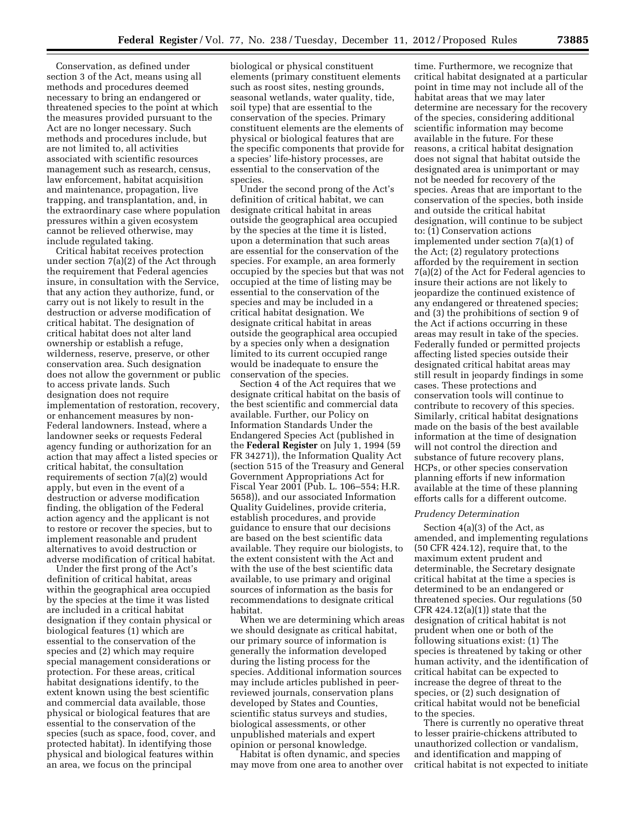Conservation, as defined under section 3 of the Act, means using all methods and procedures deemed necessary to bring an endangered or threatened species to the point at which the measures provided pursuant to the Act are no longer necessary. Such methods and procedures include, but are not limited to, all activities associated with scientific resources management such as research, census, law enforcement, habitat acquisition and maintenance, propagation, live trapping, and transplantation, and, in the extraordinary case where population pressures within a given ecosystem cannot be relieved otherwise, may include regulated taking.

Critical habitat receives protection under section 7(a)(2) of the Act through the requirement that Federal agencies insure, in consultation with the Service, that any action they authorize, fund, or carry out is not likely to result in the destruction or adverse modification of critical habitat. The designation of critical habitat does not alter land ownership or establish a refuge, wilderness, reserve, preserve, or other conservation area. Such designation does not allow the government or public to access private lands. Such designation does not require implementation of restoration, recovery, or enhancement measures by non-Federal landowners. Instead, where a landowner seeks or requests Federal agency funding or authorization for an action that may affect a listed species or critical habitat, the consultation requirements of section 7(a)(2) would apply, but even in the event of a destruction or adverse modification finding, the obligation of the Federal action agency and the applicant is not to restore or recover the species, but to implement reasonable and prudent alternatives to avoid destruction or adverse modification of critical habitat.

Under the first prong of the Act's definition of critical habitat, areas within the geographical area occupied by the species at the time it was listed are included in a critical habitat designation if they contain physical or biological features (1) which are essential to the conservation of the species and (2) which may require special management considerations or protection. For these areas, critical habitat designations identify, to the extent known using the best scientific and commercial data available, those physical or biological features that are essential to the conservation of the species (such as space, food, cover, and protected habitat). In identifying those physical and biological features within an area, we focus on the principal

biological or physical constituent elements (primary constituent elements such as roost sites, nesting grounds, seasonal wetlands, water quality, tide, soil type) that are essential to the conservation of the species. Primary constituent elements are the elements of physical or biological features that are the specific components that provide for a species' life-history processes, are essential to the conservation of the species.

Under the second prong of the Act's definition of critical habitat, we can designate critical habitat in areas outside the geographical area occupied by the species at the time it is listed, upon a determination that such areas are essential for the conservation of the species. For example, an area formerly occupied by the species but that was not occupied at the time of listing may be essential to the conservation of the species and may be included in a critical habitat designation. We designate critical habitat in areas outside the geographical area occupied by a species only when a designation limited to its current occupied range would be inadequate to ensure the conservation of the species.

Section 4 of the Act requires that we designate critical habitat on the basis of the best scientific and commercial data available. Further, our Policy on Information Standards Under the Endangered Species Act (published in the **Federal Register** on July 1, 1994 (59 FR 34271)), the Information Quality Act (section 515 of the Treasury and General Government Appropriations Act for Fiscal Year 2001 (Pub. L. 106–554; H.R. 5658)), and our associated Information Quality Guidelines, provide criteria, establish procedures, and provide guidance to ensure that our decisions are based on the best scientific data available. They require our biologists, to the extent consistent with the Act and with the use of the best scientific data available, to use primary and original sources of information as the basis for recommendations to designate critical habitat.

When we are determining which areas we should designate as critical habitat, our primary source of information is generally the information developed during the listing process for the species. Additional information sources may include articles published in peerreviewed journals, conservation plans developed by States and Counties, scientific status surveys and studies, biological assessments, or other unpublished materials and expert opinion or personal knowledge.

Habitat is often dynamic, and species may move from one area to another over

time. Furthermore, we recognize that critical habitat designated at a particular point in time may not include all of the habitat areas that we may later determine are necessary for the recovery of the species, considering additional scientific information may become available in the future. For these reasons, a critical habitat designation does not signal that habitat outside the designated area is unimportant or may not be needed for recovery of the species. Areas that are important to the conservation of the species, both inside and outside the critical habitat designation, will continue to be subject to:  $(i)$  Conservation actions implemented under section 7(a)(1) of the Act; (2) regulatory protections afforded by the requirement in section 7(a)(2) of the Act for Federal agencies to insure their actions are not likely to jeopardize the continued existence of any endangered or threatened species; and (3) the prohibitions of section 9 of the Act if actions occurring in these areas may result in take of the species. Federally funded or permitted projects affecting listed species outside their designated critical habitat areas may still result in jeopardy findings in some cases. These protections and conservation tools will continue to contribute to recovery of this species. Similarly, critical habitat designations made on the basis of the best available information at the time of designation will not control the direction and substance of future recovery plans, HCPs, or other species conservation planning efforts if new information available at the time of these planning efforts calls for a different outcome.

#### *Prudency Determination*

Section 4(a)(3) of the Act, as amended, and implementing regulations (50 CFR 424.12), require that, to the maximum extent prudent and determinable, the Secretary designate critical habitat at the time a species is determined to be an endangered or threatened species. Our regulations (50 CFR  $424.12(a)(1)$  state that the designation of critical habitat is not prudent when one or both of the following situations exist: (1) The species is threatened by taking or other human activity, and the identification of critical habitat can be expected to increase the degree of threat to the species, or (2) such designation of critical habitat would not be beneficial to the species.

There is currently no operative threat to lesser prairie-chickens attributed to unauthorized collection or vandalism, and identification and mapping of critical habitat is not expected to initiate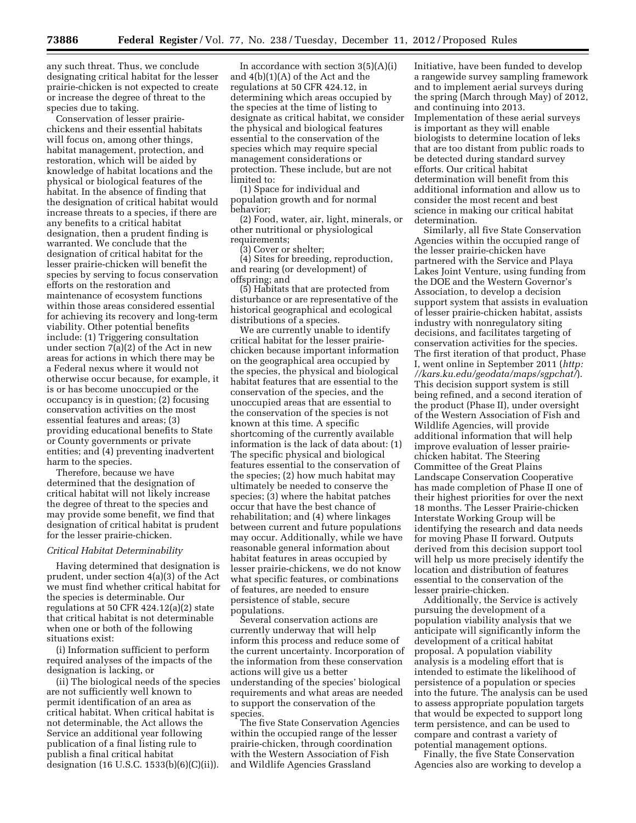any such threat. Thus, we conclude designating critical habitat for the lesser prairie-chicken is not expected to create or increase the degree of threat to the species due to taking.

Conservation of lesser prairiechickens and their essential habitats will focus on, among other things, habitat management, protection, and restoration, which will be aided by knowledge of habitat locations and the physical or biological features of the habitat. In the absence of finding that the designation of critical habitat would increase threats to a species, if there are any benefits to a critical habitat designation, then a prudent finding is warranted. We conclude that the designation of critical habitat for the lesser prairie-chicken will benefit the species by serving to focus conservation efforts on the restoration and maintenance of ecosystem functions within those areas considered essential for achieving its recovery and long-term viability. Other potential benefits include: (1) Triggering consultation under section 7(a)(2) of the Act in new areas for actions in which there may be a Federal nexus where it would not otherwise occur because, for example, it is or has become unoccupied or the occupancy is in question; (2) focusing conservation activities on the most essential features and areas; (3) providing educational benefits to State or County governments or private entities; and (4) preventing inadvertent harm to the species.

Therefore, because we have determined that the designation of critical habitat will not likely increase the degree of threat to the species and may provide some benefit, we find that designation of critical habitat is prudent for the lesser prairie-chicken.

#### *Critical Habitat Determinability*

Having determined that designation is prudent, under section 4(a)(3) of the Act we must find whether critical habitat for the species is determinable. Our regulations at 50 CFR 424.12(a)(2) state that critical habitat is not determinable when one or both of the following situations exist:

(i) Information sufficient to perform required analyses of the impacts of the designation is lacking, or

(ii) The biological needs of the species are not sufficiently well known to permit identification of an area as critical habitat. When critical habitat is not determinable, the Act allows the Service an additional year following publication of a final listing rule to publish a final critical habitat designation (16 U.S.C. 1533(b)(6)(C)(ii)).

In accordance with section  $3(5)(A)(i)$ and 4(b)(1)(A) of the Act and the regulations at 50 CFR 424.12, in determining which areas occupied by the species at the time of listing to designate as critical habitat, we consider the physical and biological features essential to the conservation of the species which may require special management considerations or protection. These include, but are not limited to:

(1) Space for individual and population growth and for normal behavior;

(2) Food, water, air, light, minerals, or other nutritional or physiological requirements:

(3) Cover or shelter;

(4) Sites for breeding, reproduction, and rearing (or development) of offspring; and

(5) Habitats that are protected from disturbance or are representative of the historical geographical and ecological distributions of a species.

We are currently unable to identify critical habitat for the lesser prairiechicken because important information on the geographical area occupied by the species, the physical and biological habitat features that are essential to the conservation of the species, and the unoccupied areas that are essential to the conservation of the species is not known at this time. A specific shortcoming of the currently available information is the lack of data about: (1) The specific physical and biological features essential to the conservation of the species; (2) how much habitat may ultimately be needed to conserve the species; (3) where the habitat patches occur that have the best chance of rehabilitation; and (4) where linkages between current and future populations may occur. Additionally, while we have reasonable general information about habitat features in areas occupied by lesser prairie-chickens, we do not know what specific features, or combinations of features, are needed to ensure persistence of stable, secure populations.

Several conservation actions are currently underway that will help inform this process and reduce some of the current uncertainty. Incorporation of the information from these conservation actions will give us a better understanding of the species' biological requirements and what areas are needed to support the conservation of the species.

The five State Conservation Agencies within the occupied range of the lesser prairie-chicken, through coordination with the Western Association of Fish and Wildlife Agencies Grassland

Initiative, have been funded to develop a rangewide survey sampling framework and to implement aerial surveys during the spring (March through May) of 2012, and continuing into 2013. Implementation of these aerial surveys is important as they will enable biologists to determine location of leks that are too distant from public roads to be detected during standard survey efforts. Our critical habitat determination will benefit from this additional information and allow us to consider the most recent and best science in making our critical habitat determination.

Similarly, all five State Conservation Agencies within the occupied range of the lesser prairie-chicken have partnered with the Service and Playa Lakes Joint Venture, using funding from the DOE and the Western Governor's Association, to develop a decision support system that assists in evaluation of lesser prairie-chicken habitat, assists industry with nonregulatory siting decisions, and facilitates targeting of conservation activities for the species. The first iteration of that product, Phase I, went online in September 2011 (*[http:](http://kars.ku.edu/geodata/maps/sgpchat/)  [//kars.ku.edu/geodata/maps/sgpchat/](http://kars.ku.edu/geodata/maps/sgpchat/)*). This decision support system is still being refined, and a second iteration of the product (Phase II), under oversight of the Western Association of Fish and Wildlife Agencies, will provide additional information that will help improve evaluation of lesser prairiechicken habitat. The Steering Committee of the Great Plains Landscape Conservation Cooperative has made completion of Phase II one of their highest priorities for over the next 18 months. The Lesser Prairie-chicken Interstate Working Group will be identifying the research and data needs for moving Phase II forward. Outputs derived from this decision support tool will help us more precisely identify the location and distribution of features essential to the conservation of the lesser prairie-chicken.

Additionally, the Service is actively pursuing the development of a population viability analysis that we anticipate will significantly inform the development of a critical habitat proposal. A population viability analysis is a modeling effort that is intended to estimate the likelihood of persistence of a population or species into the future. The analysis can be used to assess appropriate population targets that would be expected to support long term persistence, and can be used to compare and contrast a variety of potential management options.

Finally, the five State Conservation Agencies also are working to develop a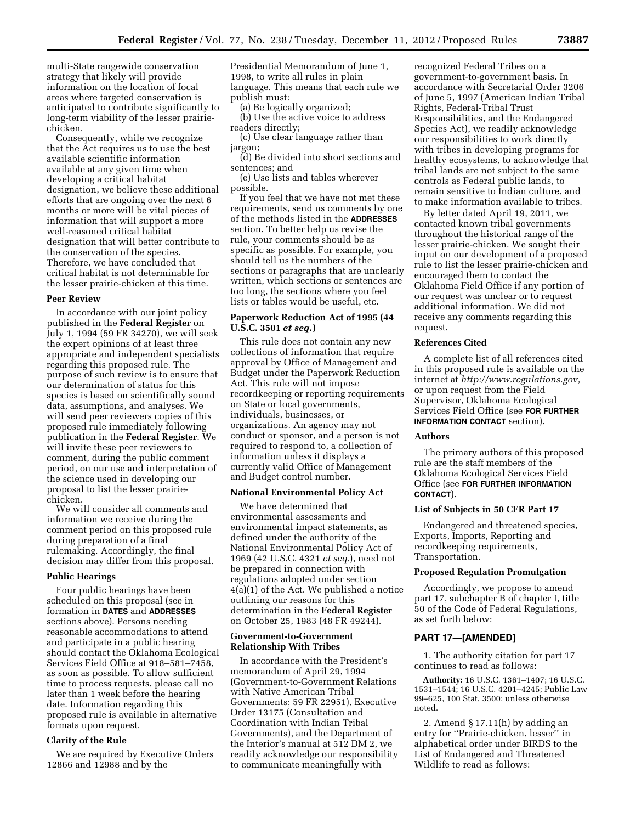multi-State rangewide conservation strategy that likely will provide information on the location of focal areas where targeted conservation is anticipated to contribute significantly to long-term viability of the lesser prairiechicken.

Consequently, while we recognize that the Act requires us to use the best available scientific information available at any given time when developing a critical habitat designation, we believe these additional efforts that are ongoing over the next 6 months or more will be vital pieces of information that will support a more well-reasoned critical habitat designation that will better contribute to the conservation of the species. Therefore, we have concluded that critical habitat is not determinable for the lesser prairie-chicken at this time.

### **Peer Review**

In accordance with our joint policy published in the **Federal Register** on July 1, 1994 (59 FR 34270), we will seek the expert opinions of at least three appropriate and independent specialists regarding this proposed rule. The purpose of such review is to ensure that our determination of status for this species is based on scientifically sound data, assumptions, and analyses. We will send peer reviewers copies of this proposed rule immediately following publication in the **Federal Register**. We will invite these peer reviewers to comment, during the public comment period, on our use and interpretation of the science used in developing our proposal to list the lesser prairiechicken.

We will consider all comments and information we receive during the comment period on this proposed rule during preparation of a final rulemaking. Accordingly, the final decision may differ from this proposal.

#### **Public Hearings**

Four public hearings have been scheduled on this proposal (see in formation in **DATES** and **ADDRESSES** sections above). Persons needing reasonable accommodations to attend and participate in a public hearing should contact the Oklahoma Ecological Services Field Office at 918–581–7458, as soon as possible. To allow sufficient time to process requests, please call no later than 1 week before the hearing date. Information regarding this proposed rule is available in alternative formats upon request.

## **Clarity of the Rule**

We are required by Executive Orders 12866 and 12988 and by the

Presidential Memorandum of June 1, 1998, to write all rules in plain language. This means that each rule we publish must:

(a) Be logically organized;

(b) Use the active voice to address readers directly;

(c) Use clear language rather than jargon;

(d) Be divided into short sections and sentences; and

(e) Use lists and tables wherever possible.

If you feel that we have not met these requirements, send us comments by one of the methods listed in the **ADDRESSES** section. To better help us revise the rule, your comments should be as specific as possible. For example, you should tell us the numbers of the sections or paragraphs that are unclearly written, which sections or sentences are too long, the sections where you feel lists or tables would be useful, etc.

## **Paperwork Reduction Act of 1995 (44 U.S.C. 3501** *et seq.***)**

This rule does not contain any new collections of information that require approval by Office of Management and Budget under the Paperwork Reduction Act. This rule will not impose recordkeeping or reporting requirements on State or local governments, individuals, businesses, or organizations. An agency may not conduct or sponsor, and a person is not required to respond to, a collection of information unless it displays a currently valid Office of Management and Budget control number.

#### **National Environmental Policy Act**

We have determined that environmental assessments and environmental impact statements, as defined under the authority of the National Environmental Policy Act of 1969 (42 U.S.C. 4321 *et seq.*), need not be prepared in connection with regulations adopted under section 4(a)(1) of the Act. We published a notice outlining our reasons for this determination in the **Federal Register**  on October 25, 1983 (48 FR 49244).

## **Government-to-Government Relationship With Tribes**

In accordance with the President's memorandum of April 29, 1994 (Government-to-Government Relations with Native American Tribal Governments; 59 FR 22951), Executive Order 13175 (Consultation and Coordination with Indian Tribal Governments), and the Department of the Interior's manual at 512 DM 2, we readily acknowledge our responsibility to communicate meaningfully with

recognized Federal Tribes on a government-to-government basis. In accordance with Secretarial Order 3206 of June 5, 1997 (American Indian Tribal Rights, Federal-Tribal Trust Responsibilities, and the Endangered Species Act), we readily acknowledge our responsibilities to work directly with tribes in developing programs for healthy ecosystems, to acknowledge that tribal lands are not subject to the same controls as Federal public lands, to remain sensitive to Indian culture, and to make information available to tribes.

By letter dated April 19, 2011, we contacted known tribal governments throughout the historical range of the lesser prairie-chicken. We sought their input on our development of a proposed rule to list the lesser prairie-chicken and encouraged them to contact the Oklahoma Field Office if any portion of our request was unclear or to request additional information. We did not receive any comments regarding this request.

## **References Cited**

A complete list of all references cited in this proposed rule is available on the internet at *[http://www.regulations.gov,](http://www.regulations.gov)*  or upon request from the Field Supervisor, Oklahoma Ecological Services Field Office (see **FOR FURTHER INFORMATION CONTACT** section).

#### **Authors**

The primary authors of this proposed rule are the staff members of the Oklahoma Ecological Services Field Office (see **FOR FURTHER INFORMATION CONTACT**).

## **List of Subjects in 50 CFR Part 17**

Endangered and threatened species, Exports, Imports, Reporting and recordkeeping requirements, Transportation.

#### **Proposed Regulation Promulgation**

Accordingly, we propose to amend part 17, subchapter B of chapter I, title 50 of the Code of Federal Regulations, as set forth below:

## **PART 17—[AMENDED]**

1. The authority citation for part 17 continues to read as follows:

**Authority:** 16 U.S.C. 1361–1407; 16 U.S.C. 1531–1544; 16 U.S.C. 4201–4245; Public Law 99–625, 100 Stat. 3500; unless otherwise noted.

2. Amend § 17.11(h) by adding an entry for ''Prairie-chicken, lesser'' in alphabetical order under BIRDS to the List of Endangered and Threatened Wildlife to read as follows: